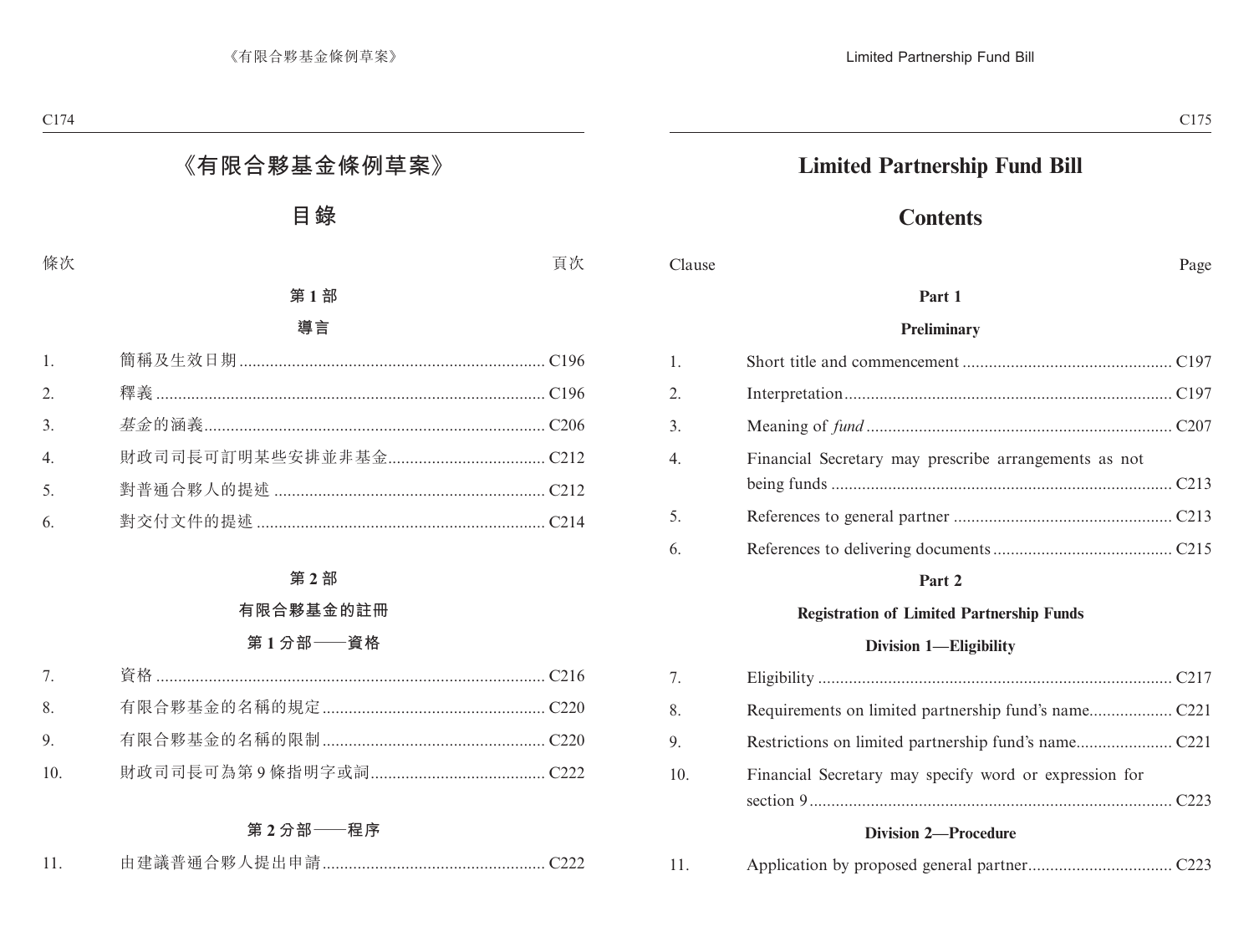# **Limited Partnership Fund Bill**

# **Contents**

#### Clause Page

### **Part 1**

#### **Preliminary**

| 1.               |                                                       |  |
|------------------|-------------------------------------------------------|--|
| 2.               |                                                       |  |
| 3.               |                                                       |  |
| $\overline{4}$ . | Financial Secretary may prescribe arrangements as not |  |
|                  |                                                       |  |
| 5.               |                                                       |  |
| 6.               |                                                       |  |

### **Part 2**

#### **Registration of Limited Partnership Funds**

#### **Division 1—Eligibility**

| 7.  |                                                        |  |
|-----|--------------------------------------------------------|--|
| 8.  |                                                        |  |
| 9.  |                                                        |  |
| 10. | Financial Secretary may specify word or expression for |  |

## **Division 2—Procedure**

|  | 11. |  |  |
|--|-----|--|--|
|--|-----|--|--|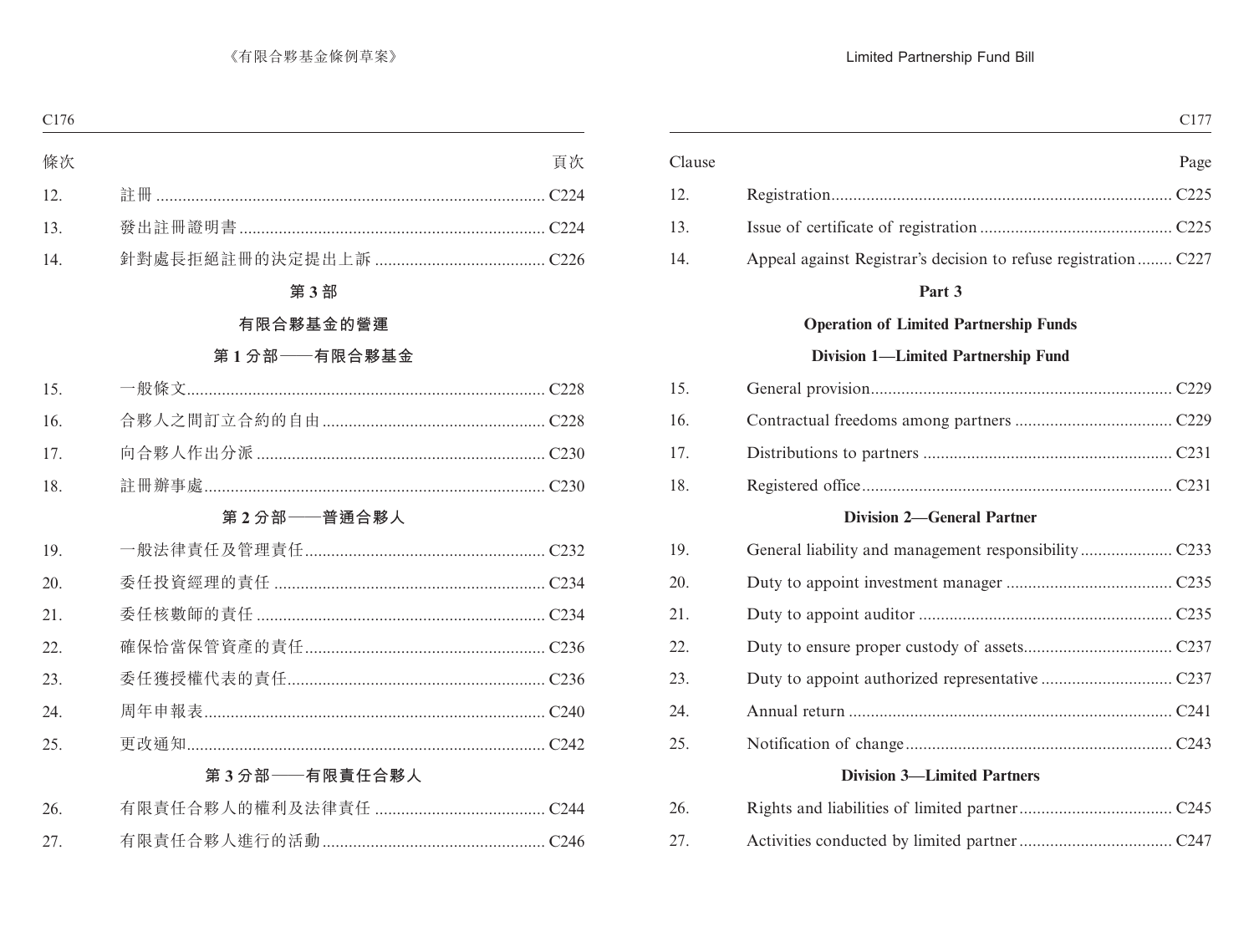|        | C177                                                            |
|--------|-----------------------------------------------------------------|
| Clause | Page                                                            |
| 12.    |                                                                 |
| 13.    |                                                                 |
| 14.    | Appeal against Registrar's decision to refuse registration C227 |
|        | Part 3                                                          |
|        | <b>Operation of Limited Partnership Funds</b>                   |
|        | <b>Division 1-Limited Partnership Fund</b>                      |
| 15.    |                                                                 |
| 16.    |                                                                 |
| 17.    |                                                                 |
| 18.    |                                                                 |
|        | <b>Division 2-General Partner</b>                               |
| 19.    |                                                                 |
| 20.    |                                                                 |
| 21.    |                                                                 |
| 22.    |                                                                 |
| 23.    |                                                                 |
| 24.    |                                                                 |
| 25.    |                                                                 |
|        | <b>Division 3—Limited Partners</b>                              |
| 26.    |                                                                 |
| 27.    |                                                                 |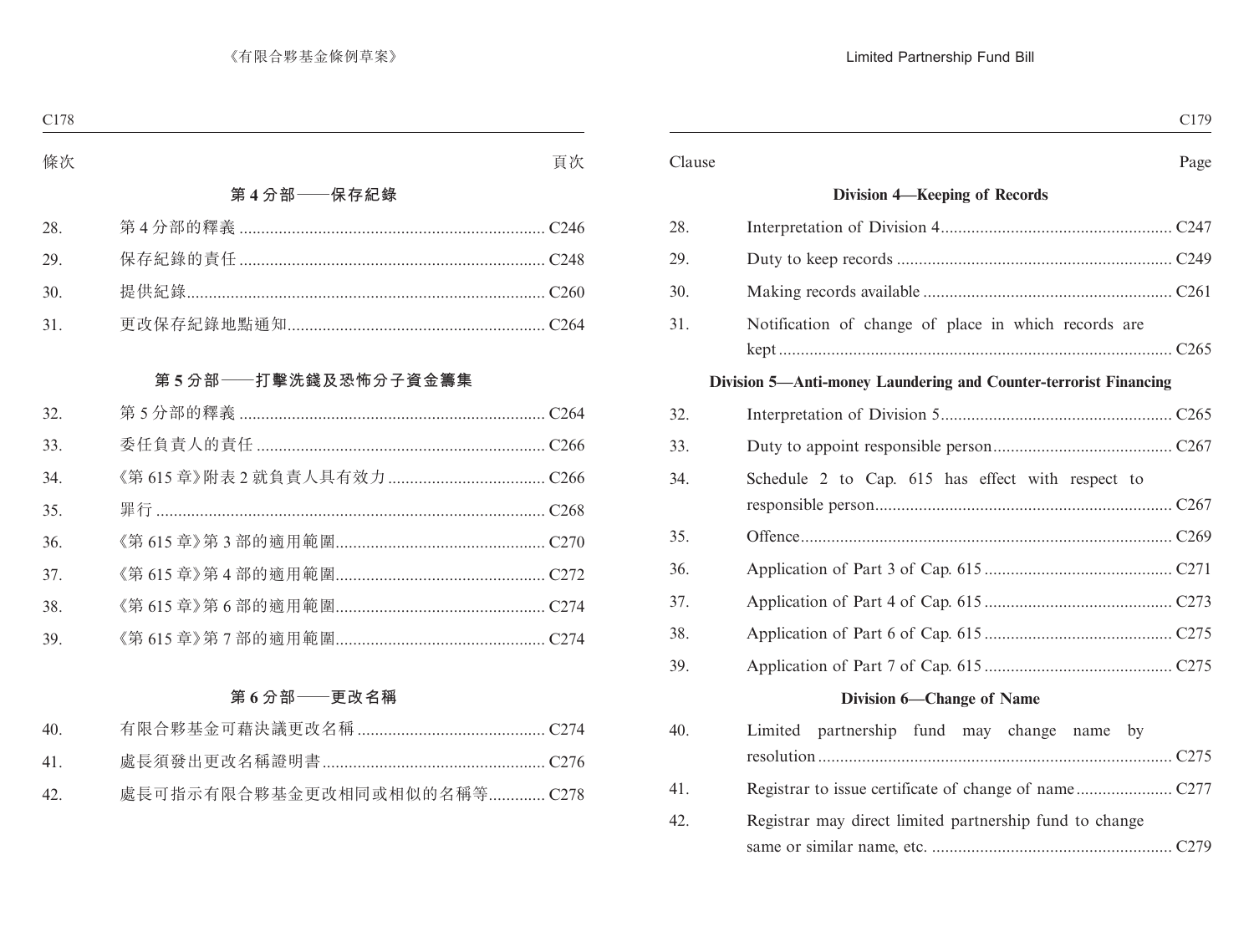| Clause                                                           |  |
|------------------------------------------------------------------|--|
| Division 4-Keeping of Records                                    |  |
| 28.                                                              |  |
| 29.                                                              |  |
| 30.                                                              |  |
| 31.<br>Notification of change of place in which records are      |  |
|                                                                  |  |
| Division 5—Anti-money Laundering and Counter-terrorist Financing |  |
| 32.                                                              |  |
| 33.                                                              |  |
| 34.<br>Schedule 2 to Cap. 615 has effect with respect to         |  |
| 35.                                                              |  |
| 36.                                                              |  |
| 37.                                                              |  |
| 38.                                                              |  |
| 39.                                                              |  |
| Division 6-Change of Name                                        |  |
| 40.<br>Limited partnership fund may change name by               |  |
| 41.                                                              |  |
| Registrar may direct limited partnership fund to change<br>42.   |  |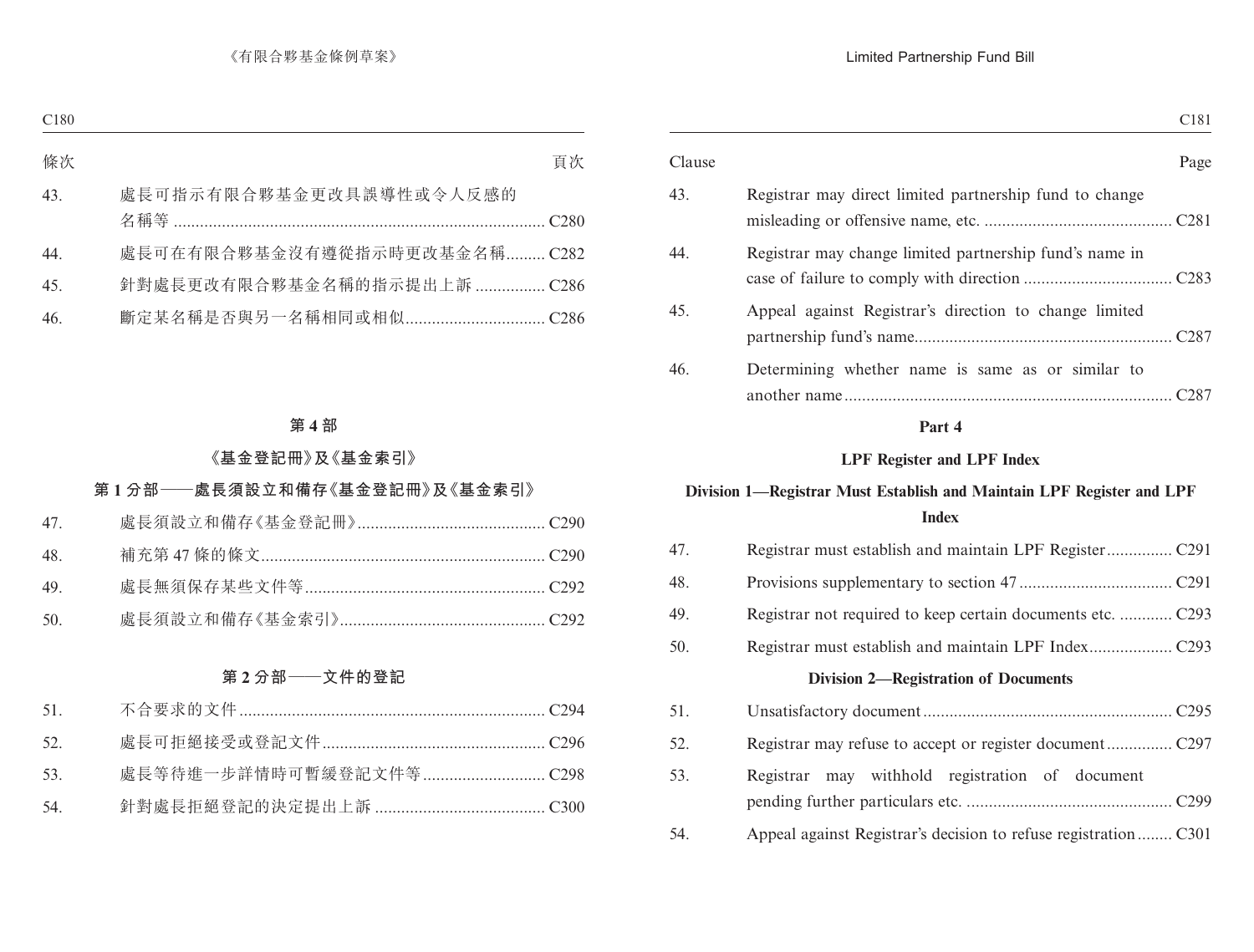|                                                                    | C <sub>181</sub> |
|--------------------------------------------------------------------|------------------|
|                                                                    | Page             |
| Registrar may direct limited partnership fund to change            |                  |
| Registrar may change limited partnership fund's name in            |                  |
| Appeal against Registrar's direction to change limited             |                  |
| Determining whether name is same as or similar to<br>another name. | C287             |
|                                                                    |                  |

### **LPF Register and LPF Index**

# **Division 1—Registrar Must Establish and Maintain LPF Register and LPF Index**

| 47. |                                                 |
|-----|-------------------------------------------------|
| 48. |                                                 |
| 49. |                                                 |
| 50. |                                                 |
|     | <b>Division 2—Registration of Documents</b>     |
| 51. |                                                 |
| 52. |                                                 |
| 53. | Registrar may withhold registration of document |
| 54. |                                                 |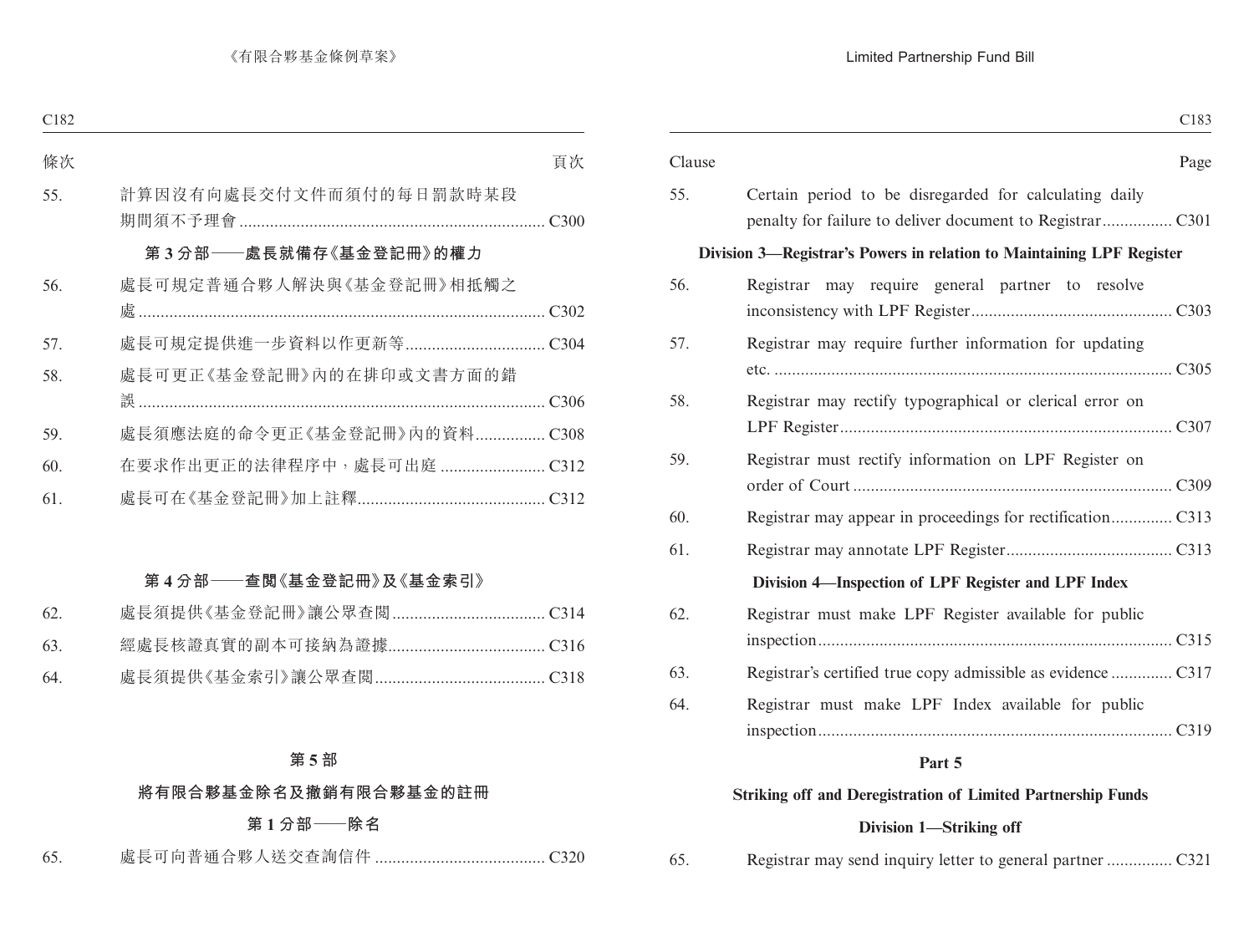| Page<br>Certain period to be disregarded for calculating daily<br>Division 3—Registrar's Powers in relation to Maintaining LPF Register<br>Registrar may require general partner to resolve<br>Registrar may require further information for updating<br>Registrar may rectify typographical or clerical error on<br>Registrar must rectify information on LPF Register on<br>Division 4-Inspection of LPF Register and LPF Index<br>Registrar must make LPF Register available for public<br>Registrar's certified true copy admissible as evidence  C317<br>Registrar must make LPF Index available for public | C <sub>183</sub> |        |
|------------------------------------------------------------------------------------------------------------------------------------------------------------------------------------------------------------------------------------------------------------------------------------------------------------------------------------------------------------------------------------------------------------------------------------------------------------------------------------------------------------------------------------------------------------------------------------------------------------------|------------------|--------|
|                                                                                                                                                                                                                                                                                                                                                                                                                                                                                                                                                                                                                  |                  | Clause |
|                                                                                                                                                                                                                                                                                                                                                                                                                                                                                                                                                                                                                  |                  | 55.    |
|                                                                                                                                                                                                                                                                                                                                                                                                                                                                                                                                                                                                                  |                  |        |
|                                                                                                                                                                                                                                                                                                                                                                                                                                                                                                                                                                                                                  |                  | 56.    |
|                                                                                                                                                                                                                                                                                                                                                                                                                                                                                                                                                                                                                  |                  | 57.    |
|                                                                                                                                                                                                                                                                                                                                                                                                                                                                                                                                                                                                                  |                  | 58.    |
|                                                                                                                                                                                                                                                                                                                                                                                                                                                                                                                                                                                                                  |                  | 59.    |
|                                                                                                                                                                                                                                                                                                                                                                                                                                                                                                                                                                                                                  |                  | 60.    |
|                                                                                                                                                                                                                                                                                                                                                                                                                                                                                                                                                                                                                  |                  | 61.    |
|                                                                                                                                                                                                                                                                                                                                                                                                                                                                                                                                                                                                                  |                  |        |
|                                                                                                                                                                                                                                                                                                                                                                                                                                                                                                                                                                                                                  |                  | 62.    |
|                                                                                                                                                                                                                                                                                                                                                                                                                                                                                                                                                                                                                  |                  | 63.    |
|                                                                                                                                                                                                                                                                                                                                                                                                                                                                                                                                                                                                                  |                  | 64.    |

### **Striking off and Deregistration of Limited Partnership Funds**

### **Division 1—Striking off**

65. Registrar may send inquiry letter to general partner ............... C321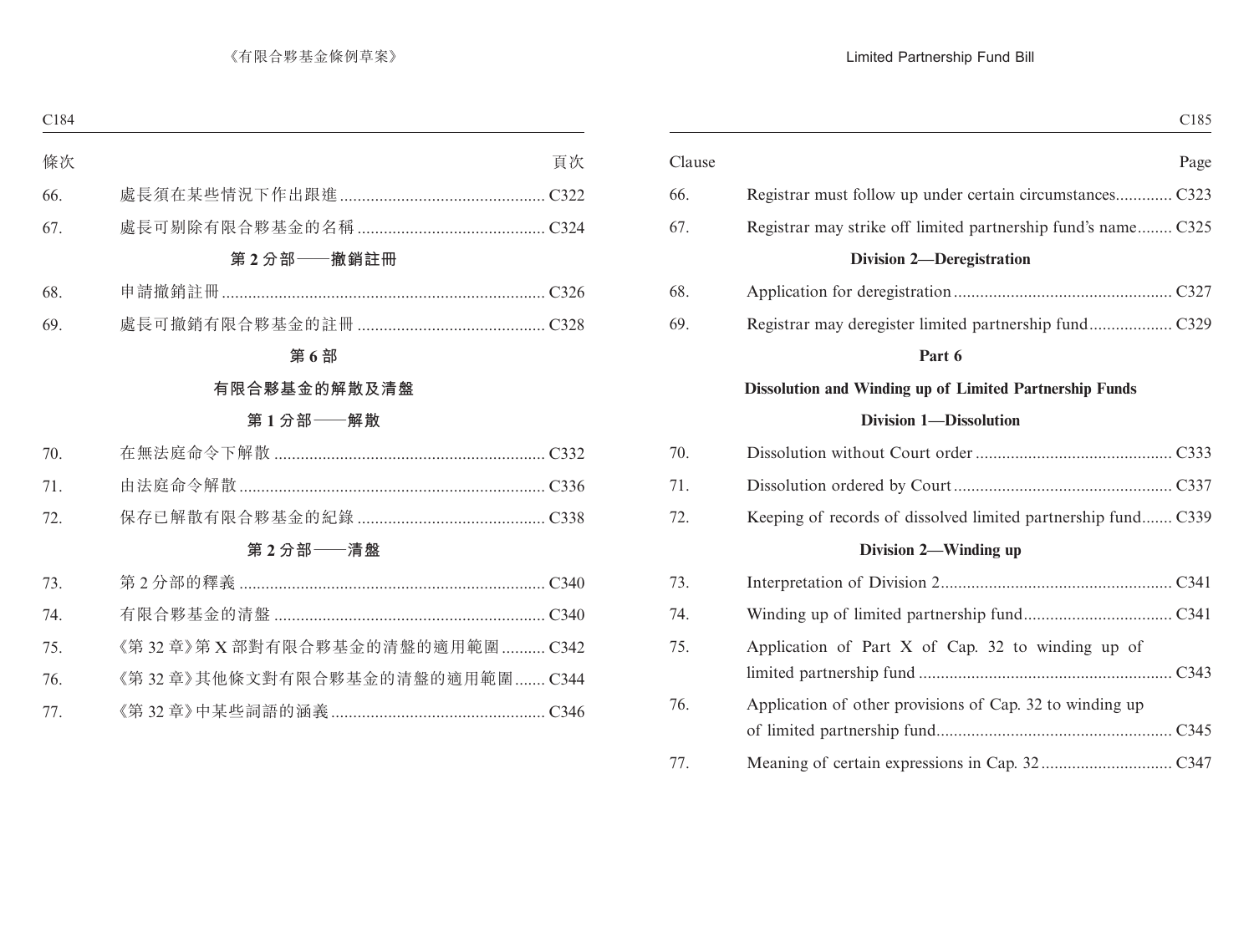|                                                               | Clause |
|---------------------------------------------------------------|--------|
| Registrar must follow up under certain circumstances C323     | 66.    |
| Registrar may strike off limited partnership fund's name C325 | 67.    |
| <b>Division 2-Deregistration</b>                              |        |
|                                                               | 68.    |
|                                                               | 69.    |
| Part 6                                                        |        |
| Dissolution and Winding up of Limited Partnership Funds       |        |
| <b>Division 1-Dissolution</b>                                 |        |
|                                                               | 70.    |
|                                                               | 71.    |
| Keeping of records of dissolved limited partnership fund C339 | 72.    |
| Division 2—Winding up                                         |        |
|                                                               | 73.    |
|                                                               | 74.    |
| Application of Part X of Cap. 32 to winding up of             | 75.    |
|                                                               |        |
| Application of other provisions of Cap. 32 to winding up      | 76.    |
|                                                               |        |
|                                                               | 77.    |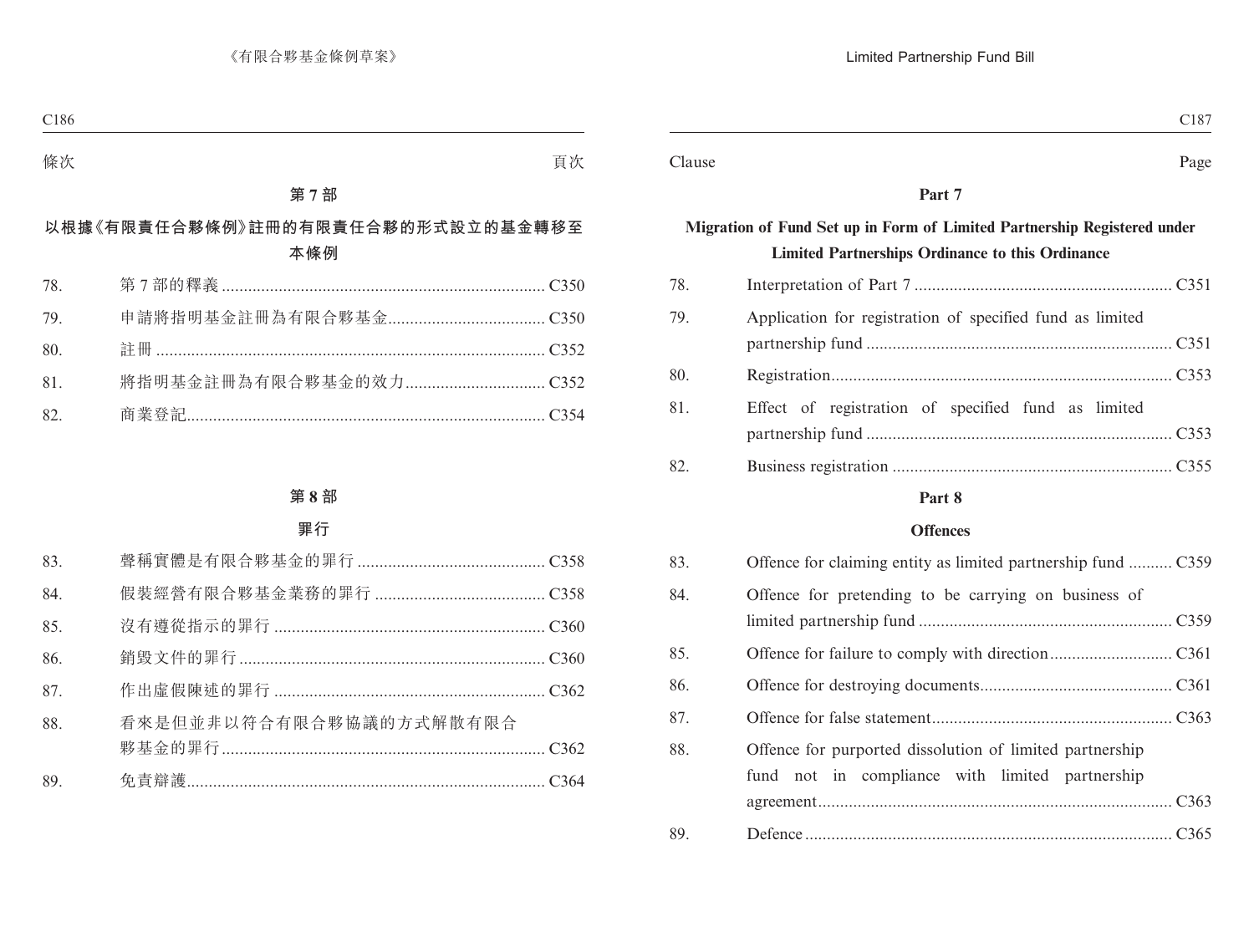| C <sub>187</sub>                                                                                                                    |        |
|-------------------------------------------------------------------------------------------------------------------------------------|--------|
| Page                                                                                                                                | Clause |
| Part 7                                                                                                                              |        |
| Migration of Fund Set up in Form of Limited Partnership Registered under<br><b>Limited Partnerships Ordinance to this Ordinance</b> |        |
|                                                                                                                                     | 78.    |
| Application for registration of specified fund as limited                                                                           | 79.    |
|                                                                                                                                     | 80.    |
| Effect of registration of specified fund as limited                                                                                 | 81     |
|                                                                                                                                     | 82     |

### **Offences**

| 83. | Offence for claiming entity as limited partnership fund  C359                                               |
|-----|-------------------------------------------------------------------------------------------------------------|
| 84. | Offence for pretending to be carrying on business of                                                        |
| 85. |                                                                                                             |
| 86. |                                                                                                             |
| 87. |                                                                                                             |
| 88. | Offence for purported dissolution of limited partnership<br>fund not in compliance with limited partnership |
|     |                                                                                                             |
| 89. |                                                                                                             |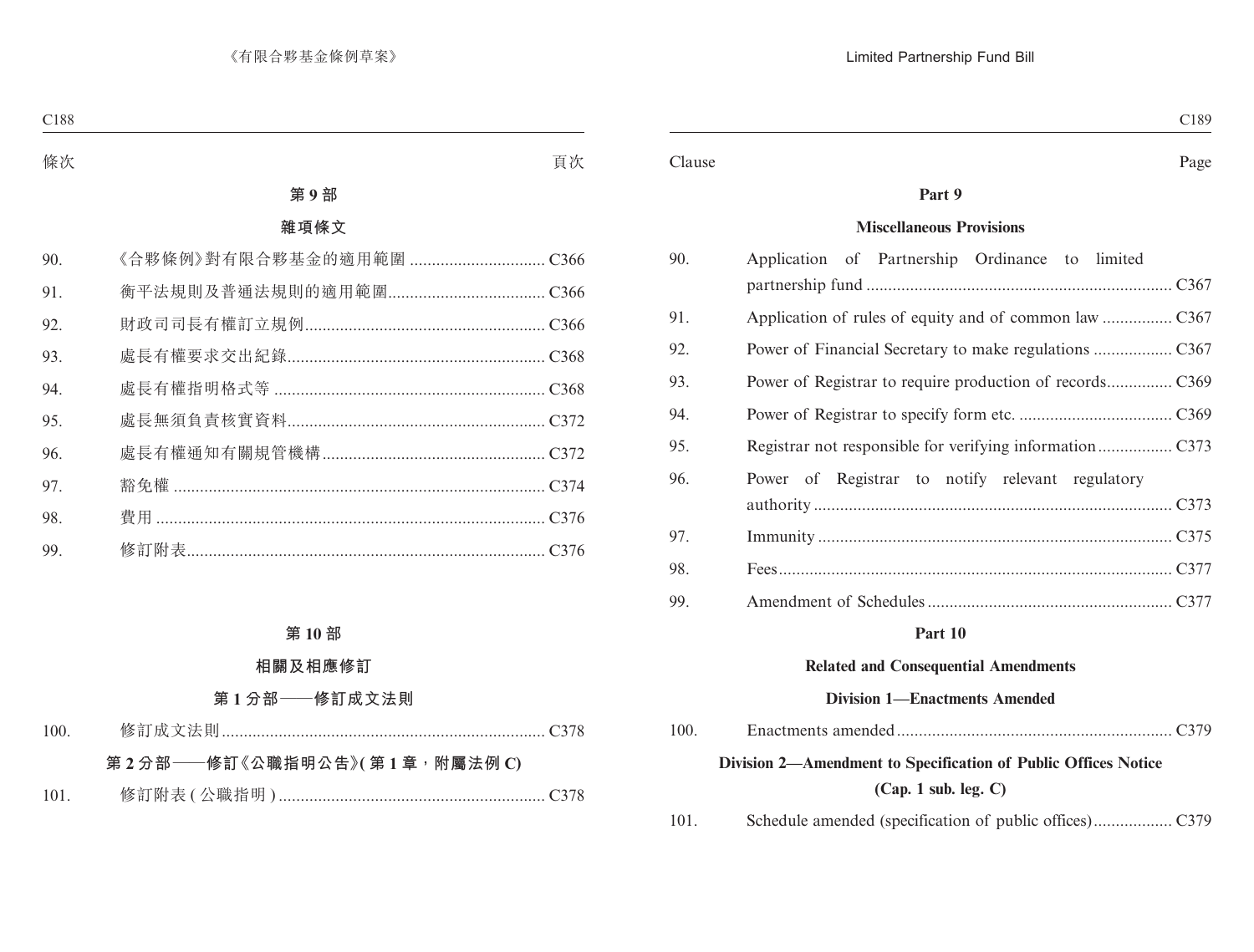#### Clause Page

### **Part 9**

#### **Miscellaneous Provisions**

| 90. | Application of Partnership Ordinance to limited  |
|-----|--------------------------------------------------|
|     |                                                  |
| 91. |                                                  |
| 92. |                                                  |
| 93. |                                                  |
| 94. |                                                  |
| 95. |                                                  |
| 96. | Power of Registrar to notify relevant regulatory |
|     |                                                  |
| 97. |                                                  |
| 98. |                                                  |
| 99. |                                                  |

#### **Part 10**

#### **Related and Consequential Amendments**

### **Division 1—Enactments Amended**

| 100. |                                                                |
|------|----------------------------------------------------------------|
|      | Division 2—Amendment to Specification of Public Offices Notice |
|      | (Cap. 1 sub. leg. C)                                           |
| 101. |                                                                |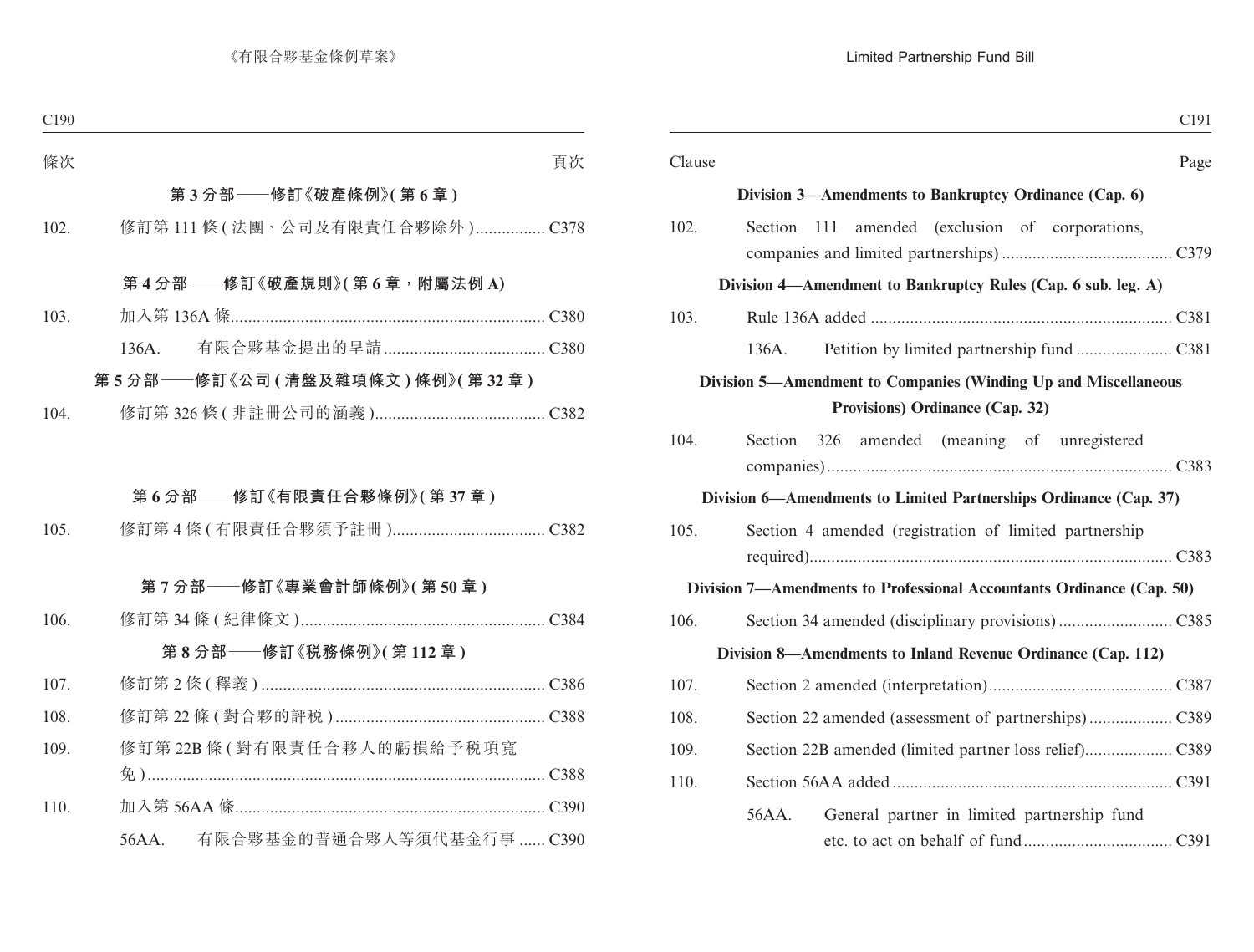|        |                                                                                                    | C <sub>191</sub> |
|--------|----------------------------------------------------------------------------------------------------|------------------|
| Clause |                                                                                                    | Page             |
|        | Division 3—Amendments to Bankruptcy Ordinance (Cap. 6)                                             |                  |
| 102.   | Section 111 amended (exclusion of corporations,                                                    |                  |
|        | Division 4—Amendment to Bankruptcy Rules (Cap. 6 sub. leg. A)                                      |                  |
| 103.   |                                                                                                    |                  |
|        | 136A.                                                                                              |                  |
|        | Division 5—Amendment to Companies (Winding Up and Miscellaneous<br>Provisions) Ordinance (Cap. 32) |                  |
| 104.   | Section 326 amended (meaning of unregistered                                                       |                  |
|        | Division 6—Amendments to Limited Partnerships Ordinance (Cap. 37)                                  |                  |
| 105.   | Section 4 amended (registration of limited partnership)                                            |                  |
|        | Division 7—Amendments to Professional Accountants Ordinance (Cap. 50)                              |                  |
| 106.   |                                                                                                    |                  |
|        | Division 8—Amendments to Inland Revenue Ordinance (Cap. 112)                                       |                  |
| 107.   |                                                                                                    |                  |
| 108.   |                                                                                                    |                  |
| 109.   |                                                                                                    |                  |
| 110.   |                                                                                                    |                  |
|        | 56AA.<br>General partner in limited partnership fund                                               |                  |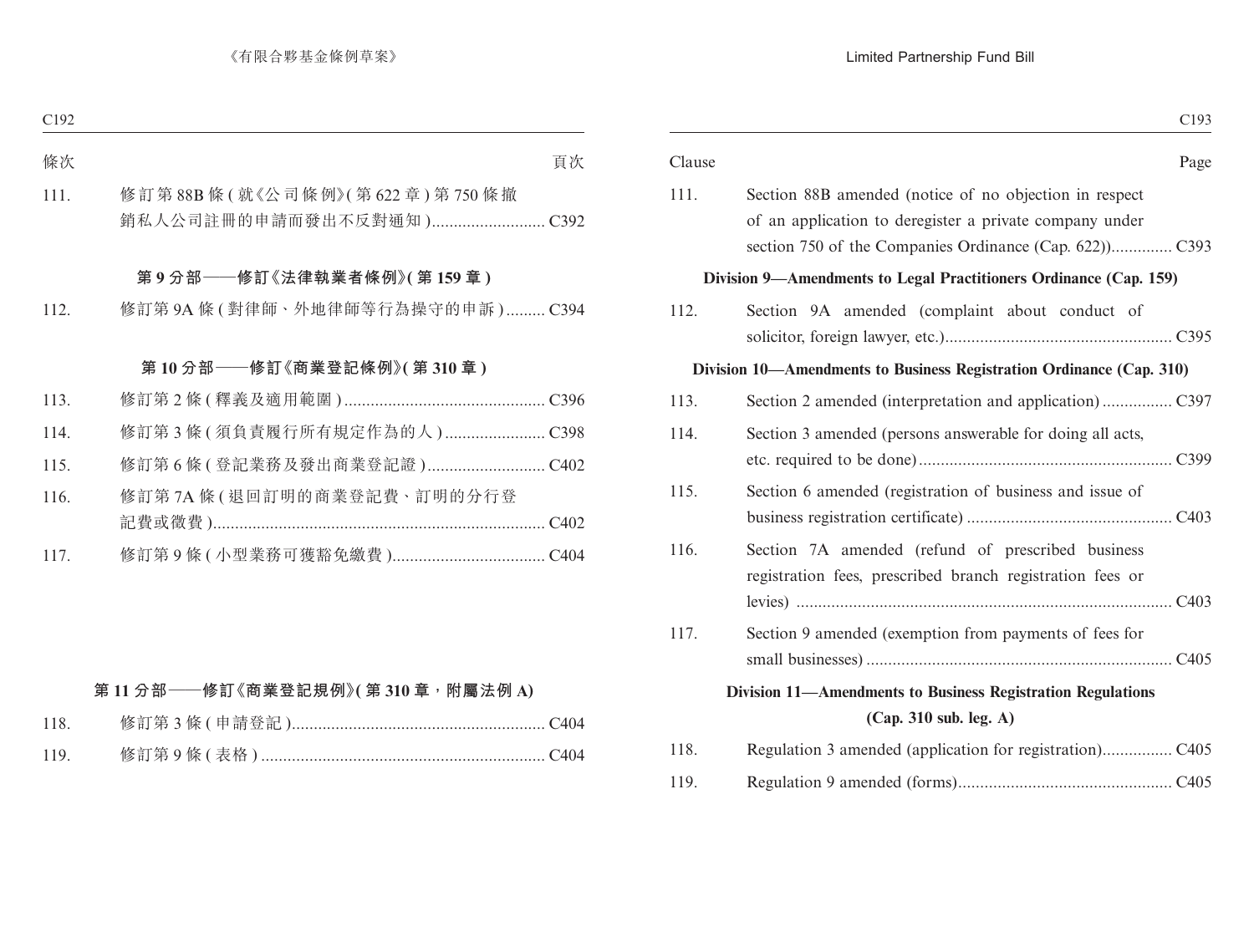| C <sub>193</sub>                                                                                                   |        |
|--------------------------------------------------------------------------------------------------------------------|--------|
| Page                                                                                                               | Clause |
| Section 88B amended (notice of no objection in respect)<br>of an application to deregister a private company under | 111.   |
| Division 9—Amendments to Legal Practitioners Ordinance (Cap. 159)                                                  |        |
| Section 9A amended (complaint about conduct of                                                                     | 112.   |
| Division 10—Amendments to Business Registration Ordinance (Cap. 310)                                               |        |
|                                                                                                                    | 113.   |
| Section 3 amended (persons answerable for doing all acts,                                                          | 114.   |
| Section 6 amended (registration of business and issue of                                                           | 115.   |
| Section 7A amended (refund of prescribed business<br>registration fees, prescribed branch registration fees or     | 116.   |
| Section 9 amended (exemption from payments of fees for                                                             | 117.   |
| Division 11-Amendments to Business Registration Regulations<br>(Cap. 310 sub. leg. A)                              |        |
|                                                                                                                    | 118.   |
|                                                                                                                    | 119.   |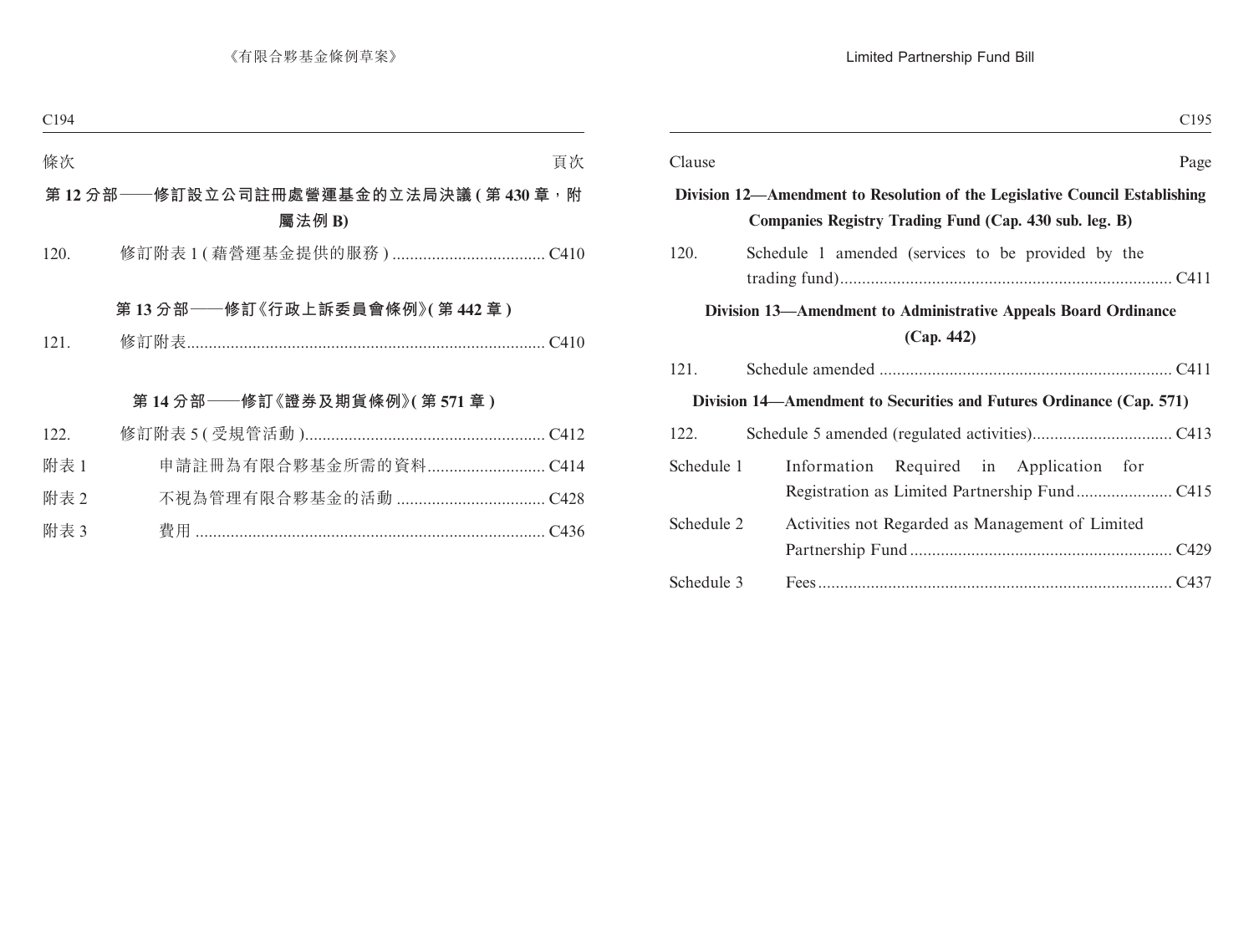| C <sub>195</sub>                                                                                                                      |        |
|---------------------------------------------------------------------------------------------------------------------------------------|--------|
| Page                                                                                                                                  | Clause |
| Division 12—Amendment to Resolution of the Legislative Council Establishing<br>Companies Registry Trading Fund (Cap. 430 sub. leg. B) |        |
| 120.<br>Schedule 1 amended (services to be provided by the                                                                            |        |
| Division 13—Amendment to Administrative Appeals Board Ordinance<br>(Cap. 442)                                                         |        |
| 121.                                                                                                                                  |        |
| Division 14—Amendment to Securities and Futures Ordinance (Cap. 571)                                                                  |        |
| 122.                                                                                                                                  |        |
| Schedule 1<br>Information Required in Application for                                                                                 |        |
| Schedule 2<br>Activities not Regarded as Management of Limited                                                                        |        |
|                                                                                                                                       |        |
| Schedule 3                                                                                                                            |        |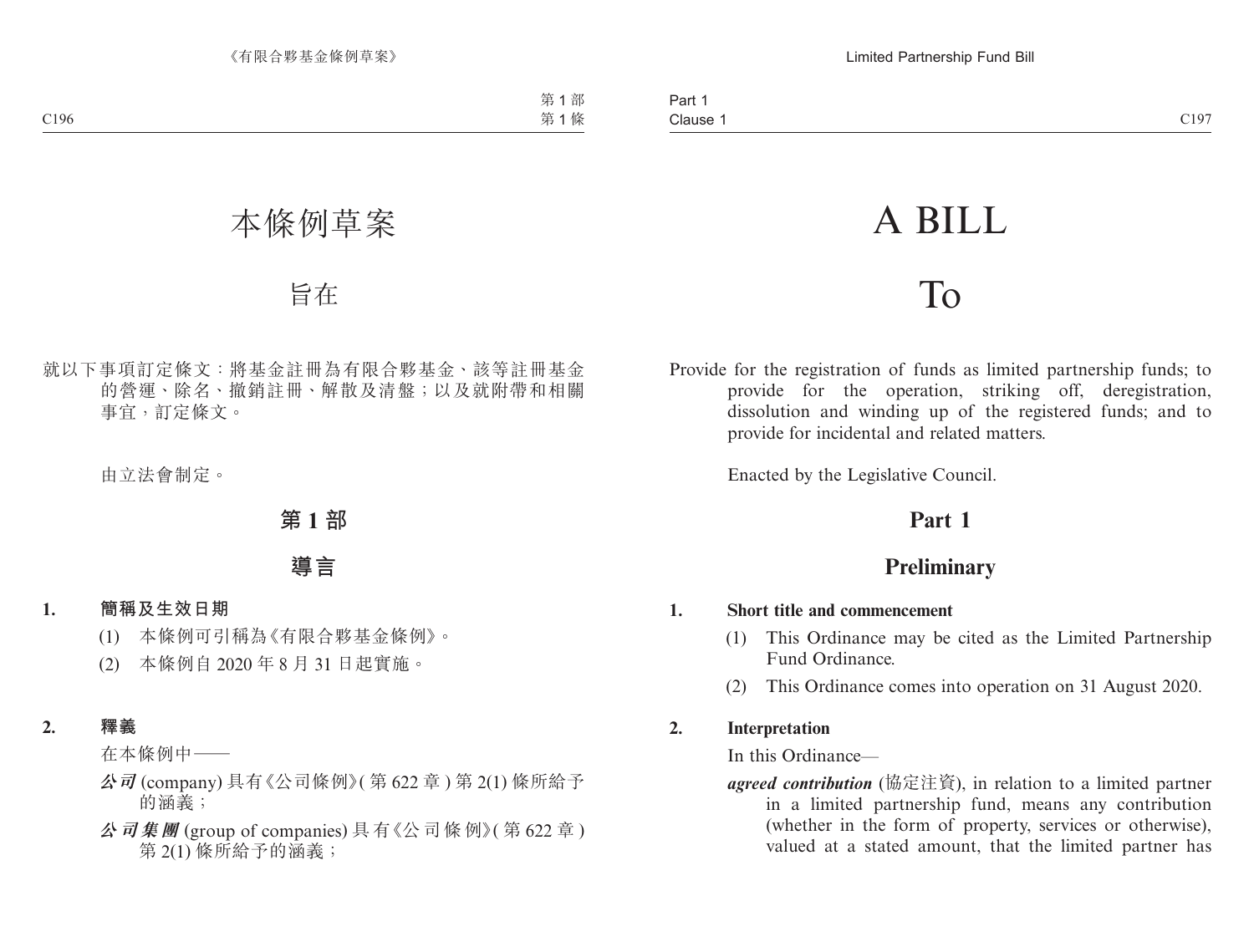# A BILL

# To

Provide for the registration of funds as limited partnership funds; to provide for the operation, striking off, deregistration, dissolution and winding up of the registered funds; and to provide for incidental and related matters.

Enacted by the Legislative Council.

# **Part 1**

# **Preliminary**

### **1. Short title and commencement**

- (1) This Ordinance may be cited as the Limited Partnership Fund Ordinance.
- (2) This Ordinance comes into operation on 31 August 2020.

## **2. Interpretation**

In this Ordinance—

*agreed contribution* (協定注資), in relation to a limited partner in a limited partnership fund, means any contribution (whether in the form of property, services or otherwise), valued at a stated amount, that the limited partner has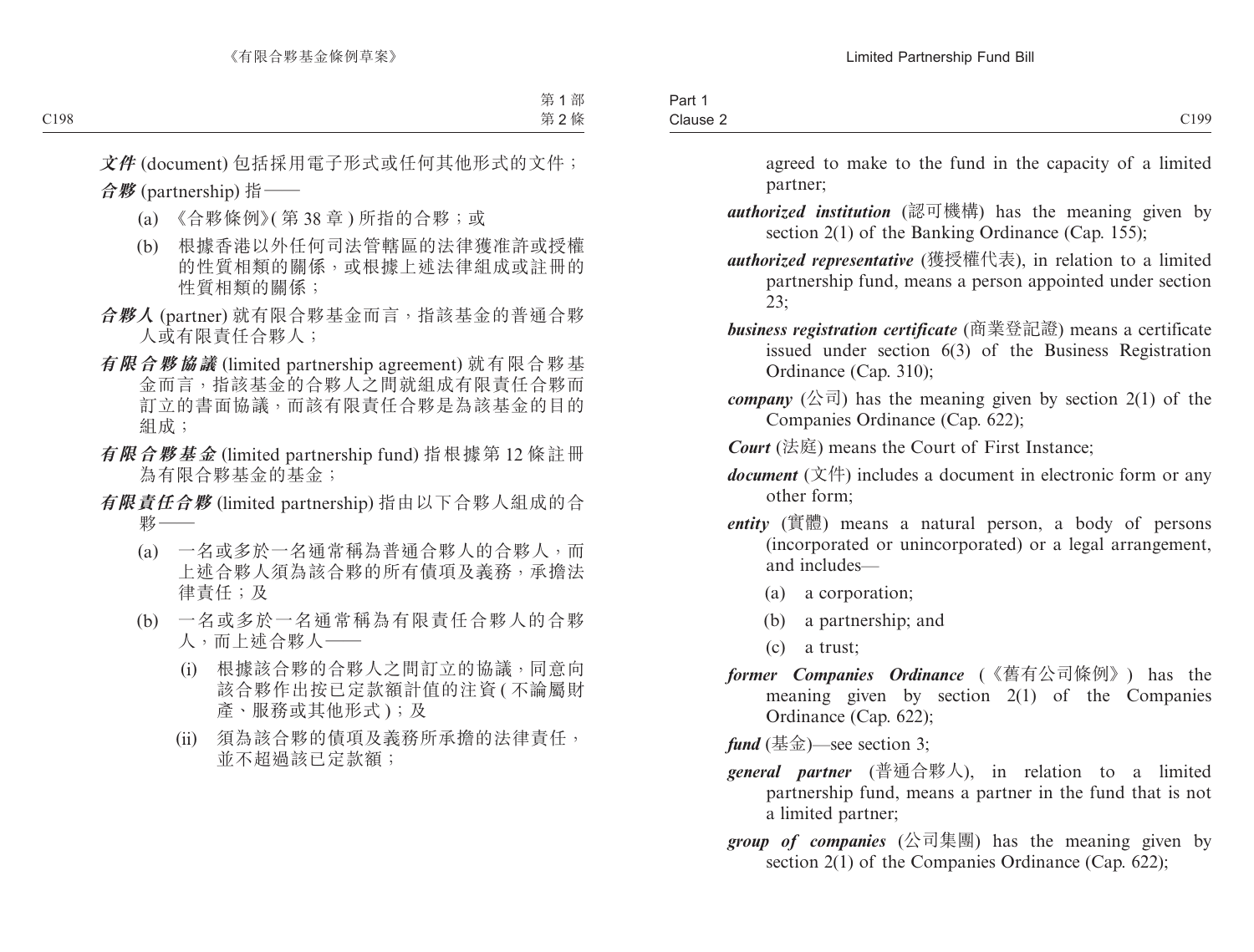| Part.              |      |
|--------------------|------|
| Clause 2<br>$   -$ | C199 |
|                    |      |

agreed to make to the fund in the capacity of a limited partner;

- *authorized institution* (認可機構) has the meaning given by section 2(1) of the Banking Ordinance (Cap. 155);
- *authorized representative* (獲授權代表), in relation to a limited partnership fund, means a person appointed under section 23;
- *business registration certificate* (商業登記證) means a certificate issued under section 6(3) of the Business Registration Ordinance (Cap. 310);
- *company* (公司) has the meaning given by section  $2(1)$  of the Companies Ordinance (Cap. 622);
- *Court* (法庭) means the Court of First Instance;
- *document* (文件) includes a document in electronic form or any other form;
- *entity* (實體) means a natural person, a body of persons (incorporated or unincorporated) or a legal arrangement, and includes—
	- (a) a corporation;
	- (b) a partnership; and
	- (c) a trust;
- *former Companies Ordinance* (《舊有公司條例》) has the meaning given by section 2(1) of the Companies Ordinance (Cap. 622);

*fund*  $(\frac{\text{4k}}{2})$ —see section 3;

- *general partner* (普通合夥人), in relation to a limited partnership fund, means a partner in the fund that is not a limited partner;
- *group of companies* (公司集團) has the meaning given by section 2(1) of the Companies Ordinance (Cap. 622);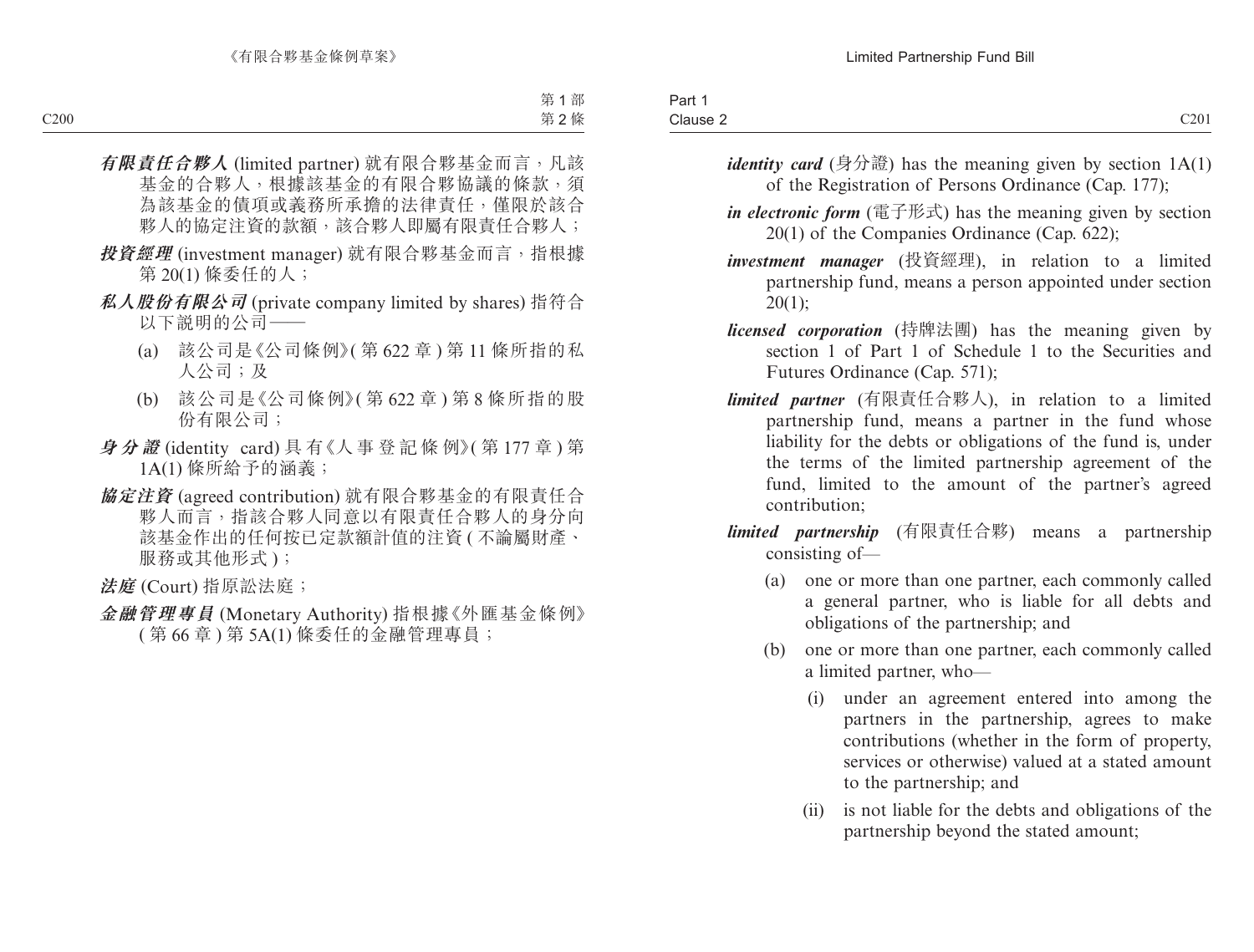| Clause 2 | C201<br>$\sim$ $\sim$ $\sim$ $\sim$ |
|----------|-------------------------------------|

- *identity card* (身分證) has the meaning given by section  $1A(1)$ of the Registration of Persons Ordinance (Cap. 177);
- *in electronic form* (電子形式) has the meaning given by section 20(1) of the Companies Ordinance (Cap. 622);
- *investment manager* (投資經理), in relation to a limited partnership fund, means a person appointed under section  $20(1);$
- *licensed corporation* (持牌法團) has the meaning given by section 1 of Part 1 of Schedule 1 to the Securities and Futures Ordinance (Cap. 571);
- *limited partner* (有限責任合夥人), in relation to a limited partnership fund, means a partner in the fund whose liability for the debts or obligations of the fund is, under the terms of the limited partnership agreement of the fund, limited to the amount of the partner's agreed contribution;
- *limited partnership* (有限責任合夥) means a partnership consisting of—
	- (a) one or more than one partner, each commonly called a general partner, who is liable for all debts and obligations of the partnership; and
	- (b) one or more than one partner, each commonly called a limited partner, who—
		- (i) under an agreement entered into among the partners in the partnership, agrees to make contributions (whether in the form of property, services or otherwise) valued at a stated amount to the partnership; and
		- (ii) is not liable for the debts and obligations of the partnership beyond the stated amount;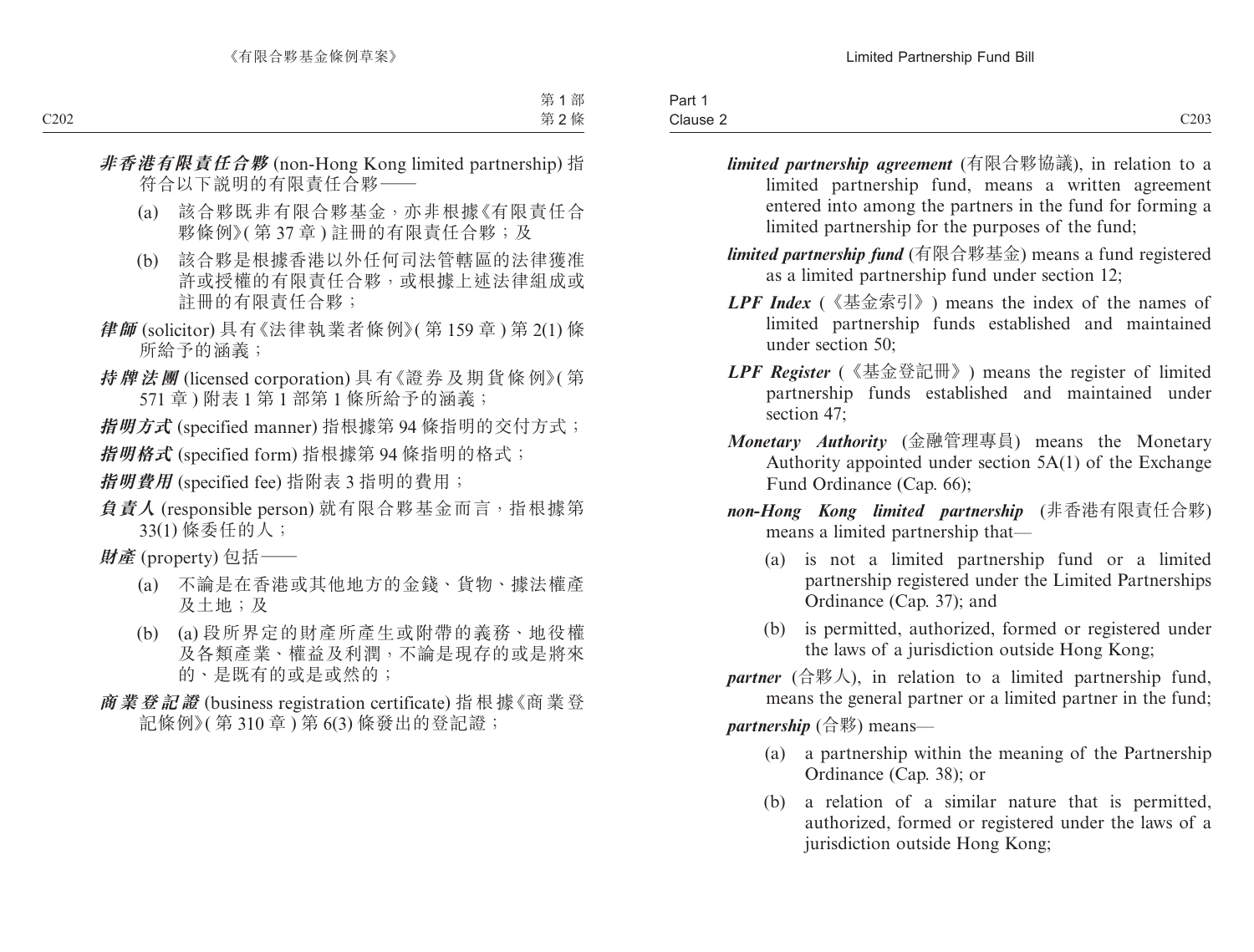| Part<br>__        |      |
|-------------------|------|
| Clause.<br>$   -$ | C203 |

- *limited partnership agreement* (有限合夥協議), in relation to a limited partnership fund, means a written agreement entered into among the partners in the fund for forming a limited partnership for the purposes of the fund;
- *limited partnership fund* (有限合夥基金) means a fund registered as a limited partnership fund under section 12;
- *LPF Index* (《基金索引》) means the index of the names of limited partnership funds established and maintained under section 50;
- *LPF Register* (《基金登記冊》) means the register of limited partnership funds established and maintained under section 47;
- *Monetary Authority* (金融管理專員) means the Monetary Authority appointed under section 5A(1) of the Exchange Fund Ordinance (Cap. 66);
- *non-Hong Kong limited partnership* (非香港有限責任合夥) means a limited partnership that—
	- (a) is not a limited partnership fund or a limited partnership registered under the Limited Partnerships Ordinance (Cap. 37); and
	- (b) is permitted, authorized, formed or registered under the laws of a jurisdiction outside Hong Kong;
- *partner* (合夥人), in relation to a limited partnership fund, means the general partner or a limited partner in the fund; *partnership* (合夥) means—
	- (a) a partnership within the meaning of the Partnership Ordinance (Cap. 38); or
	- (b) a relation of a similar nature that is permitted, authorized, formed or registered under the laws of a jurisdiction outside Hong Kong;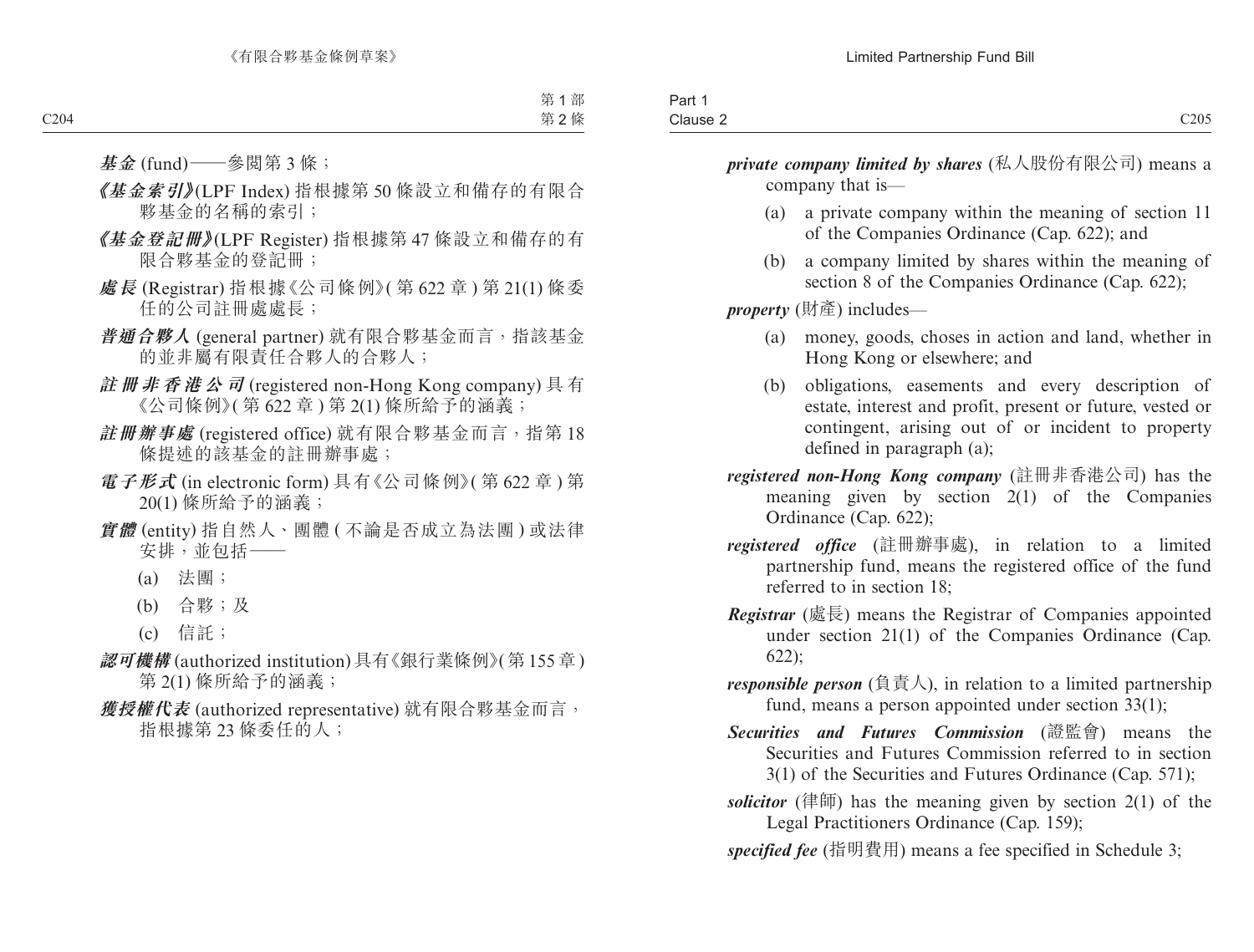| Part 1             |      |
|--------------------|------|
| $\sim$<br>Clause 2 | C205 |

*private company limited by shares* (私人股份有限公司) means a company that is—

- (a) a private company within the meaning of section 11 of the Companies Ordinance (Cap. 622); and
- (b) a company limited by shares within the meaning of section 8 of the Companies Ordinance (Cap. 622);

*property* (財產) includes—

- (a) money, goods, choses in action and land, whether in Hong Kong or elsewhere; and
- (b) obligations, easements and every description of estate, interest and profit, present or future, vested or contingent, arising out of or incident to property defined in paragraph (a);
- *registered non-Hong Kong company* (註冊非香港公司) has the meaning given by section 2(1) of the Companies Ordinance (Cap. 622);
- *registered office* (註冊辦事處), in relation to a limited partnership fund, means the registered office of the fund referred to in section 18;
- *Registrar* (處長) means the Registrar of Companies appointed under section 21(1) of the Companies Ordinance (Cap. 622);
- *responsible person* (負責人), in relation to a limited partnership fund, means a person appointed under section 33(1);
- *Securities and Futures Commission* (證監會) means the Securities and Futures Commission referred to in section 3(1) of the Securities and Futures Ordinance (Cap. 571);
- *solicitor* (律師) has the meaning given by section  $2(1)$  of the Legal Practitioners Ordinance (Cap. 159);
- *specified fee* (指明費用) means a fee specified in Schedule 3;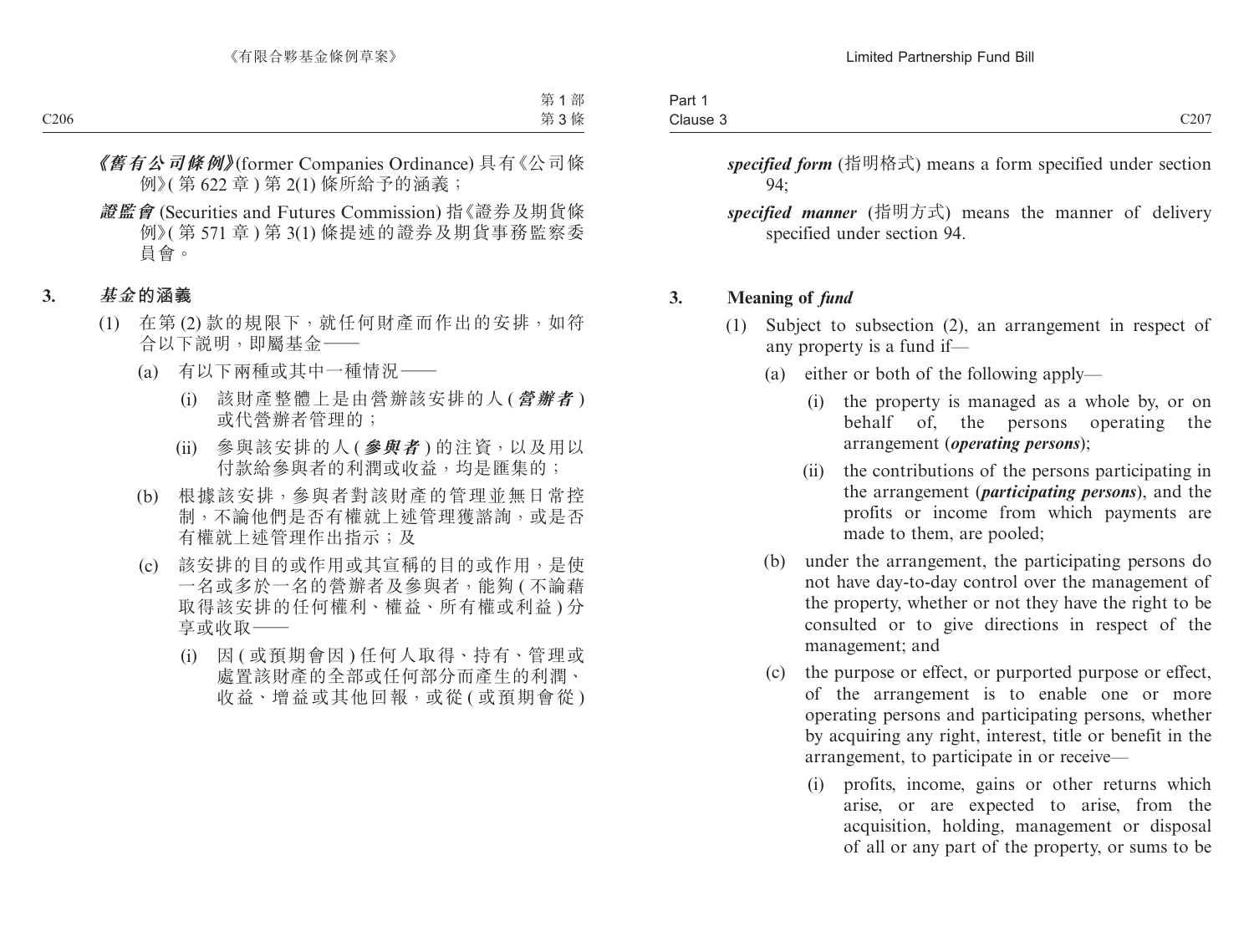| Part :   |      |
|----------|------|
| Clause 3 | C207 |

*specified form* (指明格式) means a form specified under section 94;

*specified manner* (指明方式) means the manner of delivery specified under section 94.

### **3. Meaning of** *fund*

- (1) Subject to subsection (2), an arrangement in respect of any property is a fund if—
	- (a) either or both of the following apply—
		- (i) the property is managed as a whole by, or on behalf of, the persons operating the arrangement (*operating persons*);
		- (ii) the contributions of the persons participating in the arrangement (*participating persons*), and the profits or income from which payments are made to them, are pooled;
	- (b) under the arrangement, the participating persons do not have day-to-day control over the management of the property, whether or not they have the right to be consulted or to give directions in respect of the management; and
	- (c) the purpose or effect, or purported purpose or effect, of the arrangement is to enable one or more operating persons and participating persons, whether by acquiring any right, interest, title or benefit in the arrangement, to participate in or receive—
		- (i) profits, income, gains or other returns which arise, or are expected to arise, from the acquisition, holding, management or disposal of all or any part of the property, or sums to be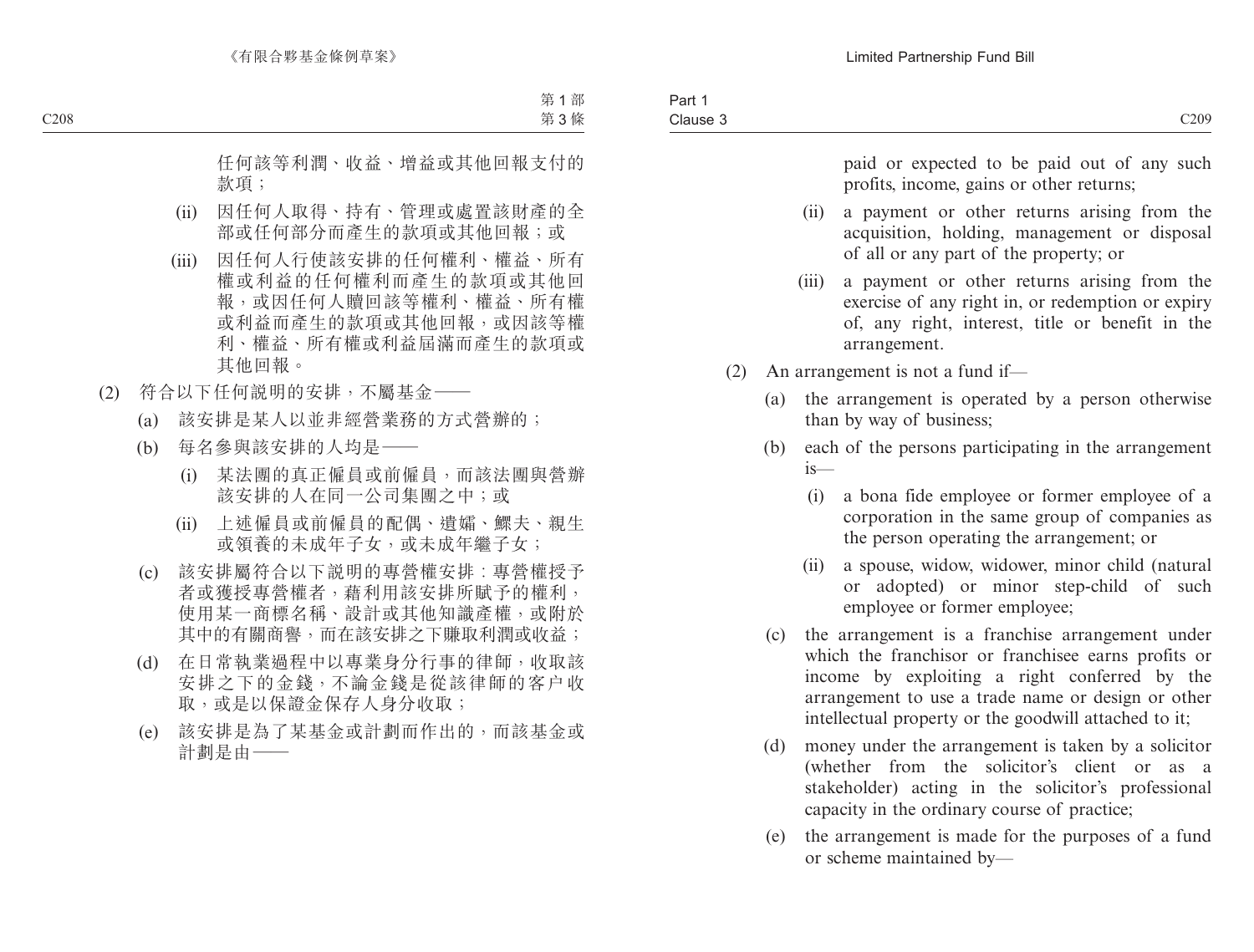paid or expected to be paid out of any such profits, income, gains or other returns;

- (ii) a payment or other returns arising from the acquisition, holding, management or disposal of all or any part of the property; or
- (iii) a payment or other returns arising from the exercise of any right in, or redemption or expiry of, any right, interest, title or benefit in the arrangement.
- (2) An arrangement is not a fund if—
	- (a) the arrangement is operated by a person otherwise than by way of business;
	- (b) each of the persons participating in the arrangement is—
		- (i) a bona fide employee or former employee of a corporation in the same group of companies as the person operating the arrangement; or
		- (ii) a spouse, widow, widower, minor child (natural or adopted) or minor step-child of such employee or former employee;
	- (c) the arrangement is a franchise arrangement under which the franchisor or franchisee earns profits or income by exploiting a right conferred by the arrangement to use a trade name or design or other intellectual property or the goodwill attached to it;
	- (d) money under the arrangement is taken by a solicitor (whether from the solicitor's client or as a stakeholder) acting in the solicitor's professional capacity in the ordinary course of practice;
	- (e) the arrangement is made for the purposes of a fund or scheme maintained by—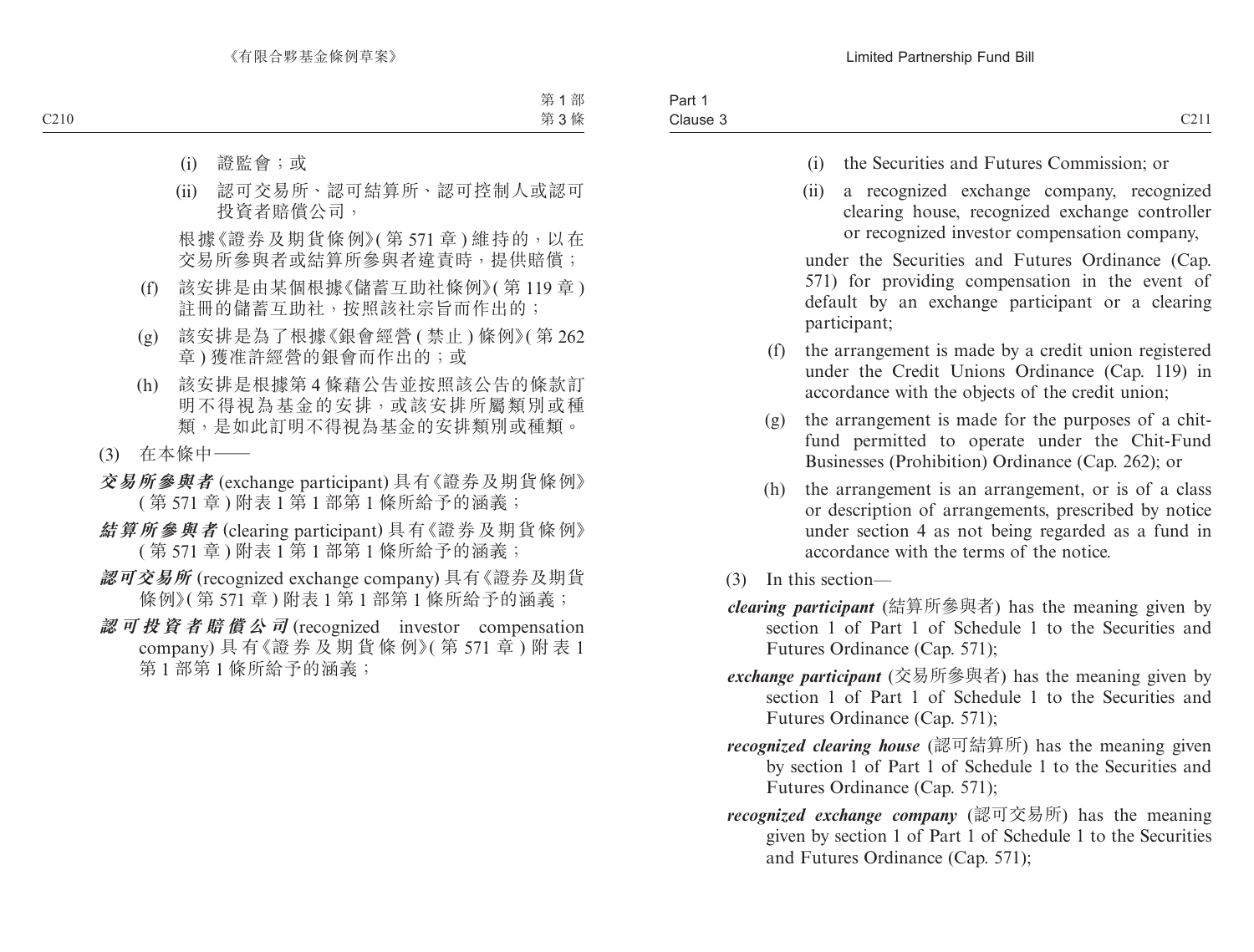- (i) the Securities and Futures Commission; or
- (ii) a recognized exchange company, recognized clearing house, recognized exchange controller or recognized investor compensation company,

under the Securities and Futures Ordinance (Cap. 571) for providing compensation in the event of default by an exchange participant or a clearing participant;

- (f) the arrangement is made by a credit union registered under the Credit Unions Ordinance (Cap. 119) in accordance with the objects of the credit union;
- (g) the arrangement is made for the purposes of a chitfund permitted to operate under the Chit-Fund Businesses (Prohibition) Ordinance (Cap. 262); or
- (h) the arrangement is an arrangement, or is of a class or description of arrangements, prescribed by notice under section 4 as not being regarded as a fund in accordance with the terms of the notice.
- (3) In this section—
- *clearing participant* (結算所參與者) has the meaning given by section 1 of Part 1 of Schedule 1 to the Securities and Futures Ordinance (Cap. 571);
- *exchange participant* (交易所參與者) has the meaning given by section 1 of Part 1 of Schedule 1 to the Securities and Futures Ordinance (Cap. 571);
- *recognized clearing house* (認可結算所) has the meaning given by section 1 of Part 1 of Schedule 1 to the Securities and Futures Ordinance (Cap. 571);
- *recognized exchange company* (認可交易所) has the meaning given by section 1 of Part 1 of Schedule 1 to the Securities and Futures Ordinance (Cap. 571);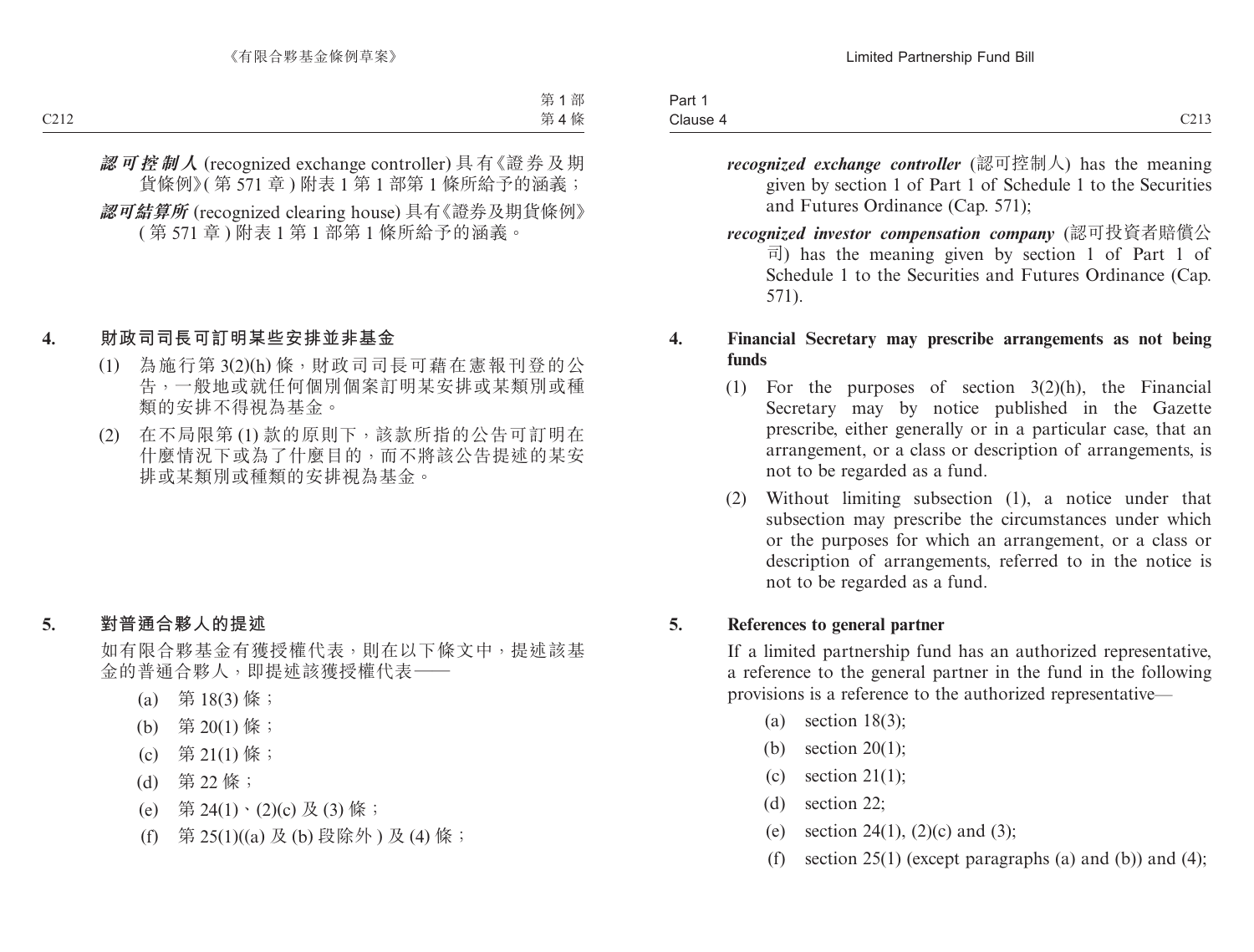| $\sim$ $\sim$ $\sim$<br>$\sim$<br>Clause | $\sim$<br>-all<br>$ -$ |                      |
|------------------------------------------|------------------------|----------------------|
|                                          |                        | $\sim$ $\sim$ $\sim$ |

- *recognized exchange controller* (認可控制人) has the meaning given by section 1 of Part 1 of Schedule 1 to the Securities and Futures Ordinance (Cap. 571);
- *recognized investor compensation company* (認可投資者賠償公 司) has the meaning given by section 1 of Part 1 of Schedule 1 to the Securities and Futures Ordinance (Cap. 571).

### **4. Financial Secretary may prescribe arrangements as not being funds**

- (1) For the purposes of section 3(2)(h), the Financial Secretary may by notice published in the Gazette prescribe, either generally or in a particular case, that an arrangement, or a class or description of arrangements, is not to be regarded as a fund.
- (2) Without limiting subsection (1), a notice under that subsection may prescribe the circumstances under which or the purposes for which an arrangement, or a class or description of arrangements, referred to in the notice is not to be regarded as a fund.

### **5. References to general partner**

If a limited partnership fund has an authorized representative, a reference to the general partner in the fund in the following provisions is a reference to the authorized representative—

- (a) section 18(3);
- (b) section 20(1);
- (c) section  $21(1)$ ;
- (d) section 22;
- (e) section 24(1), (2)(c) and (3);
- (f) section  $25(1)$  (except paragraphs (a) and (b)) and (4);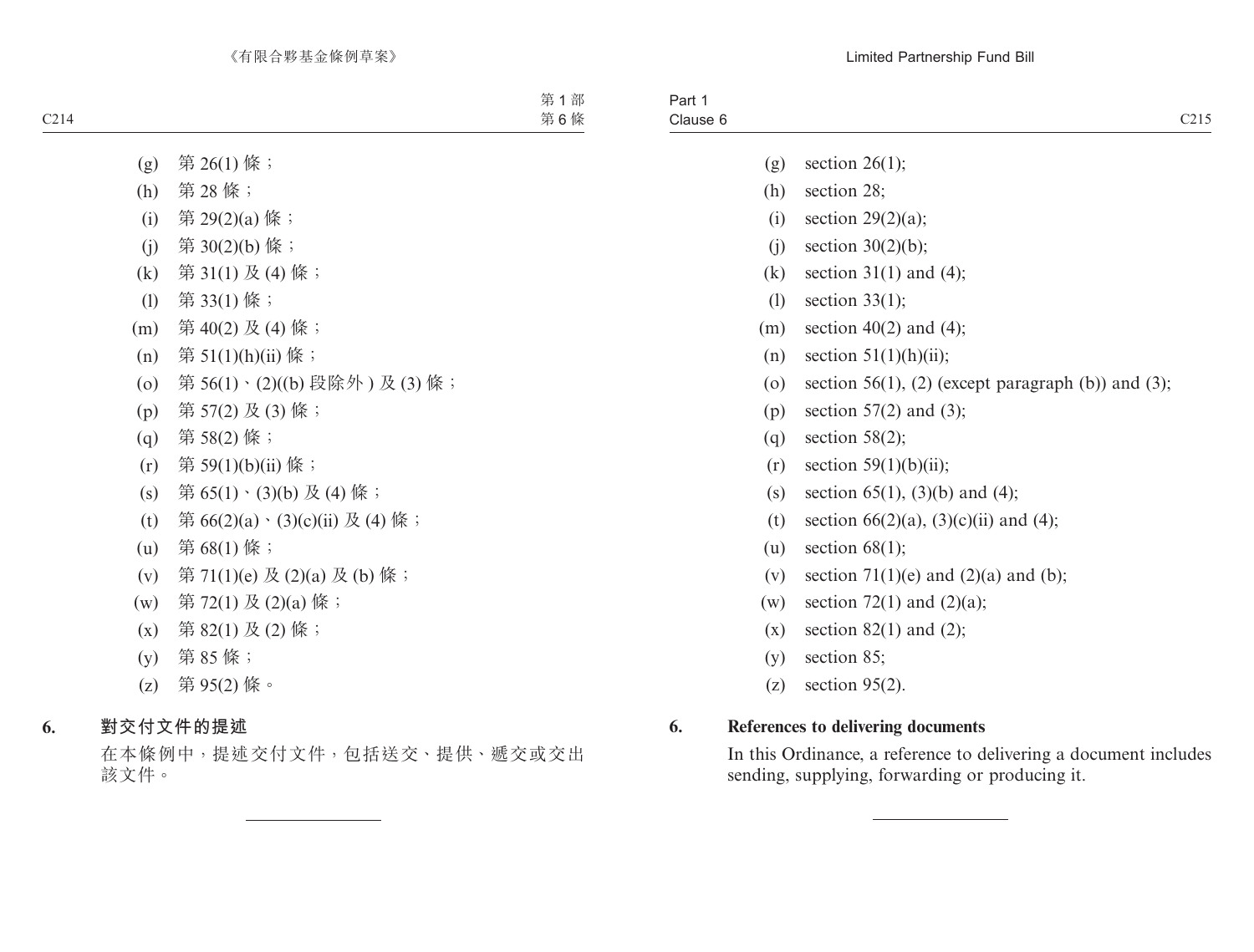- (g) section  $26(1)$ ;
- (h) section 28;
- (i) section  $29(2)(a)$ ;
- (i) section  $30(2)(b)$ ;
- (k) section 31(1) and (4);
- (l) section 33(1);
- (m) section  $40(2)$  and  $(4)$ ;
- (n) section  $51(1)(h)(ii)$ ;
- (o) section 56(1), (2) (except paragraph (b)) and (3);
- (p) section  $57(2)$  and  $(3)$ ;
- (q) section  $58(2)$ ;
- $(r)$  section 59(1)(b)(ii);
- (s) section  $65(1)$ ,  $(3)(b)$  and  $(4)$ ;
- (t) section  $66(2)(a)$ ,  $(3)(c)(ii)$  and  $(4)$ ;
- (u) section  $68(1)$ ;
- (v) section  $71(1)(e)$  and  $(2)(a)$  and  $(b)$ ;
- (w) section 72(1) and  $(2)(a)$ ;
- $(x)$  section 82(1) and (2);
- (y) section 85;
- (z) section 95(2).

## **6. References to delivering documents**

In this Ordinance, a reference to delivering a document includes sending, supplying, forwarding or producing it.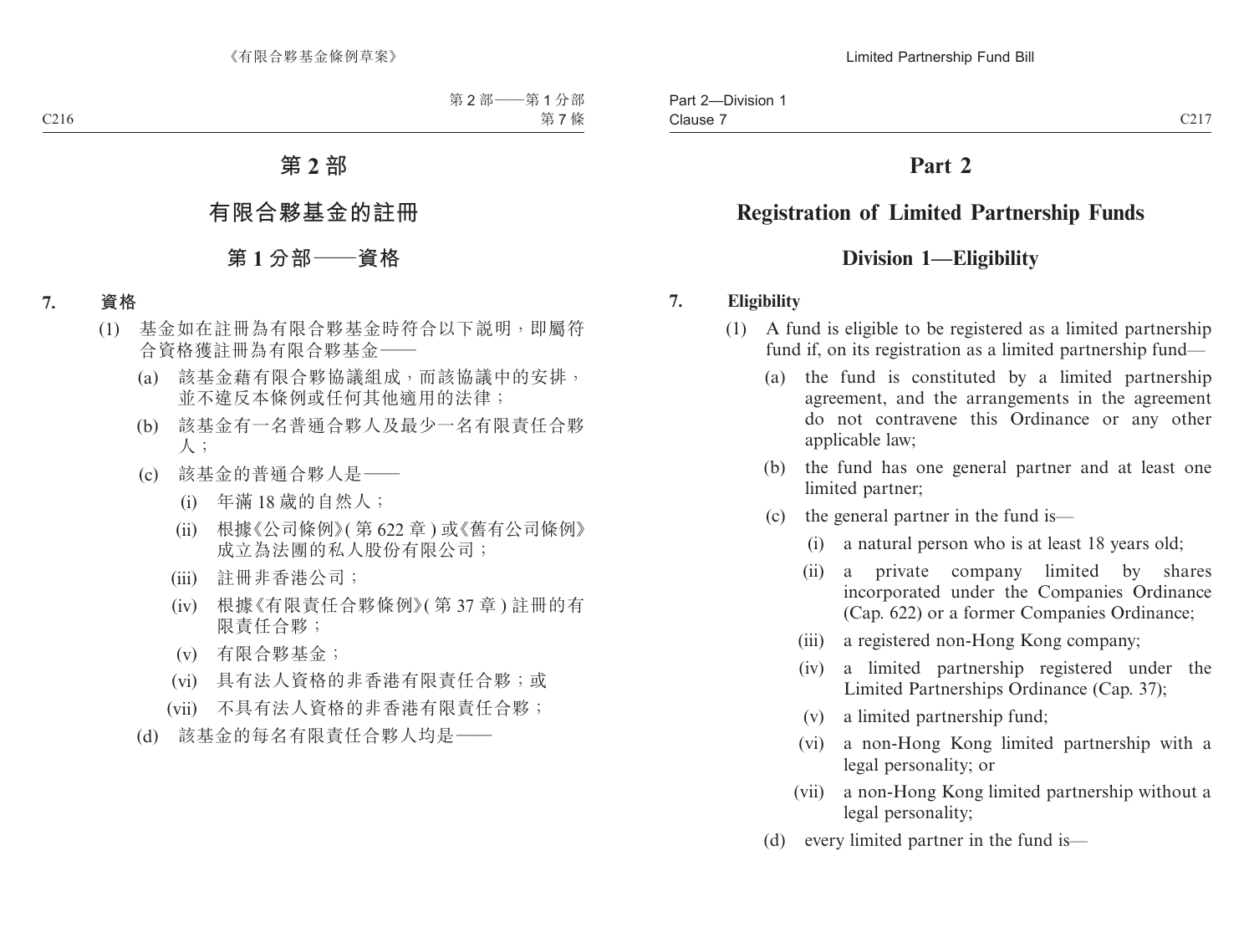# **Registration of Limited Partnership Funds**

# **Division 1—Eligibility**

# **7. Eligibility**

- (1) A fund is eligible to be registered as a limited partnership fund if, on its registration as a limited partnership fund—
	- (a) the fund is constituted by a limited partnership agreement, and the arrangements in the agreement do not contravene this Ordinance or any other applicable law;
	- (b) the fund has one general partner and at least one limited partner;
	- (c) the general partner in the fund is—
		- (i) a natural person who is at least 18 years old;
		- (ii) a private company limited by shares incorporated under the Companies Ordinance (Cap. 622) or a former Companies Ordinance;
		- (iii) a registered non-Hong Kong company;
		- (iv) a limited partnership registered under the Limited Partnerships Ordinance (Cap. 37);
		- (v) a limited partnership fund;
		- (vi) a non-Hong Kong limited partnership with a legal personality; or
		- (vii) a non-Hong Kong limited partnership without a legal personality;
	- (d) every limited partner in the fund is—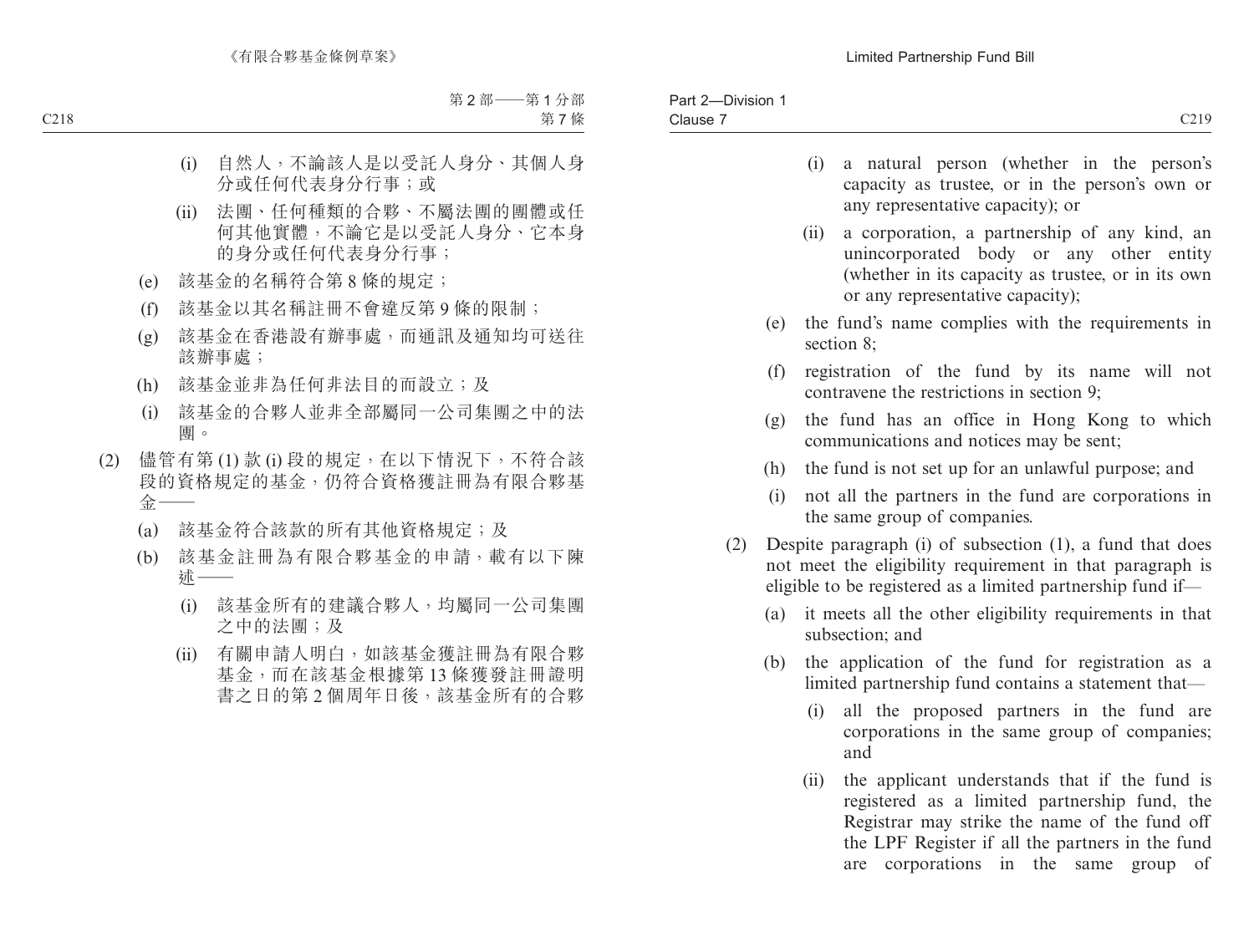- (i) a natural person (whether in the person's capacity as trustee, or in the person's own or any representative capacity); or
- (ii) a corporation, a partnership of any kind, an unincorporated body or any other entity (whether in its capacity as trustee, or in its own or any representative capacity);
- (e) the fund's name complies with the requirements in section 8;
- (f) registration of the fund by its name will not contravene the restrictions in section 9;
- (g) the fund has an office in Hong Kong to which communications and notices may be sent;
- (h) the fund is not set up for an unlawful purpose; and
- (i) not all the partners in the fund are corporations in the same group of companies.
- (2) Despite paragraph (i) of subsection (1), a fund that does not meet the eligibility requirement in that paragraph is eligible to be registered as a limited partnership fund if—
	- (a) it meets all the other eligibility requirements in that subsection; and
	- (b) the application of the fund for registration as a limited partnership fund contains a statement that—
		- (i) all the proposed partners in the fund are corporations in the same group of companies; and
		- (ii) the applicant understands that if the fund is registered as a limited partnership fund, the Registrar may strike the name of the fund off the LPF Register if all the partners in the fund are corporations in the same group of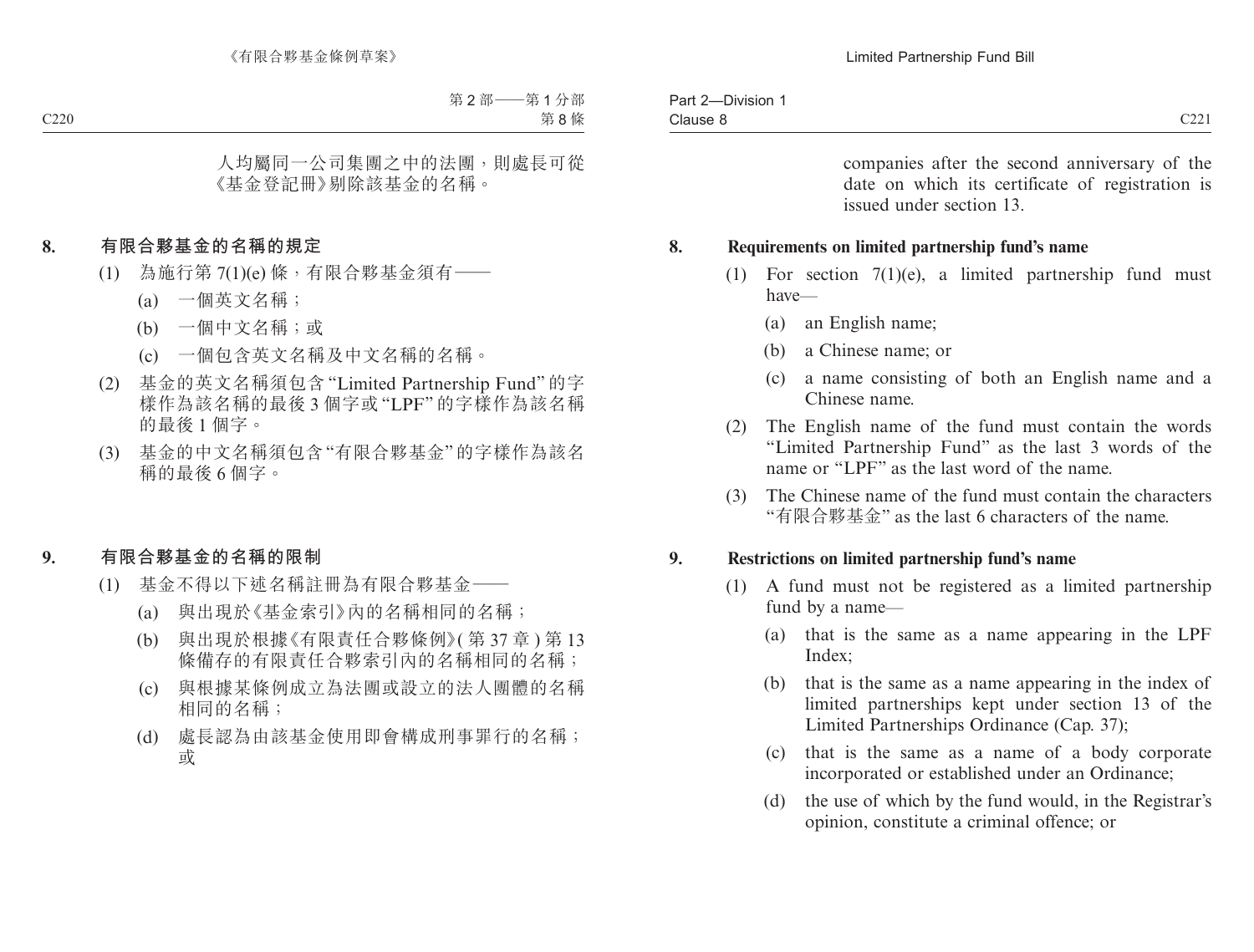companies after the second anniversary of the date on which its certificate of registration is issued under section 13.

#### **8. Requirements on limited partnership fund's name**

- (1) For section 7(1)(e), a limited partnership fund must have—
	- (a) an English name;
	- (b) a Chinese name; or
	- (c) a name consisting of both an English name and a Chinese name.
- (2) The English name of the fund must contain the words "Limited Partnership Fund" as the last 3 words of the name or "LPF" as the last word of the name.
- (3) The Chinese name of the fund must contain the characters "有限合夥基金" as the last 6 characters of the name.

#### **9. Restrictions on limited partnership fund's name**

- (1) A fund must not be registered as a limited partnership fund by a name—
	- (a) that is the same as a name appearing in the LPF Index:
	- (b) that is the same as a name appearing in the index of limited partnerships kept under section 13 of the Limited Partnerships Ordinance (Cap. 37);
	- (c) that is the same as a name of a body corporate incorporated or established under an Ordinance;
	- (d) the use of which by the fund would, in the Registrar's opinion, constitute a criminal offence; or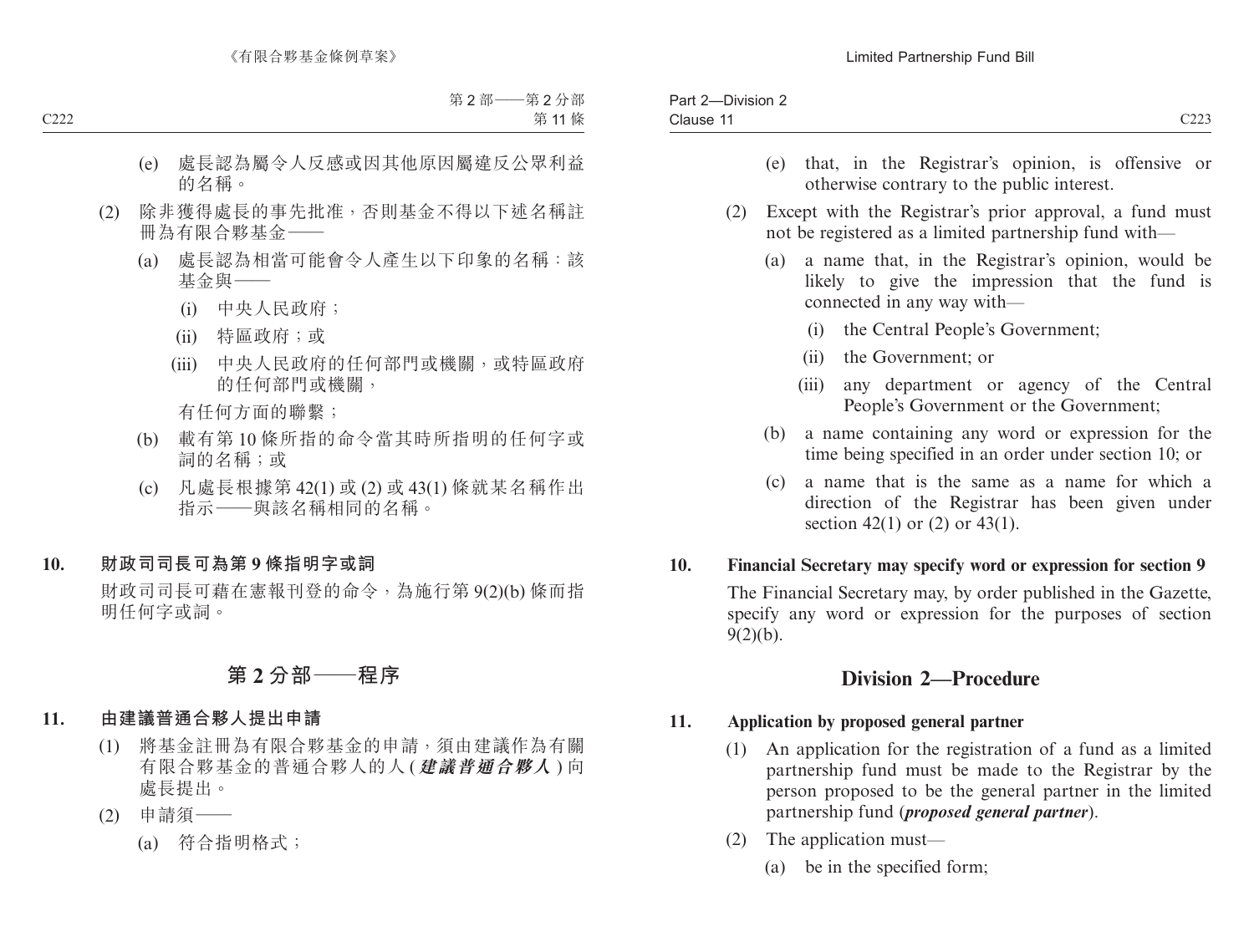| - | Par.<br>'ision<br>' 'الن<br>- |                              |
|---|-------------------------------|------------------------------|
|   | Clause                        | $\sim$ $\sim$<br><u>CLL.</u> |
|   |                               |                              |

- (e) that, in the Registrar's opinion, is offensive or otherwise contrary to the public interest.
- (2) Except with the Registrar's prior approval, a fund must not be registered as a limited partnership fund with—
	- (a) a name that, in the Registrar's opinion, would be likely to give the impression that the fund is connected in any way with—
		- (i) the Central People's Government;
		- (ii) the Government; or
		- (iii) any department or agency of the Central People's Government or the Government;
	- (b) a name containing any word or expression for the time being specified in an order under section 10; or
	- (c) a name that is the same as a name for which a direction of the Registrar has been given under section 42(1) or  $(2)$  or 43(1).

### **10. Financial Secretary may specify word or expression for section 9**

The Financial Secretary may, by order published in the Gazette, specify any word or expression for the purposes of section  $9(2)(b)$ .

# **Division 2—Procedure**

### **11. Application by proposed general partner**

- (1) An application for the registration of a fund as a limited partnership fund must be made to the Registrar by the person proposed to be the general partner in the limited partnership fund (*proposed general partner*).
- (2) The application must—
	- (a) be in the specified form;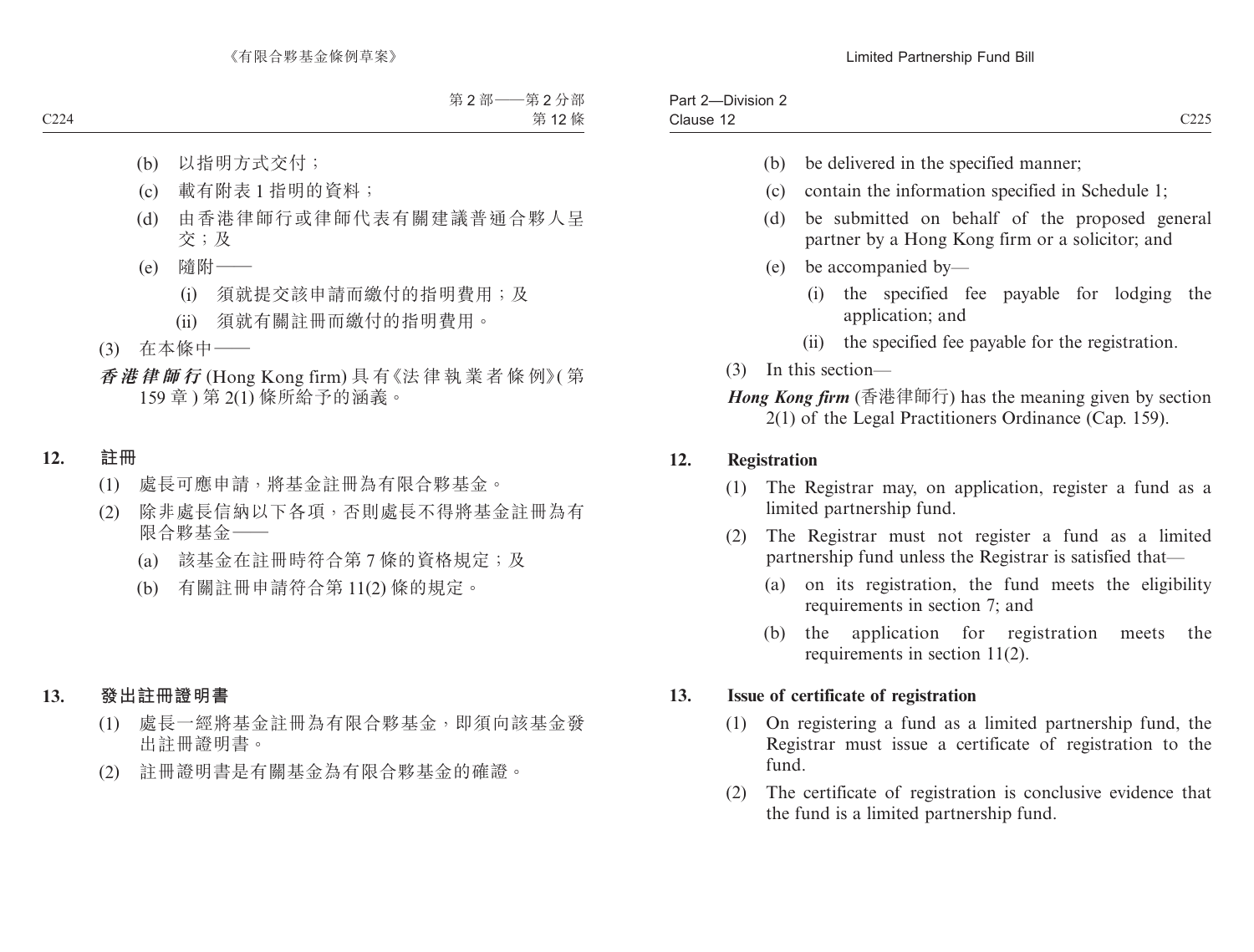| __<br>-<br>Part.<br>-Division 2 |               |
|---------------------------------|---------------|
| Clause                          | 0.227<br>---- |

- (b) be delivered in the specified manner;
- (c) contain the information specified in Schedule 1;
- (d) be submitted on behalf of the proposed general partner by a Hong Kong firm or a solicitor; and
- (e) be accompanied by—
	- (i) the specified fee payable for lodging the application; and
	- (ii) the specified fee payable for the registration.
- (3) In this section—

*Hong Kong firm* (香港律師行) has the meaning given by section 2(1) of the Legal Practitioners Ordinance (Cap. 159).

### **12. Registration**

- (1) The Registrar may, on application, register a fund as a limited partnership fund.
- (2) The Registrar must not register a fund as a limited partnership fund unless the Registrar is satisfied that—
	- (a) on its registration, the fund meets the eligibility requirements in section 7; and
	- (b) the application for registration meets the requirements in section 11(2).

### **13. Issue of certificate of registration**

- (1) On registering a fund as a limited partnership fund, the Registrar must issue a certificate of registration to the fund.
- (2) The certificate of registration is conclusive evidence that the fund is a limited partnership fund.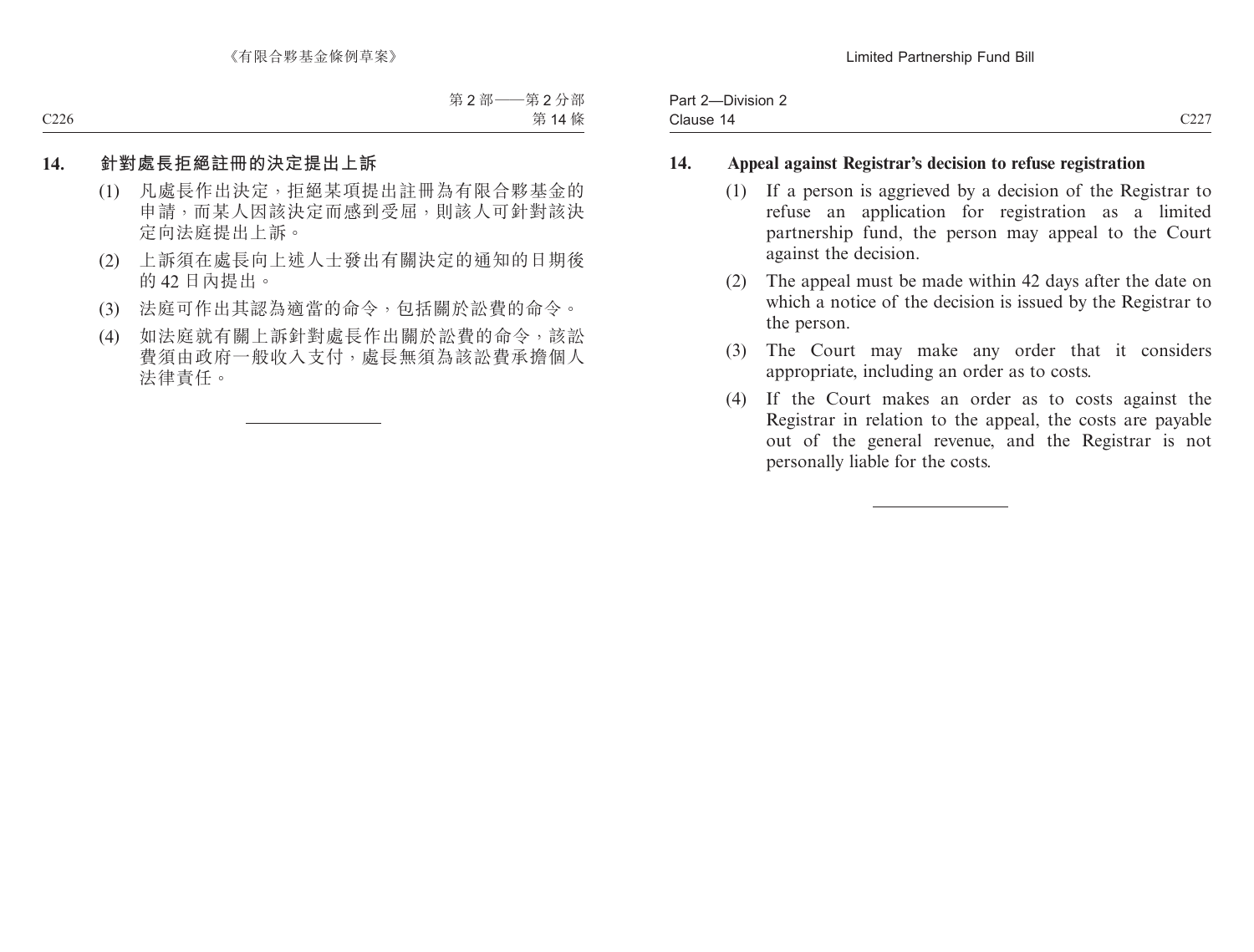| -Division $\sim$<br>Part 2 |                     |
|----------------------------|---------------------|
| Clause<br>- 14             | $\cap$<br>$\sim$ 44 |

### **14. Appeal against Registrar's decision to refuse registration**

- (1) If a person is aggrieved by a decision of the Registrar to refuse an application for registration as a limited partnership fund, the person may appeal to the Court against the decision.
- (2) The appeal must be made within 42 days after the date on which a notice of the decision is issued by the Registrar to the person.
- (3) The Court may make any order that it considers appropriate, including an order as to costs.
- (4) If the Court makes an order as to costs against the Registrar in relation to the appeal, the costs are payable out of the general revenue, and the Registrar is not personally liable for the costs.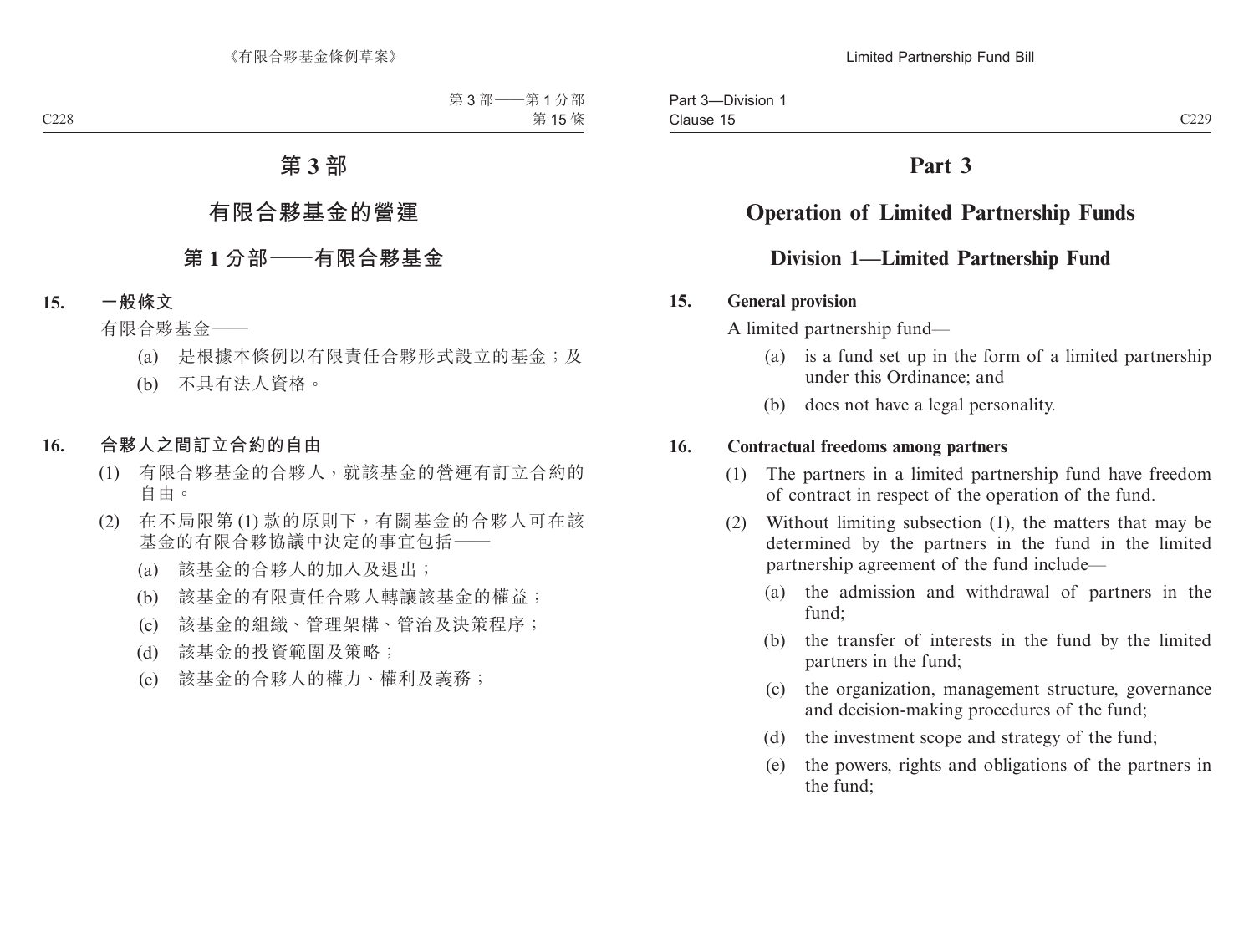# **Operation of Limited Partnership Funds**

# **Division 1—Limited Partnership Fund**

### **15. General provision**

A limited partnership fund—

- (a) is a fund set up in the form of a limited partnership under this Ordinance; and
- (b) does not have a legal personality.

### **16. Contractual freedoms among partners**

- (1) The partners in a limited partnership fund have freedom of contract in respect of the operation of the fund.
- (2) Without limiting subsection (1), the matters that may be determined by the partners in the fund in the limited partnership agreement of the fund include—
	- (a) the admission and withdrawal of partners in the fund;
	- (b) the transfer of interests in the fund by the limited partners in the fund;
	- (c) the organization, management structure, governance and decision-making procedures of the fund;
	- (d) the investment scope and strategy of the fund;
	- (e) the powers, rights and obligations of the partners in the fund;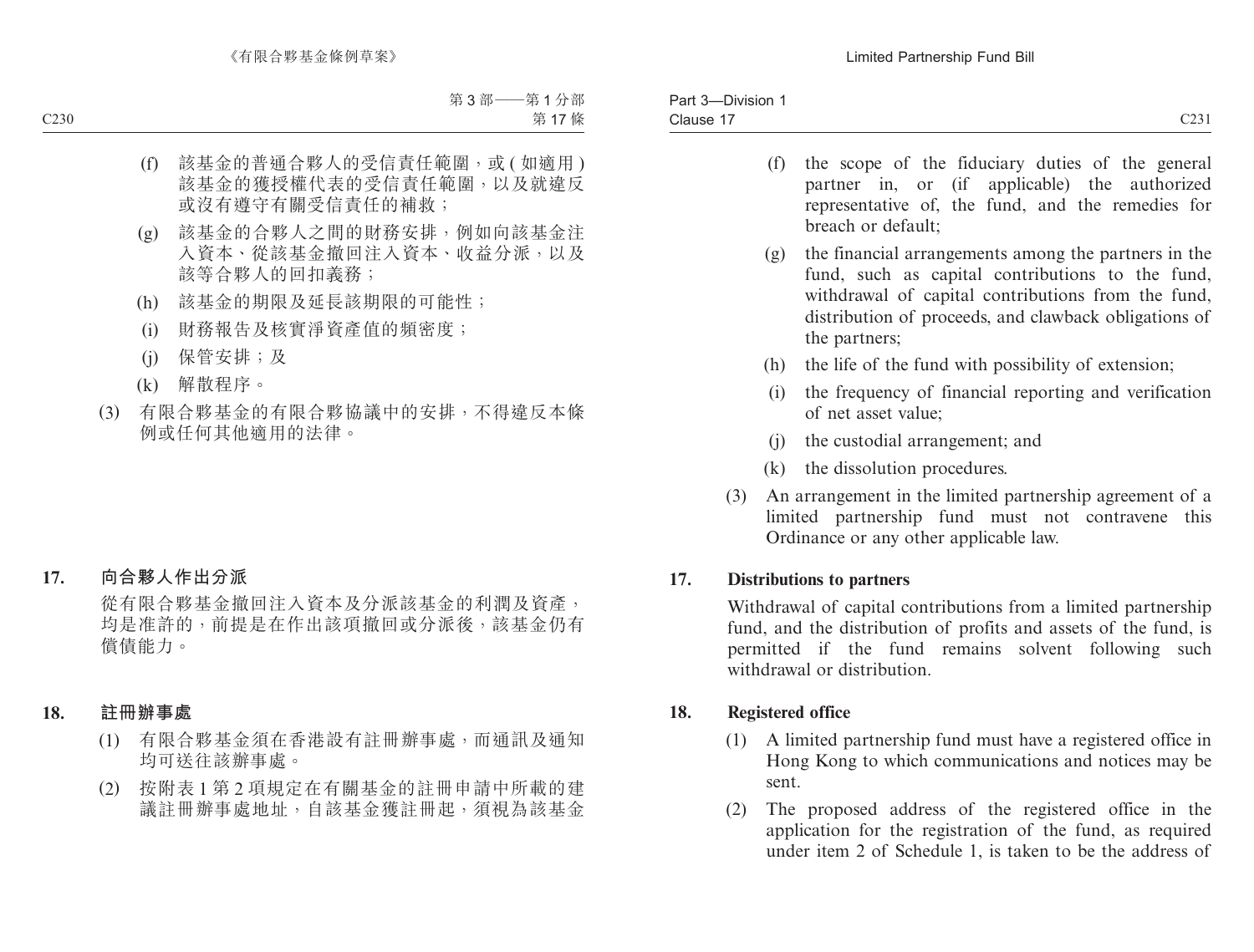- partner in, or (if applicable) the authorized representative of, the fund, and the remedies for breach or default;
- (g) the financial arrangements among the partners in the fund, such as capital contributions to the fund, withdrawal of capital contributions from the fund, distribution of proceeds, and clawback obligations of the partners;
- (h) the life of the fund with possibility of extension;
- (i) the frequency of financial reporting and verification of net asset value;
- (j) the custodial arrangement; and
- (k) the dissolution procedures.
- (3) An arrangement in the limited partnership agreement of a limited partnership fund must not contravene this Ordinance or any other applicable law.

## **17. Distributions to partners**

Withdrawal of capital contributions from a limited partnership fund, and the distribution of profits and assets of the fund, is permitted if the fund remains solvent following such withdrawal or distribution.

## **18. Registered office**

- (1) A limited partnership fund must have a registered office in Hong Kong to which communications and notices may be sent.
- (2) The proposed address of the registered office in the application for the registration of the fund, as required under item 2 of Schedule 1, is taken to be the address of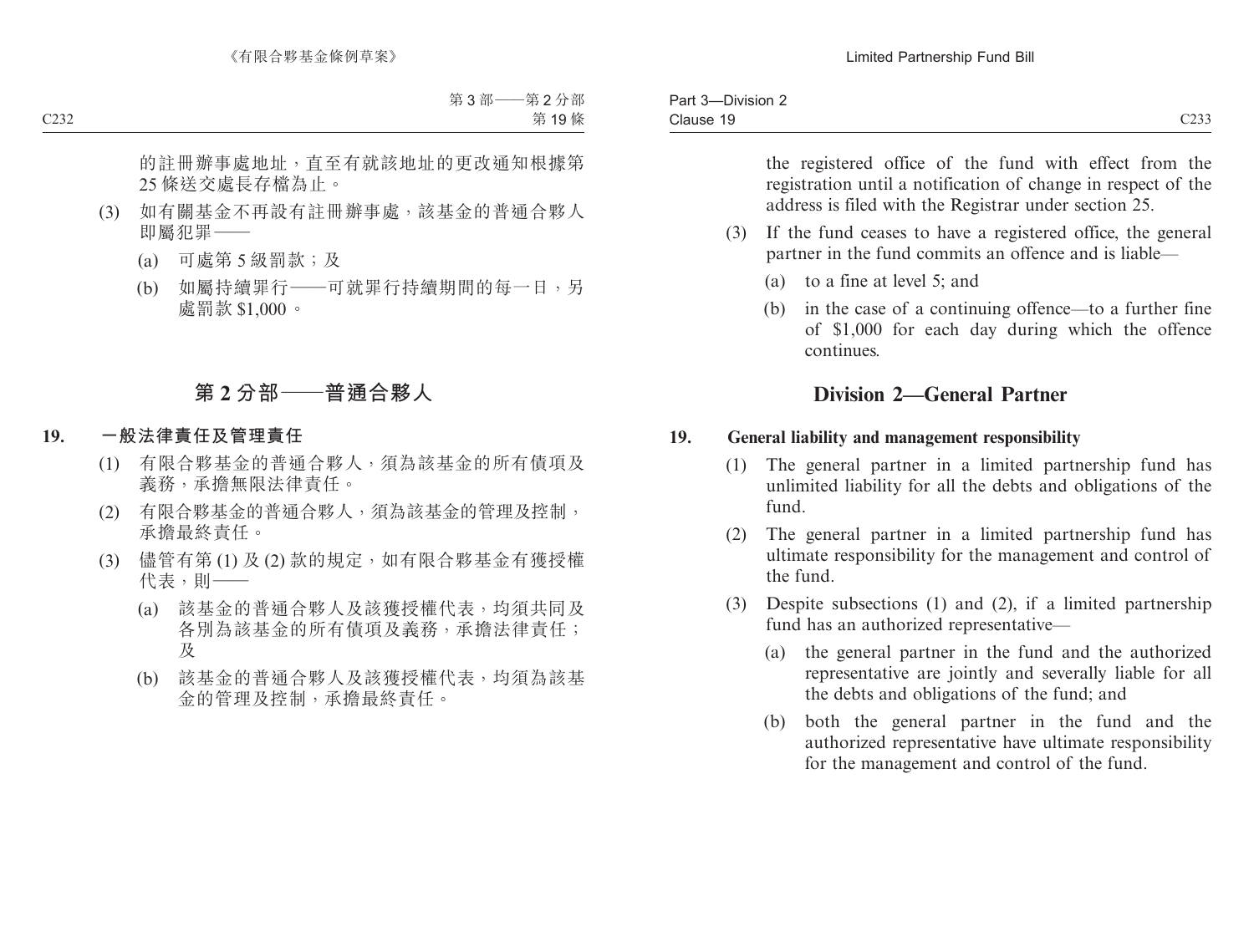| $\sim$<br>Part 3<br>-DIVISION $\sim$ |                           |
|--------------------------------------|---------------------------|
| Clause                               | $\sim$ $\sim$<br>,<br>--- |

the registered office of the fund with effect from the registration until a notification of change in respect of the address is filed with the Registrar under section 25.

- (3) If the fund ceases to have a registered office, the general partner in the fund commits an offence and is liable—
	- (a) to a fine at level 5; and
	- (b) in the case of a continuing offence—to a further fine of \$1,000 for each day during which the offence continues.

# **Division 2—General Partner**

### **19. General liability and management responsibility**

- (1) The general partner in a limited partnership fund has unlimited liability for all the debts and obligations of the fund.
- (2) The general partner in a limited partnership fund has ultimate responsibility for the management and control of the fund.
- (3) Despite subsections (1) and (2), if a limited partnership fund has an authorized representative—
	- (a) the general partner in the fund and the authorized representative are jointly and severally liable for all the debts and obligations of the fund; and
	- (b) both the general partner in the fund and the authorized representative have ultimate responsibility for the management and control of the fund.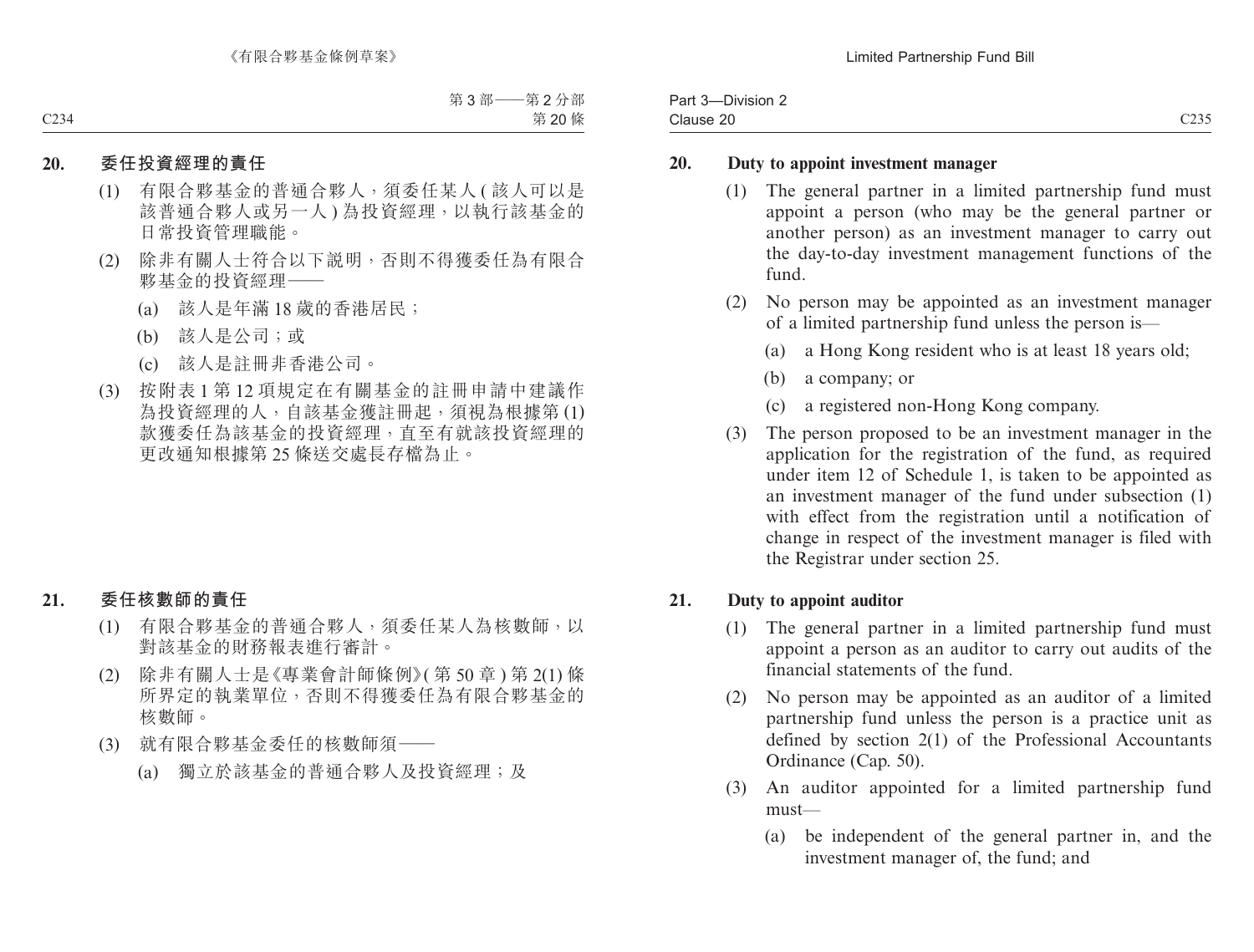| $ -$<br>-<br>-Division 2<br>Part<br>$\cdot$ |                         |
|---------------------------------------------|-------------------------|
| Clause 20                                   | <b>C235</b><br>بالمتفات |

#### **20. Duty to appoint investment manager**

- (1) The general partner in a limited partnership fund must appoint a person (who may be the general partner or another person) as an investment manager to carry out the day-to-day investment management functions of the fund.
- (2) No person may be appointed as an investment manager of a limited partnership fund unless the person is—
	- (a) a Hong Kong resident who is at least 18 years old;
	- (b) a company; or
	- (c) a registered non-Hong Kong company.
- (3) The person proposed to be an investment manager in the application for the registration of the fund, as required under item 12 of Schedule 1, is taken to be appointed as an investment manager of the fund under subsection (1) with effect from the registration until a notification of change in respect of the investment manager is filed with the Registrar under section 25.

### **21. Duty to appoint auditor**

- (1) The general partner in a limited partnership fund must appoint a person as an auditor to carry out audits of the financial statements of the fund.
- (2) No person may be appointed as an auditor of a limited partnership fund unless the person is a practice unit as defined by section 2(1) of the Professional Accountants Ordinance (Cap. 50).
- (3) An auditor appointed for a limited partnership fund must—
	- (a) be independent of the general partner in, and the investment manager of, the fund; and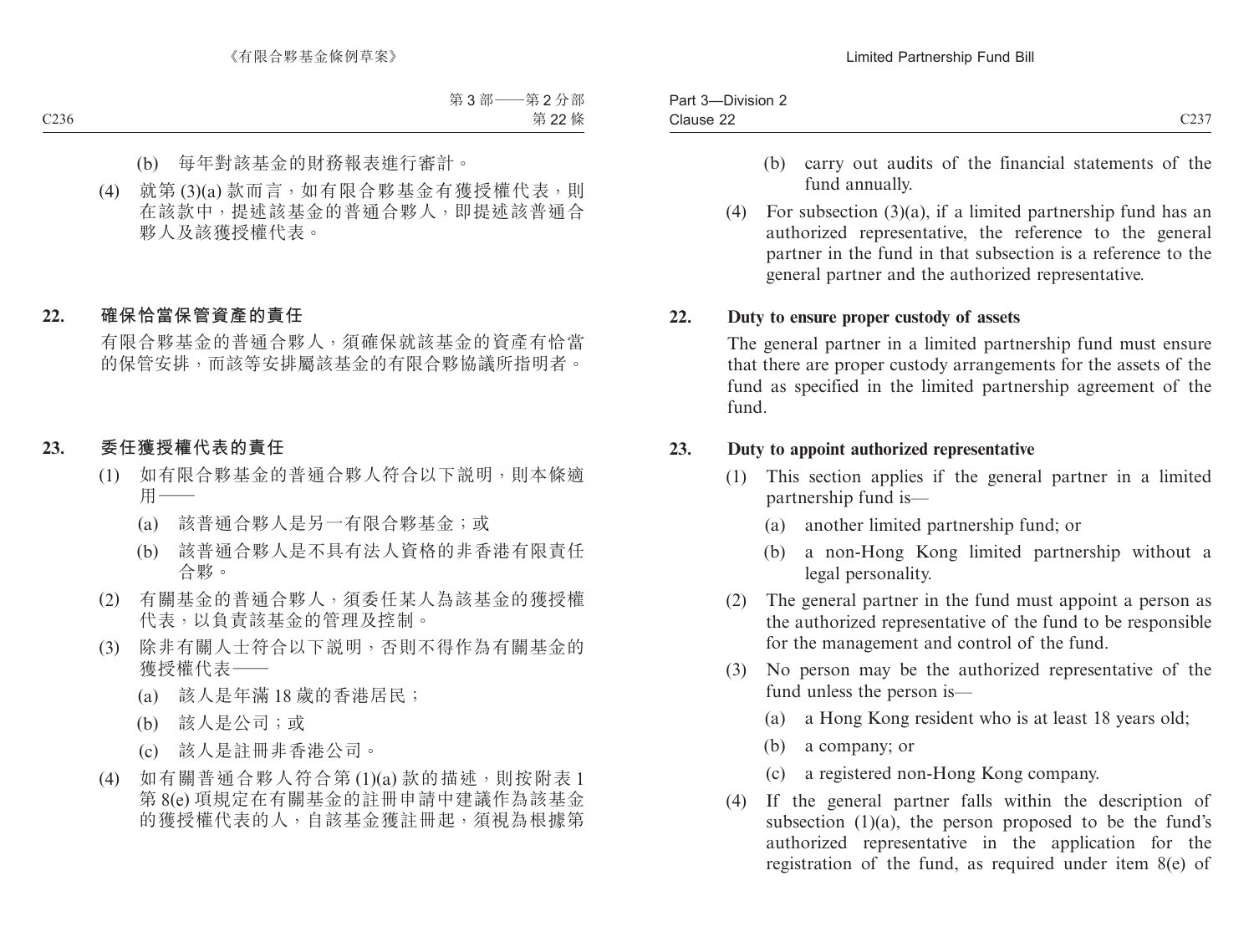| -<br>Pan | $- \cdot$<br>-Division 2<br>. . |                         |
|----------|---------------------------------|-------------------------|
|          | Clause 22<br>ັ້                 | $\sim$<br>$\rightarrow$ |

- (b) carry out audits of the financial statements of the fund annually.
- (4) For subsection (3)(a), if a limited partnership fund has an authorized representative, the reference to the general partner in the fund in that subsection is a reference to the general partner and the authorized representative.

## **22. Duty to ensure proper custody of assets**

The general partner in a limited partnership fund must ensure that there are proper custody arrangements for the assets of the fund as specified in the limited partnership agreement of the fund.

### **23. Duty to appoint authorized representative**

- (1) This section applies if the general partner in a limited partnership fund is—
	- (a) another limited partnership fund; or
	- (b) a non-Hong Kong limited partnership without a legal personality.
- (2) The general partner in the fund must appoint a person as the authorized representative of the fund to be responsible for the management and control of the fund.
- (3) No person may be the authorized representative of the fund unless the person is—
	- (a) a Hong Kong resident who is at least 18 years old;
	- (b) a company; or
	- (c) a registered non-Hong Kong company.
- (4) If the general partner falls within the description of subsection  $(1)(a)$ , the person proposed to be the fund's authorized representative in the application for the registration of the fund, as required under item 8(e) of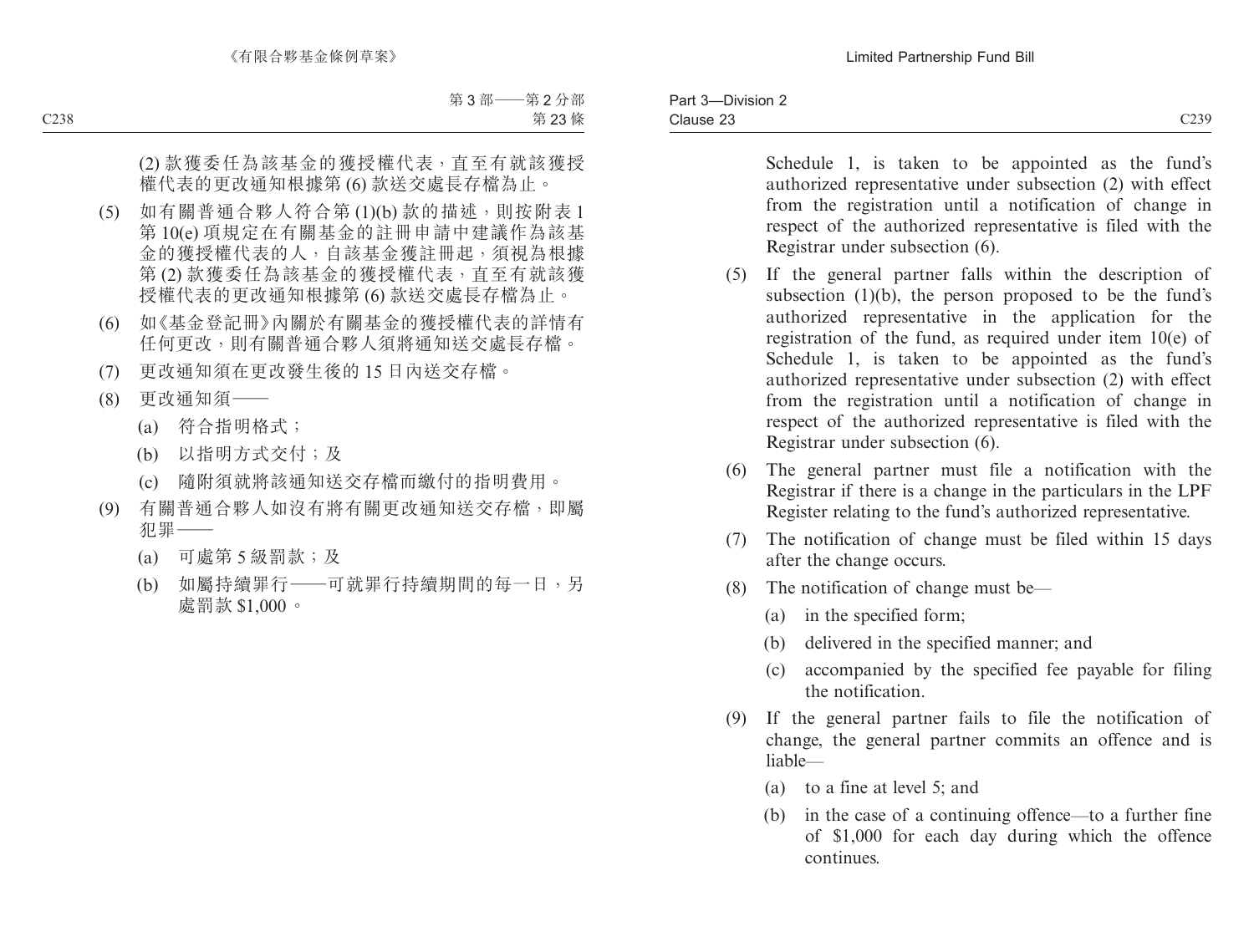Schedule 1, is taken to be appointed as the fund's authorized representative under subsection (2) with effect from the registration until a notification of change in respect of the authorized representative is filed with the

- (5) If the general partner falls within the description of subsection  $(1)(b)$ , the person proposed to be the fund's authorized representative in the application for the registration of the fund, as required under item 10(e) of Schedule 1, is taken to be appointed as the fund's authorized representative under subsection (2) with effect from the registration until a notification of change in respect of the authorized representative is filed with the Registrar under subsection (6).
- (6) The general partner must file a notification with the Registrar if there is a change in the particulars in the LPF Register relating to the fund's authorized representative.
- (7) The notification of change must be filed within 15 days after the change occurs.
- (8) The notification of change must be—

Registrar under subsection (6).

- (a) in the specified form;
- (b) delivered in the specified manner; and
- (c) accompanied by the specified fee payable for filing the notification.
- (9) If the general partner fails to file the notification of change, the general partner commits an offence and is liable—
	- (a) to a fine at level 5; and
	- (b) in the case of a continuing offence—to a further fine of \$1,000 for each day during which the offence continues.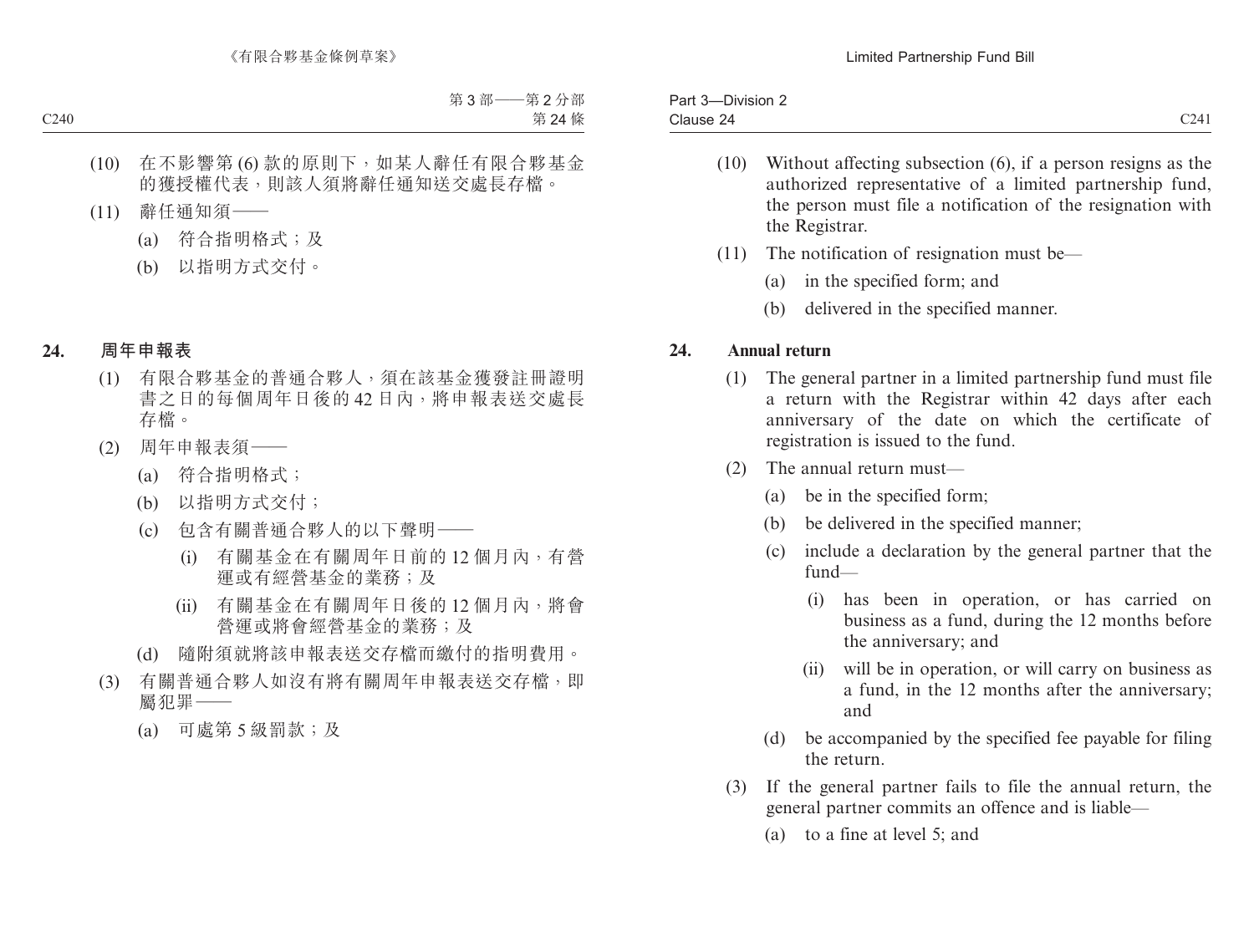| $- \cdot$<br><b>Division</b><br>Part<br>. . |             |
|---------------------------------------------|-------------|
| Clause<br>$\overline{\phantom{0}}$<br>.     | C24<br>~~ ' |

- (10) Without affecting subsection (6), if a person resigns as the authorized representative of a limited partnership fund, the person must file a notification of the resignation with the Registrar.
- (11) The notification of resignation must be—
	- (a) in the specified form; and
	- (b) delivered in the specified manner.

## **24. Annual return**

- (1) The general partner in a limited partnership fund must file a return with the Registrar within 42 days after each anniversary of the date on which the certificate of registration is issued to the fund.
- (2) The annual return must—
	- (a) be in the specified form;
	- (b) be delivered in the specified manner;
	- (c) include a declaration by the general partner that the fund—
		- (i) has been in operation, or has carried on business as a fund, during the 12 months before the anniversary; and
		- (ii) will be in operation, or will carry on business as a fund, in the 12 months after the anniversary; and
	- (d) be accompanied by the specified fee payable for filing the return.
- (3) If the general partner fails to file the annual return, the general partner commits an offence and is liable—
	- (a) to a fine at level 5; and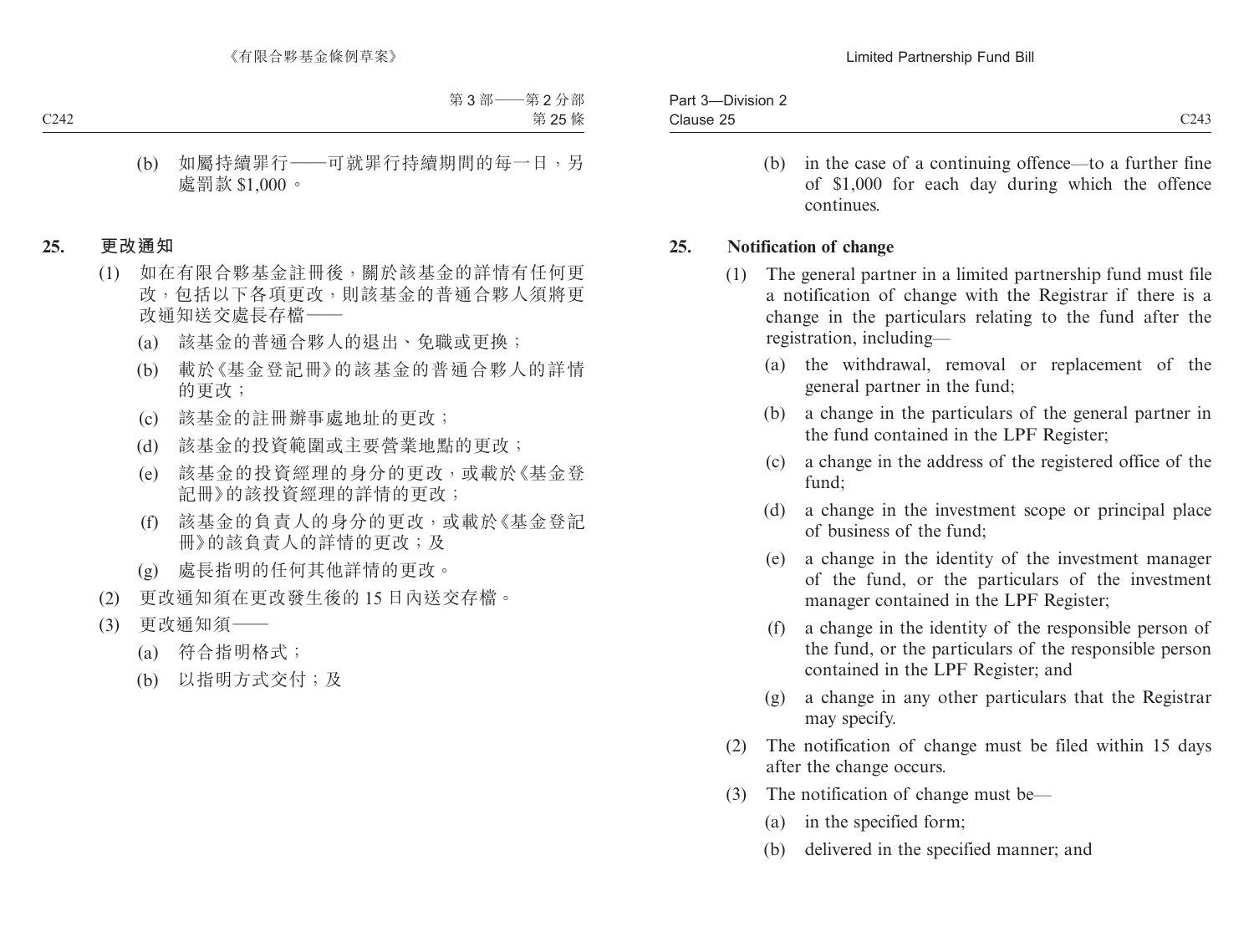| $- \cdot \cdot \cdot$<br>Part 3-<br>Division 2- |              |
|-------------------------------------------------|--------------|
| Clause 25                                       | C243<br>◡▵┭◡ |

(b) in the case of a continuing offence—to a further fine of \$1,000 for each day during which the offence continues.

### **25. Notification of change**

- (1) The general partner in a limited partnership fund must file a notification of change with the Registrar if there is a change in the particulars relating to the fund after the registration, including—
	- (a) the withdrawal, removal or replacement of the general partner in the fund;
	- (b) a change in the particulars of the general partner in the fund contained in the LPF Register;
	- (c) a change in the address of the registered office of the fund;
	- (d) a change in the investment scope or principal place of business of the fund;
	- (e) a change in the identity of the investment manager of the fund, or the particulars of the investment manager contained in the LPF Register;
	- (f) a change in the identity of the responsible person of the fund, or the particulars of the responsible person contained in the LPF Register; and
	- (g) a change in any other particulars that the Registrar may specify.
- (2) The notification of change must be filed within 15 days after the change occurs.
- (3) The notification of change must be—
	- (a) in the specified form;
	- (b) delivered in the specified manner; and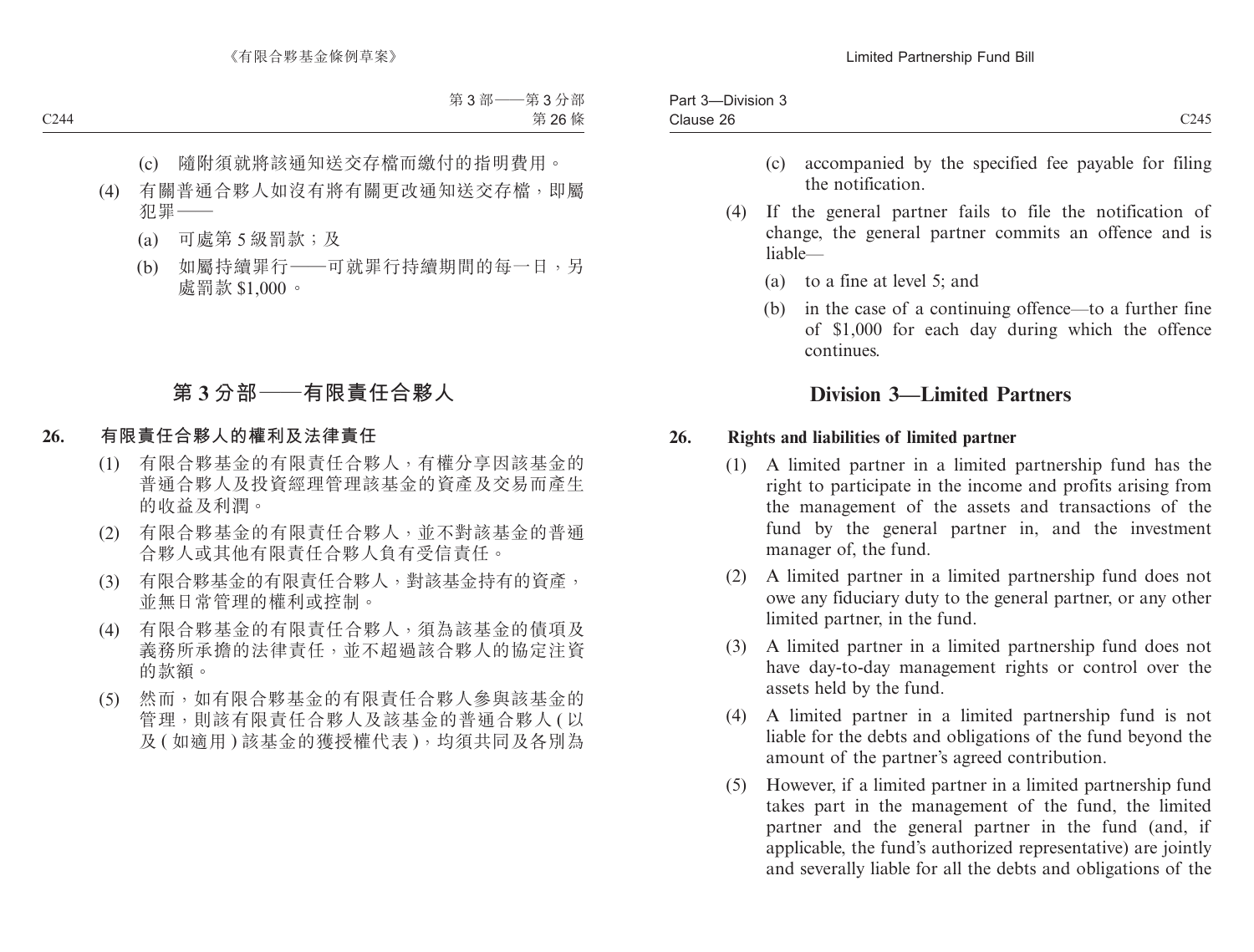| سترد<br>Jivision<br>aı. |                  |
|-------------------------|------------------|
| Clause 26<br>$\sim$     | C <sub>245</sub> |

- (c) accompanied by the specified fee payable for filing the notification.
- (4) If the general partner fails to file the notification of change, the general partner commits an offence and is liable—
	- (a) to a fine at level 5; and
	- (b) in the case of a continuing offence—to a further fine of \$1,000 for each day during which the offence continues.

# **Division 3—Limited Partners**

### **26. Rights and liabilities of limited partner**

- (1) A limited partner in a limited partnership fund has the right to participate in the income and profits arising from the management of the assets and transactions of the fund by the general partner in, and the investment manager of, the fund.
- (2) A limited partner in a limited partnership fund does not owe any fiduciary duty to the general partner, or any other limited partner, in the fund.
- (3) A limited partner in a limited partnership fund does not have day-to-day management rights or control over the assets held by the fund.
- (4) A limited partner in a limited partnership fund is not liable for the debts and obligations of the fund beyond the amount of the partner's agreed contribution.
- (5) However, if a limited partner in a limited partnership fund takes part in the management of the fund, the limited partner and the general partner in the fund (and, if applicable, the fund's authorized representative) are jointly and severally liable for all the debts and obligations of the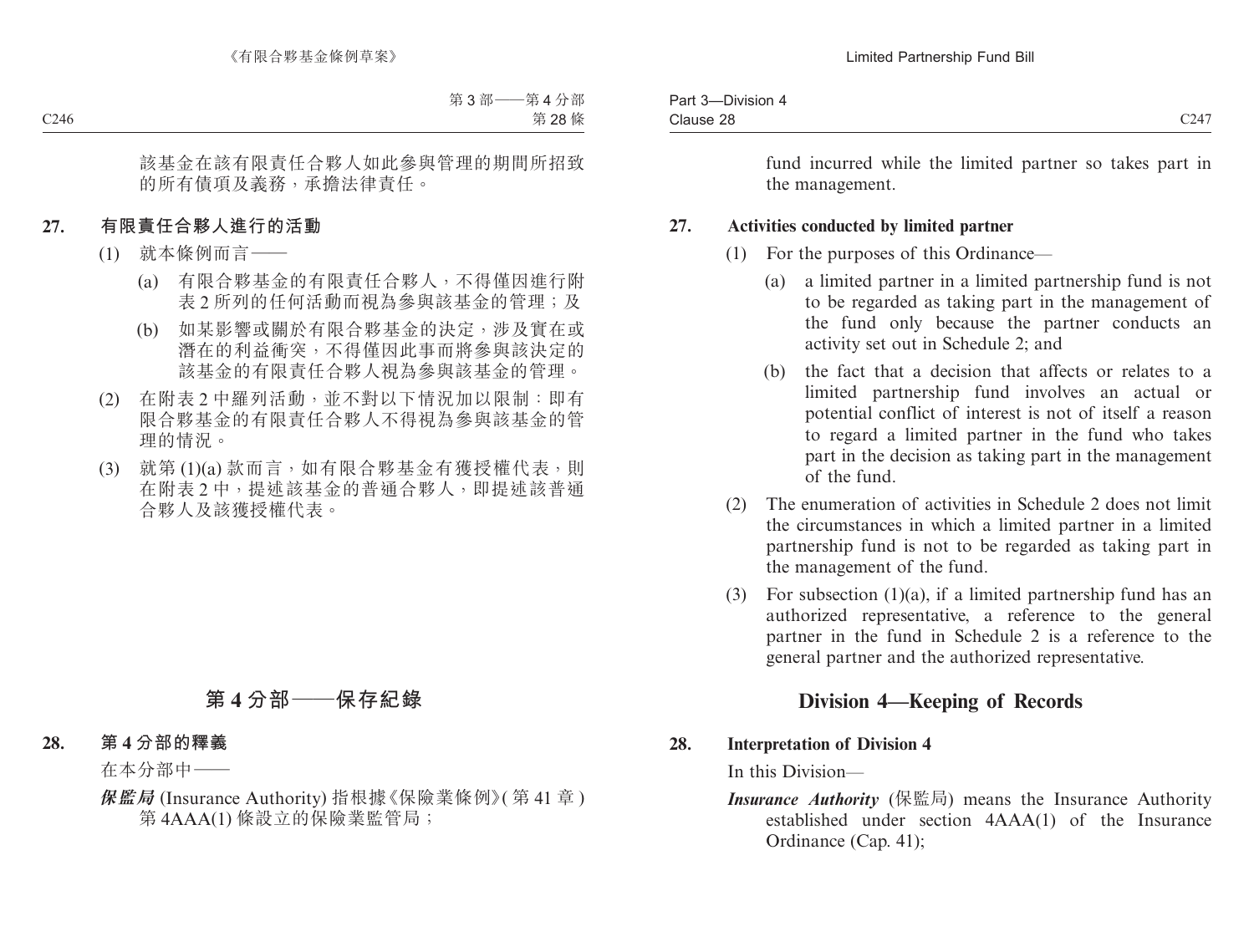| -Division<br>$\sim$<br>Part 3<br>$\overline{\phantom{a}}$ |                                                |
|-----------------------------------------------------------|------------------------------------------------|
| Clause 28                                                 | 0.17<br>$\overline{\phantom{a}}$<br>$C_{\ell}$ |

### **27. Activities conducted by limited partner**

- (1) For the purposes of this Ordinance—
	- (a) a limited partner in a limited partnership fund is not to be regarded as taking part in the management of the fund only because the partner conducts an activity set out in Schedule 2; and
	- (b) the fact that a decision that affects or relates to a limited partnership fund involves an actual or potential conflict of interest is not of itself a reason to regard a limited partner in the fund who takes part in the decision as taking part in the management of the fund.
- (2) The enumeration of activities in Schedule 2 does not limit the circumstances in which a limited partner in a limited partnership fund is not to be regarded as taking part in the management of the fund.
- (3) For subsection (1)(a), if a limited partnership fund has an authorized representative, a reference to the general partner in the fund in Schedule 2 is a reference to the general partner and the authorized representative.

# **Division 4—Keeping of Records**

### **28. Interpretation of Division 4**

In this Division—

*Insurance Authority* (保監局) means the Insurance Authority established under section 4AAA(1) of the Insurance Ordinance (Cap. 41);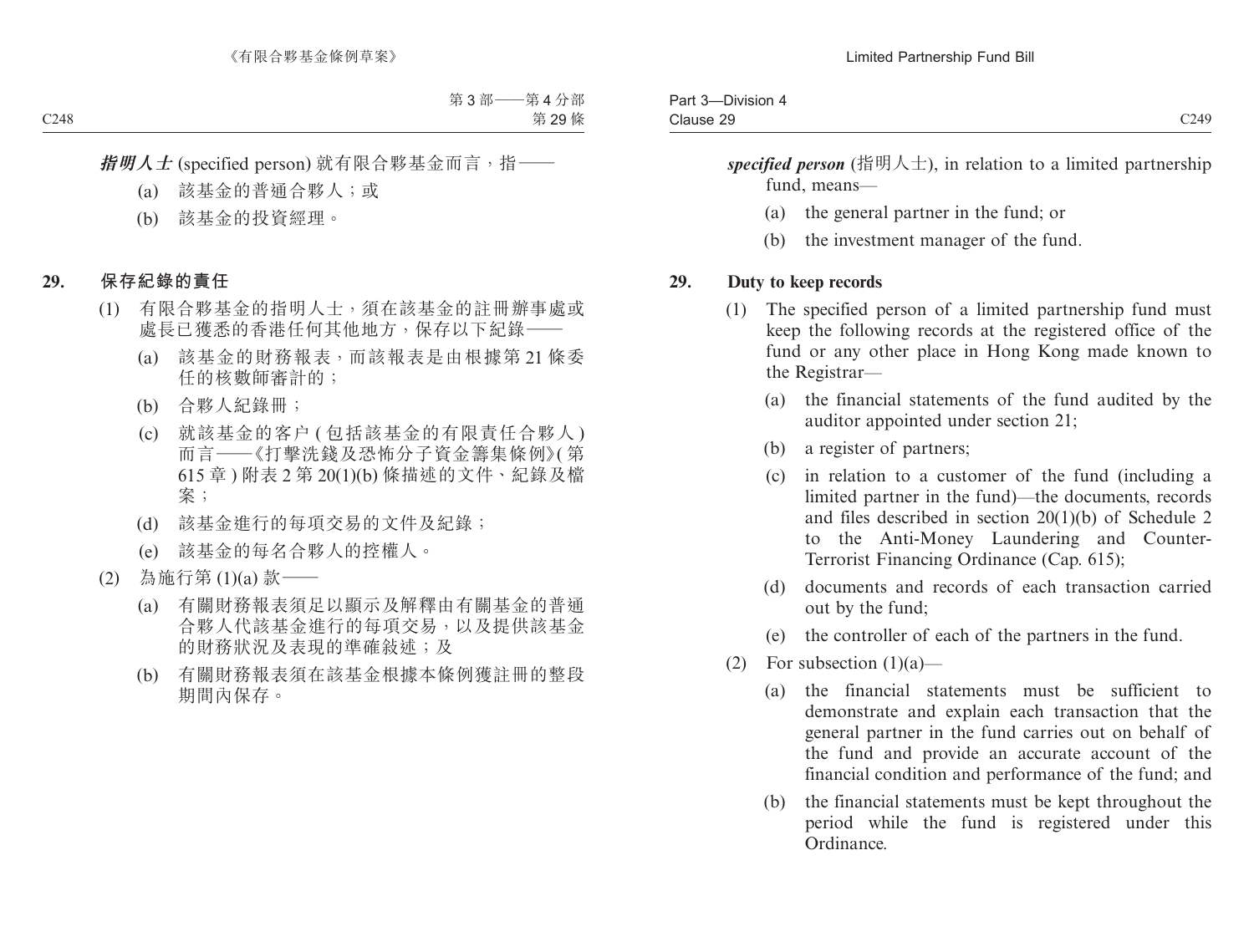| ____<br>$\sim$<br>Part 3<br><b>DIVISION</b><br>$\sim$ |              |
|-------------------------------------------------------|--------------|
| $\sim$<br>Clause 29.                                  | C249<br>◡▱▾◞ |

specified person (指明人士), in relation to a limited partnership fund, means—

- (a) the general partner in the fund; or
- (b) the investment manager of the fund.

#### **29. Duty to keep records**

- (1) The specified person of a limited partnership fund must keep the following records at the registered office of the fund or any other place in Hong Kong made known to the Registrar—
	- (a) the financial statements of the fund audited by the auditor appointed under section 21;
	- (b) a register of partners;
	- (c) in relation to a customer of the fund (including a limited partner in the fund)—the documents, records and files described in section 20(1)(b) of Schedule 2 to the Anti-Money Laundering and Counter-Terrorist Financing Ordinance (Cap. 615);
	- (d) documents and records of each transaction carried out by the fund;
	- (e) the controller of each of the partners in the fund.
- (2) For subsection  $(1)(a)$ 
	- (a) the financial statements must be sufficient to demonstrate and explain each transaction that the general partner in the fund carries out on behalf of the fund and provide an accurate account of the financial condition and performance of the fund; and
	- (b) the financial statements must be kept throughout the period while the fund is registered under this Ordinance.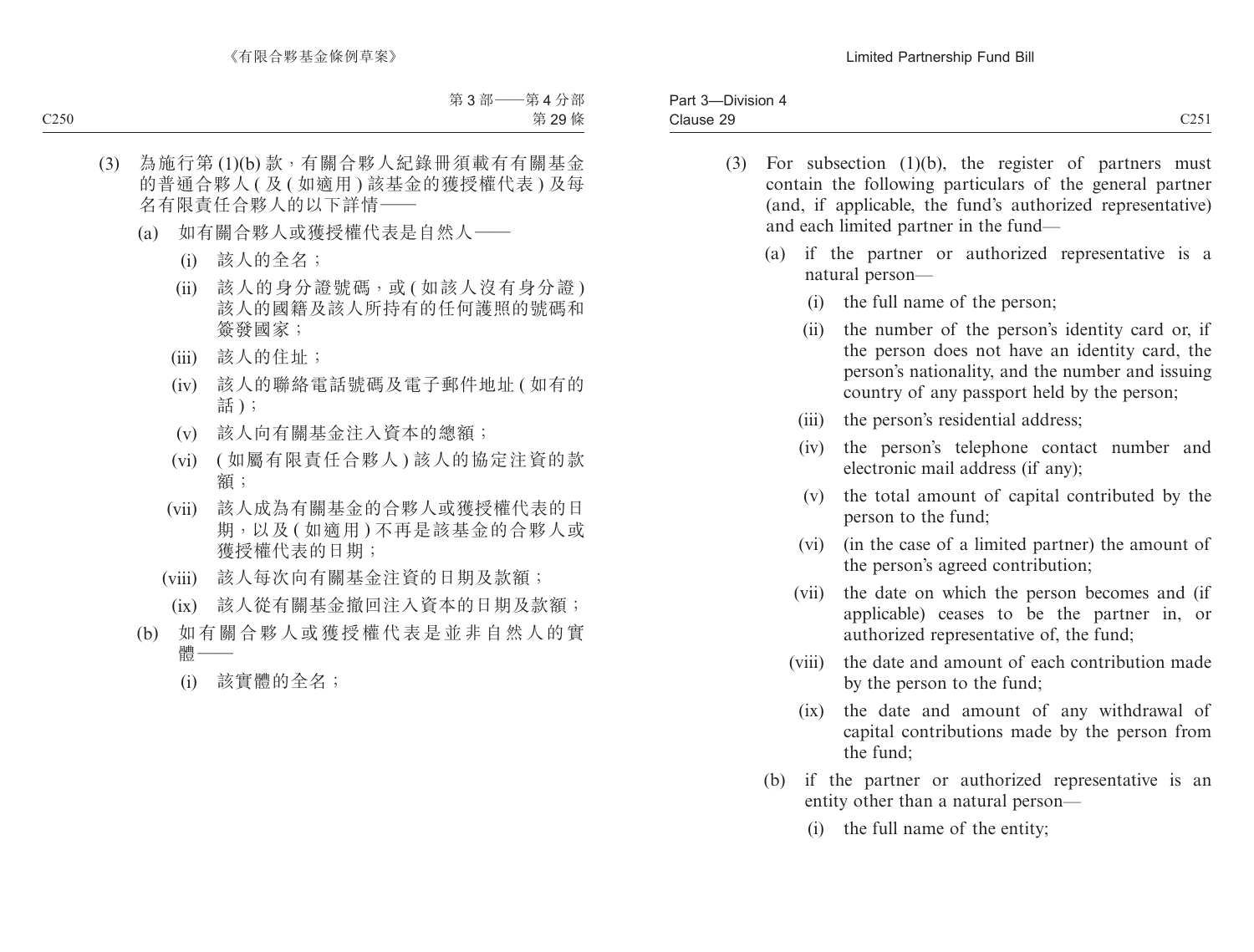| ____<br>$\sim$<br>Part 3<br><b>DIVISION</b><br>$\overline{\phantom{a}}$ |              |
|-------------------------------------------------------------------------|--------------|
| $\sim$<br>Clause 29.                                                    | 0.25<br>◡▵◡ェ |

- (3) For subsection (1)(b), the register of partners must contain the following particulars of the general partner (and, if applicable, the fund's authorized representative) and each limited partner in the fund—
	- (a) if the partner or authorized representative is a natural person—
		- (i) the full name of the person;
		- (ii) the number of the person's identity card or, if the person does not have an identity card, the person's nationality, and the number and issuing country of any passport held by the person;
		- (iii) the person's residential address;
		- (iv) the person's telephone contact number and electronic mail address (if any);
		- (v) the total amount of capital contributed by the person to the fund;
		- (vi) (in the case of a limited partner) the amount of the person's agreed contribution;
		- (vii) the date on which the person becomes and (if applicable) ceases to be the partner in, or authorized representative of, the fund;
		- (viii) the date and amount of each contribution made by the person to the fund;
			- (ix) the date and amount of any withdrawal of capital contributions made by the person from the fund;
	- (b) if the partner or authorized representative is an entity other than a natural person—
		- (i) the full name of the entity;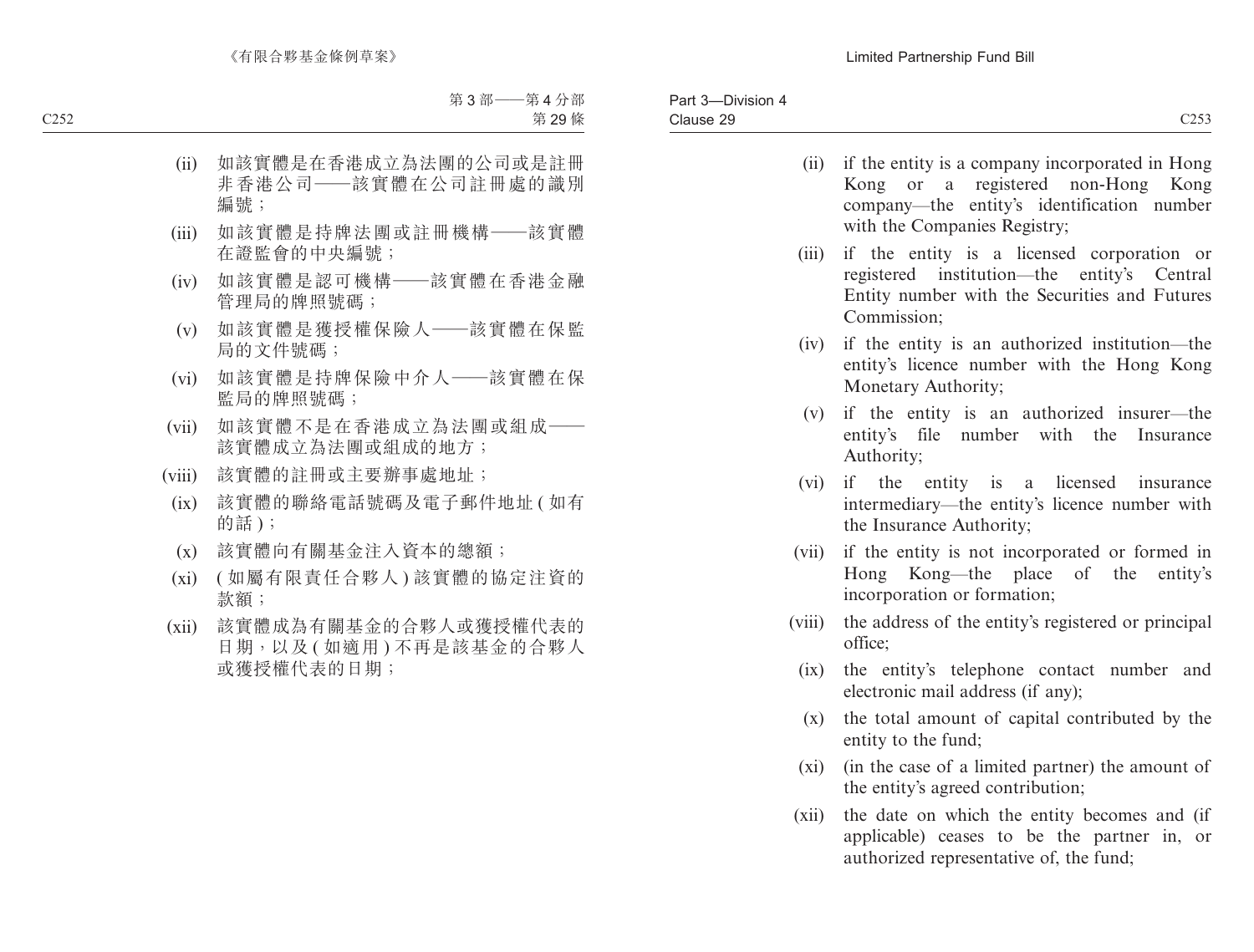- (ii) if the entity is a company incorporated in Hong Kong or a registered non-Hong Kong company—the entity's identification number with the Companies Registry;
- (iii) if the entity is a licensed corporation or registered institution—the entity's Central Entity number with the Securities and Futures Commission;
- (iv) if the entity is an authorized institution—the entity's licence number with the Hong Kong Monetary Authority;
- (v) if the entity is an authorized insurer—the entity's file number with the Insurance Authority;
- (vi) if the entity is a licensed insurance intermediary—the entity's licence number with the Insurance Authority;
- (vii) if the entity is not incorporated or formed in Hong Kong—the place of the entity's incorporation or formation;
- (viii) the address of the entity's registered or principal office;
	- (ix) the entity's telephone contact number and electronic mail address (if any);
	- (x) the total amount of capital contributed by the entity to the fund;
	- (xi) (in the case of a limited partner) the amount of the entity's agreed contribution;
- (xii) the date on which the entity becomes and (if applicable) ceases to be the partner in, or authorized representative of, the fund;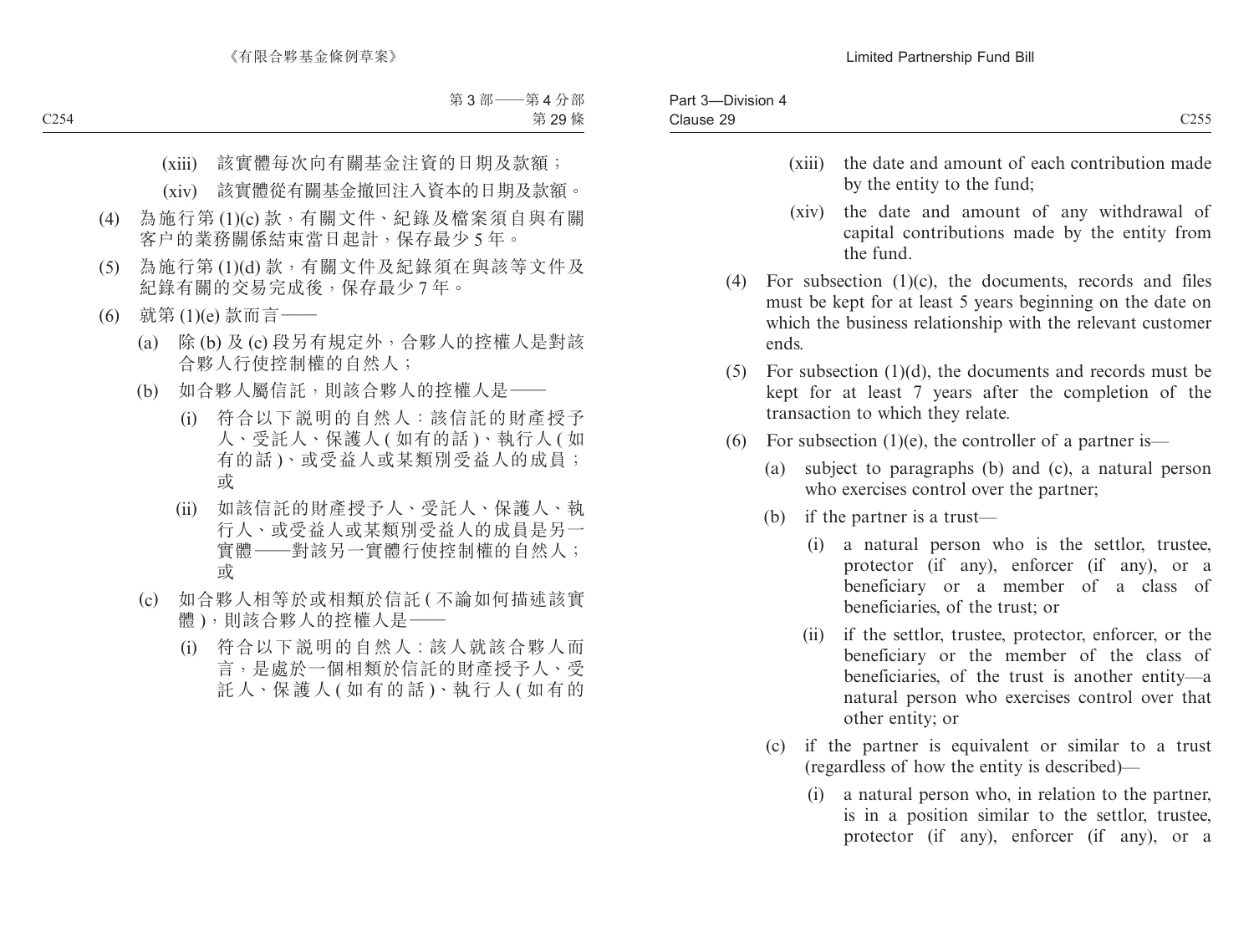- (xiii) the date and amount of each contribution made by the entity to the fund;
- (xiv) the date and amount of any withdrawal of capital contributions made by the entity from the fund.
- (4) For subsection (1)(c), the documents, records and files must be kept for at least 5 years beginning on the date on which the business relationship with the relevant customer ends.
- (5) For subsection (1)(d), the documents and records must be kept for at least 7 years after the completion of the transaction to which they relate.
- (6) For subsection (1)(e), the controller of a partner is—
	- (a) subject to paragraphs (b) and (c), a natural person who exercises control over the partner;
	- (b) if the partner is a trust—
		- (i) a natural person who is the settlor, trustee, protector (if any), enforcer (if any), or a beneficiary or a member of a class of beneficiaries, of the trust; or
		- (ii) if the settlor, trustee, protector, enforcer, or the beneficiary or the member of the class of beneficiaries, of the trust is another entity—a natural person who exercises control over that other entity; or
	- (c) if the partner is equivalent or similar to a trust (regardless of how the entity is described)—
		- (i) a natural person who, in relation to the partner, is in a position similar to the settlor, trustee, protector (if any), enforcer (if any), or a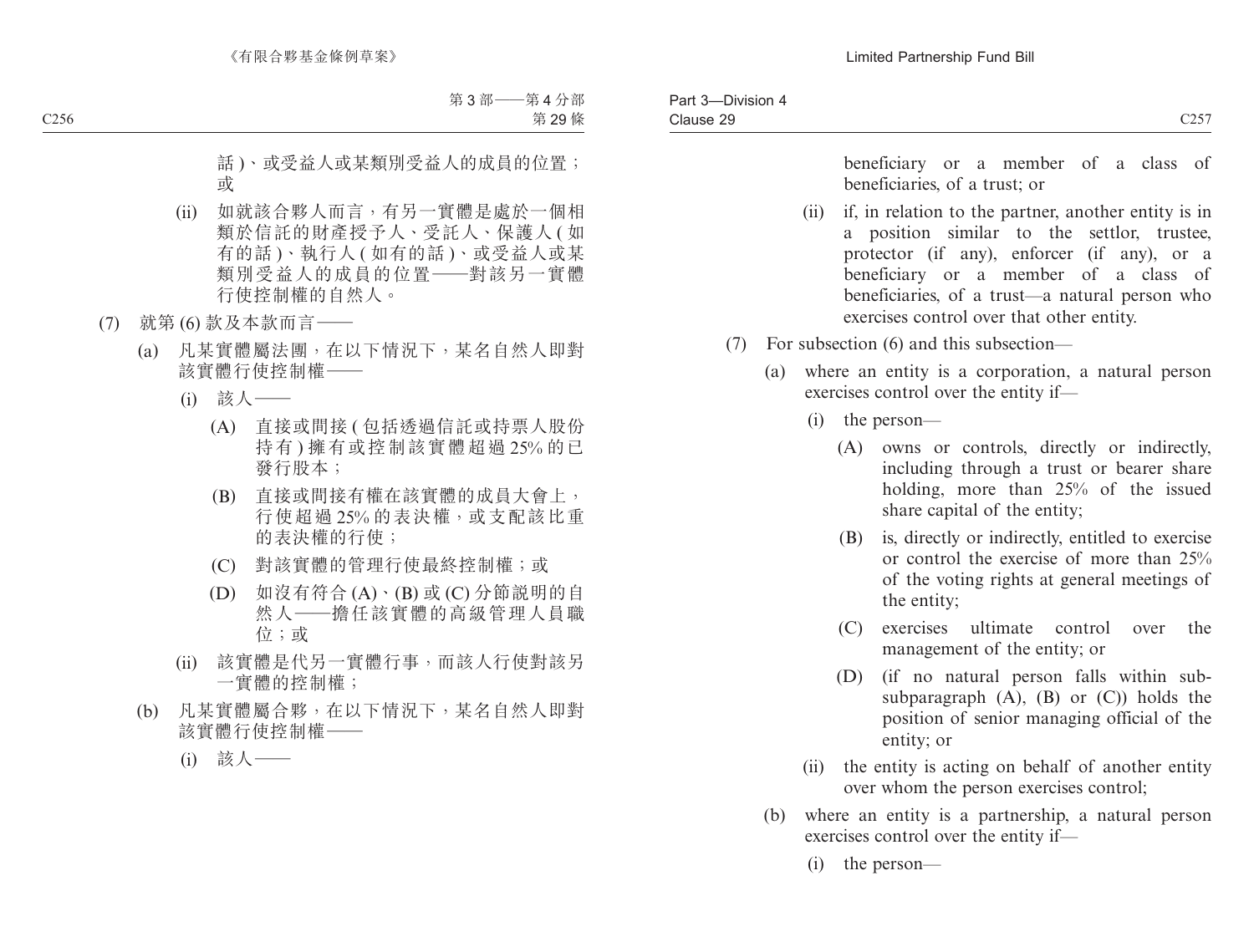beneficiary or a member of a class of beneficiaries, of a trust; or

- (ii) if, in relation to the partner, another entity is in a position similar to the settlor, trustee, protector (if any), enforcer (if any), or a beneficiary or a member of a class of beneficiaries, of a trust—a natural person who exercises control over that other entity.
- (7) For subsection (6) and this subsection—
	- (a) where an entity is a corporation, a natural person exercises control over the entity if—
		- (i) the person—
			- (A) owns or controls, directly or indirectly, including through a trust or bearer share holding, more than 25% of the issued share capital of the entity;
			- (B) is, directly or indirectly, entitled to exercise or control the exercise of more than 25% of the voting rights at general meetings of the entity;
			- (C) exercises ultimate control over the management of the entity; or
			- (D) (if no natural person falls within subsubparagraph  $(A)$ ,  $(B)$  or  $(C)$ ) holds the position of senior managing official of the entity; or
		- (ii) the entity is acting on behalf of another entity over whom the person exercises control;
	- (b) where an entity is a partnership, a natural person exercises control over the entity if—
		- (i) the person—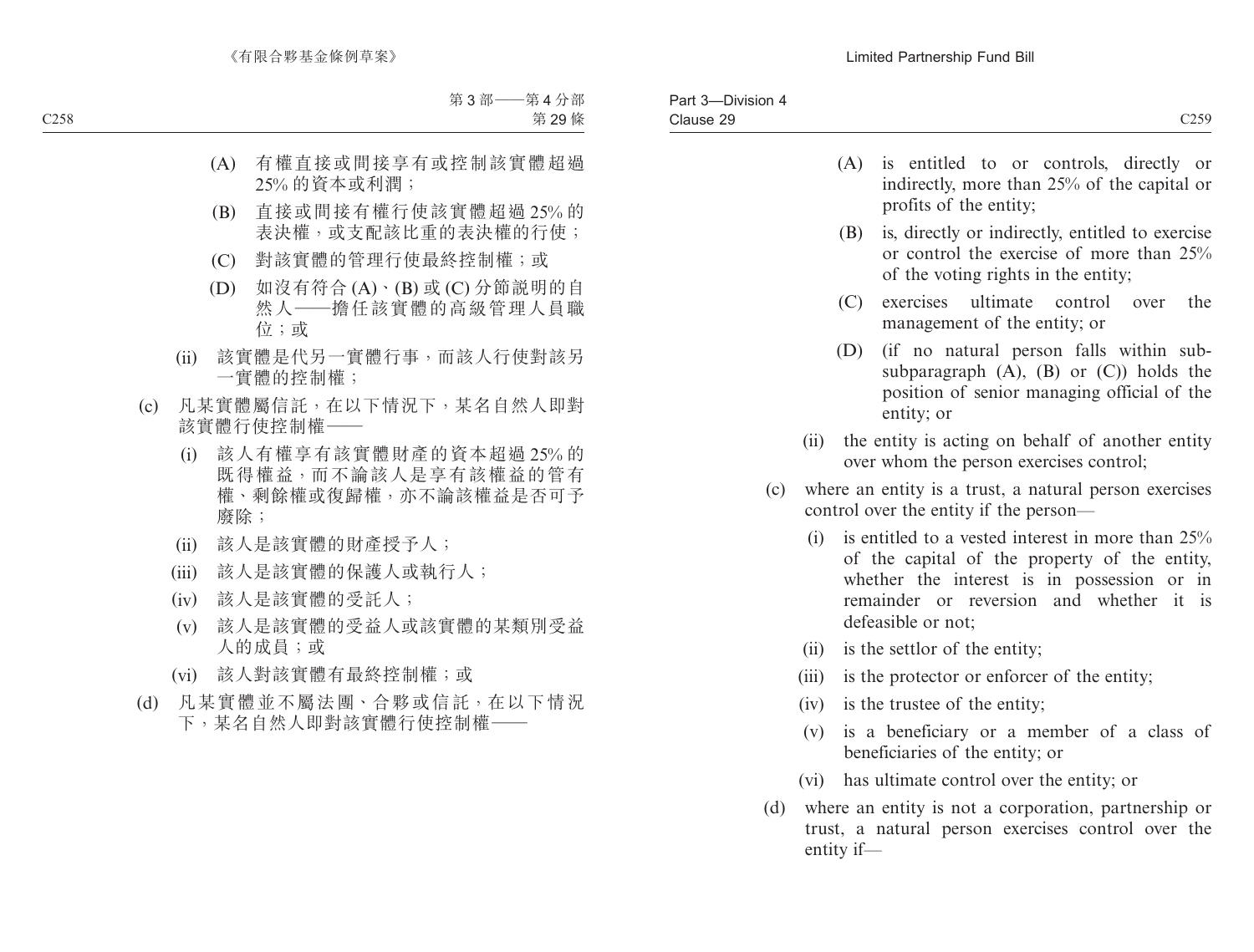- (A) is entitled to or controls, directly or indirectly, more than 25% of the capital or profits of the entity;
- (B) is, directly or indirectly, entitled to exercise or control the exercise of more than 25% of the voting rights in the entity;
- (C) exercises ultimate control over the management of the entity; or
- (D) (if no natural person falls within subsubparagraph  $(A)$ ,  $(B)$  or  $(C)$ ) holds the position of senior managing official of the entity; or
- (ii) the entity is acting on behalf of another entity over whom the person exercises control;
- (c) where an entity is a trust, a natural person exercises control over the entity if the person—
	- (i) is entitled to a vested interest in more than  $25\%$ of the capital of the property of the entity, whether the interest is in possession or in remainder or reversion and whether it is defeasible or not;
	- (ii) is the settlor of the entity;
	- (iii) is the protector or enforcer of the entity;
	- (iv) is the trustee of the entity;
	- (v) is a beneficiary or a member of a class of beneficiaries of the entity; or
	- (vi) has ultimate control over the entity; or
- (d) where an entity is not a corporation, partnership or trust, a natural person exercises control over the entity if—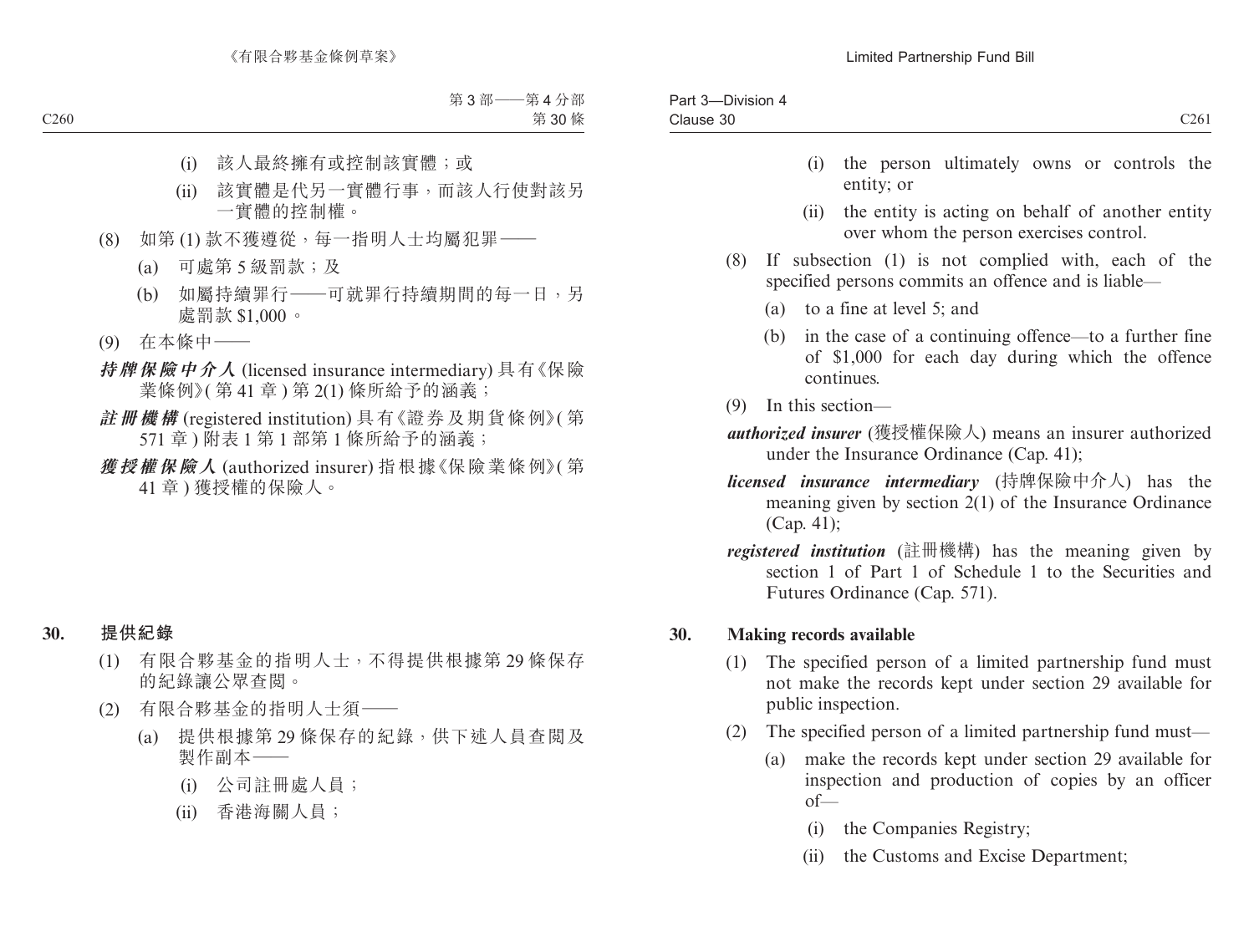- (i) the person ultimately owns or controls the entity; or
- (ii) the entity is acting on behalf of another entity over whom the person exercises control.
- (8) If subsection (1) is not complied with, each of the specified persons commits an offence and is liable—
	- (a) to a fine at level 5; and
	- (b) in the case of a continuing offence—to a further fine of \$1,000 for each day during which the offence continues.
- (9) In this section—
- *authorized insurer* (獲授權保險人) means an insurer authorized under the Insurance Ordinance (Cap. 41);
- *licensed insurance intermediary* (持牌保險中介人) has the meaning given by section 2(1) of the Insurance Ordinance (Cap. 41);
- *registered institution* (註冊機構) has the meaning given by section 1 of Part 1 of Schedule 1 to the Securities and Futures Ordinance (Cap. 571).

### **30. Making records available**

- (1) The specified person of a limited partnership fund must not make the records kept under section 29 available for public inspection.
- (2) The specified person of a limited partnership fund must—
	- (a) make the records kept under section 29 available for inspection and production of copies by an officer  $of$ 
		- (i) the Companies Registry;
		- (ii) the Customs and Excise Department;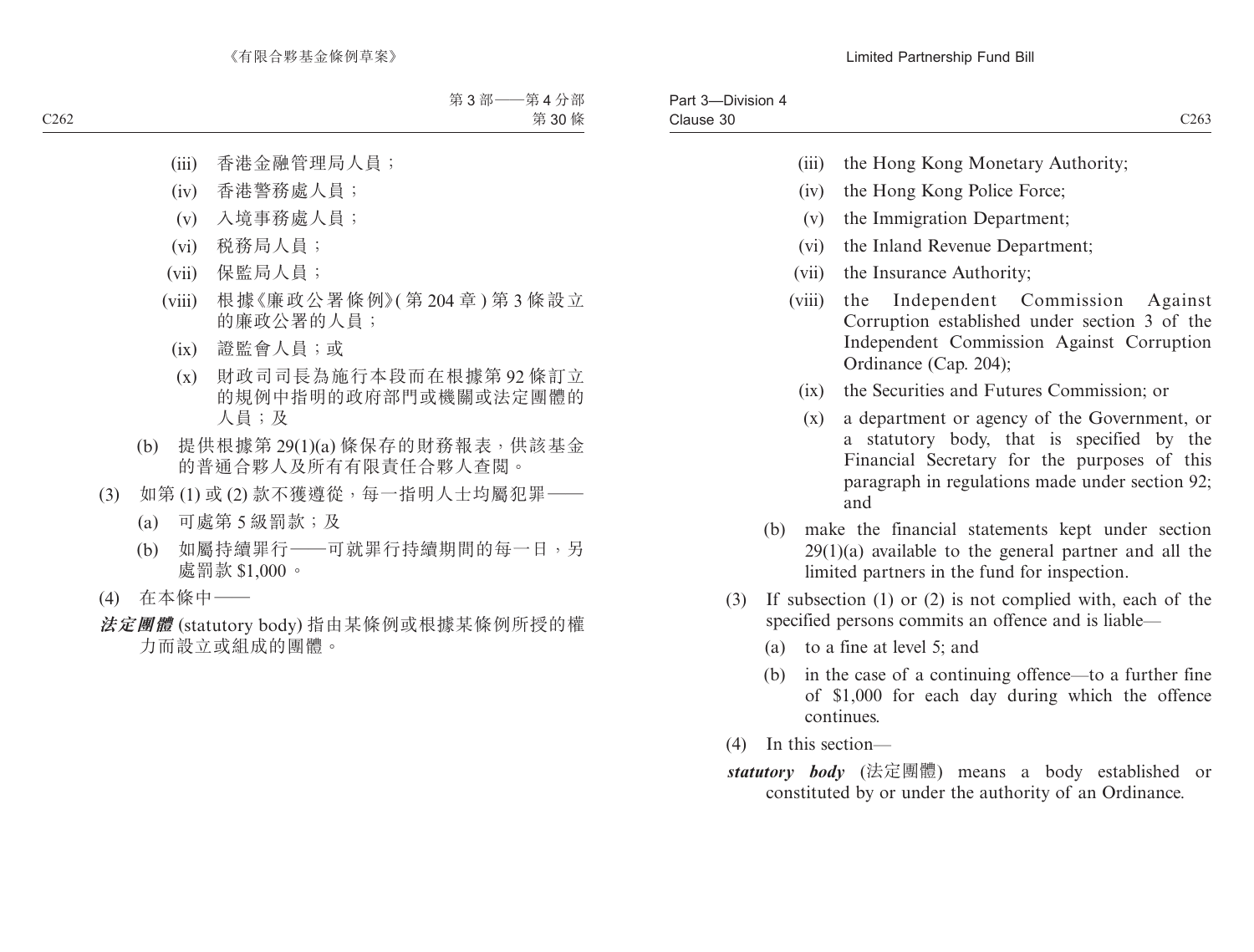- (iii) the Hong Kong Monetary Authority;
- (iv) the Hong Kong Police Force;
- (v) the Immigration Department;
- (vi) the Inland Revenue Department;
- (vii) the Insurance Authority;
- (viii) the Independent Commission Against Corruption established under section 3 of the Independent Commission Against Corruption Ordinance (Cap. 204);
	- (ix) the Securities and Futures Commission; or
	- (x) a department or agency of the Government, or a statutory body, that is specified by the Financial Secretary for the purposes of this paragraph in regulations made under section 92; and
- (b) make the financial statements kept under section  $29(1)(a)$  available to the general partner and all the limited partners in the fund for inspection.
- (3) If subsection (1) or (2) is not complied with, each of the specified persons commits an offence and is liable—
	- (a) to a fine at level 5; and
	- (b) in the case of a continuing offence—to a further fine of \$1,000 for each day during which the offence continues.
- (4) In this section—
- *statutory body* (法定團體) means a body established or constituted by or under the authority of an Ordinance.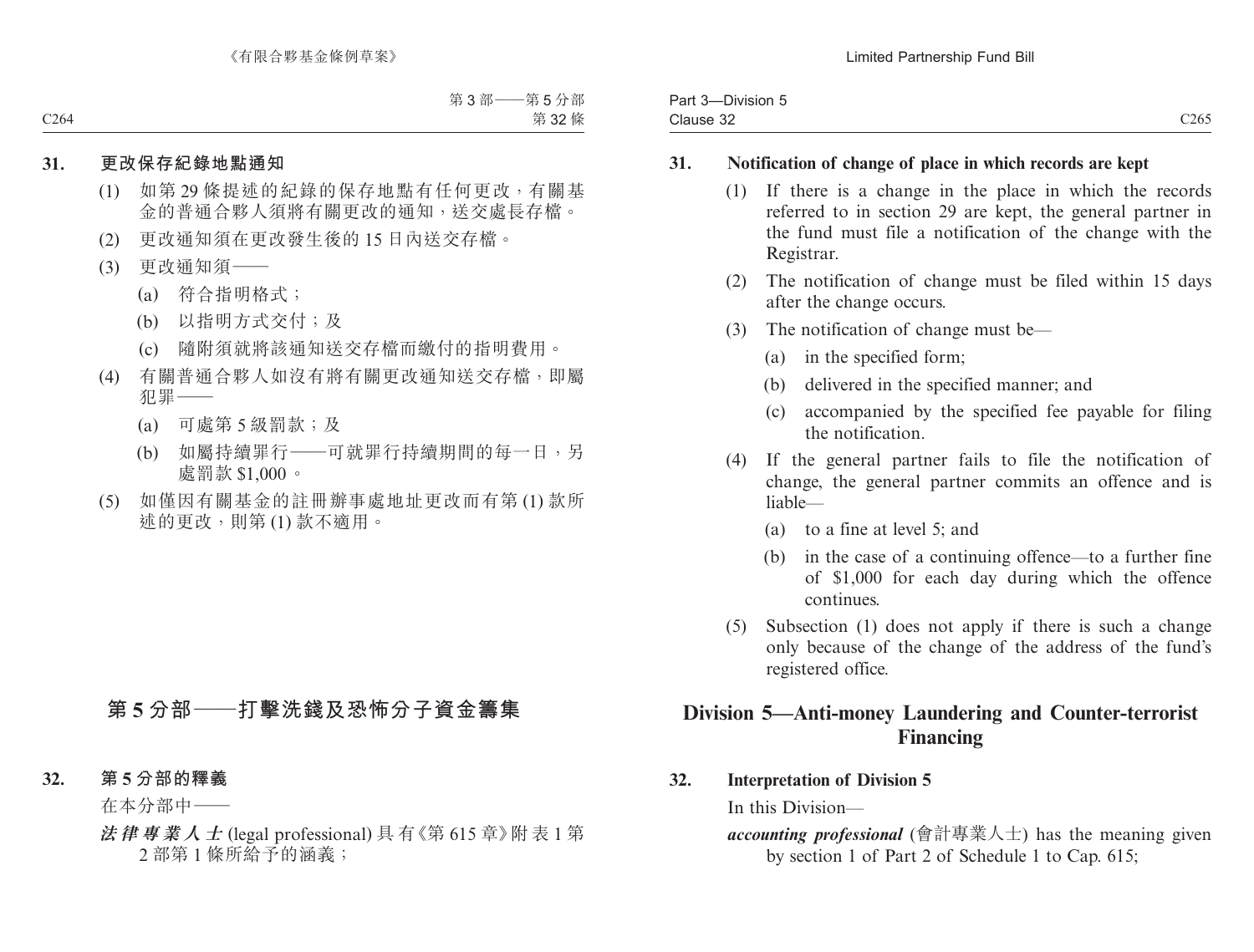| $- \cdot \cdot$<br>Part<br>$\sim$<br>-Division 5<br>. u- |                  |
|----------------------------------------------------------|------------------|
| Clause 32                                                | C <sub>265</sub> |

#### **31. Notification of change of place in which records are kept**

- (1) If there is a change in the place in which the records referred to in section 29 are kept, the general partner in the fund must file a notification of the change with the Registrar.
- (2) The notification of change must be filed within 15 days after the change occurs.
- (3) The notification of change must be—
	- (a) in the specified form;
	- (b) delivered in the specified manner; and
	- (c) accompanied by the specified fee payable for filing the notification.
- (4) If the general partner fails to file the notification of change, the general partner commits an offence and is liable—
	- (a) to a fine at level 5; and
	- (b) in the case of a continuing offence—to a further fine of \$1,000 for each day during which the offence continues.
- (5) Subsection (1) does not apply if there is such a change only because of the change of the address of the fund's registered office.

# **Division 5—Anti-money Laundering and Counter-terrorist Financing**

### **32. Interpretation of Division 5**

In this Division—

*accounting professional* (會計專業人士) has the meaning given by section 1 of Part 2 of Schedule 1 to Cap. 615;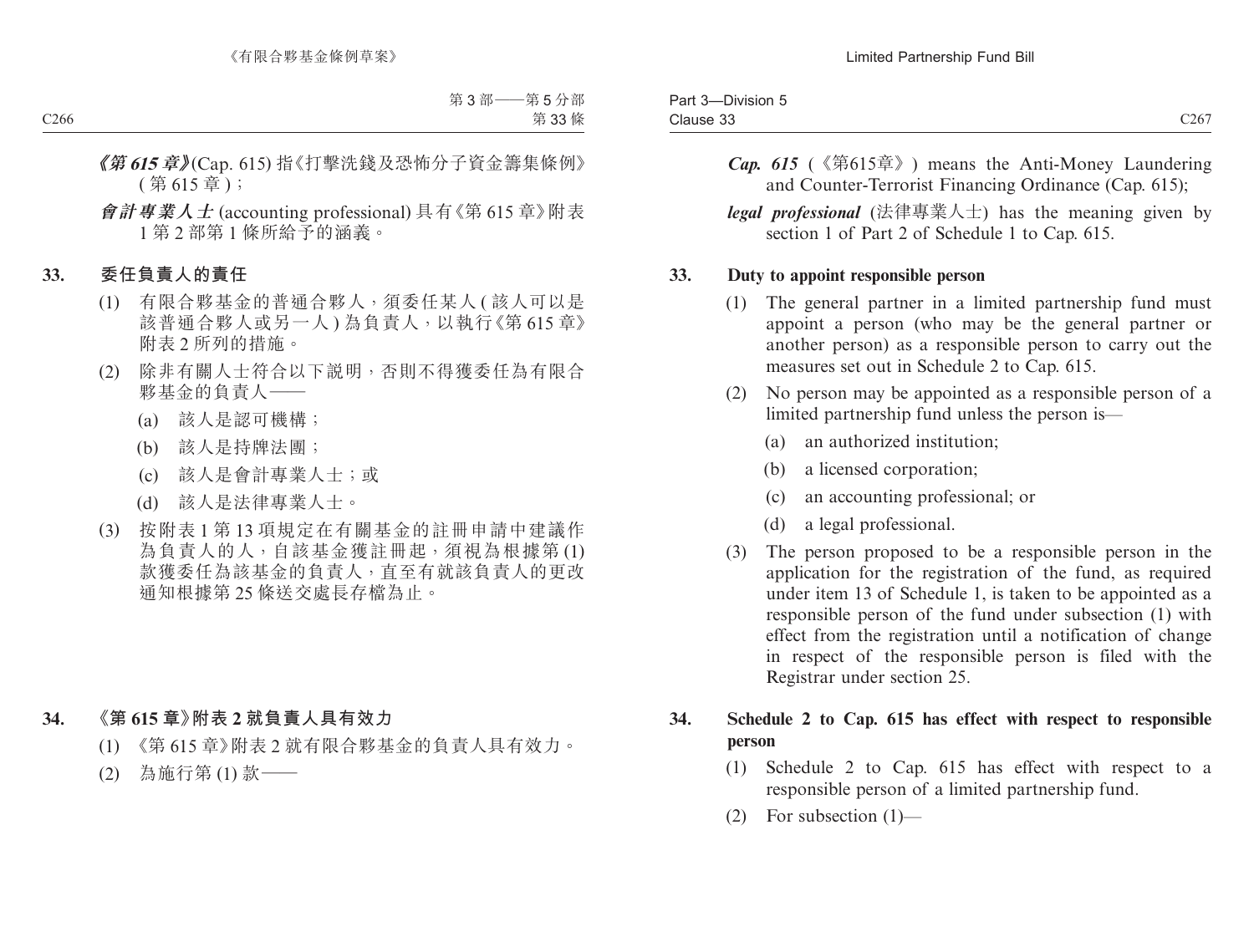| ____<br>$\sim$<br>Part 3<br>-Division 5 |      |
|-----------------------------------------|------|
| $\sim$<br>Clause 33                     | C267 |

*Cap. 615* (《第615章》) means the Anti-Money Laundering and Counter-Terrorist Financing Ordinance (Cap. 615);

*legal professional* (法律專業人士) has the meaning given by section 1 of Part 2 of Schedule 1 to Cap. 615.

#### **33. Duty to appoint responsible person**

- (1) The general partner in a limited partnership fund must appoint a person (who may be the general partner or another person) as a responsible person to carry out the measures set out in Schedule 2 to Cap. 615.
- (2) No person may be appointed as a responsible person of a limited partnership fund unless the person is—
	- (a) an authorized institution;
	- (b) a licensed corporation;
	- (c) an accounting professional; or
	- (d) a legal professional.
- (3) The person proposed to be a responsible person in the application for the registration of the fund, as required under item 13 of Schedule 1, is taken to be appointed as a responsible person of the fund under subsection (1) with effect from the registration until a notification of change in respect of the responsible person is filed with the Registrar under section 25.

### **34. Schedule 2 to Cap. 615 has effect with respect to responsible person**

- (1) Schedule 2 to Cap. 615 has effect with respect to a responsible person of a limited partnership fund.
- (2) For subsection (1)—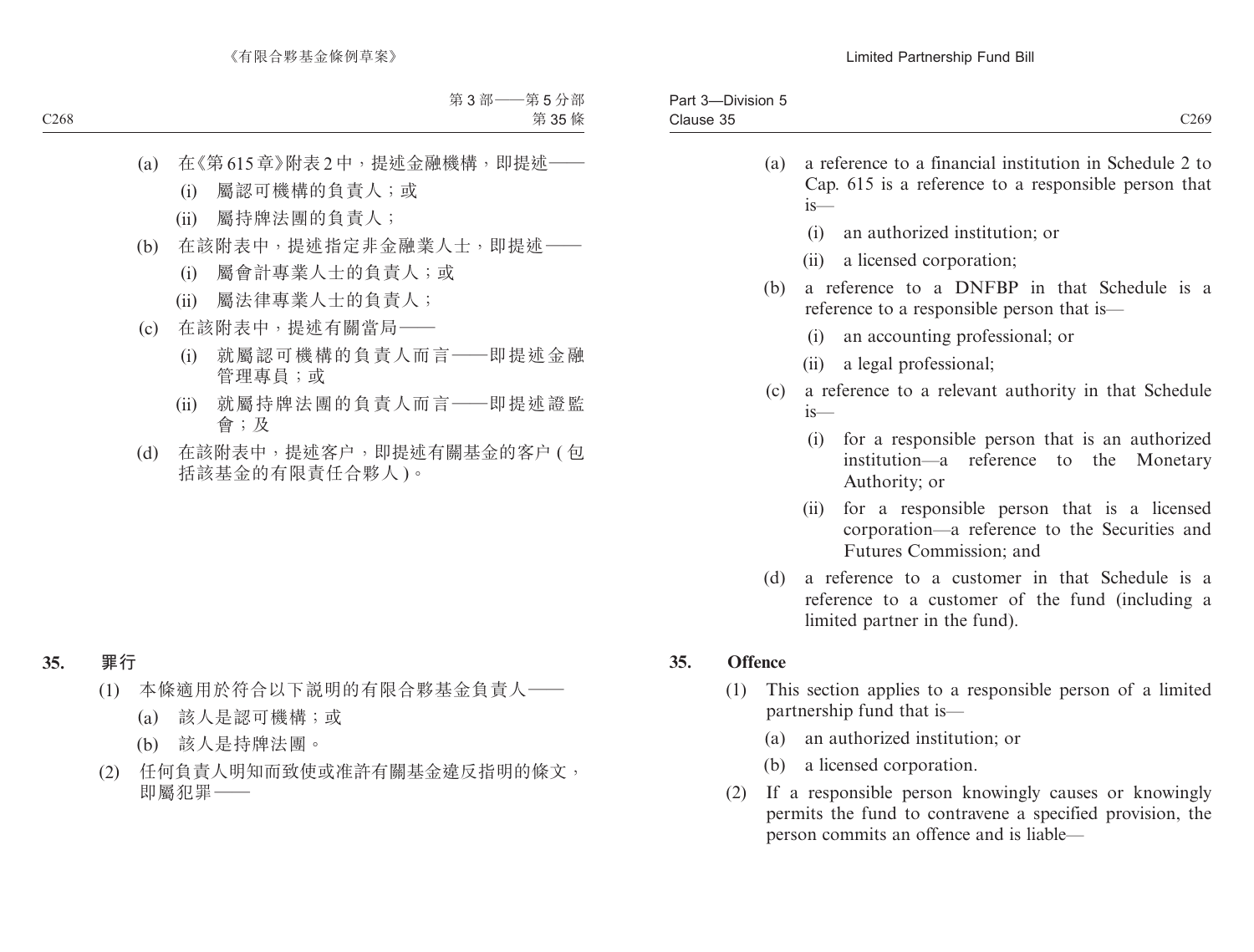| -Division<br>ാം<br>-d<br>$\sim$ |                  |
|---------------------------------|------------------|
| Clause 35<br>--------           | C <sub>269</sub> |
|                                 |                  |

- (a) a reference to a financial institution in Schedule 2 to Cap. 615 is a reference to a responsible person that is—
	- (i) an authorized institution; or
	- (ii) a licensed corporation;
- (b) a reference to a DNFBP in that Schedule is a reference to a responsible person that is—
	- (i) an accounting professional; or
	- (ii) a legal professional;
- (c) a reference to a relevant authority in that Schedule is—
	- (i) for a responsible person that is an authorized institution—a reference to the Monetary Authority; or
	- (ii) for a responsible person that is a licensed corporation—a reference to the Securities and Futures Commission; and
- (d) a reference to a customer in that Schedule is a reference to a customer of the fund (including a limited partner in the fund).

## **35. Offence**

- (1) This section applies to a responsible person of a limited partnership fund that is—
	- (a) an authorized institution; or
	- (b) a licensed corporation.
- (2) If a responsible person knowingly causes or knowingly permits the fund to contravene a specified provision, the person commits an offence and is liable—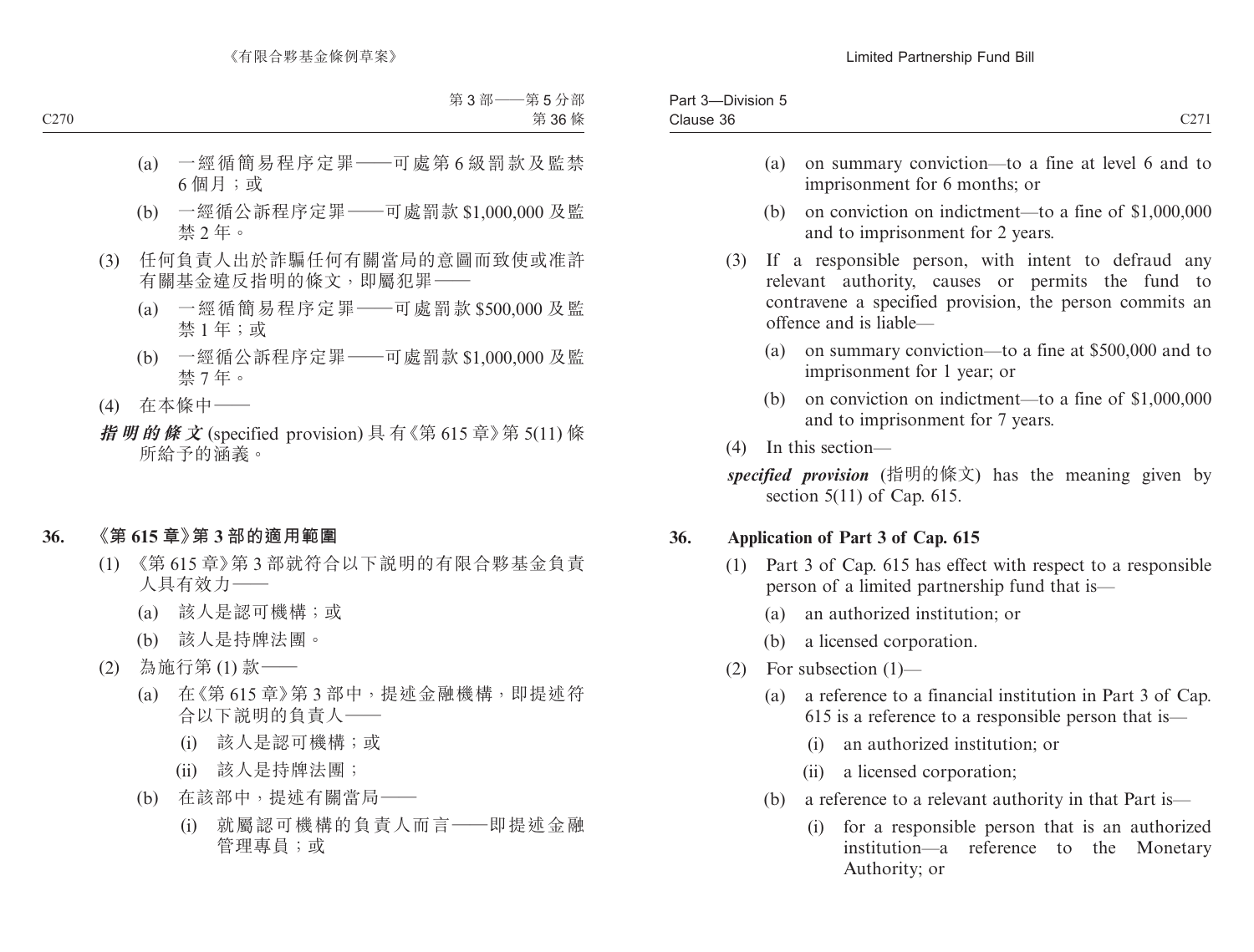| $- \cdot$<br>$\overline{\phantom{a}}$<br>120 <sub>1</sub><br>)ivision<br>$\cdots$ |                        |
|-----------------------------------------------------------------------------------|------------------------|
| $\sim$<br>Clause 36                                                               | $\sim$ $\sim$<br>ا مەب |
|                                                                                   |                        |

- (a) on summary conviction—to a fine at level 6 and to imprisonment for 6 months; or
- (b) on conviction on indictment—to a fine of \$1,000,000 and to imprisonment for 2 years.
- (3) If a responsible person, with intent to defraud any relevant authority, causes or permits the fund to contravene a specified provision, the person commits an offence and is liable—
	- (a) on summary conviction—to a fine at \$500,000 and to imprisonment for 1 year; or
	- (b) on conviction on indictment—to a fine of \$1,000,000 and to imprisonment for 7 years.
- (4) In this section—

# **36. Application of Part 3 of Cap. 615**

- (1) Part 3 of Cap. 615 has effect with respect to a responsible person of a limited partnership fund that is—
	- (a) an authorized institution; or
	- (b) a licensed corporation.
- (2) For subsection (1)—
	- (a) a reference to a financial institution in Part 3 of Cap. 615 is a reference to a responsible person that is—
		- (i) an authorized institution; or
		- (ii) a licensed corporation;
	- (b) a reference to a relevant authority in that Part is—
		- (i) for a responsible person that is an authorized institution—a reference to the Monetary Authority; or

*specified provision* (指明的條文) has the meaning given by section 5(11) of Cap. 615.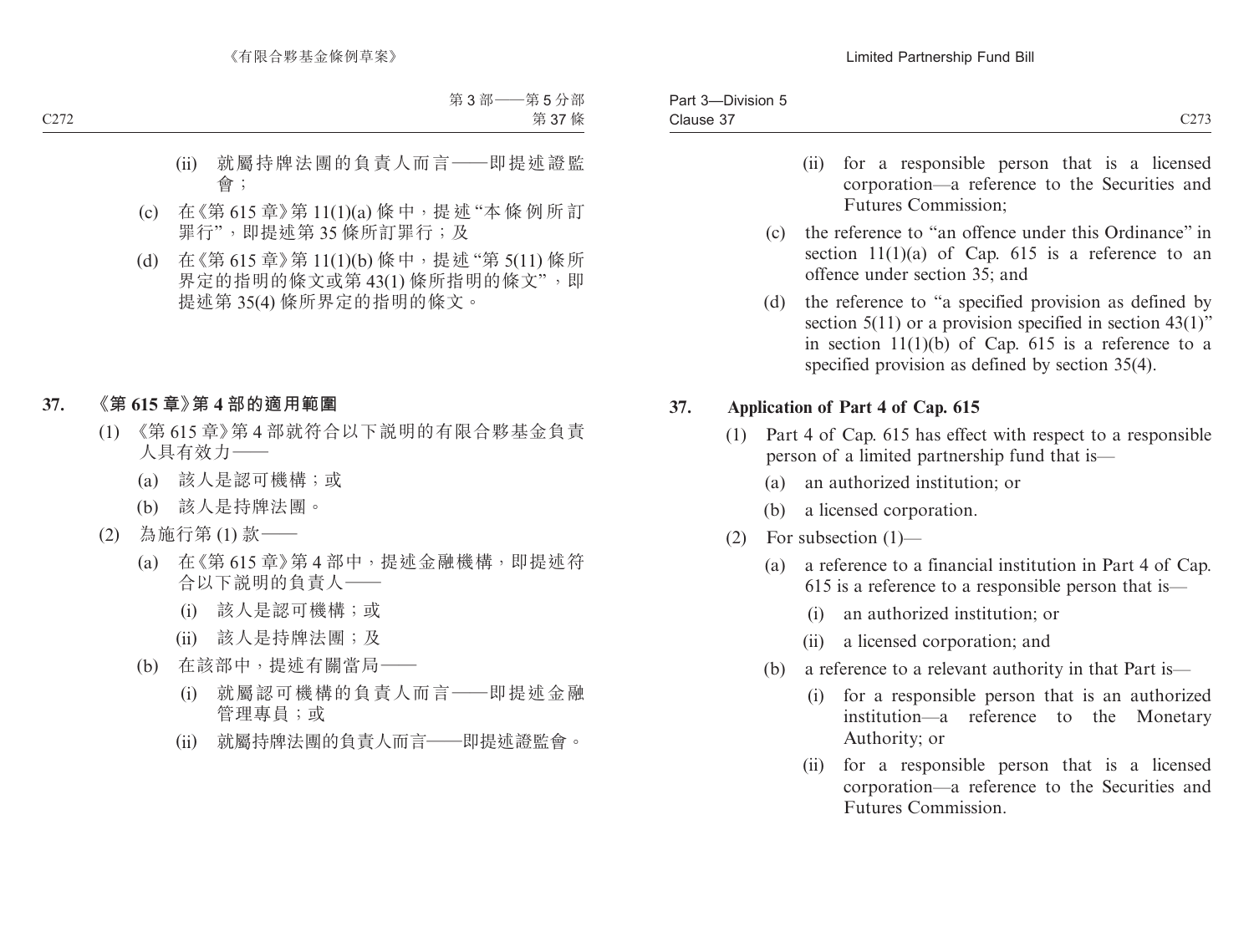- (ii) for a responsible person that is a licensed corporation—a reference to the Securities and Futures Commission;
- (c) the reference to "an offence under this Ordinance" in section  $11(1)(a)$  of Cap. 615 is a reference to an offence under section 35; and
- (d) the reference to "a specified provision as defined by section 5(11) or a provision specified in section 43(1)" in section  $11(1)(b)$  of Cap. 615 is a reference to a specified provision as defined by section 35(4).

## **37. Application of Part 4 of Cap. 615**

- (1) Part 4 of Cap. 615 has effect with respect to a responsible person of a limited partnership fund that is—
	- (a) an authorized institution; or
	- (b) a licensed corporation.
- (2) For subsection  $(1)$ 
	- (a) a reference to a financial institution in Part 4 of Cap. 615 is a reference to a responsible person that is—
		- (i) an authorized institution; or
		- (ii) a licensed corporation; and
	- (b) a reference to a relevant authority in that Part is—
		- (i) for a responsible person that is an authorized institution—a reference to the Monetary Authority; or
		- (ii) for a responsible person that is a licensed corporation—a reference to the Securities and Futures Commission.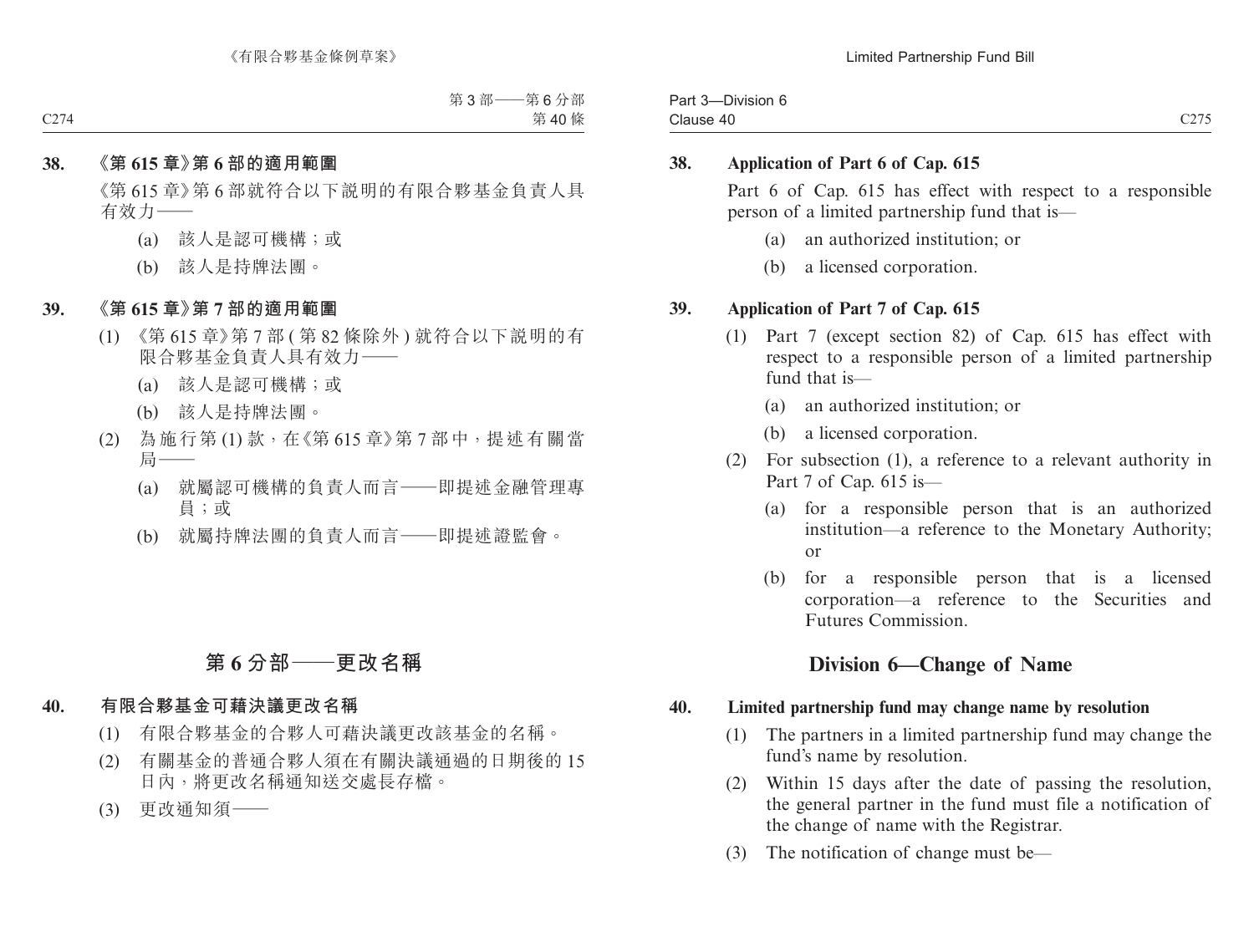Part 3—Division 6 Clause 40 Clause 40 C275

### **38. Application of Part 6 of Cap. 615**

Part 6 of Cap. 615 has effect with respect to a responsible person of a limited partnership fund that is—

- (a) an authorized institution; or
- (b) a licensed corporation.

### **39. Application of Part 7 of Cap. 615**

- (1) Part 7 (except section 82) of Cap. 615 has effect with respect to a responsible person of a limited partnership fund that is—
	- (a) an authorized institution; or
	- (b) a licensed corporation.
- (2) For subsection (1), a reference to a relevant authority in Part 7 of Cap. 615 is—
	- (a) for a responsible person that is an authorized institution—a reference to the Monetary Authority; or
	- (b) for a responsible person that is a licensed corporation—a reference to the Securities and Futures Commission.

# **Division 6—Change of Name**

### **40. Limited partnership fund may change name by resolution**

- (1) The partners in a limited partnership fund may change the fund's name by resolution.
- (2) Within 15 days after the date of passing the resolution, the general partner in the fund must file a notification of the change of name with the Registrar.
- (3) The notification of change must be—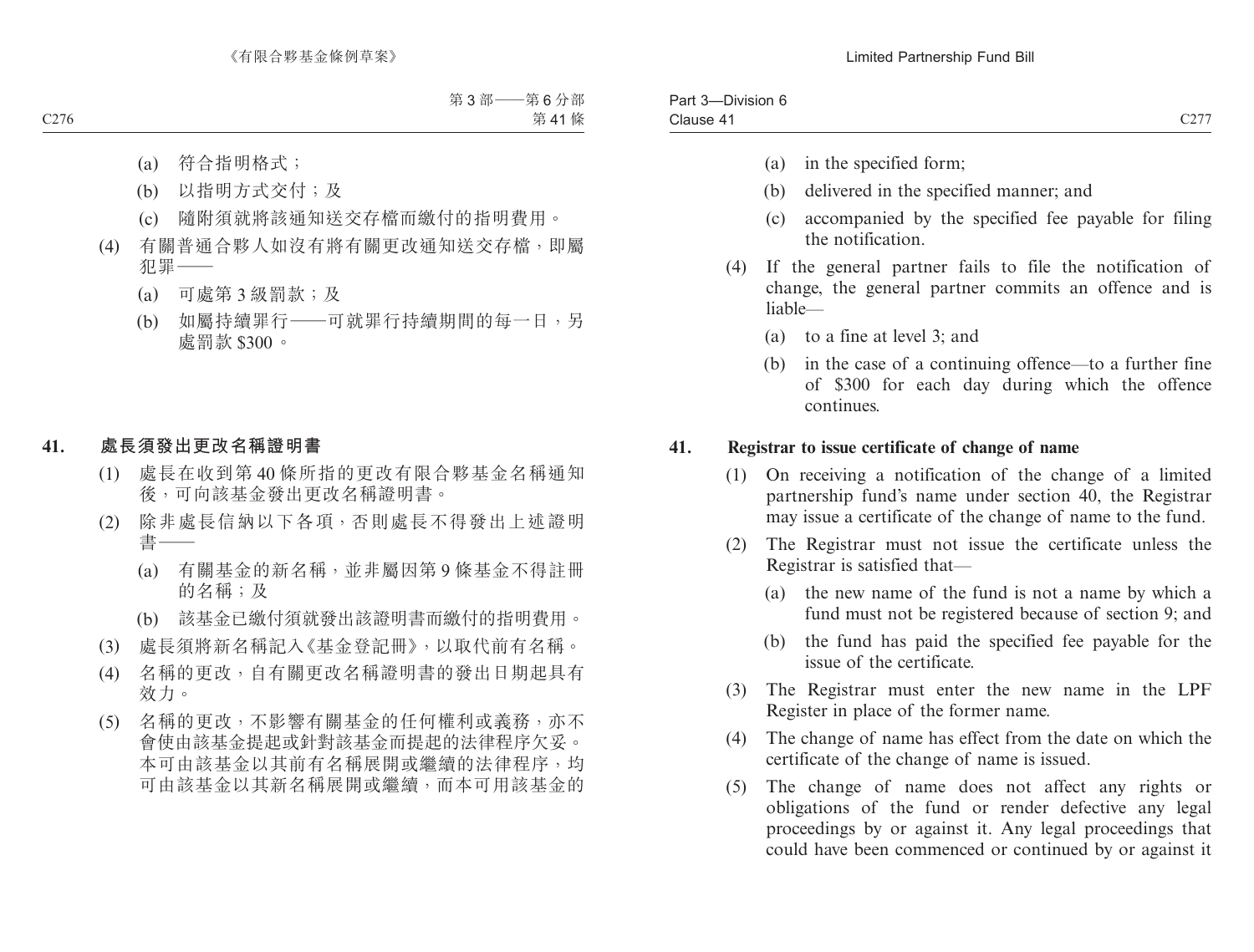| Clause<br>$\overline{ }$<br><u>U41</u> | Part<br>-<br>Division |      |
|----------------------------------------|-----------------------|------|
|                                        |                       | C227 |

- (a) in the specified form;
- (b) delivered in the specified manner; and
- (c) accompanied by the specified fee payable for filing the notification.
- (4) If the general partner fails to file the notification of change, the general partner commits an offence and is liable—
	- (a) to a fine at level 3; and
	- (b) in the case of a continuing offence—to a further fine of \$300 for each day during which the offence continues.

### **41. Registrar to issue certificate of change of name**

- (1) On receiving a notification of the change of a limited partnership fund's name under section 40, the Registrar may issue a certificate of the change of name to the fund.
- (2) The Registrar must not issue the certificate unless the Registrar is satisfied that—
	- (a) the new name of the fund is not a name by which a fund must not be registered because of section 9; and
	- (b) the fund has paid the specified fee payable for the issue of the certificate.
- (3) The Registrar must enter the new name in the LPF Register in place of the former name.
- (4) The change of name has effect from the date on which the certificate of the change of name is issued.
- (5) The change of name does not affect any rights or obligations of the fund or render defective any legal proceedings by or against it. Any legal proceedings that could have been commenced or continued by or against it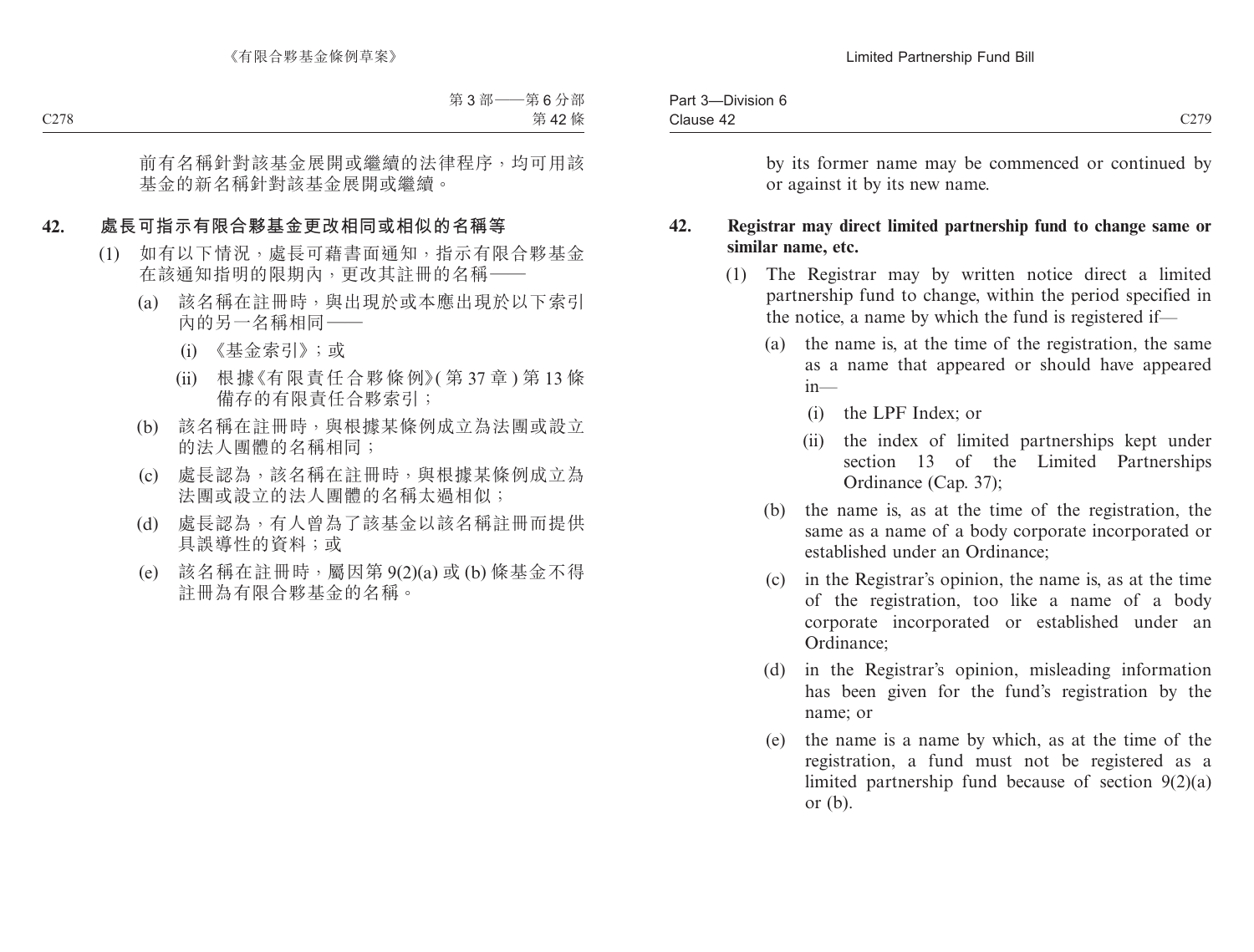| $\sim$<br>-Division 6<br>Part 3 |                                |
|---------------------------------|--------------------------------|
| Clause 42<br>$-T$               | $\sim$ $\sim$ $\sim$<br>$\sim$ |

by its former name may be commenced or continued by or against it by its new name.

### **42. Registrar may direct limited partnership fund to change same or similar name, etc.**

- (1) The Registrar may by written notice direct a limited partnership fund to change, within the period specified in the notice, a name by which the fund is registered if—
	- (a) the name is, at the time of the registration, the same as a name that appeared or should have appeared in—
		- (i) the LPF Index; or
		- (ii) the index of limited partnerships kept under section 13 of the Limited Partnerships Ordinance (Cap. 37);
	- (b) the name is, as at the time of the registration, the same as a name of a body corporate incorporated or established under an Ordinance;
	- (c) in the Registrar's opinion, the name is, as at the time of the registration, too like a name of a body corporate incorporated or established under an Ordinance;
	- (d) in the Registrar's opinion, misleading information has been given for the fund's registration by the name; or
	- (e) the name is a name by which, as at the time of the registration, a fund must not be registered as a limited partnership fund because of section 9(2)(a) or (b).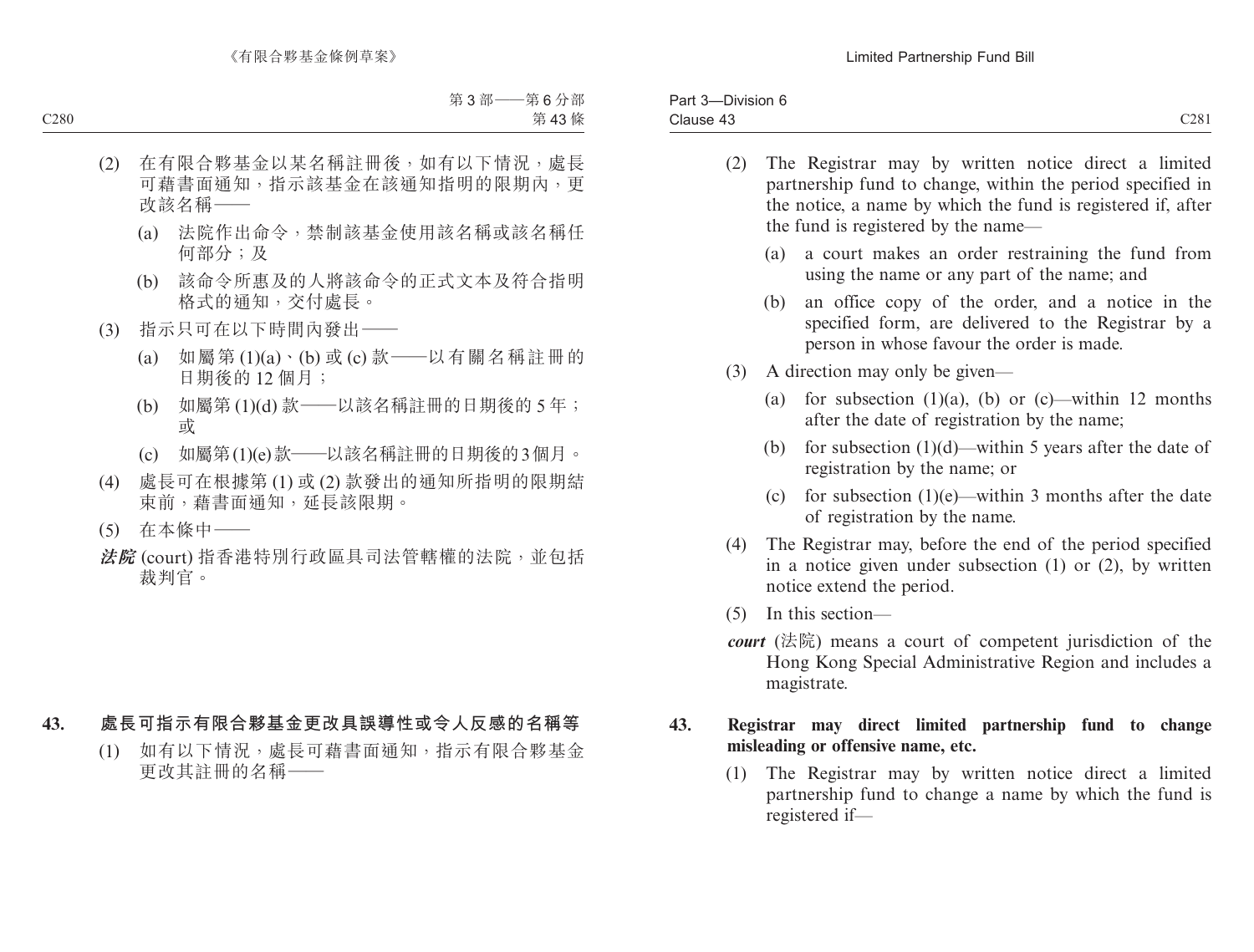| C281<br>-<br>Clause 43<br>$-1.5$ and $-1.5$ | $- \cdot$<br>ستتمرد<br>-Division 6<br>- αι ι<br>$\cdots$ |  |
|---------------------------------------------|----------------------------------------------------------|--|
|                                             |                                                          |  |

- (2) The Registrar may by written notice direct a limited partnership fund to change, within the period specified in the notice, a name by which the fund is registered if, after the fund is registered by the name—
	- (a) a court makes an order restraining the fund from using the name or any part of the name; and
	- (b) an office copy of the order, and a notice in the specified form, are delivered to the Registrar by a person in whose favour the order is made.
- (3) A direction may only be given—
	- (a) for subsection  $(1)(a)$ ,  $(b)$  or  $(c)$ —within 12 months after the date of registration by the name;
	- (b) for subsection  $(1)(d)$ —within 5 years after the date of registration by the name; or
	- (c) for subsection  $(1)(e)$ —within 3 months after the date of registration by the name.
- (4) The Registrar may, before the end of the period specified in a notice given under subsection (1) or (2), by written notice extend the period.
- (5) In this section—
- *court* (法院) means a court of competent jurisdiction of the Hong Kong Special Administrative Region and includes a magistrate.

### **43. Registrar may direct limited partnership fund to change misleading or offensive name, etc.**

(1) The Registrar may by written notice direct a limited partnership fund to change a name by which the fund is registered if—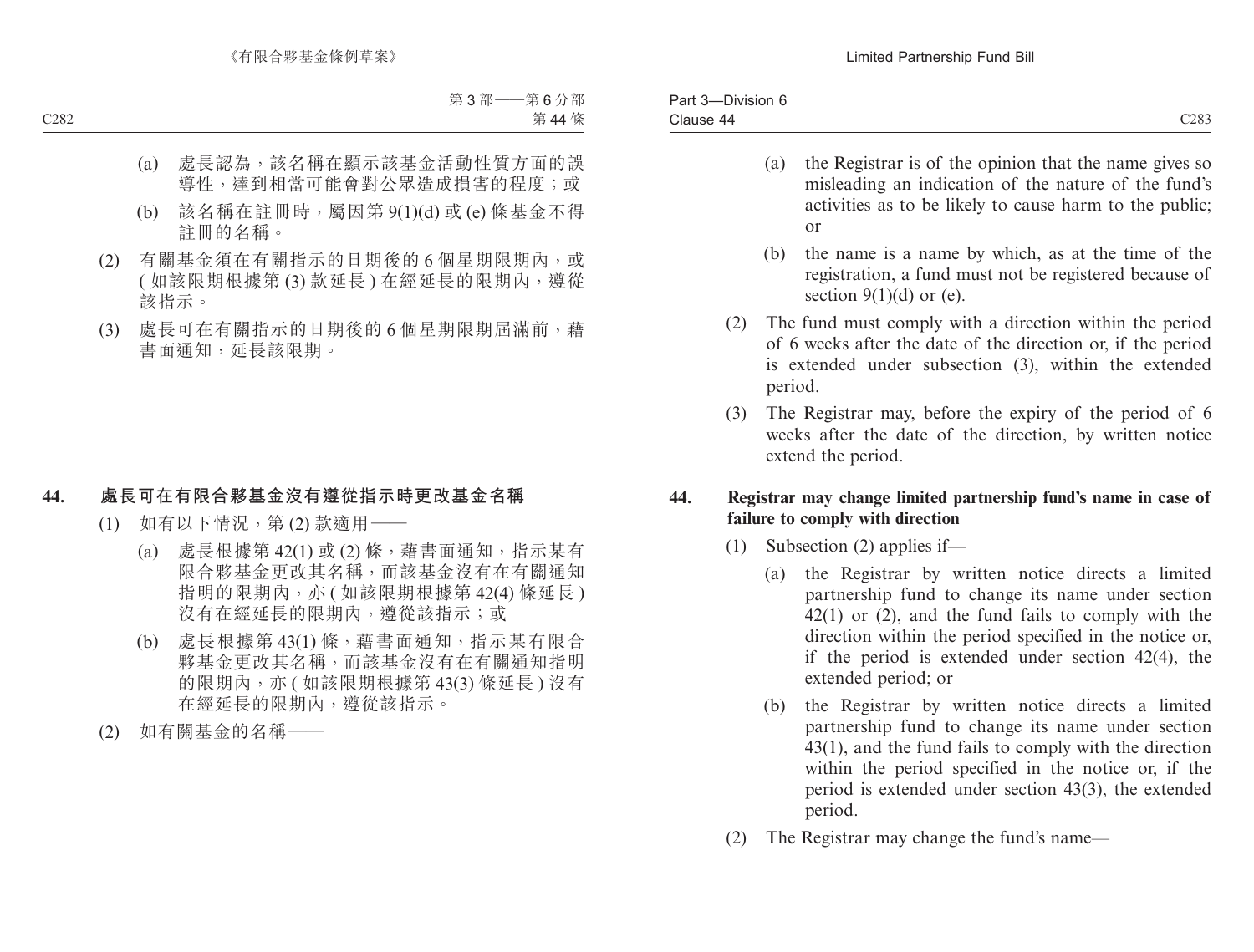- (a) the Registrar is of the opinion that the name gives so misleading an indication of the nature of the fund's activities as to be likely to cause harm to the public; or
- (b) the name is a name by which, as at the time of the registration, a fund must not be registered because of section 9(1)(d) or (e).
- (2) The fund must comply with a direction within the period of 6 weeks after the date of the direction or, if the period is extended under subsection (3), within the extended period.
- (3) The Registrar may, before the expiry of the period of 6 weeks after the date of the direction, by written notice extend the period.

## **44. Registrar may change limited partnership fund's name in case of failure to comply with direction**

- (1) Subsection (2) applies if—
	- (a) the Registrar by written notice directs a limited partnership fund to change its name under section 42(1) or (2), and the fund fails to comply with the direction within the period specified in the notice or, if the period is extended under section 42(4), the extended period; or
	- (b) the Registrar by written notice directs a limited partnership fund to change its name under section 43(1), and the fund fails to comply with the direction within the period specified in the notice or, if the period is extended under section 43(3), the extended period.
- (2) The Registrar may change the fund's name—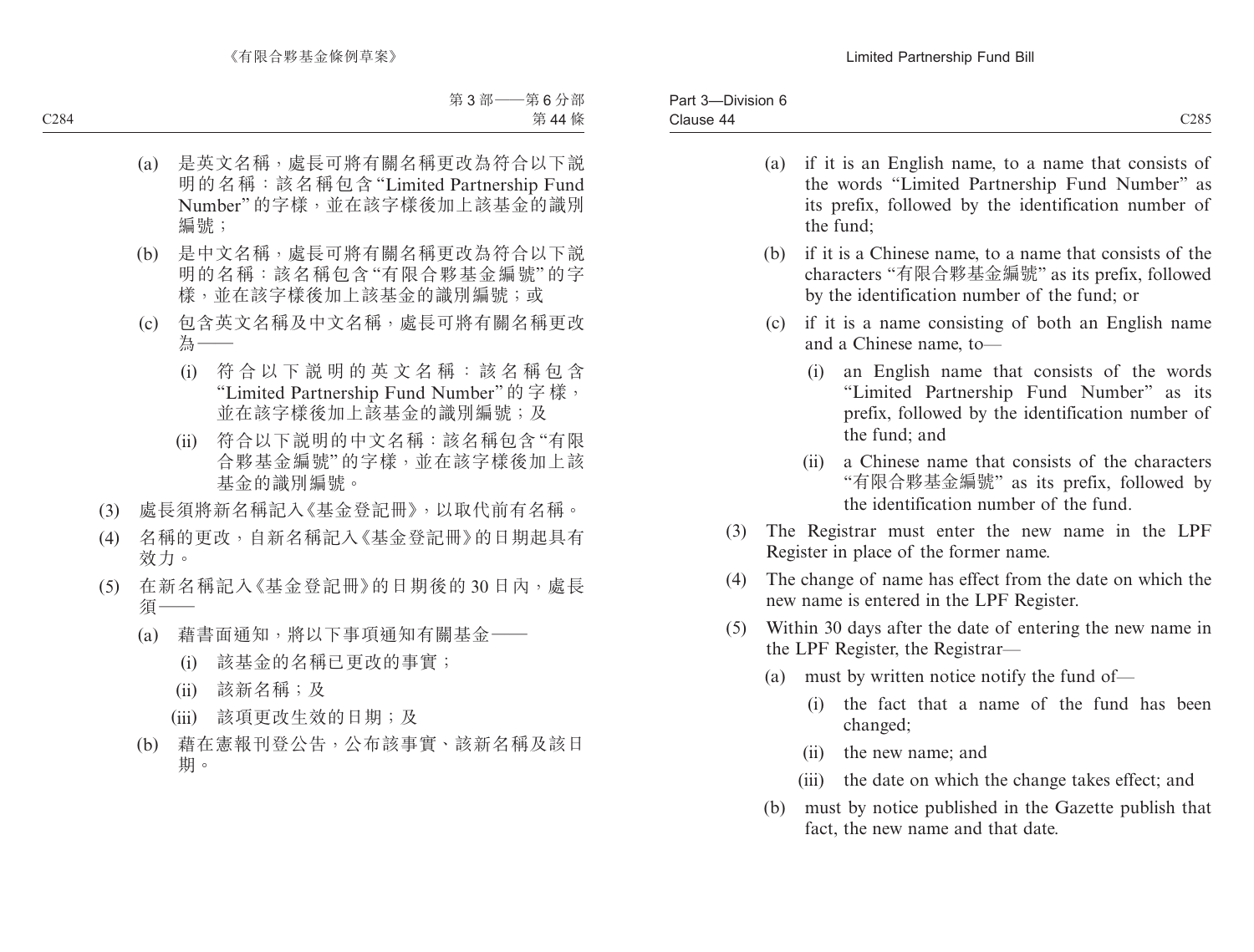- (a) if it is an English name, to a name that consists of the words "Limited Partnership Fund Number" as its prefix, followed by the identification number of the fund;
- (b) if it is a Chinese name, to a name that consists of the characters "有限合夥基金編號" as its prefix, followed by the identification number of the fund; or
- (c) if it is a name consisting of both an English name and a Chinese name, to—
	- (i) an English name that consists of the words "Limited Partnership Fund Number" as its prefix, followed by the identification number of the fund; and
	- (ii) a Chinese name that consists of the characters "有限合夥基金編號" as its prefix, followed by the identification number of the fund.
- (3) The Registrar must enter the new name in the LPF Register in place of the former name.
- (4) The change of name has effect from the date on which the new name is entered in the LPF Register.
- (5) Within 30 days after the date of entering the new name in the LPF Register, the Registrar—
	- (a) must by written notice notify the fund of—
		- (i) the fact that a name of the fund has been changed;
		- (ii) the new name; and
		- (iii) the date on which the change takes effect; and
	- (b) must by notice published in the Gazette publish that fact, the new name and that date.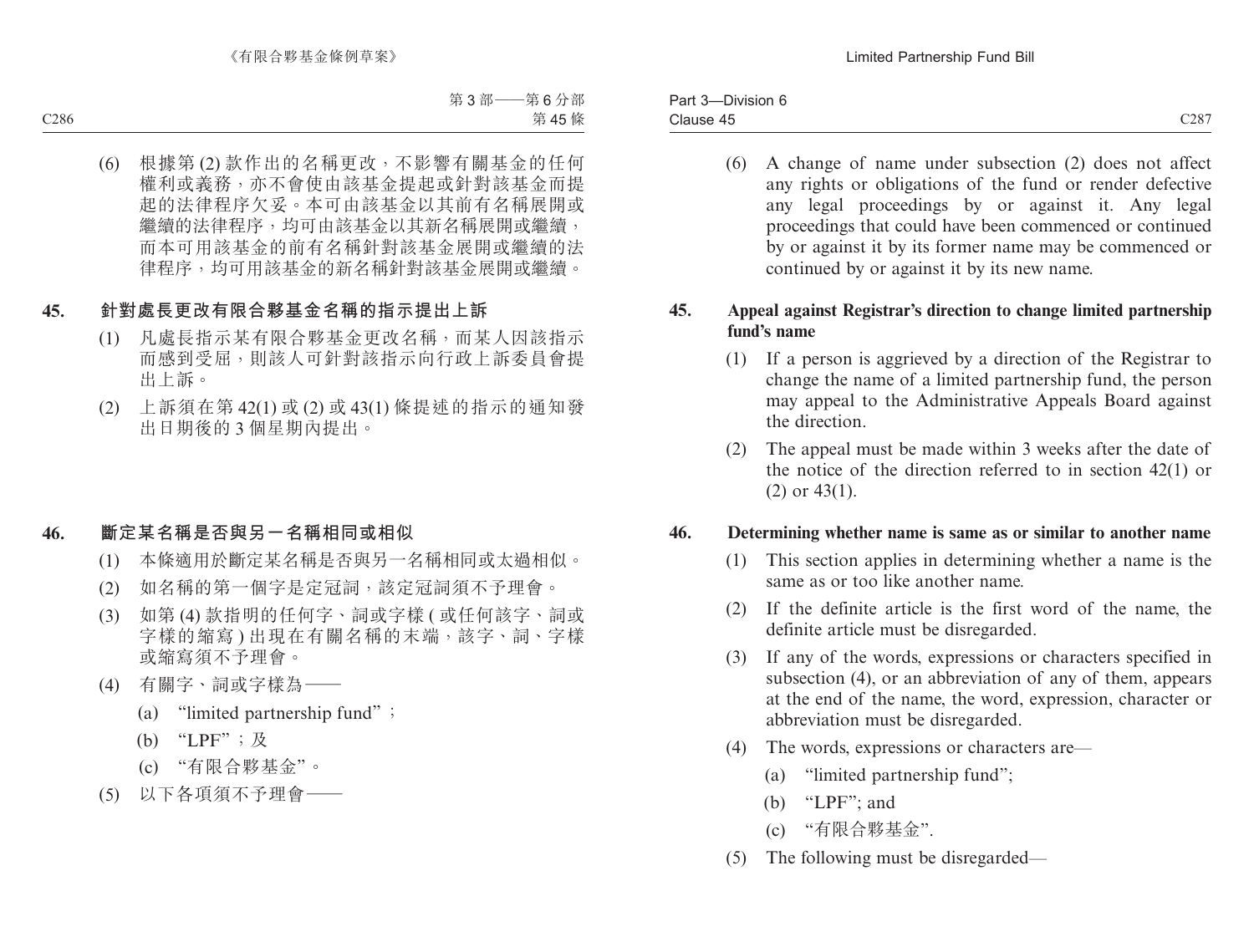(6) A change of name under subsection (2) does not affect any rights or obligations of the fund or render defective any legal proceedings by or against it. Any legal proceedings that could have been commenced or continued by or against it by its former name may be commenced or continued by or against it by its new name.

## **45. Appeal against Registrar's direction to change limited partnership fund's name**

- (1) If a person is aggrieved by a direction of the Registrar to change the name of a limited partnership fund, the person may appeal to the Administrative Appeals Board against the direction.
- (2) The appeal must be made within 3 weeks after the date of the notice of the direction referred to in section 42(1) or (2) or 43(1).

### **46. Determining whether name is same as or similar to another name**

- (1) This section applies in determining whether a name is the same as or too like another name.
- (2) If the definite article is the first word of the name, the definite article must be disregarded.
- (3) If any of the words, expressions or characters specified in subsection (4), or an abbreviation of any of them, appears at the end of the name, the word, expression, character or abbreviation must be disregarded.
- (4) The words, expressions or characters are—
	- (a) "limited partnership fund";
	- (b) "LPF"; and
	- (c) "有限合夥基金".
- (5) The following must be disregarded—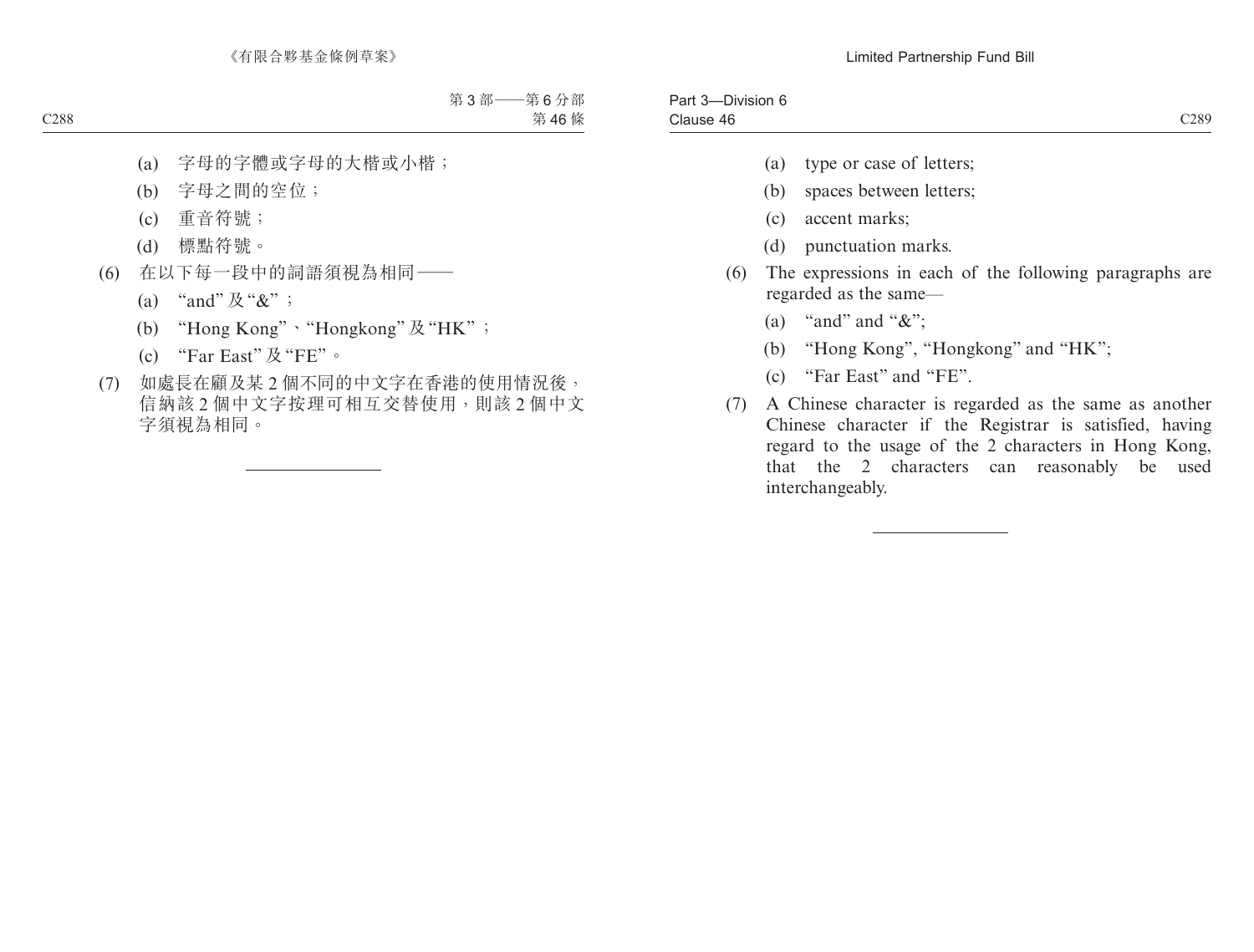| $  -$<br>$\sim$<br>-Division 6<br>Part 3 |               |
|------------------------------------------|---------------|
| ause 46 ا                                | 0.289<br>رە∠ب |

- (a) type or case of letters;
- (b) spaces between letters;
- (c) accent marks;
- (d) punctuation marks.
- (6) The expressions in each of the following paragraphs are regarded as the same—
	- (a) "and" and " $\&$ ";
	- (b) "Hong Kong", "Hongkong" and "HK";
	- (c) "Far East" and "FE".
- (7) A Chinese character is regarded as the same as another Chinese character if the Registrar is satisfied, having regard to the usage of the 2 characters in Hong Kong, that the 2 characters can reasonably be used interchangeably.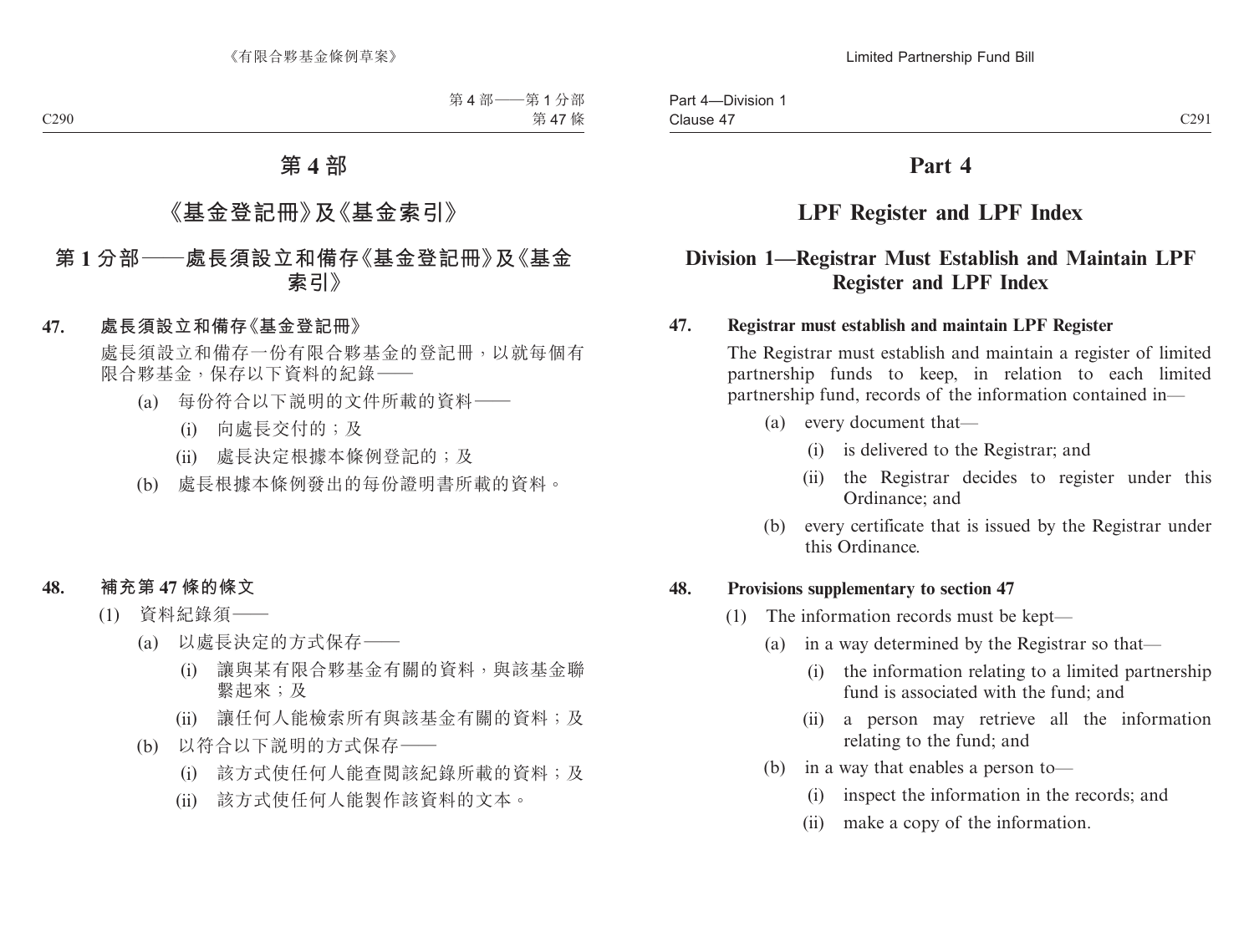# **Part 4**

# **LPF Register and LPF Index**

# **Division 1—Registrar Must Establish and Maintain LPF Register and LPF Index**

### **47. Registrar must establish and maintain LPF Register**

The Registrar must establish and maintain a register of limited partnership funds to keep, in relation to each limited partnership fund, records of the information contained in—

- (a) every document that—
	- (i) is delivered to the Registrar; and
	- (ii) the Registrar decides to register under this Ordinance; and
- (b) every certificate that is issued by the Registrar under this Ordinance.

### **48. Provisions supplementary to section 47**

- (1) The information records must be kept—
	- (a) in a way determined by the Registrar so that—
		- (i) the information relating to a limited partnership fund is associated with the fund; and
		- (ii) a person may retrieve all the information relating to the fund; and
	- (b) in a way that enables a person to—
		- (i) inspect the information in the records; and
		- (ii) make a copy of the information.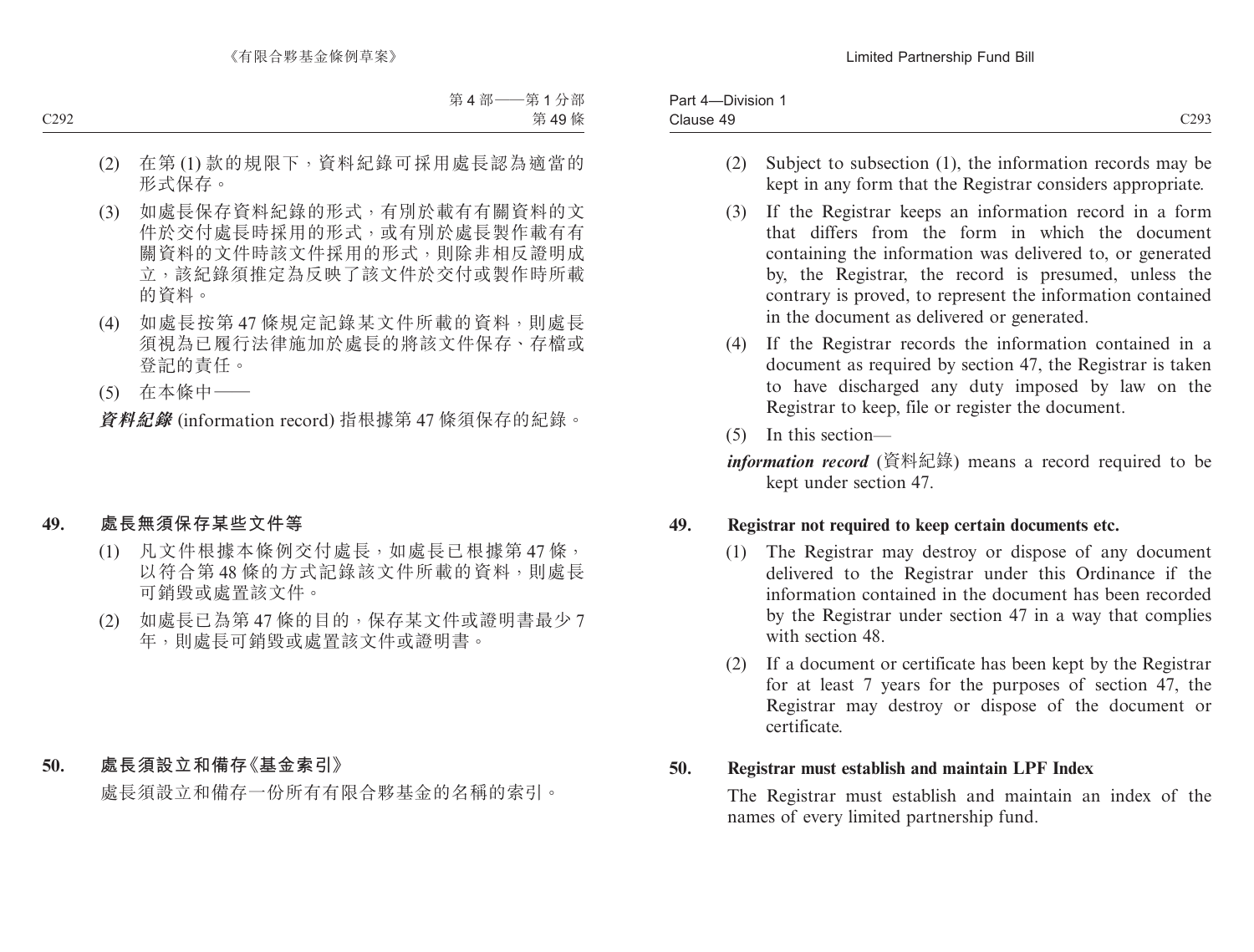| Part 4-<br>-Division            |                |
|---------------------------------|----------------|
| $\sim$<br>Clause<br>. 40<br>. . | C293<br>ر رے ب |

- (2) Subject to subsection (1), the information records may be kept in any form that the Registrar considers appropriate.
- (3) If the Registrar keeps an information record in a form that differs from the form in which the document containing the information was delivered to, or generated by, the Registrar, the record is presumed, unless the contrary is proved, to represent the information contained in the document as delivered or generated.
- (4) If the Registrar records the information contained in a document as required by section 47, the Registrar is taken to have discharged any duty imposed by law on the Registrar to keep, file or register the document.
- (5) In this section—

*information record* (資料紀錄) means a record required to be kept under section 47.

## **49. Registrar not required to keep certain documents etc.**

- (1) The Registrar may destroy or dispose of any document delivered to the Registrar under this Ordinance if the information contained in the document has been recorded by the Registrar under section 47 in a way that complies with section 48.
- (2) If a document or certificate has been kept by the Registrar for at least 7 years for the purposes of section 47, the Registrar may destroy or dispose of the document or certificate.

### **50. Registrar must establish and maintain LPF Index**

The Registrar must establish and maintain an index of the names of every limited partnership fund.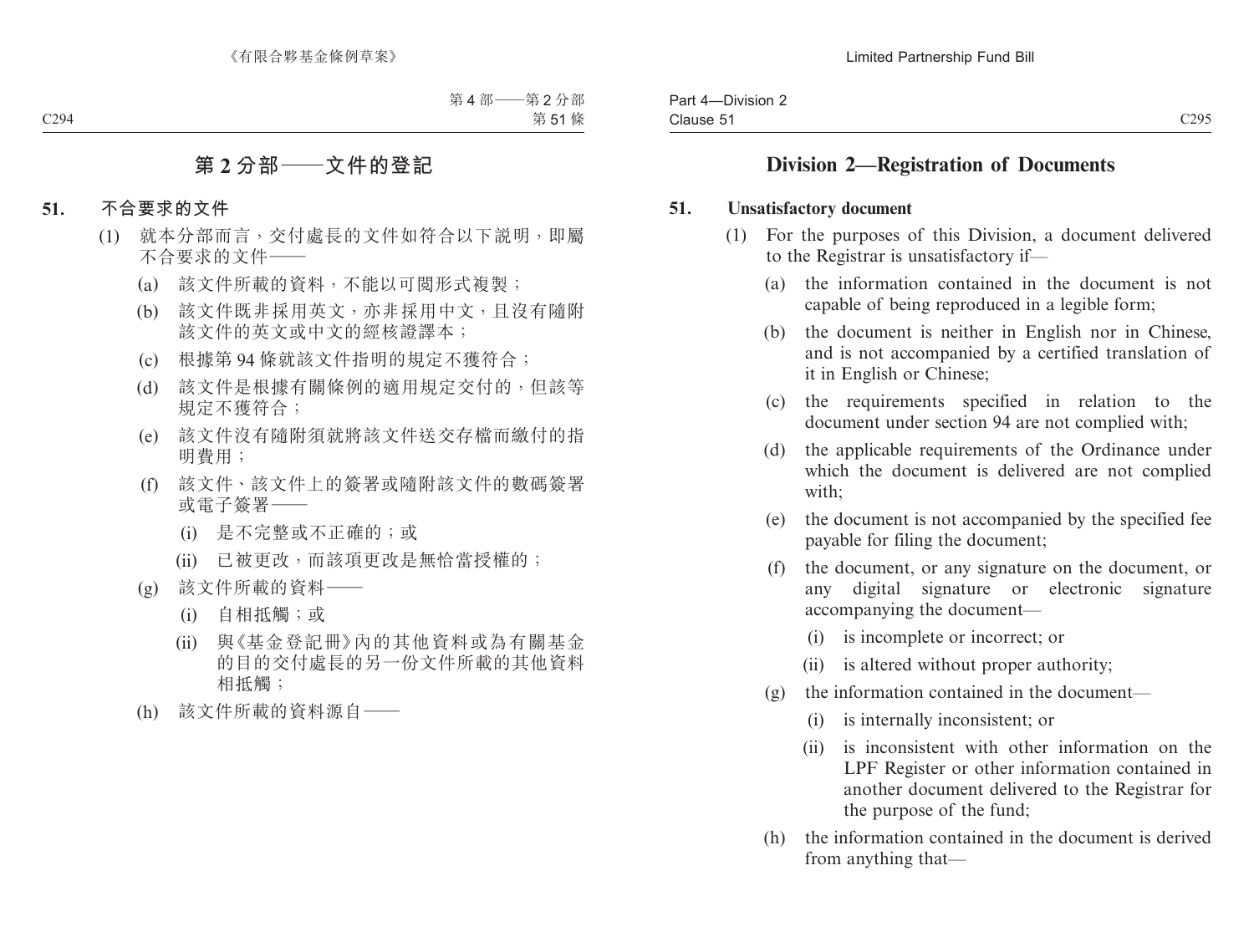# **Division 2—Registration of Documents**

### **51. Unsatisfactory document**

- (1) For the purposes of this Division, a document delivered to the Registrar is unsatisfactory if—
	- (a) the information contained in the document is not capable of being reproduced in a legible form;
	- (b) the document is neither in English nor in Chinese, and is not accompanied by a certified translation of it in English or Chinese;
	- (c) the requirements specified in relation to the document under section 94 are not complied with;
	- (d) the applicable requirements of the Ordinance under which the document is delivered are not complied with;
	- (e) the document is not accompanied by the specified fee payable for filing the document;
	- (f) the document, or any signature on the document, or any digital signature or electronic signature accompanying the document—
		- (i) is incomplete or incorrect; or
		- (ii) is altered without proper authority;
	- (g) the information contained in the document—
		- (i) is internally inconsistent; or
		- (ii) is inconsistent with other information on the LPF Register or other information contained in another document delivered to the Registrar for the purpose of the fund;
	- (h) the information contained in the document is derived from anything that—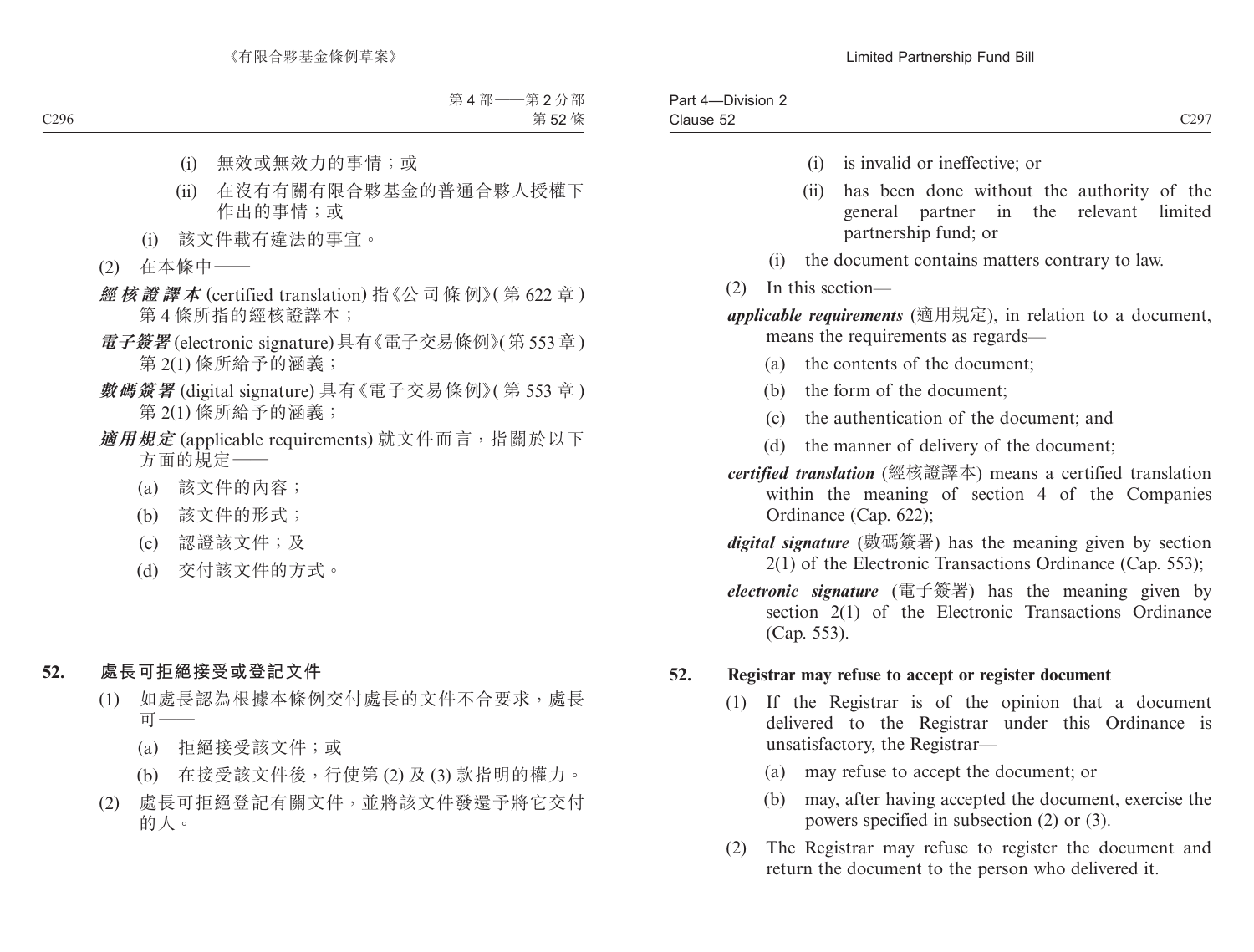- (i) is invalid or ineffective; or
- (ii) has been done without the authority of the general partner in the relevant limited partnership fund; or
- (i) the document contains matters contrary to law.
- (2) In this section—

*applicable requirements* (適用規定), in relation to a document, means the requirements as regards—

- (a) the contents of the document;
- (b) the form of the document;
- (c) the authentication of the document; and
- (d) the manner of delivery of the document;
- *certified translation* (經核證譯本) means a certified translation within the meaning of section 4 of the Companies Ordinance (Cap. 622);
- *digital signature* (數碼簽署) has the meaning given by section 2(1) of the Electronic Transactions Ordinance (Cap. 553);
- *electronic signature* (電子簽署) has the meaning given by section 2(1) of the Electronic Transactions Ordinance (Cap. 553).

### **52. Registrar may refuse to accept or register document**

- (1) If the Registrar is of the opinion that a document delivered to the Registrar under this Ordinance is unsatisfactory, the Registrar—
	- (a) may refuse to accept the document; or
	- (b) may, after having accepted the document, exercise the powers specified in subsection (2) or (3).
- (2) The Registrar may refuse to register the document and return the document to the person who delivered it.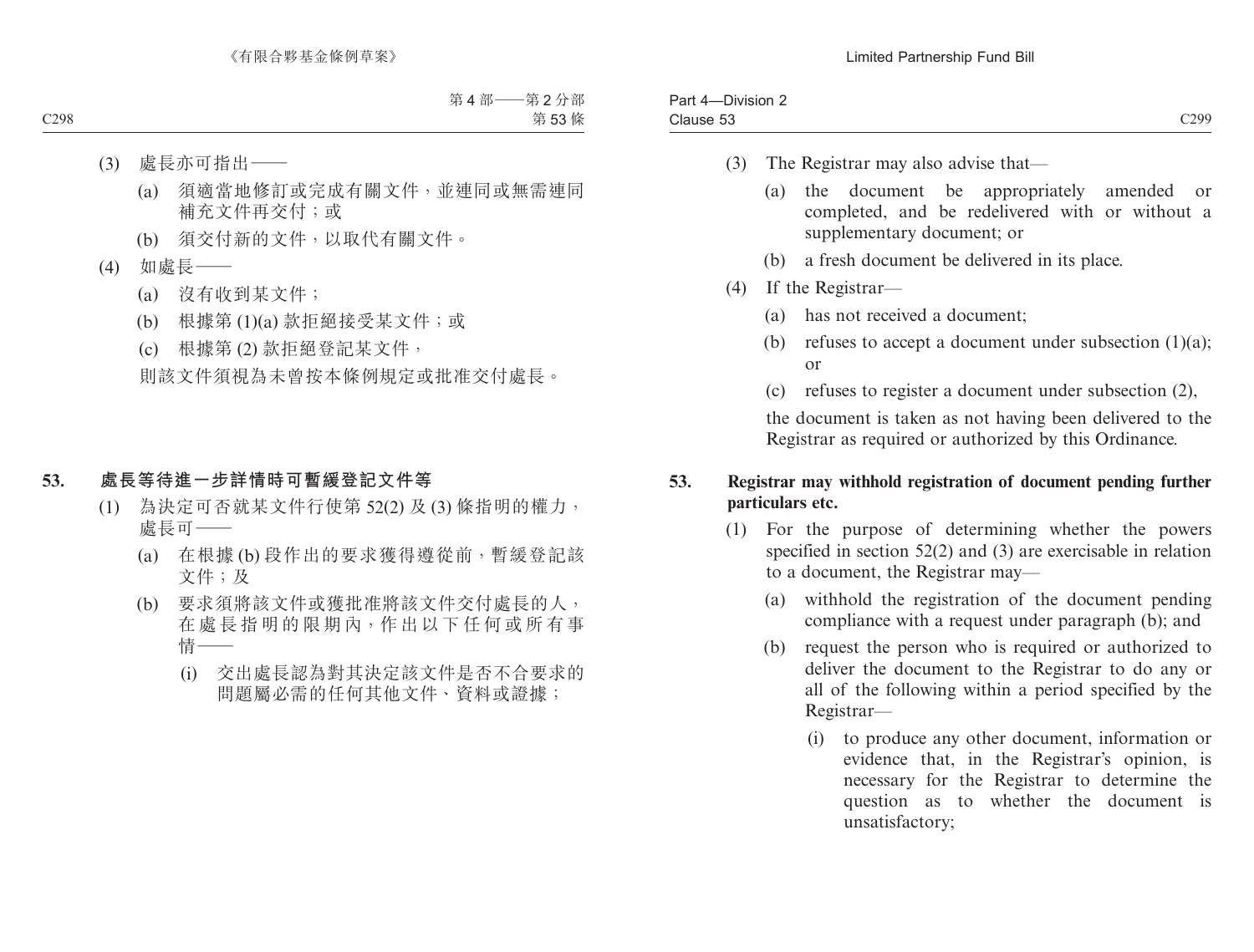| -Division 2<br>-<br>Pan<br><u>д</u> |                  |
|-------------------------------------|------------------|
| Clause 53<br>------ - -             | C <sub>299</sub> |

- (3) The Registrar may also advise that—
	- (a) the document be appropriately amended or completed, and be redelivered with or without a supplementary document; or
	- (b) a fresh document be delivered in its place.
- (4) If the Registrar—
	- (a) has not received a document;
	- (b) refuses to accept a document under subsection  $(1)(a)$ ; or
	- (c) refuses to register a document under subsection (2),

the document is taken as not having been delivered to the Registrar as required or authorized by this Ordinance.

### **53. Registrar may withhold registration of document pending further particulars etc.**

- (1) For the purpose of determining whether the powers specified in section 52(2) and (3) are exercisable in relation to a document, the Registrar may—
	- (a) withhold the registration of the document pending compliance with a request under paragraph (b); and
	- (b) request the person who is required or authorized to deliver the document to the Registrar to do any or all of the following within a period specified by the Registrar—
		- (i) to produce any other document, information or evidence that, in the Registrar's opinion, is necessary for the Registrar to determine the question as to whether the document is unsatisfactory;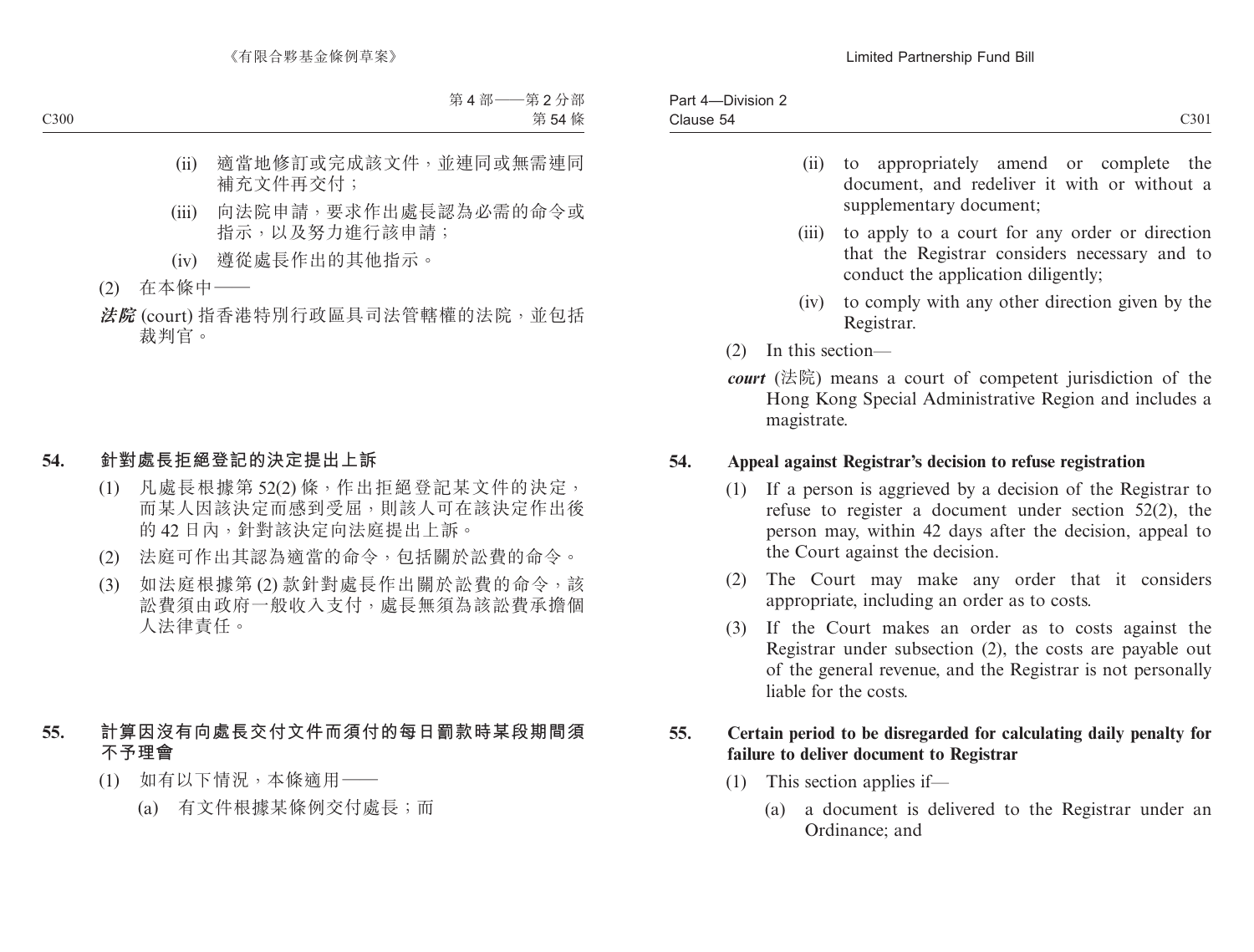- (ii) to appropriately amend or complete the document, and redeliver it with or without a supplementary document;
- (iii) to apply to a court for any order or direction that the Registrar considers necessary and to conduct the application diligently;
- (iv) to comply with any other direction given by the Registrar.
- (2) In this section—
- *court* (法院) means a court of competent jurisdiction of the Hong Kong Special Administrative Region and includes a magistrate.

## **54. Appeal against Registrar's decision to refuse registration**

- (1) If a person is aggrieved by a decision of the Registrar to refuse to register a document under section 52(2), the person may, within 42 days after the decision, appeal to the Court against the decision.
- (2) The Court may make any order that it considers appropriate, including an order as to costs.
- (3) If the Court makes an order as to costs against the Registrar under subsection (2), the costs are payable out of the general revenue, and the Registrar is not personally liable for the costs.

## **55. Certain period to be disregarded for calculating daily penalty for failure to deliver document to Registrar**

- (1) This section applies if—
	- (a) a document is delivered to the Registrar under an Ordinance; and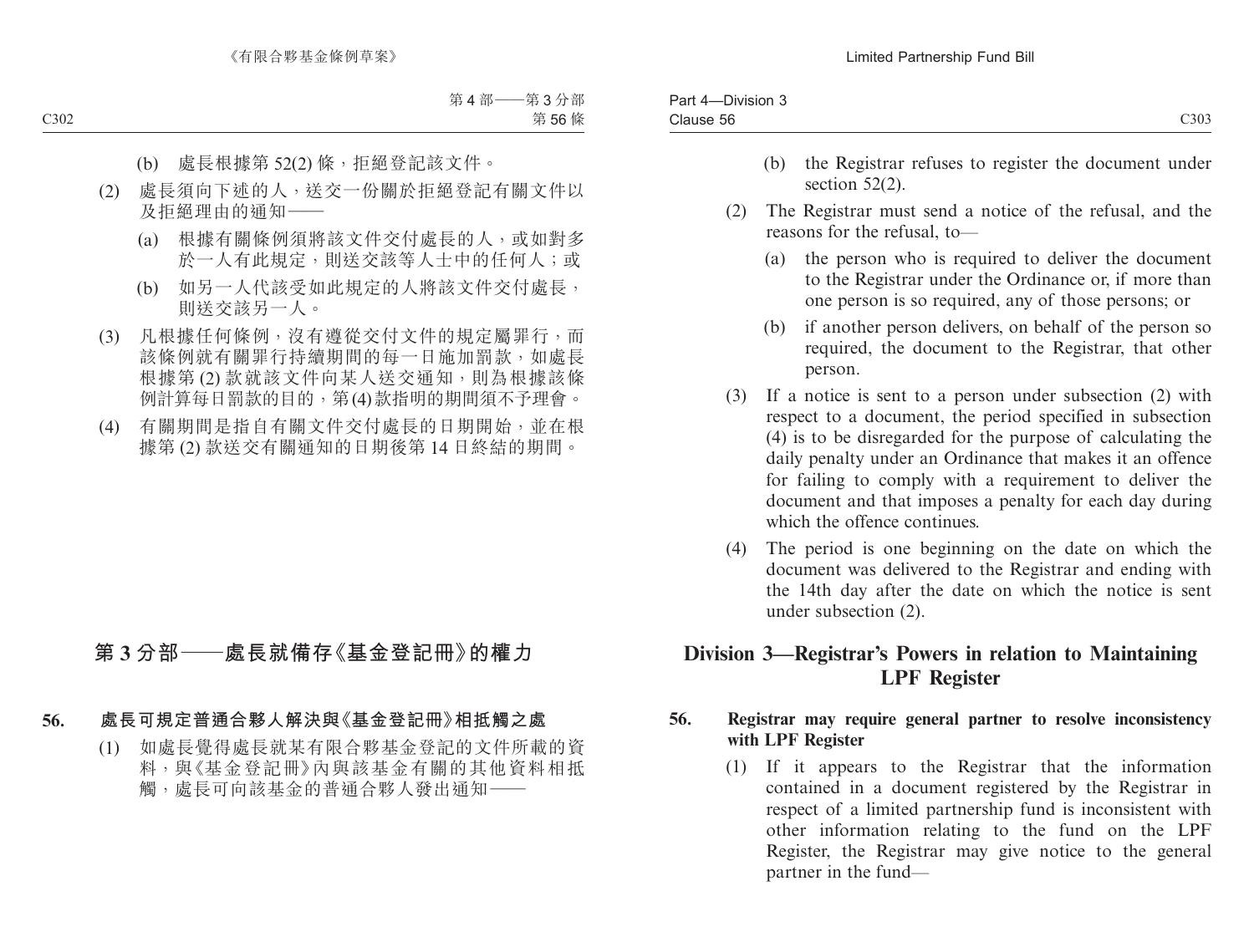| $ -$<br>-Division 3<br>3 <sub>cm</sub><br>ᅩ<br>∽art |                |
|-----------------------------------------------------|----------------|
| Clause 56                                           | C303<br>$\sim$ |
|                                                     |                |

- (b) the Registrar refuses to register the document under section 52(2).
- (2) The Registrar must send a notice of the refusal, and the reasons for the refusal, to—
	- (a) the person who is required to deliver the document to the Registrar under the Ordinance or, if more than one person is so required, any of those persons; or
	- (b) if another person delivers, on behalf of the person so required, the document to the Registrar, that other person.
- (3) If a notice is sent to a person under subsection (2) with respect to a document, the period specified in subsection (4) is to be disregarded for the purpose of calculating the daily penalty under an Ordinance that makes it an offence for failing to comply with a requirement to deliver the document and that imposes a penalty for each day during which the offence continues.
- (4) The period is one beginning on the date on which the document was delivered to the Registrar and ending with the 14th day after the date on which the notice is sent under subsection (2).

# **Division 3—Registrar's Powers in relation to Maintaining LPF Register**

## **56. Registrar may require general partner to resolve inconsistency with LPF Register**

(1) If it appears to the Registrar that the information contained in a document registered by the Registrar in respect of a limited partnership fund is inconsistent with other information relating to the fund on the LPF Register, the Registrar may give notice to the general partner in the fund—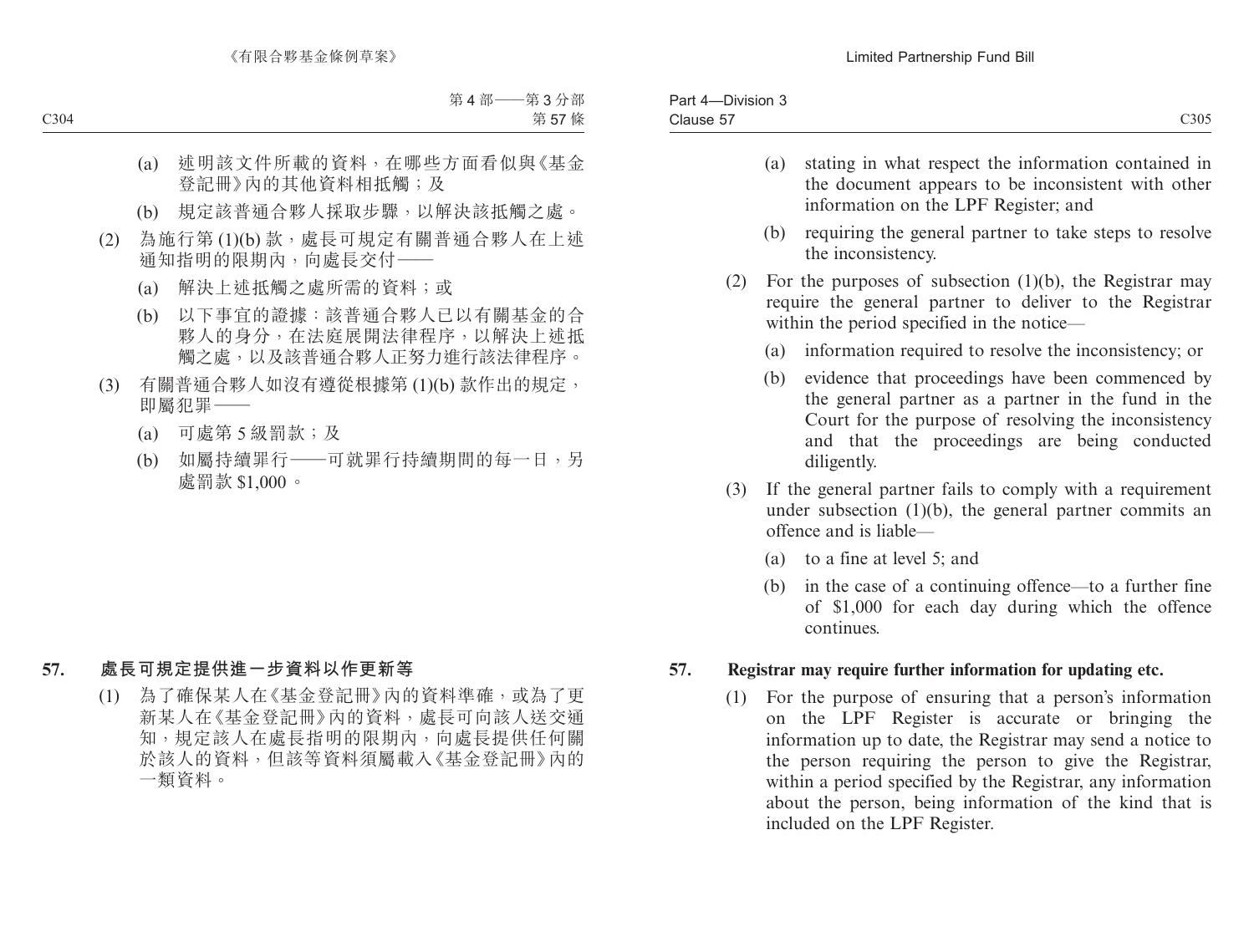| Par<br>Division-<br>. . |      |
|-------------------------|------|
| $ -$<br>Clause 57       | C305 |

- (a) stating in what respect the information contained in the document appears to be inconsistent with other information on the LPF Register; and
- (b) requiring the general partner to take steps to resolve the inconsistency.
- (2) For the purposes of subsection (1)(b), the Registrar may require the general partner to deliver to the Registrar within the period specified in the notice—
	- (a) information required to resolve the inconsistency; or
	- (b) evidence that proceedings have been commenced by the general partner as a partner in the fund in the Court for the purpose of resolving the inconsistency and that the proceedings are being conducted diligently.
- (3) If the general partner fails to comply with a requirement under subsection  $(1)(b)$ , the general partner commits an offence and is liable—
	- (a) to a fine at level 5; and
	- (b) in the case of a continuing offence—to a further fine of \$1,000 for each day during which the offence continues.

### **57. Registrar may require further information for updating etc.**

(1) For the purpose of ensuring that a person's information on the LPF Register is accurate or bringing the information up to date, the Registrar may send a notice to the person requiring the person to give the Registrar, within a period specified by the Registrar, any information about the person, being information of the kind that is included on the LPF Register.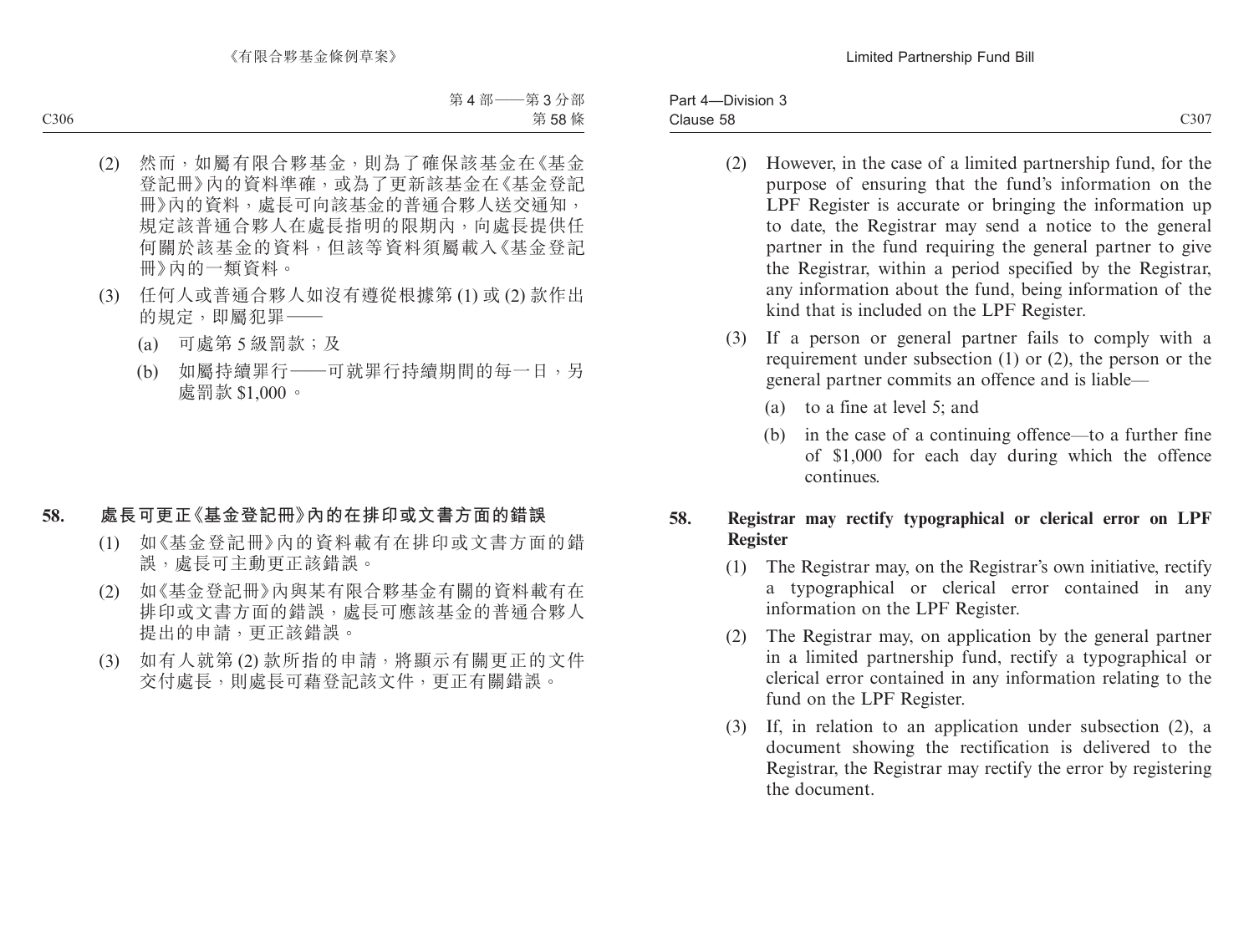Part 4—Division 3 Clause 58  $\alpha$  Clause 58 C307

- (2) However, in the case of a limited partnership fund, for the purpose of ensuring that the fund's information on the LPF Register is accurate or bringing the information up to date, the Registrar may send a notice to the general partner in the fund requiring the general partner to give the Registrar, within a period specified by the Registrar, any information about the fund, being information of the kind that is included on the LPF Register.
- (3) If a person or general partner fails to comply with a requirement under subsection (1) or (2), the person or the general partner commits an offence and is liable—
	- (a) to a fine at level 5; and
	- (b) in the case of a continuing offence—to a further fine of \$1,000 for each day during which the offence continues.

## **58. Registrar may rectify typographical or clerical error on LPF Register**

- (1) The Registrar may, on the Registrar's own initiative, rectify a typographical or clerical error contained in any information on the LPF Register.
- (2) The Registrar may, on application by the general partner in a limited partnership fund, rectify a typographical or clerical error contained in any information relating to the fund on the LPF Register.
- (3) If, in relation to an application under subsection (2), a document showing the rectification is delivered to the Registrar, the Registrar may rectify the error by registering the document.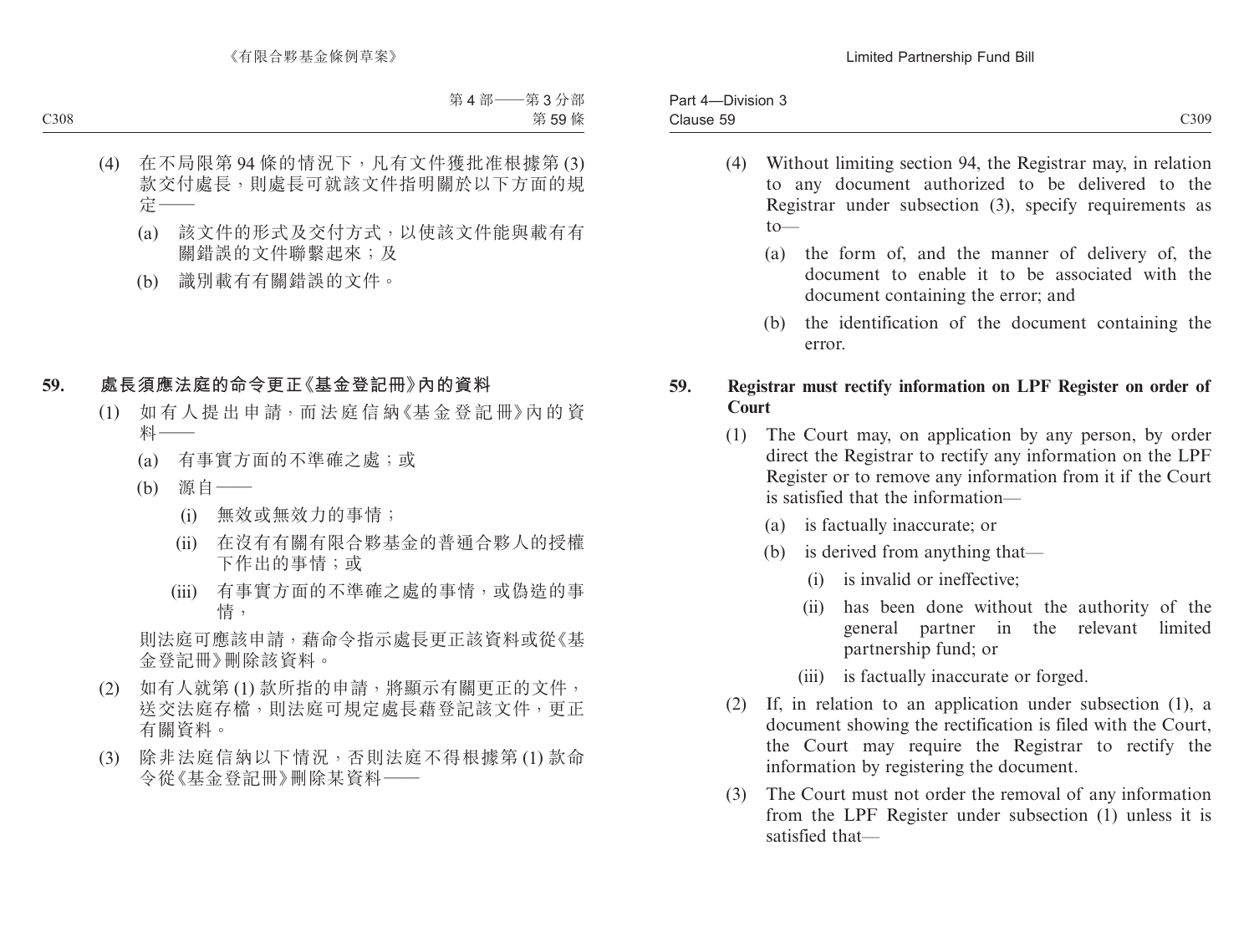| C309<br>- -<br>Clause 59<br>- | റപ<br><b>DIVISION</b><br>dΙ<br>. . |  |
|-------------------------------|------------------------------------|--|
|                               |                                    |  |

- (4) Without limiting section 94, the Registrar may, in relation to any document authorized to be delivered to the Registrar under subsection (3), specify requirements as  $to$ —
	- (a) the form of, and the manner of delivery of, the document to enable it to be associated with the document containing the error; and
	- (b) the identification of the document containing the error.

## **59. Registrar must rectify information on LPF Register on order of Court**

- (1) The Court may, on application by any person, by order direct the Registrar to rectify any information on the LPF Register or to remove any information from it if the Court is satisfied that the information—
	- (a) is factually inaccurate; or
	- (b) is derived from anything that—
		- (i) is invalid or ineffective;
		- (ii) has been done without the authority of the general partner in the relevant limited partnership fund; or
		- (iii) is factually inaccurate or forged.
- (2) If, in relation to an application under subsection (1), a document showing the rectification is filed with the Court, the Court may require the Registrar to rectify the information by registering the document.
- (3) The Court must not order the removal of any information from the LPF Register under subsection (1) unless it is satisfied that—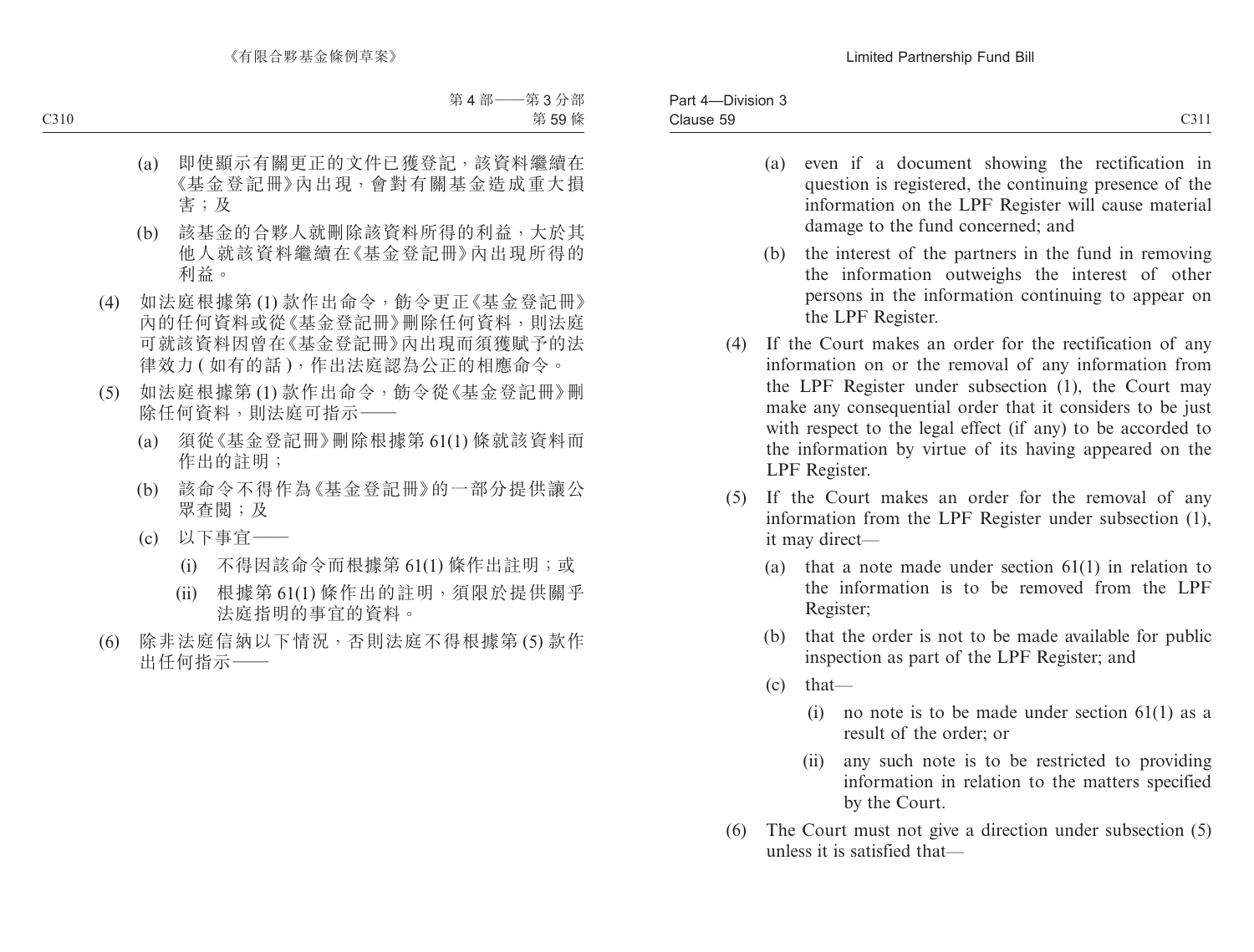- (a) even if a document showing the rectification in question is registered, the continuing presence of the information on the LPF Register will cause material damage to the fund concerned; and
- (b) the interest of the partners in the fund in removing the information outweighs the interest of other persons in the information continuing to appear on the LPF Register.
- (4) If the Court makes an order for the rectification of any information on or the removal of any information from the LPF Register under subsection (1), the Court may make any consequential order that it considers to be just with respect to the legal effect (if any) to be accorded to the information by virtue of its having appeared on the LPF Register.
- (5) If the Court makes an order for the removal of any information from the LPF Register under subsection (1), it may direct—
	- (a) that a note made under section 61(1) in relation to the information is to be removed from the LPF Register;
	- (b) that the order is not to be made available for public inspection as part of the LPF Register; and
	- (c) that—
		- (i) no note is to be made under section  $61(1)$  as a result of the order; or
		- (ii) any such note is to be restricted to providing information in relation to the matters specified by the Court.
- (6) The Court must not give a direction under subsection (5) unless it is satisfied that—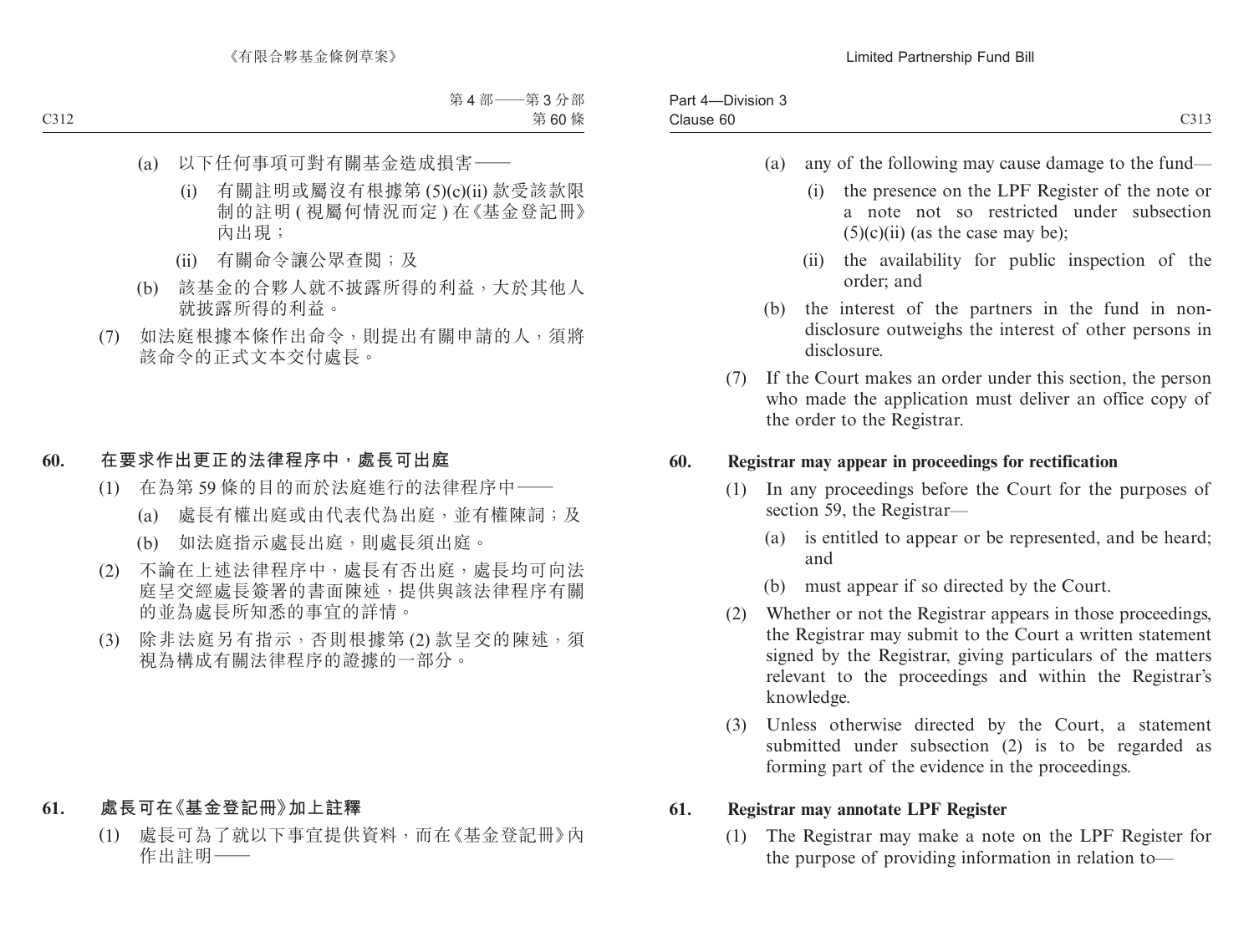| $- \cdot \cdot \cdot$<br>$\sim$<br>Part<br>-Division 3<br>-4 |                                       |
|--------------------------------------------------------------|---------------------------------------|
| $\sim$<br>Clause 60                                          | 0.222<br>$\rightarrow$<br><u>UJIJ</u> |

- (a) any of the following may cause damage to the fund—
	- (i) the presence on the LPF Register of the note or a note not so restricted under subsection  $(5)(c)(ii)$  (as the case may be):
	- (ii) the availability for public inspection of the order; and
- (b) the interest of the partners in the fund in nondisclosure outweighs the interest of other persons in disclosure.
- (7) If the Court makes an order under this section, the person who made the application must deliver an office copy of the order to the Registrar.

### **60. Registrar may appear in proceedings for rectification**

- (1) In any proceedings before the Court for the purposes of section 59, the Registrar—
	- (a) is entitled to appear or be represented, and be heard; and
	- (b) must appear if so directed by the Court.
- (2) Whether or not the Registrar appears in those proceedings, the Registrar may submit to the Court a written statement signed by the Registrar, giving particulars of the matters relevant to the proceedings and within the Registrar's knowledge.
- (3) Unless otherwise directed by the Court, a statement submitted under subsection (2) is to be regarded as forming part of the evidence in the proceedings.

### **61. Registrar may annotate LPF Register**

(1) The Registrar may make a note on the LPF Register for the purpose of providing information in relation to—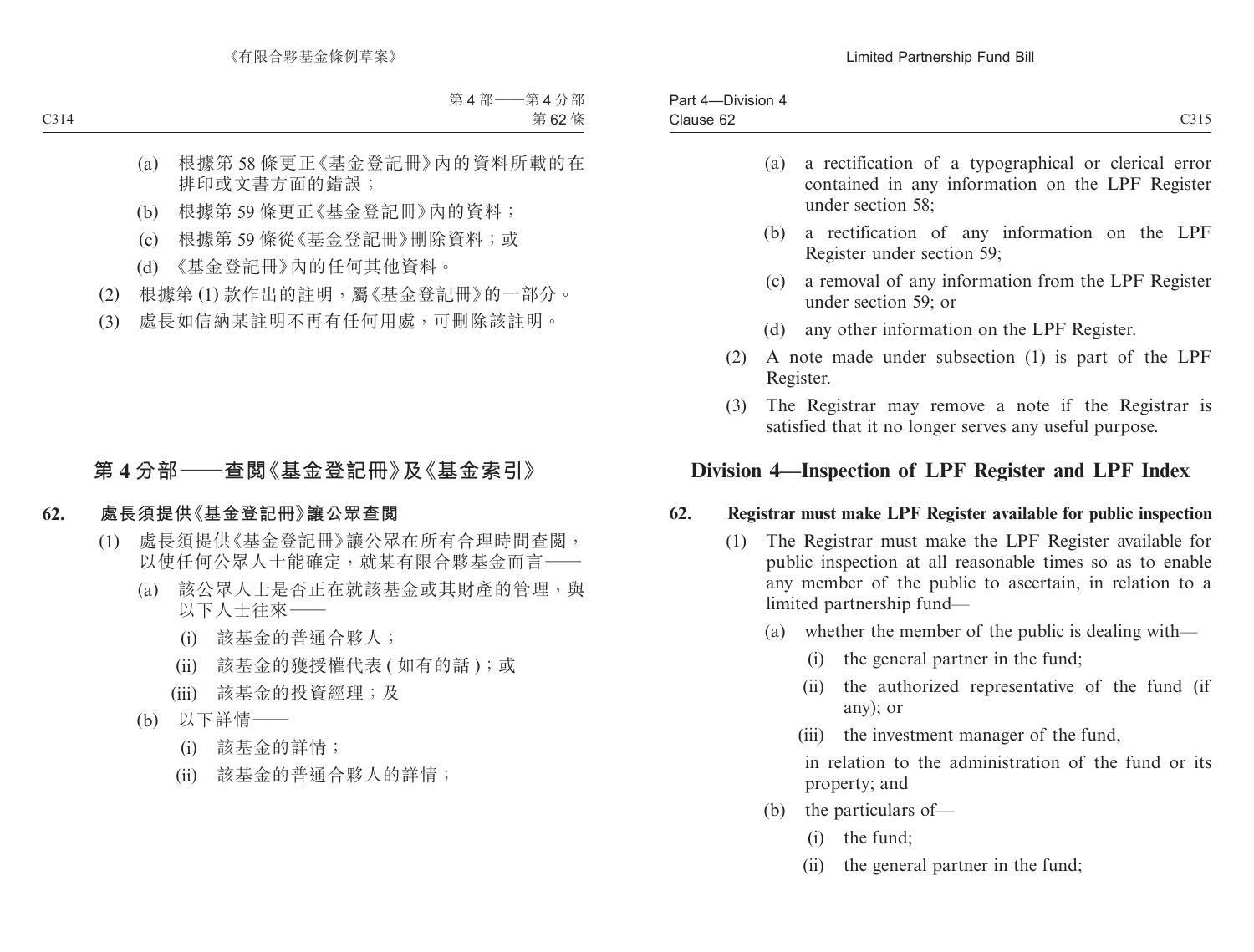| -Division 4<br>Part 4–<br>---- |      |
|--------------------------------|------|
| Clause 62                      | C315 |

- (a) a rectification of a typographical or clerical error contained in any information on the LPF Register under section 58;
- (b) a rectification of any information on the LPF Register under section 59;
- (c) a removal of any information from the LPF Register under section 59; or
- (d) any other information on the LPF Register.
- (2) A note made under subsection (1) is part of the LPF Register.
- (3) The Registrar may remove a note if the Registrar is satisfied that it no longer serves any useful purpose.

# **Division 4—Inspection of LPF Register and LPF Index**

### **62. Registrar must make LPF Register available for public inspection**

- (1) The Registrar must make the LPF Register available for public inspection at all reasonable times so as to enable any member of the public to ascertain, in relation to a limited partnership fund—
	- (a) whether the member of the public is dealing with—
		- (i) the general partner in the fund;
		- (ii) the authorized representative of the fund (if any); or
		- (iii) the investment manager of the fund,

in relation to the administration of the fund or its property; and

- (b) the particulars of—
	- (i) the fund;
	- (ii) the general partner in the fund;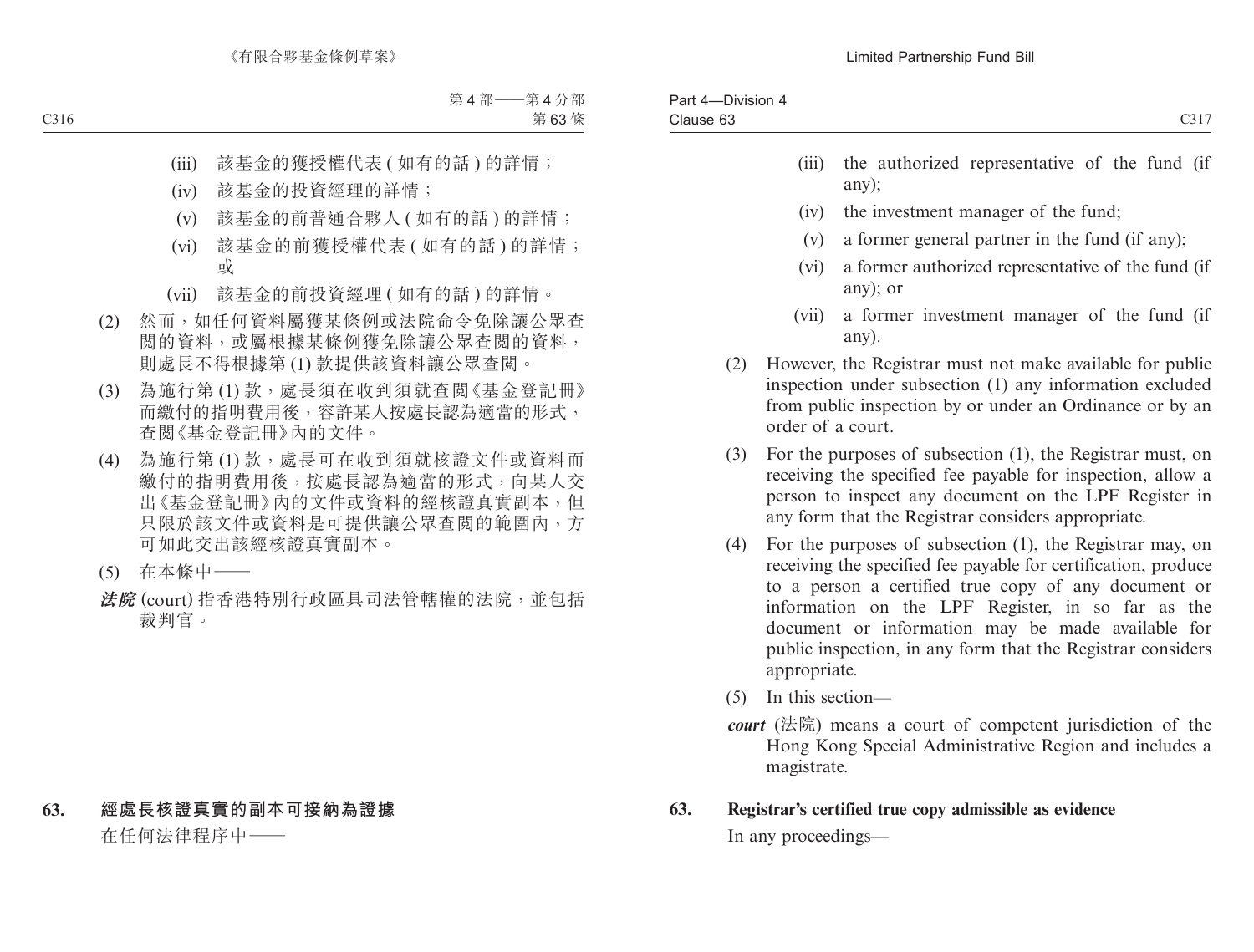- any);
- (iv) the investment manager of the fund;
- (v) a former general partner in the fund (if any);
- (vi) a former authorized representative of the fund (if any); or
- (vii) a former investment manager of the fund (if any).
- (2) However, the Registrar must not make available for public inspection under subsection (1) any information excluded from public inspection by or under an Ordinance or by an order of a court.
- (3) For the purposes of subsection (1), the Registrar must, on receiving the specified fee payable for inspection, allow a person to inspect any document on the LPF Register in any form that the Registrar considers appropriate.
- (4) For the purposes of subsection (1), the Registrar may, on receiving the specified fee payable for certification, produce to a person a certified true copy of any document or information on the LPF Register, in so far as the document or information may be made available for public inspection, in any form that the Registrar considers appropriate.
- (5) In this section—
- *court* (法院) means a court of competent jurisdiction of the Hong Kong Special Administrative Region and includes a magistrate.

## **63. Registrar's certified true copy admissible as evidence**

In any proceedings—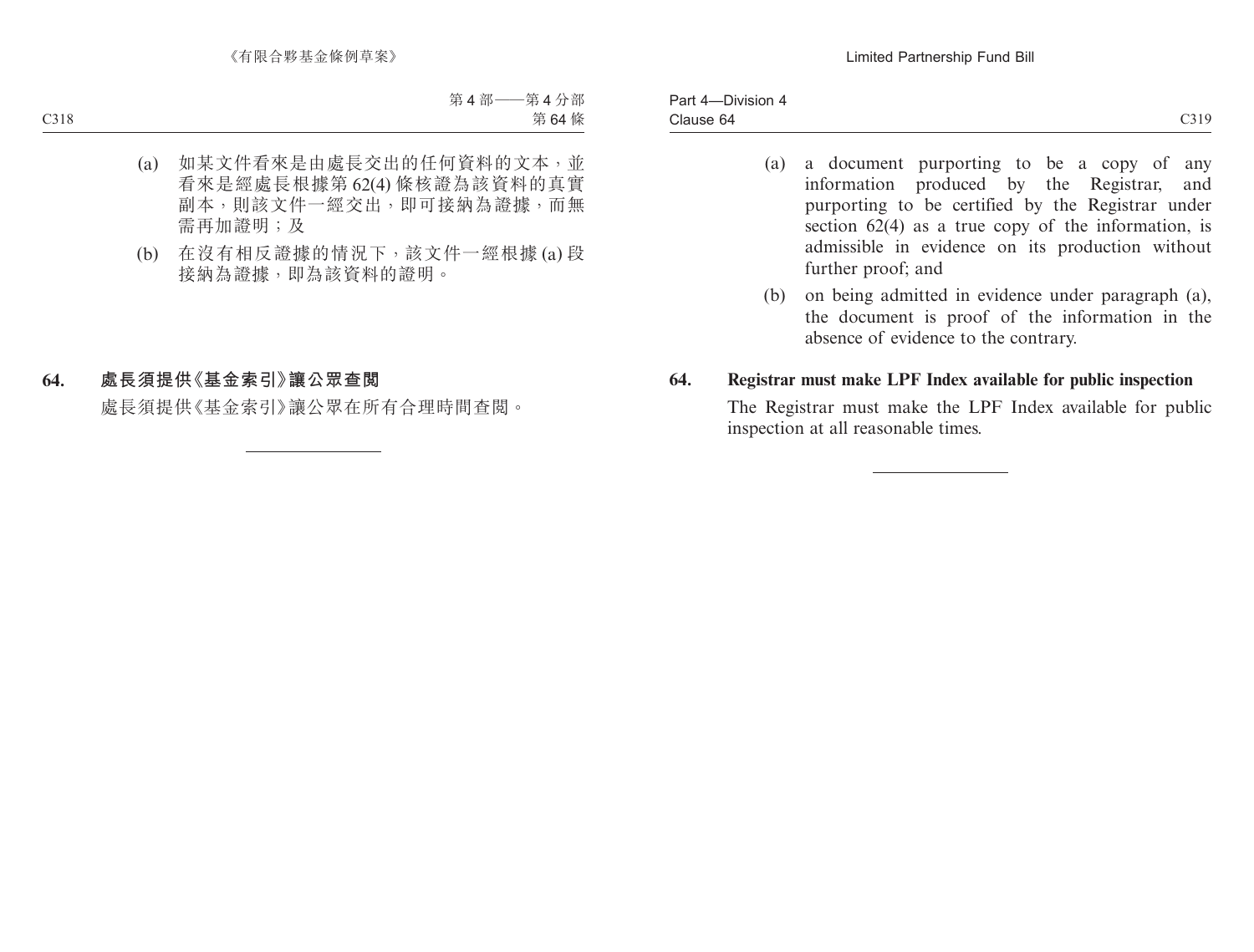- (a) a document purporting to be a copy of any information produced by the Registrar, and purporting to be certified by the Registrar under section 62(4) as a true copy of the information, is admissible in evidence on its production without further proof; and
- (b) on being admitted in evidence under paragraph (a), the document is proof of the information in the absence of evidence to the contrary.

#### **64. Registrar must make LPF Index available for public inspection**

The Registrar must make the LPF Index available for public inspection at all reasonable times.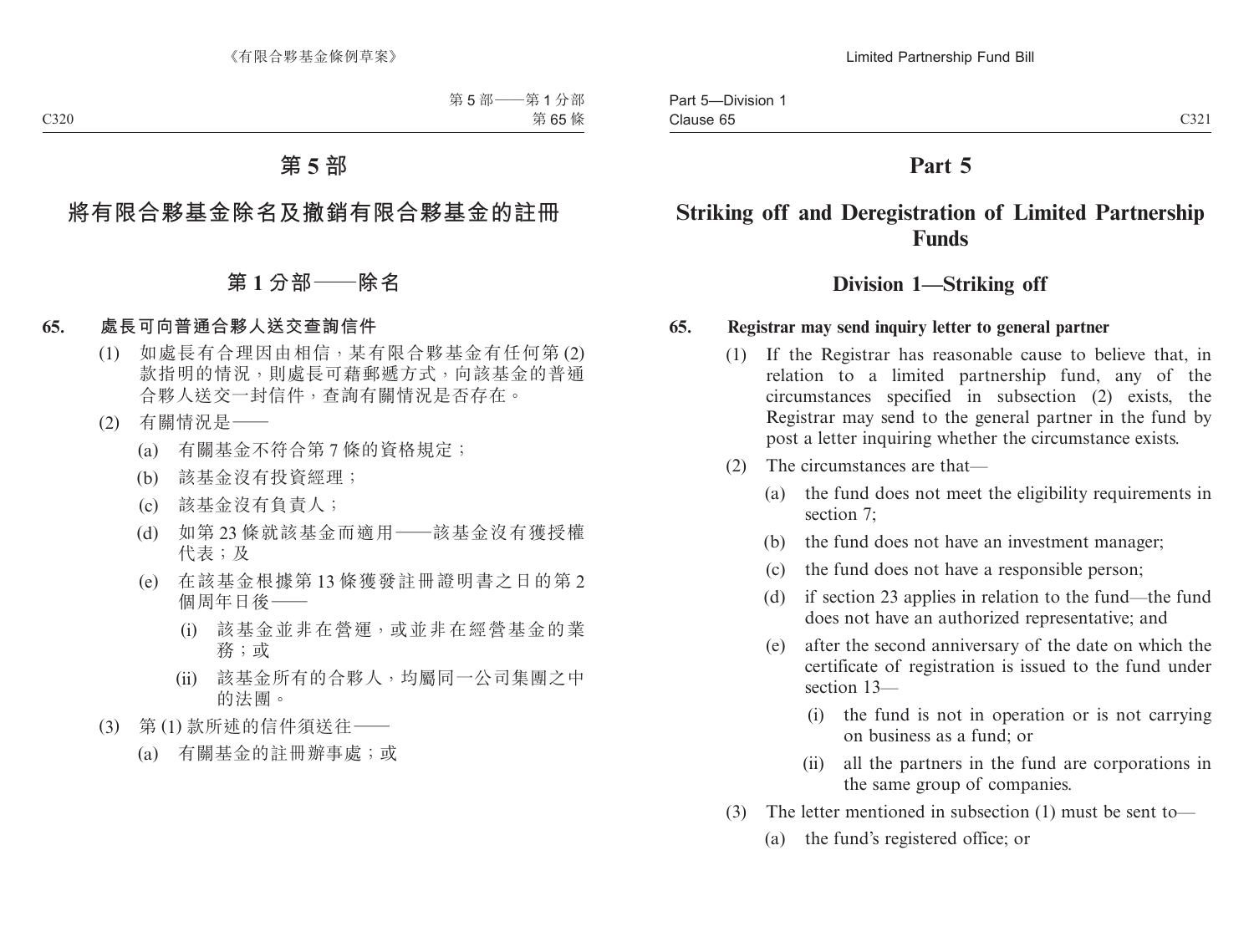# **Part 5**

# **Striking off and Deregistration of Limited Partnership Funds**

## **Division 1—Striking off**

#### **65. Registrar may send inquiry letter to general partner**

- (1) If the Registrar has reasonable cause to believe that, in relation to a limited partnership fund, any of the circumstances specified in subsection (2) exists, the Registrar may send to the general partner in the fund by post a letter inquiring whether the circumstance exists.
- (2) The circumstances are that—
	- (a) the fund does not meet the eligibility requirements in section 7;
	- (b) the fund does not have an investment manager;
	- (c) the fund does not have a responsible person;
	- (d) if section 23 applies in relation to the fund—the fund does not have an authorized representative; and
	- (e) after the second anniversary of the date on which the certificate of registration is issued to the fund under section 13—
		- (i) the fund is not in operation or is not carrying on business as a fund; or
		- (ii) all the partners in the fund are corporations in the same group of companies.
- (3) The letter mentioned in subsection (1) must be sent to—
	- (a) the fund's registered office; or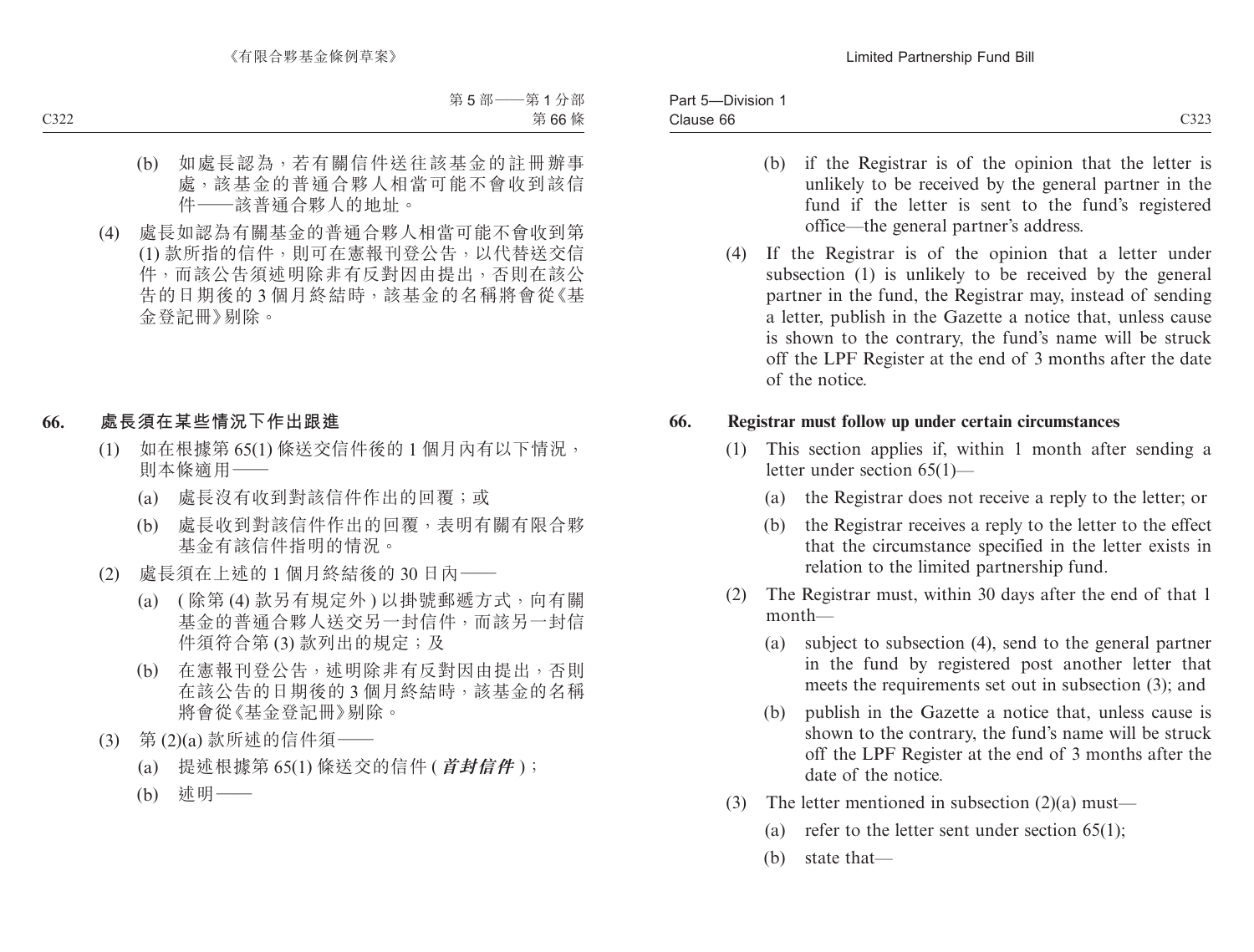- (b) if the Registrar is of the opinion that the letter is unlikely to be received by the general partner in the fund if the letter is sent to the fund's registered office—the general partner's address.
- (4) If the Registrar is of the opinion that a letter under subsection (1) is unlikely to be received by the general partner in the fund, the Registrar may, instead of sending a letter, publish in the Gazette a notice that, unless cause is shown to the contrary, the fund's name will be struck off the LPF Register at the end of 3 months after the date of the notice.

#### **66. Registrar must follow up under certain circumstances**

- (1) This section applies if, within 1 month after sending a letter under section 65(1)—
	- (a) the Registrar does not receive a reply to the letter; or
	- (b) the Registrar receives a reply to the letter to the effect that the circumstance specified in the letter exists in relation to the limited partnership fund.
- (2) The Registrar must, within 30 days after the end of that 1 month—
	- (a) subject to subsection (4), send to the general partner in the fund by registered post another letter that meets the requirements set out in subsection (3); and
	- (b) publish in the Gazette a notice that, unless cause is shown to the contrary, the fund's name will be struck off the LPF Register at the end of 3 months after the date of the notice.
- (3) The letter mentioned in subsection (2)(a) must—
	- (a) refer to the letter sent under section 65(1);
	- (b) state that—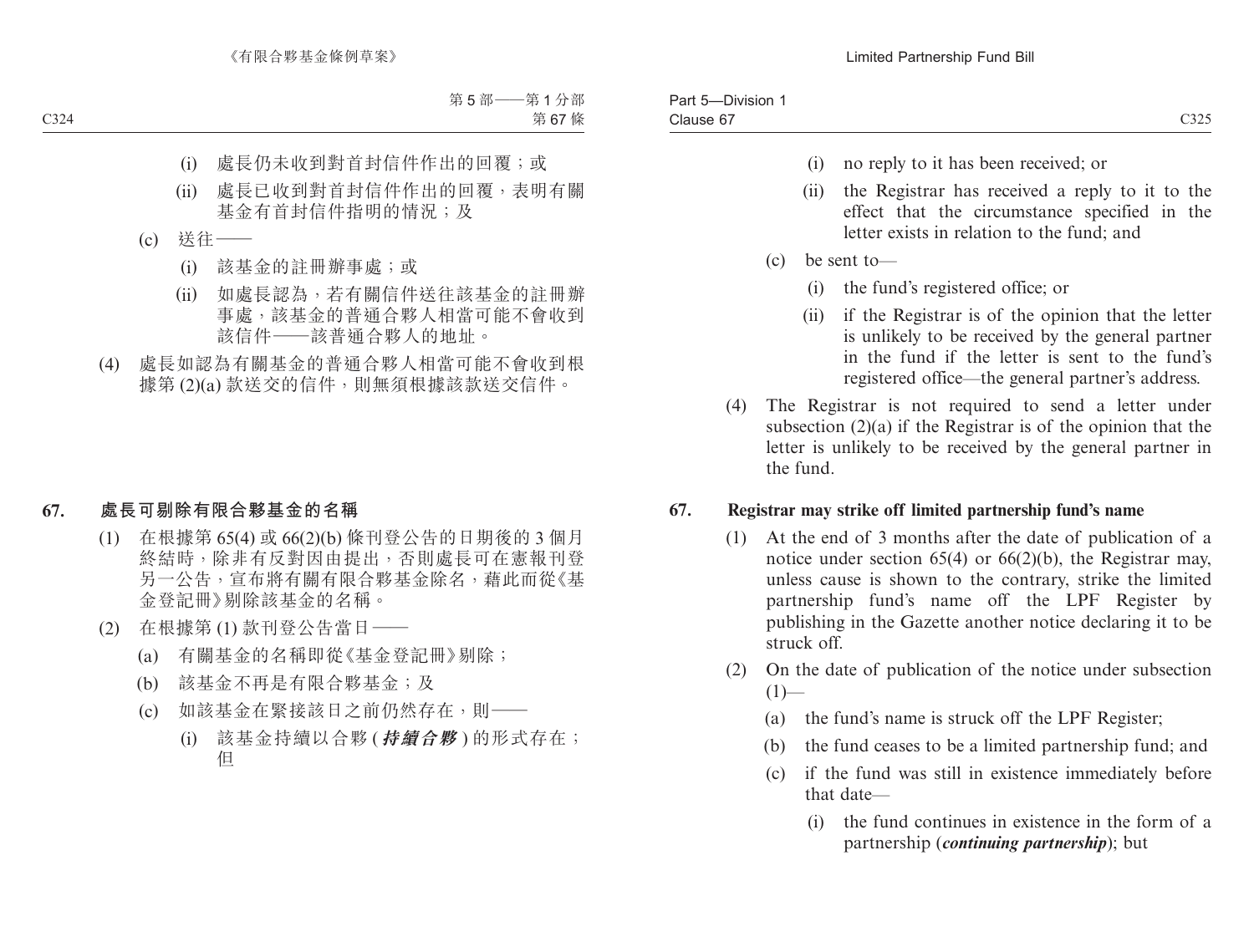- (i) no reply to it has been received; or
- (ii) the Registrar has received a reply to it to the effect that the circumstance specified in the letter exists in relation to the fund; and
- (c) be sent to—
	- (i) the fund's registered office; or
	- (ii) if the Registrar is of the opinion that the letter is unlikely to be received by the general partner in the fund if the letter is sent to the fund's registered office—the general partner's address.
- (4) The Registrar is not required to send a letter under subsection (2)(a) if the Registrar is of the opinion that the letter is unlikely to be received by the general partner in the fund.

#### **67. Registrar may strike off limited partnership fund's name**

- (1) At the end of 3 months after the date of publication of a notice under section 65(4) or 66(2)(b), the Registrar may, unless cause is shown to the contrary, strike the limited partnership fund's name off the LPF Register by publishing in the Gazette another notice declaring it to be struck off.
- (2) On the date of publication of the notice under subsection  $(1)$ —
	- (a) the fund's name is struck off the LPF Register;
	- (b) the fund ceases to be a limited partnership fund; and
	- (c) if the fund was still in existence immediately before that date—
		- (i) the fund continues in existence in the form of a partnership (*continuing partnership*); but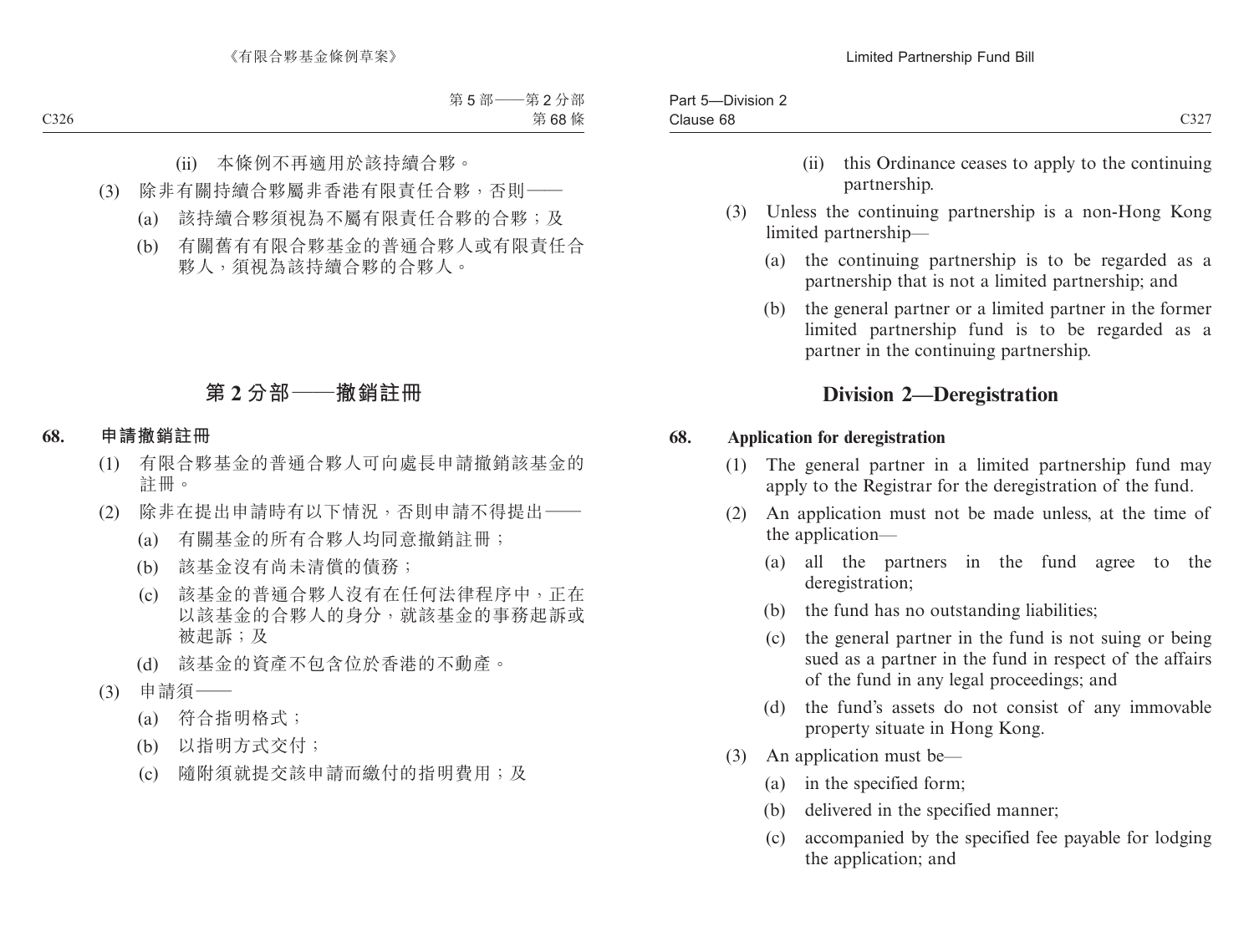- (ii) this Ordinance ceases to apply to the continuing partnership.
- (3) Unless the continuing partnership is a non-Hong Kong limited partnership—
	- (a) the continuing partnership is to be regarded as a partnership that is not a limited partnership; and
	- (b) the general partner or a limited partner in the former limited partnership fund is to be regarded as a partner in the continuing partnership.

# **Division 2—Deregistration**

#### **68. Application for deregistration**

- (1) The general partner in a limited partnership fund may apply to the Registrar for the deregistration of the fund.
- (2) An application must not be made unless, at the time of the application—
	- (a) all the partners in the fund agree to the deregistration;
	- (b) the fund has no outstanding liabilities;
	- (c) the general partner in the fund is not suing or being sued as a partner in the fund in respect of the affairs of the fund in any legal proceedings; and
	- (d) the fund's assets do not consist of any immovable property situate in Hong Kong.
- (3) An application must be—
	- (a) in the specified form;
	- (b) delivered in the specified manner;
	- (c) accompanied by the specified fee payable for lodging the application; and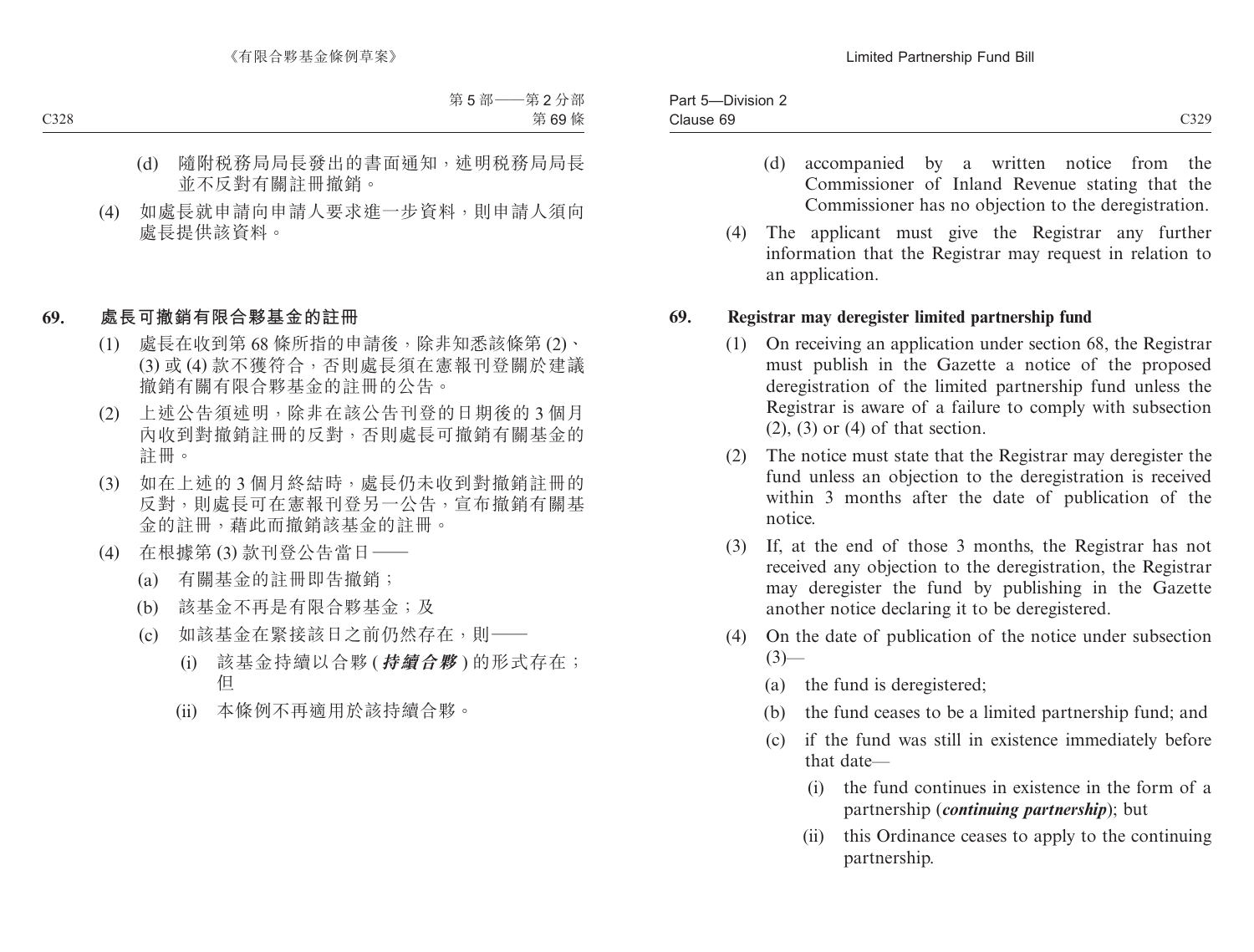- 
- (d) accompanied by a written notice from the Commissioner of Inland Revenue stating that the Commissioner has no objection to the deregistration.
- (4) The applicant must give the Registrar any further information that the Registrar may request in relation to an application.

#### **69. Registrar may deregister limited partnership fund**

- (1) On receiving an application under section 68, the Registrar must publish in the Gazette a notice of the proposed deregistration of the limited partnership fund unless the Registrar is aware of a failure to comply with subsection  $(2)$ ,  $(3)$  or  $(4)$  of that section.
- (2) The notice must state that the Registrar may deregister the fund unless an objection to the deregistration is received within 3 months after the date of publication of the notice.
- (3) If, at the end of those 3 months, the Registrar has not received any objection to the deregistration, the Registrar may deregister the fund by publishing in the Gazette another notice declaring it to be deregistered.
- (4) On the date of publication of the notice under subsection  $(3)$ —
	- (a) the fund is deregistered;
	- (b) the fund ceases to be a limited partnership fund; and
	- (c) if the fund was still in existence immediately before that date—
		- (i) the fund continues in existence in the form of a partnership (*continuing partnership*); but
		- (ii) this Ordinance ceases to apply to the continuing partnership.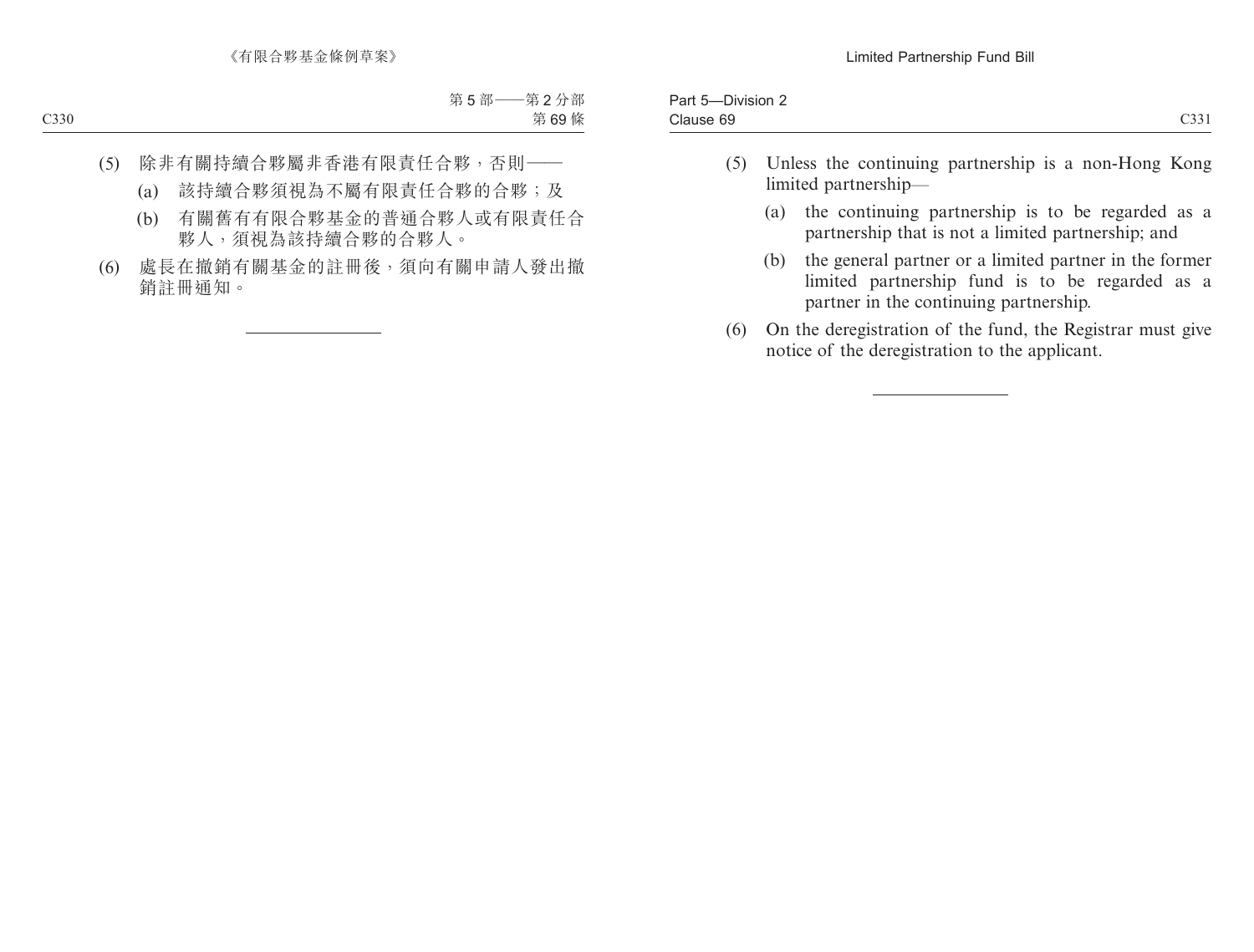| $\sim$<br>$-1$<br>udust.<br>$\overline{\phantom{a}}$<br>UJJ 1<br>$  -$ | $1 - r$<br>UIVISION.<br>a<br>$\cdot$ |  |
|------------------------------------------------------------------------|--------------------------------------|--|
|                                                                        |                                      |  |

- (5) Unless the continuing partnership is a non-Hong Kong limited partnership—
	- (a) the continuing partnership is to be regarded as a partnership that is not a limited partnership; and
	- (b) the general partner or a limited partner in the former limited partnership fund is to be regarded as a partner in the continuing partnership.
- (6) On the deregistration of the fund, the Registrar must give notice of the deregistration to the applicant.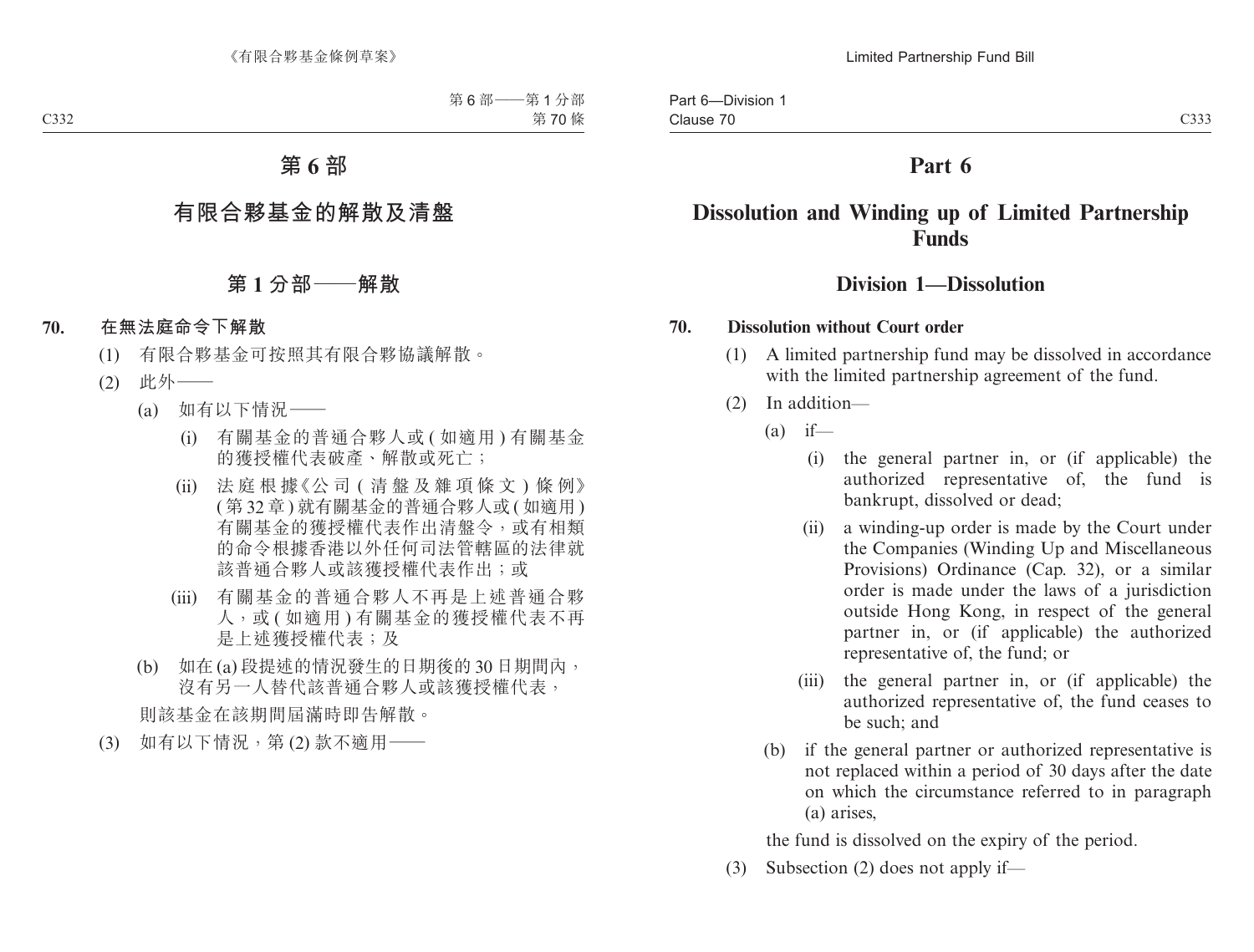# **Part 6**

# **Dissolution and Winding up of Limited Partnership Funds**

## **Division 1—Dissolution**

#### **70. Dissolution without Court order**

- (1) A limited partnership fund may be dissolved in accordance with the limited partnership agreement of the fund.
- (2) In addition—
	- $(a)$  if—
		- (i) the general partner in, or (if applicable) the authorized representative of, the fund is bankrupt, dissolved or dead;
		- (ii) a winding-up order is made by the Court under the Companies (Winding Up and Miscellaneous Provisions) Ordinance (Cap. 32), or a similar order is made under the laws of a jurisdiction outside Hong Kong, in respect of the general partner in, or (if applicable) the authorized representative of, the fund; or
		- (iii) the general partner in, or (if applicable) the authorized representative of, the fund ceases to be such; and
	- (b) if the general partner or authorized representative is not replaced within a period of 30 days after the date on which the circumstance referred to in paragraph (a) arises,

the fund is dissolved on the expiry of the period.

(3) Subsection (2) does not apply if—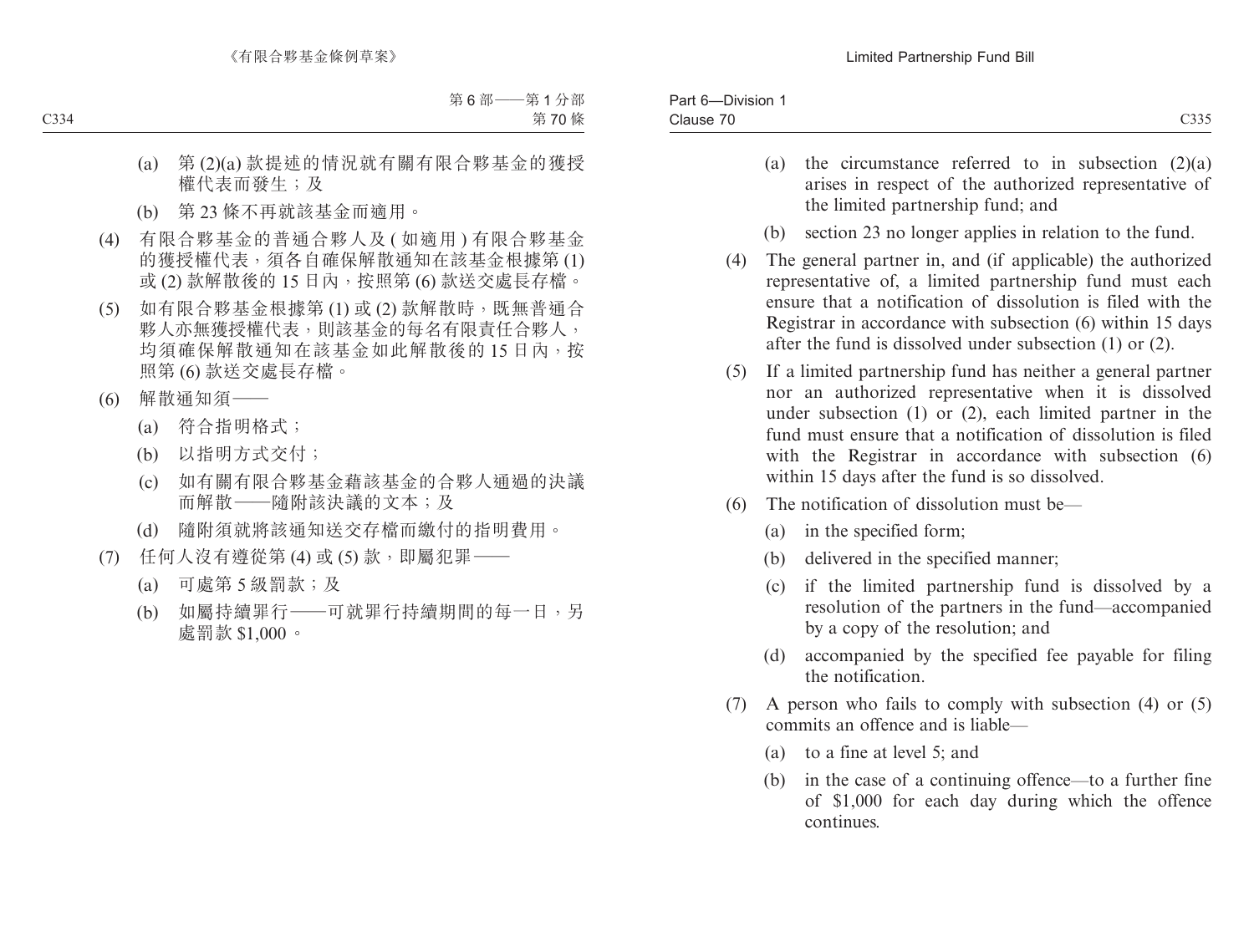| $\sim$<br>Part $6-$<br>-Division   |                                                  |
|------------------------------------|--------------------------------------------------|
| $\overline{\phantom{a}}$<br>Clause | $\sim$ $\sim$ $\sim$<br>$\rightarrow$ 11<br>ーンンン |

- (a) the circumstance referred to in subsection  $(2)(a)$ arises in respect of the authorized representative of the limited partnership fund; and
- (b) section 23 no longer applies in relation to the fund.
- (4) The general partner in, and (if applicable) the authorized representative of, a limited partnership fund must each ensure that a notification of dissolution is filed with the Registrar in accordance with subsection (6) within 15 days after the fund is dissolved under subsection (1) or (2).
- (5) If a limited partnership fund has neither a general partner nor an authorized representative when it is dissolved under subsection (1) or (2), each limited partner in the fund must ensure that a notification of dissolution is filed with the Registrar in accordance with subsection (6) within 15 days after the fund is so dissolved.
- (6) The notification of dissolution must be—
	- (a) in the specified form;
	- (b) delivered in the specified manner;
	- (c) if the limited partnership fund is dissolved by a resolution of the partners in the fund—accompanied by a copy of the resolution; and
	- (d) accompanied by the specified fee payable for filing the notification.
- (7) A person who fails to comply with subsection (4) or (5) commits an offence and is liable—
	- (a) to a fine at level 5; and
	- (b) in the case of a continuing offence—to a further fine of \$1,000 for each day during which the offence continues.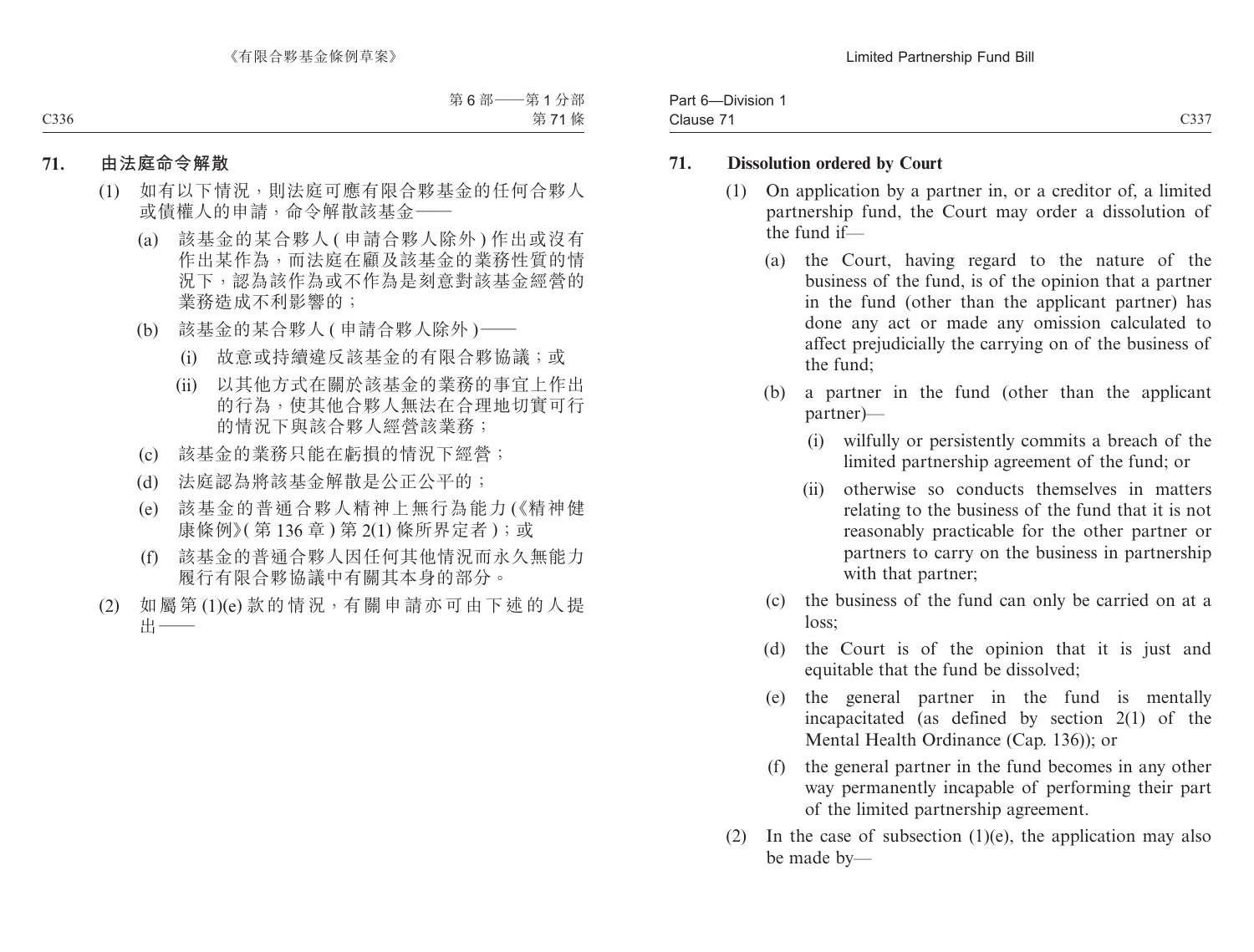| ____<br>$\sim$<br>Part $6-$<br>-Division |                               |
|------------------------------------------|-------------------------------|
| $\sim$<br>Clause                         | $\sim\sim\sim$<br>$-55$<br>ັບ |

#### **71. Dissolution ordered by Court**

- (1) On application by a partner in, or a creditor of, a limited partnership fund, the Court may order a dissolution of the fund if—
	- (a) the Court, having regard to the nature of the business of the fund, is of the opinion that a partner in the fund (other than the applicant partner) has done any act or made any omission calculated to affect prejudicially the carrying on of the business of the fund;
	- (b) a partner in the fund (other than the applicant partner)—
		- (i) wilfully or persistently commits a breach of the limited partnership agreement of the fund; or
		- (ii) otherwise so conducts themselves in matters relating to the business of the fund that it is not reasonably practicable for the other partner or partners to carry on the business in partnership with that partner;
	- (c) the business of the fund can only be carried on at a loss;
	- (d) the Court is of the opinion that it is just and equitable that the fund be dissolved;
	- (e) the general partner in the fund is mentally incapacitated (as defined by section 2(1) of the Mental Health Ordinance (Cap. 136)); or
	- (f) the general partner in the fund becomes in any other way permanently incapable of performing their part of the limited partnership agreement.
- (2) In the case of subsection  $(1)(e)$ , the application may also be made by—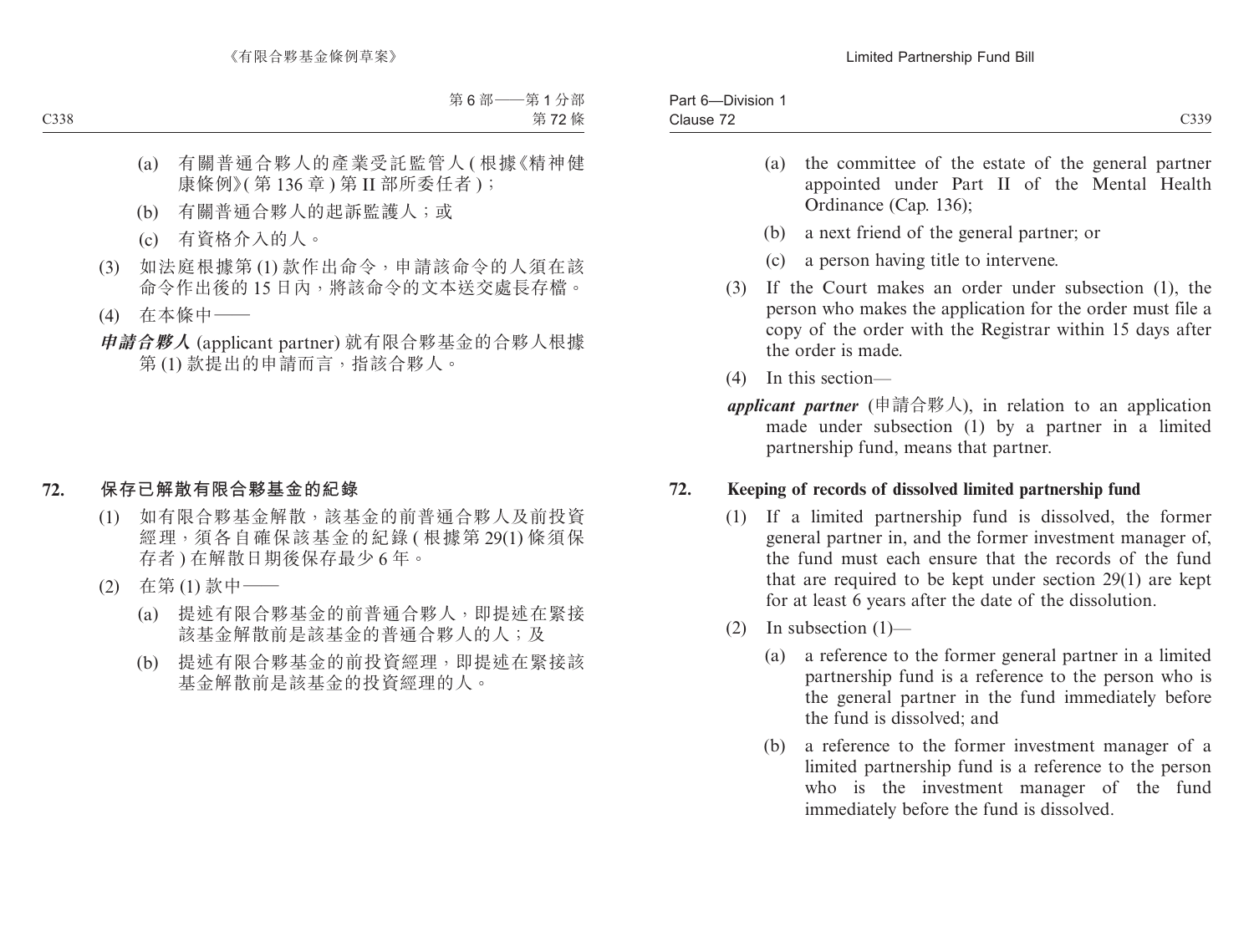| C339<br>Clause 72 | -Division<br>Part $6-$ |  |
|-------------------|------------------------|--|
|                   |                        |  |

- (a) the committee of the estate of the general partner appointed under Part II of the Mental Health Ordinance (Cap. 136);
- (b) a next friend of the general partner; or
- (c) a person having title to intervene.
- (3) If the Court makes an order under subsection (1), the person who makes the application for the order must file a copy of the order with the Registrar within 15 days after the order is made.
- (4) In this section—
- *applicant partner* (申請合夥人), in relation to an application made under subsection (1) by a partner in a limited partnership fund, means that partner.

## **72. Keeping of records of dissolved limited partnership fund**

- (1) If a limited partnership fund is dissolved, the former general partner in, and the former investment manager of, the fund must each ensure that the records of the fund that are required to be kept under section 29(1) are kept for at least 6 years after the date of the dissolution.
- (2) In subsection  $(1)$ 
	- (a) a reference to the former general partner in a limited partnership fund is a reference to the person who is the general partner in the fund immediately before the fund is dissolved; and
	- (b) a reference to the former investment manager of a limited partnership fund is a reference to the person who is the investment manager of the fund immediately before the fund is dissolved.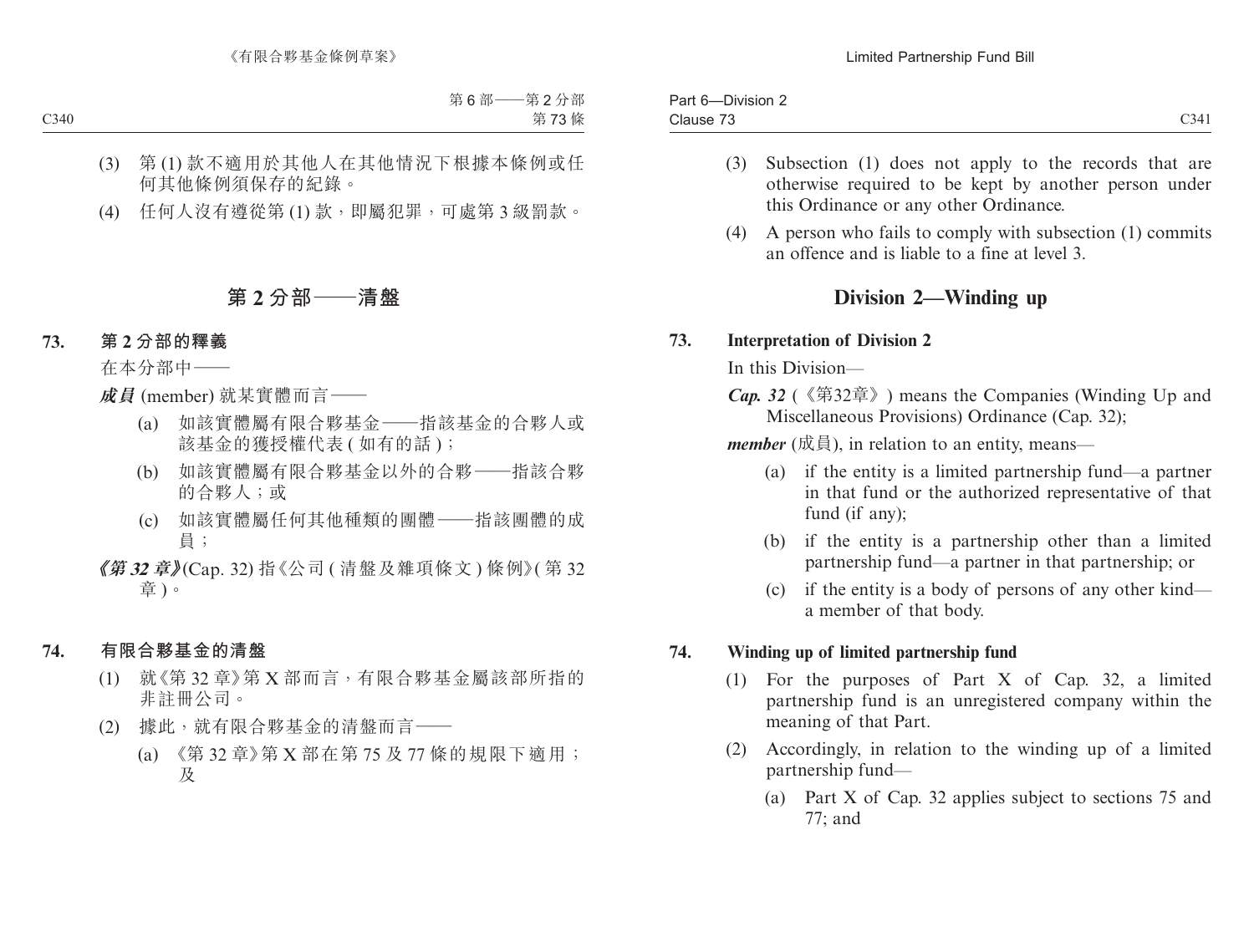| ___<br>$\overline{\phantom{a}}$<br>Part<br>Division<br>. n- |                                |
|-------------------------------------------------------------|--------------------------------|
| $\overline{\phantom{a}}$<br>Clause                          | $\sim$ $\sim$<br>-34<br>$\sim$ |

- (3) Subsection (1) does not apply to the records that are otherwise required to be kept by another person under this Ordinance or any other Ordinance.
- (4) A person who fails to comply with subsection (1) commits an offence and is liable to a fine at level 3.

# **Division 2—Winding up**

#### **73. Interpretation of Division 2**

In this Division—

*Cap. 32* (《第32章》) means the Companies (Winding Up and Miscellaneous Provisions) Ordinance (Cap. 32);

*member* (成員), in relation to an entity, means—

- (a) if the entity is a limited partnership fund—a partner in that fund or the authorized representative of that fund (if any);
- (b) if the entity is a partnership other than a limited partnership fund—a partner in that partnership; or
- (c) if the entity is a body of persons of any other kind a member of that body.

### **74. Winding up of limited partnership fund**

- (1) For the purposes of Part X of Cap. 32, a limited partnership fund is an unregistered company within the meaning of that Part.
- (2) Accordingly, in relation to the winding up of a limited partnership fund—
	- (a) Part X of Cap. 32 applies subject to sections 75 and 77; and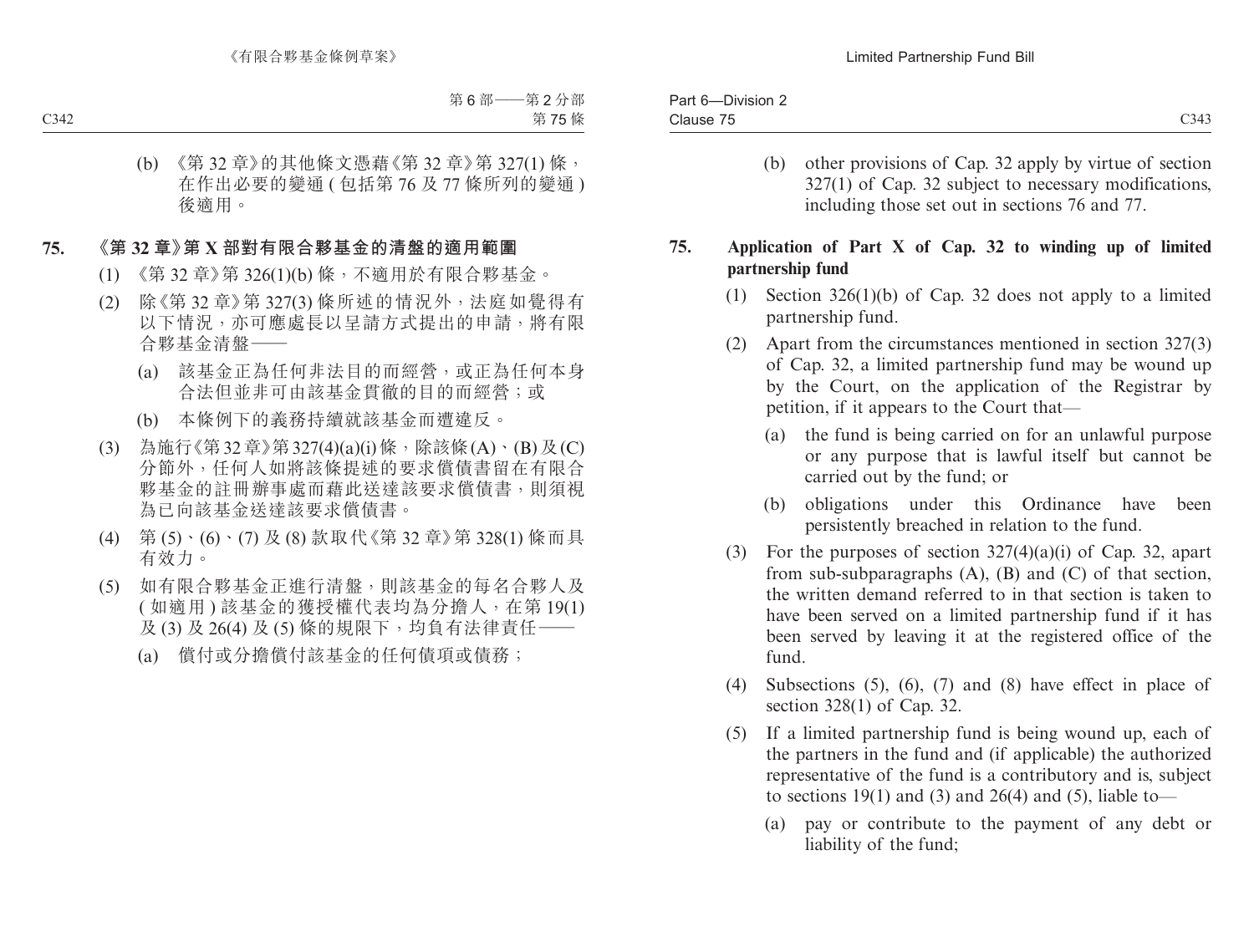| ____<br>$\sim$<br>Part $6-$<br>Division 2- |             |
|--------------------------------------------|-------------|
| $\overline{\phantom{a}}$<br>ડીause         | C343<br>ں ب |

(b) other provisions of Cap. 32 apply by virtue of section 327(1) of Cap. 32 subject to necessary modifications, including those set out in sections 76 and 77.

## **75. Application of Part X of Cap. 32 to winding up of limited partnership fund**

- (1) Section 326(1)(b) of Cap. 32 does not apply to a limited partnership fund.
- (2) Apart from the circumstances mentioned in section 327(3) of Cap. 32, a limited partnership fund may be wound up by the Court, on the application of the Registrar by petition, if it appears to the Court that—
	- (a) the fund is being carried on for an unlawful purpose or any purpose that is lawful itself but cannot be carried out by the fund; or
	- (b) obligations under this Ordinance have been persistently breached in relation to the fund.
- (3) For the purposes of section  $327(4)(a)(i)$  of Cap. 32, apart from sub-subparagraphs  $(A)$ ,  $(B)$  and  $(C)$  of that section, the written demand referred to in that section is taken to have been served on a limited partnership fund if it has been served by leaving it at the registered office of the fund.
- (4) Subsections (5), (6), (7) and (8) have effect in place of section 328(1) of Cap. 32.
- (5) If a limited partnership fund is being wound up, each of the partners in the fund and (if applicable) the authorized representative of the fund is a contributory and is, subject to sections 19(1) and (3) and 26(4) and (5), liable to—
	- (a) pay or contribute to the payment of any debt or liability of the fund;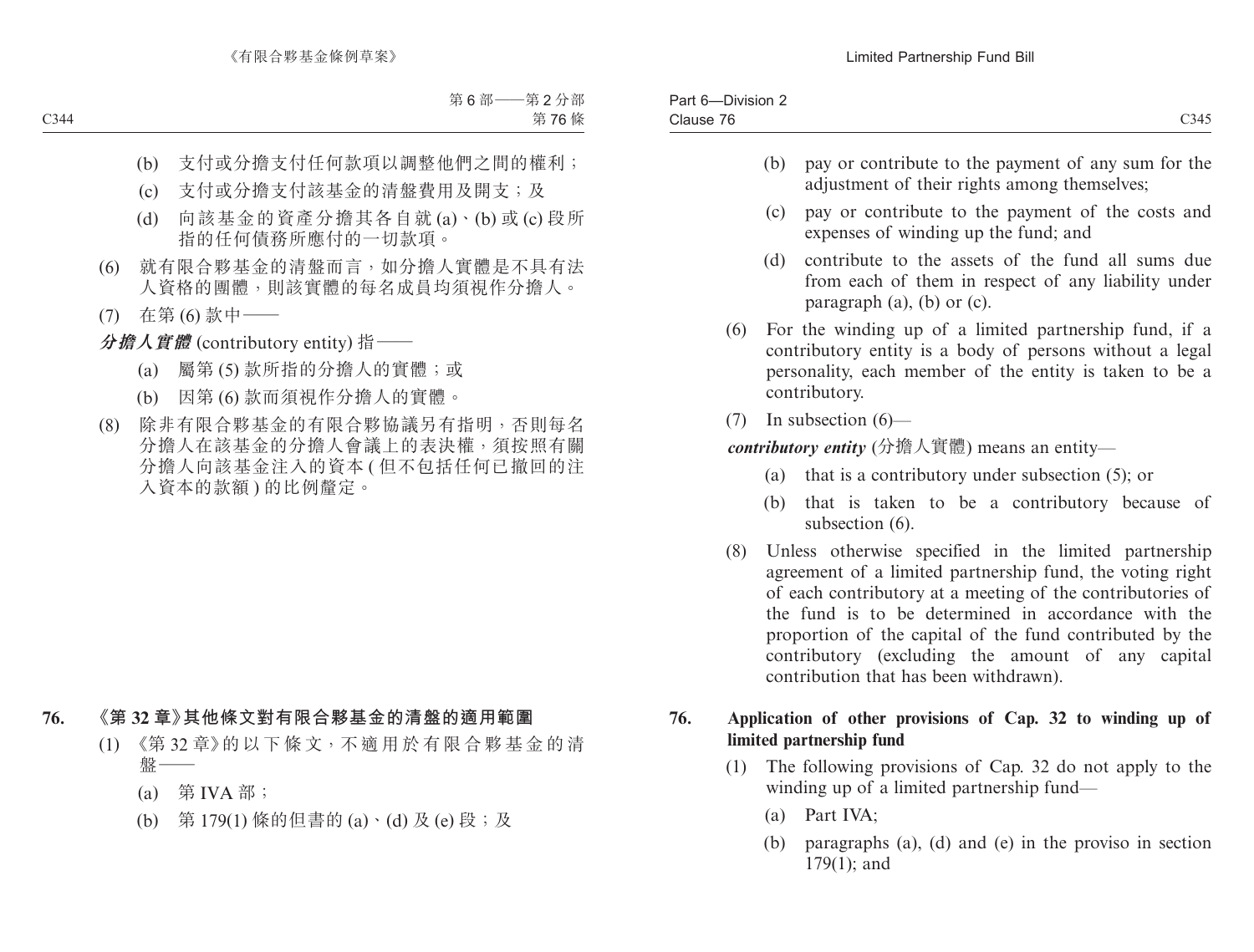| $- \cdot$<br>-<br>Division 2-<br>Par.<br>- 0 |               |
|----------------------------------------------|---------------|
| $\sim$<br>Clause                             | 0.217<br>C345 |
|                                              |               |

- (b) pay or contribute to the payment of any sum for the adjustment of their rights among themselves:
- (c) pay or contribute to the payment of the costs and expenses of winding up the fund; and
- (d) contribute to the assets of the fund all sums due from each of them in respect of any liability under paragraph (a), (b) or (c).
- (6) For the winding up of a limited partnership fund, if a contributory entity is a body of persons without a legal personality, each member of the entity is taken to be a contributory.
- (7) In subsection (6)—

*contributory entity* (分擔人實體) means an entity—

- (a) that is a contributory under subsection (5); or
- (b) that is taken to be a contributory because of subsection  $(6)$ .
- (8) Unless otherwise specified in the limited partnership agreement of a limited partnership fund, the voting right of each contributory at a meeting of the contributories of the fund is to be determined in accordance with the proportion of the capital of the fund contributed by the contributory (excluding the amount of any capital contribution that has been withdrawn).

## **76. Application of other provisions of Cap. 32 to winding up of limited partnership fund**

- (1) The following provisions of Cap. 32 do not apply to the winding up of a limited partnership fund—
	- (a) Part IVA;
	- (b) paragraphs (a), (d) and (e) in the proviso in section 179(1); and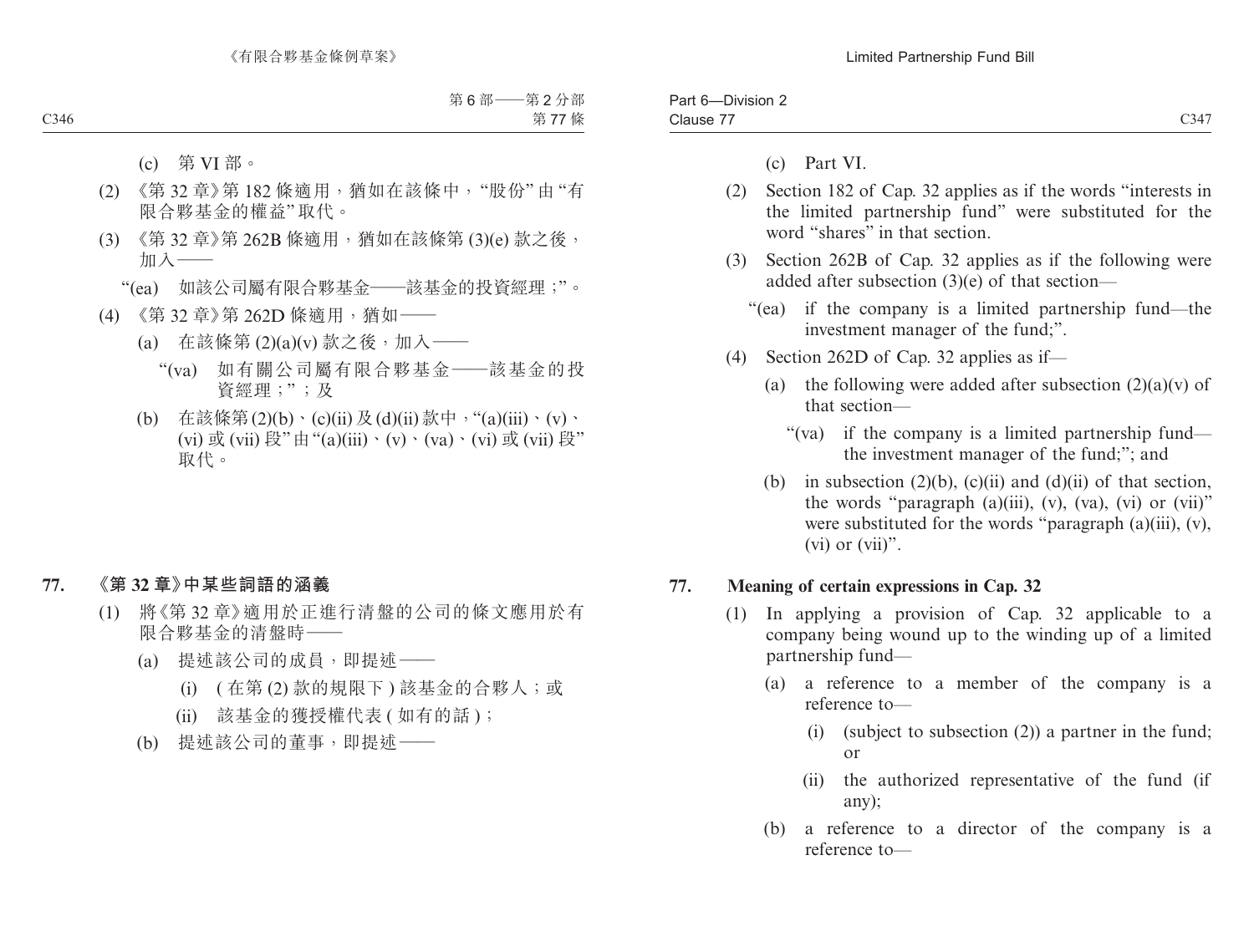| -<br>יar<br>Division |              |
|----------------------|--------------|
| --<br>Clause         | C347<br>UJ 1 |

- (c) Part VI.
- (2) Section 182 of Cap. 32 applies as if the words "interests in the limited partnership fund" were substituted for the word "shares" in that section.
- (3) Section 262B of Cap. 32 applies as if the following were added after subsection (3)(e) of that section—
	- "(ea) if the company is a limited partnership fund—the investment manager of the fund;".
- (4) Section 262D of Cap. 32 applies as if—
	- (a) the following were added after subsection  $(2)(a)(v)$  of that section—
		- "(va) if the company is a limited partnership fund the investment manager of the fund;"; and
	- (b) in subsection  $(2)(b)$ ,  $(c)(ii)$  and  $(d)(ii)$  of that section, the words "paragraph  $(a)(iii)$ ,  $(v)$ ,  $(va)$ ,  $(vi)$  or  $(vii)$ " were substituted for the words "paragraph (a)(iii), (v), (vi) or  $(vii)$ ".

#### **77. Meaning of certain expressions in Cap. 32**

- (1) In applying a provision of Cap. 32 applicable to a company being wound up to the winding up of a limited partnership fund—
	- (a) a reference to a member of the company is a reference to—
		- (i) (subject to subsection (2)) a partner in the fund; or
		- (ii) the authorized representative of the fund (if any);
	- (b) a reference to a director of the company is a reference to—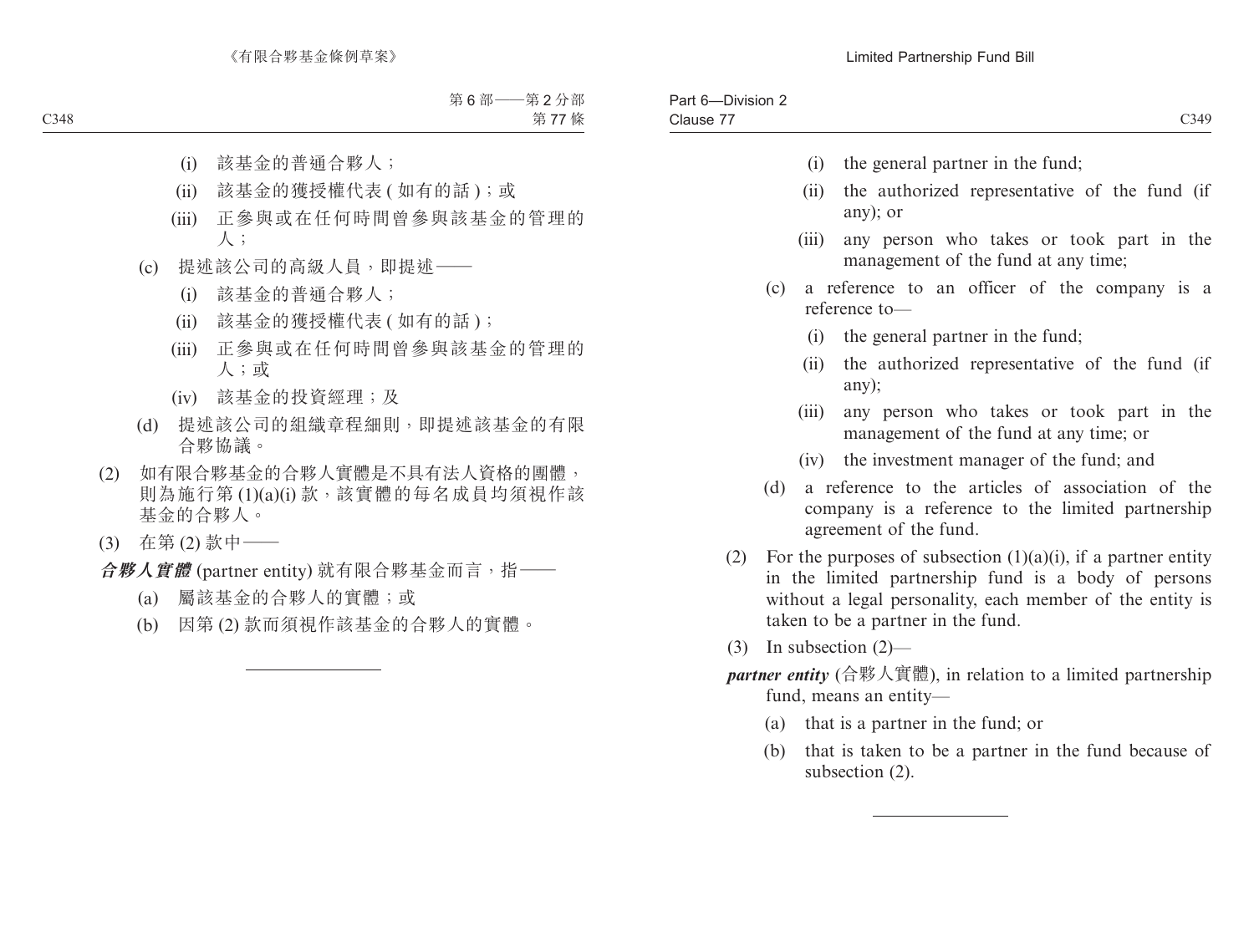Part 6—Division 2

| Part 6-DIVISION 2<br>Clause 77 |       | C349                                                                                                                                                                                                                            |
|--------------------------------|-------|---------------------------------------------------------------------------------------------------------------------------------------------------------------------------------------------------------------------------------|
|                                | (i)   | the general partner in the fund;                                                                                                                                                                                                |
|                                | (ii)  | the authorized representative of the fund (if<br>any); or                                                                                                                                                                       |
|                                | (iii) | any person who takes or took part in the<br>management of the fund at any time;                                                                                                                                                 |
|                                | (c)   | a reference to an officer of the company is a<br>reference to-                                                                                                                                                                  |
|                                | (i)   | the general partner in the fund;                                                                                                                                                                                                |
|                                | (ii)  | the authorized representative of the fund (if<br>any);                                                                                                                                                                          |
|                                | (iii) | any person who takes or took part in the<br>management of the fund at any time; or                                                                                                                                              |
|                                |       | (iv) the investment manager of the fund; and                                                                                                                                                                                    |
|                                | (d)   | a reference to the articles of association of the<br>company is a reference to the limited partnership<br>agreement of the fund.                                                                                                |
|                                |       | (2) For the purposes of subsection $(1)(a)(i)$ , if a partner entity<br>in the limited partnership fund is a body of persons<br>without a legal personality, each member of the entity is<br>taken to be a partner in the fund. |
|                                |       | $(3)$ In subsection $(2)$ —                                                                                                                                                                                                     |
|                                |       | <i>partner entity</i> (合夥人實體), in relation to a limited partnership<br>fund, means an entity-                                                                                                                                   |
|                                |       | (a) that is a partner in the fund; or                                                                                                                                                                                           |
|                                | (b)   | that is taken to be a partner in the fund because of<br>subsection $(2)$ .                                                                                                                                                      |
|                                |       |                                                                                                                                                                                                                                 |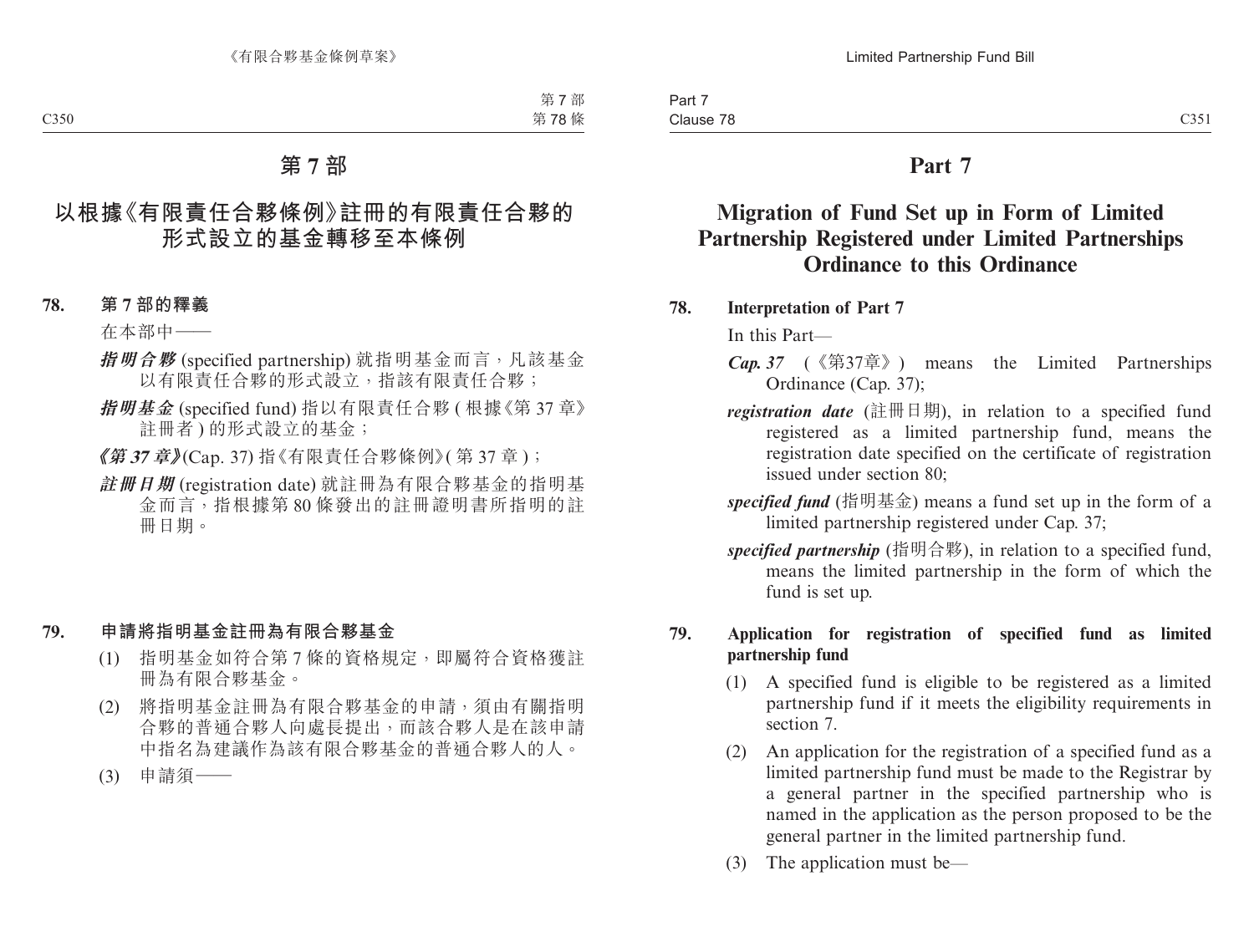# **Part 7**

# **Migration of Fund Set up in Form of Limited Partnership Registered under Limited Partnerships Ordinance to this Ordinance**

**78. Interpretation of Part 7**

In this Part—

- *Cap. 37* (《第37章》) means the Limited Partnerships Ordinance (Cap. 37);
- *registration date* (註冊日期), in relation to a specified fund registered as a limited partnership fund, means the registration date specified on the certificate of registration issued under section 80;
- *specified fund* (指明基金) means a fund set up in the form of a limited partnership registered under Cap. 37;
- *specified partnership* (指明合夥), in relation to a specified fund, means the limited partnership in the form of which the fund is set up.

#### **79. Application for registration of specified fund as limited partnership fund**

- (1) A specified fund is eligible to be registered as a limited partnership fund if it meets the eligibility requirements in section 7.
- (2) An application for the registration of a specified fund as a limited partnership fund must be made to the Registrar by a general partner in the specified partnership who is named in the application as the person proposed to be the general partner in the limited partnership fund.
- (3) The application must be—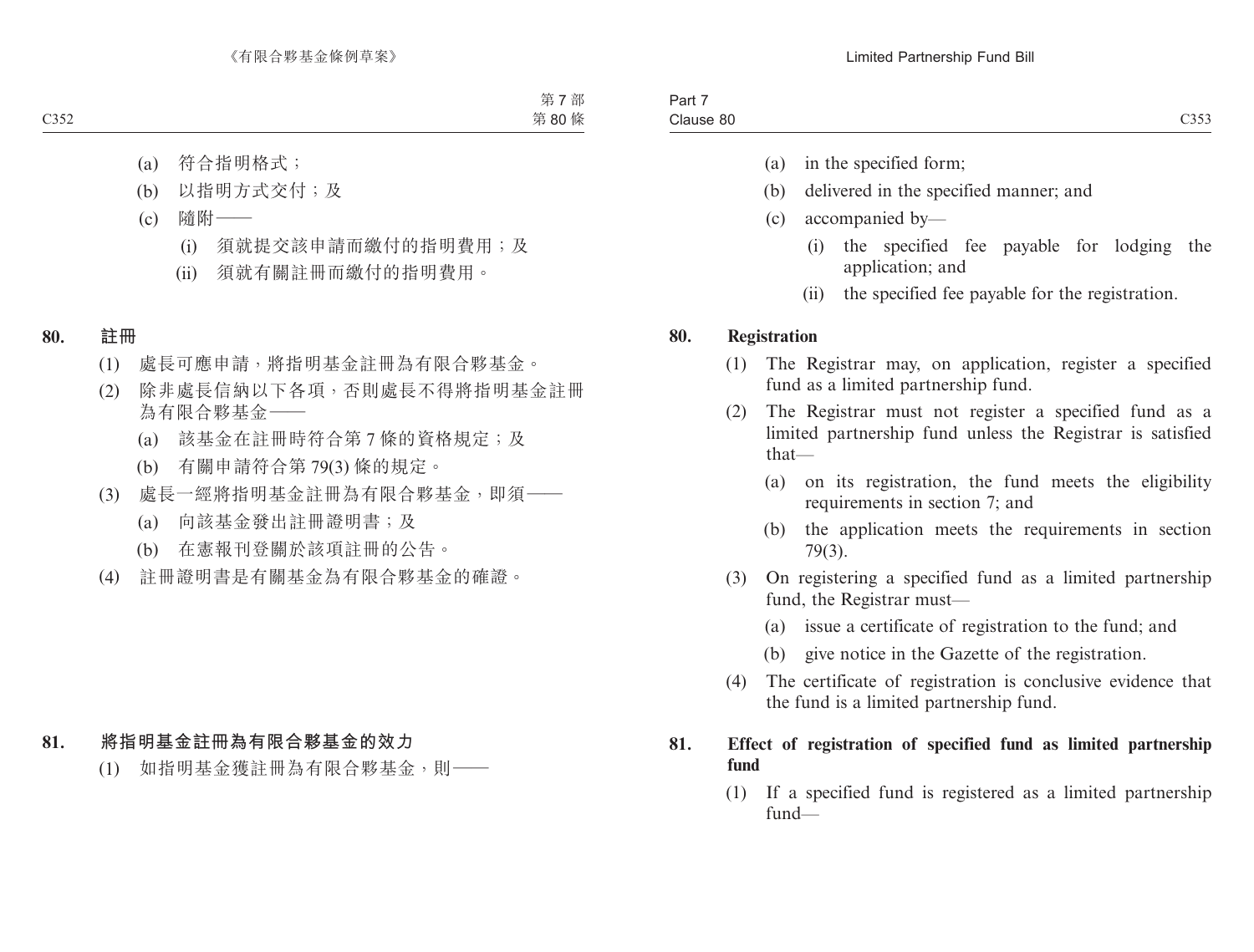- (a) in the specified form;
- (b) delivered in the specified manner; and
- (c) accompanied by—
	- (i) the specified fee payable for lodging the application; and
	- (ii) the specified fee payable for the registration.

### **80. Registration**

- (1) The Registrar may, on application, register a specified fund as a limited partnership fund.
- (2) The Registrar must not register a specified fund as a limited partnership fund unless the Registrar is satisfied that—
	- (a) on its registration, the fund meets the eligibility requirements in section 7; and
	- (b) the application meets the requirements in section 79(3).
- (3) On registering a specified fund as a limited partnership fund, the Registrar must—
	- (a) issue a certificate of registration to the fund; and
	- (b) give notice in the Gazette of the registration.
- (4) The certificate of registration is conclusive evidence that the fund is a limited partnership fund.

### **81. Effect of registration of specified fund as limited partnership fund**

(1) If a specified fund is registered as a limited partnership fund—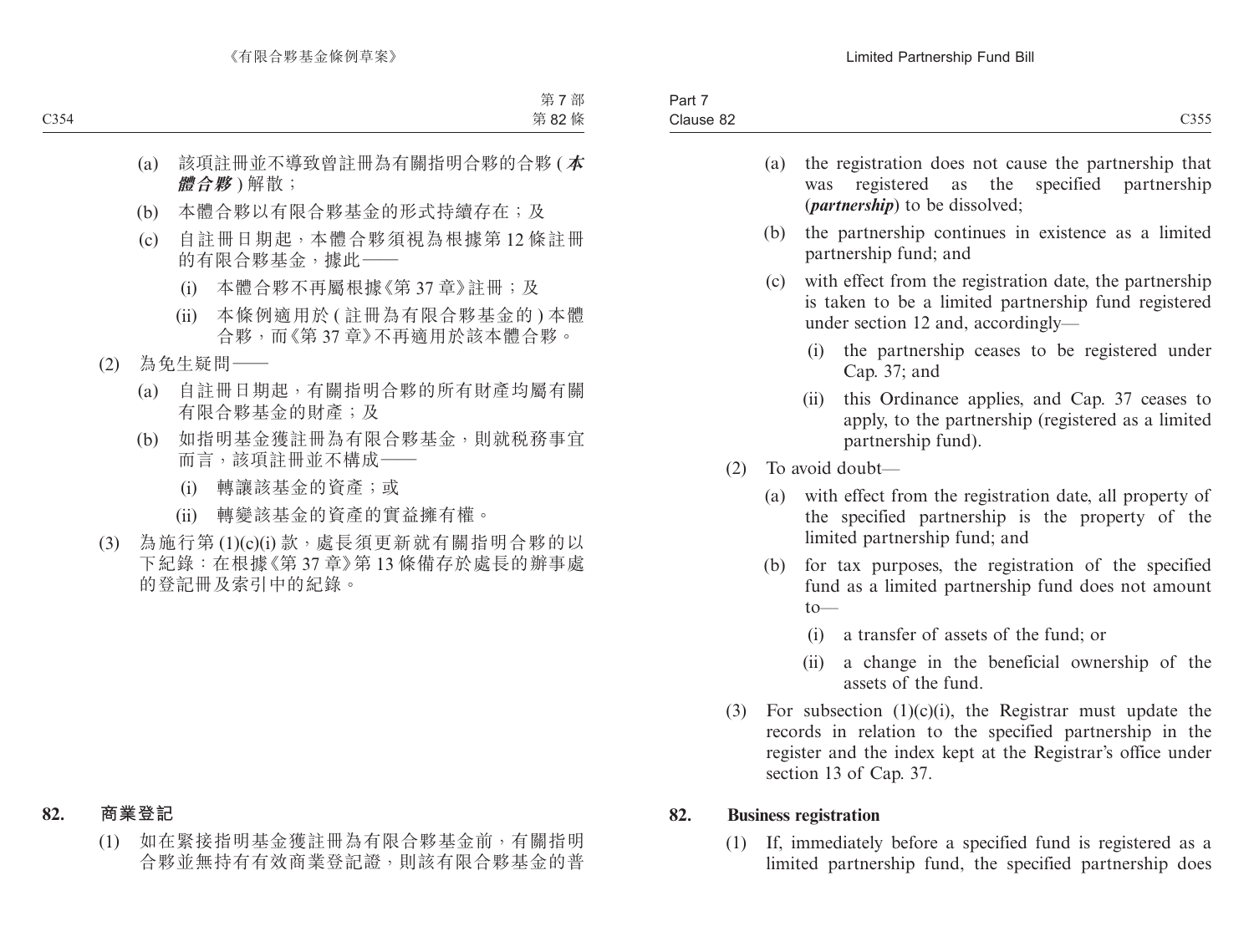| $\overline{\phantom{a}}$<br>$\sim$<br>Part 7 |      |
|----------------------------------------------|------|
| Clause 82                                    | C355 |

- (a) the registration does not cause the partnership that was registered as the specified partnership (*partnership*) to be dissolved;
- (b) the partnership continues in existence as a limited partnership fund; and
- (c) with effect from the registration date, the partnership is taken to be a limited partnership fund registered under section 12 and, accordingly—
	- (i) the partnership ceases to be registered under Cap. 37; and
	- (ii) this Ordinance applies, and Cap. 37 ceases to apply, to the partnership (registered as a limited partnership fund).
- (2) To avoid doubt—
	- (a) with effect from the registration date, all property of the specified partnership is the property of the limited partnership fund; and
	- (b) for tax purposes, the registration of the specified fund as a limited partnership fund does not amount  $to$ —
		- (i) a transfer of assets of the fund; or
		- (ii) a change in the beneficial ownership of the assets of the fund.
- (3) For subsection  $(1)(c)(i)$ , the Registrar must update the records in relation to the specified partnership in the register and the index kept at the Registrar's office under section 13 of Cap. 37.

### **82. Business registration**

(1) If, immediately before a specified fund is registered as a limited partnership fund, the specified partnership does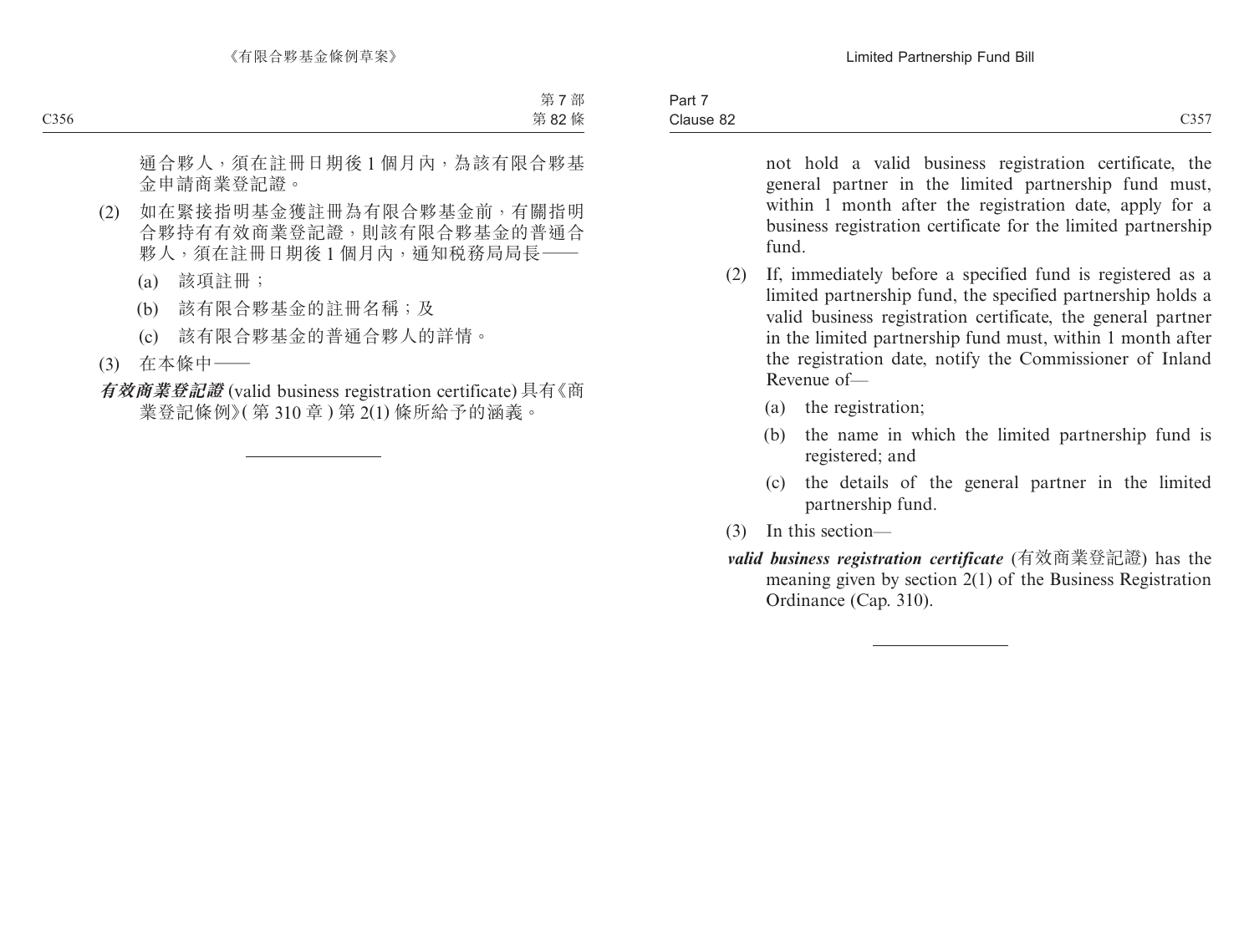| Part 7    |      |
|-----------|------|
| Clause 82 | C357 |

not hold a valid business registration certificate, the general partner in the limited partnership fund must, within 1 month after the registration date, apply for a business registration certificate for the limited partnership fund.

- (2) If, immediately before a specified fund is registered as a limited partnership fund, the specified partnership holds a valid business registration certificate, the general partner in the limited partnership fund must, within 1 month after the registration date, notify the Commissioner of Inland Revenue of—
	- (a) the registration;
	- (b) the name in which the limited partnership fund is registered; and
	- (c) the details of the general partner in the limited partnership fund.
- (3) In this section—
- *valid business registration certificate* (有效商業登記證) has the meaning given by section 2(1) of the Business Registration Ordinance (Cap. 310).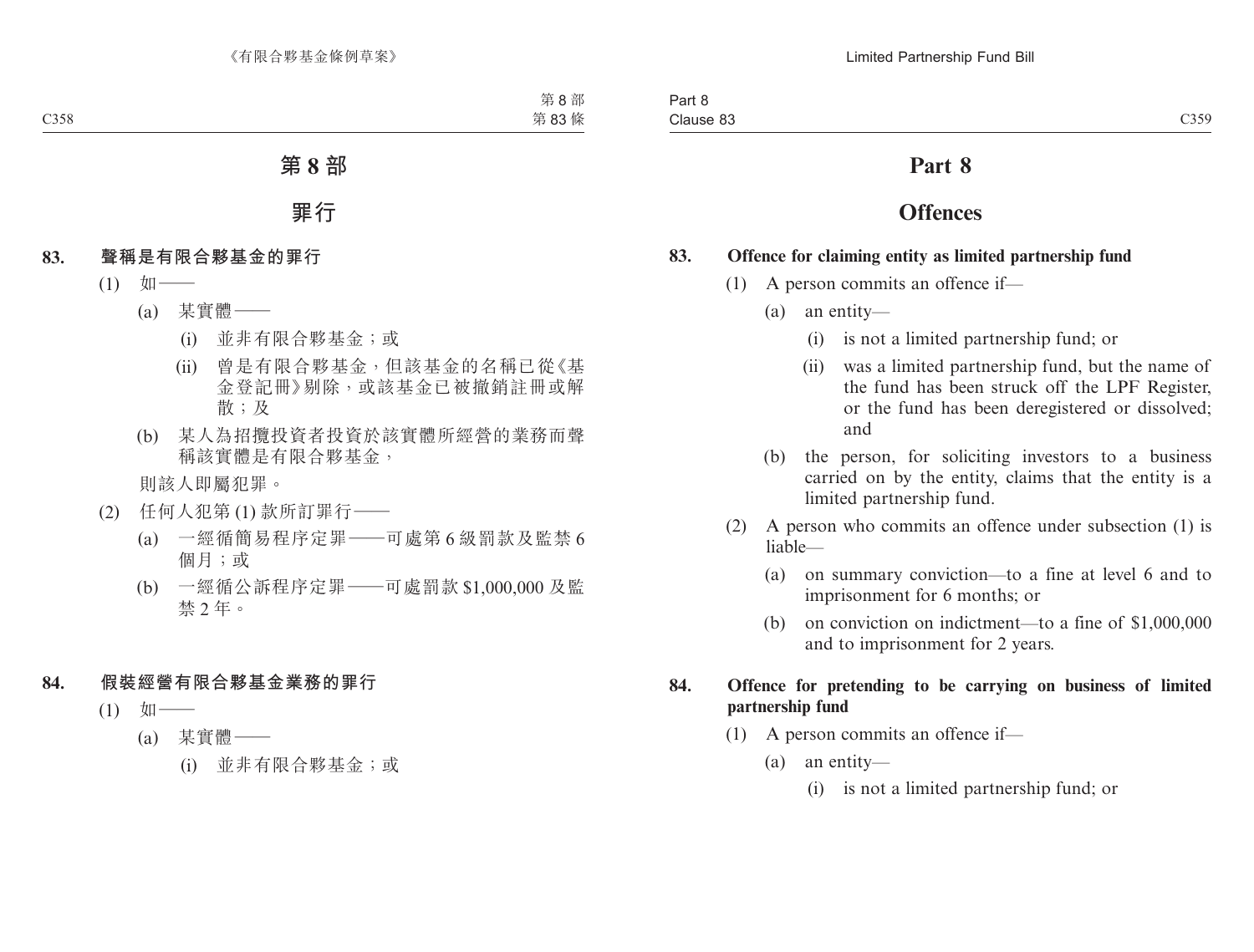# **Part 8**

# **Offences**

#### **83. Offence for claiming entity as limited partnership fund**

- (1) A person commits an offence if—
	- (a) an entity—
		- (i) is not a limited partnership fund; or
		- (ii) was a limited partnership fund, but the name of the fund has been struck off the LPF Register, or the fund has been deregistered or dissolved; and
	- (b) the person, for soliciting investors to a business carried on by the entity, claims that the entity is a limited partnership fund.
- (2) A person who commits an offence under subsection (1) is liable—
	- (a) on summary conviction—to a fine at level 6 and to imprisonment for 6 months; or
	- (b) on conviction on indictment—to a fine of \$1,000,000 and to imprisonment for 2 years.

### **84. Offence for pretending to be carrying on business of limited partnership fund**

- (1) A person commits an offence if—
	- (a) an entity—
		- (i) is not a limited partnership fund; or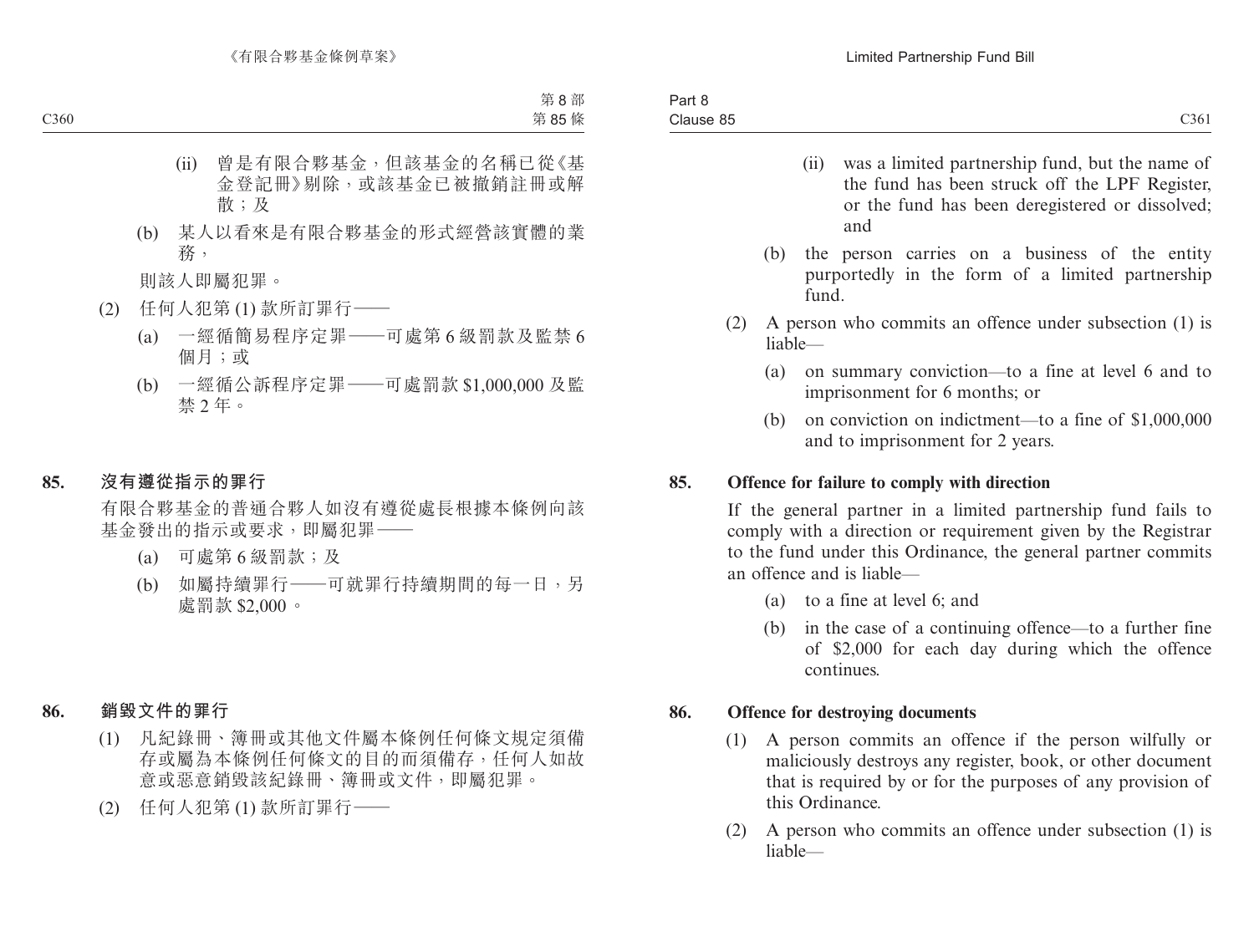- (ii) was a limited partnership fund, but the name of the fund has been struck off the LPF Register, or the fund has been deregistered or dissolved; and
- (b) the person carries on a business of the entity purportedly in the form of a limited partnership fund.
- (2) A person who commits an offence under subsection (1) is liable—
	- (a) on summary conviction—to a fine at level 6 and to imprisonment for 6 months; or
	- (b) on conviction on indictment—to a fine of \$1,000,000 and to imprisonment for 2 years.

#### **85. Offence for failure to comply with direction**

If the general partner in a limited partnership fund fails to comply with a direction or requirement given by the Registrar to the fund under this Ordinance, the general partner commits an offence and is liable—

- (a) to a fine at level 6; and
- (b) in the case of a continuing offence—to a further fine of \$2,000 for each day during which the offence continues.

### **86. Offence for destroying documents**

- (1) A person commits an offence if the person wilfully or maliciously destroys any register, book, or other document that is required by or for the purposes of any provision of this Ordinance.
- (2) A person who commits an offence under subsection (1) is liable—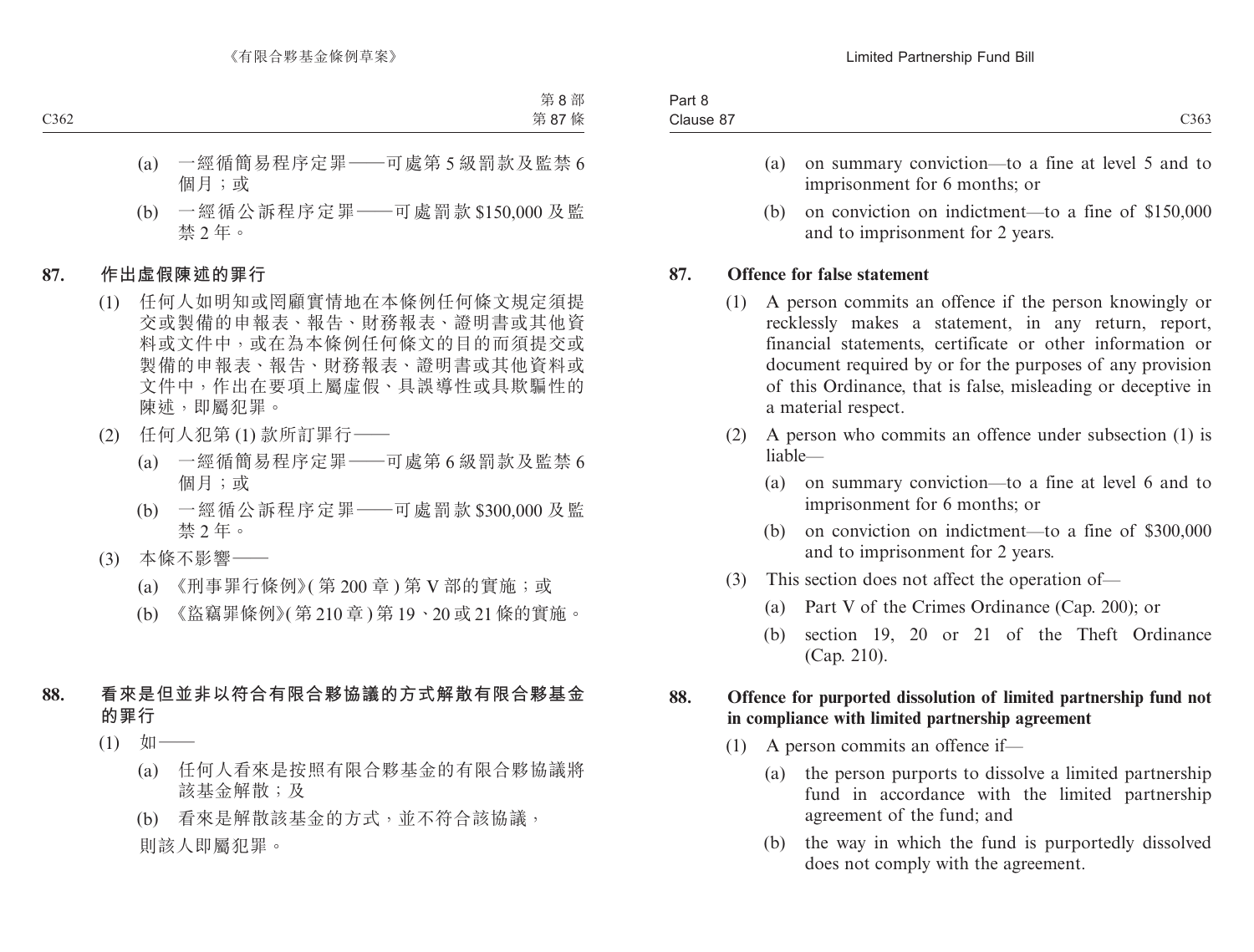| $\overline{\phantom{a}}$<br>. ດ=<br>.:lause 87<br>دەد.<br>. | $1 - -$<br>αιι ο<br>__ |  |
|-------------------------------------------------------------|------------------------|--|
|                                                             | $\cdots$               |  |

- (a) on summary conviction—to a fine at level 5 and to imprisonment for 6 months; or
- (b) on conviction on indictment—to a fine of \$150,000 and to imprisonment for 2 years.

#### **87. Offence for false statement**

- (1) A person commits an offence if the person knowingly or recklessly makes a statement, in any return, report, financial statements, certificate or other information or document required by or for the purposes of any provision of this Ordinance, that is false, misleading or deceptive in a material respect.
- (2) A person who commits an offence under subsection (1) is liable—
	- (a) on summary conviction—to a fine at level 6 and to imprisonment for 6 months; or
	- (b) on conviction on indictment—to a fine of \$300,000 and to imprisonment for 2 years.
- (3) This section does not affect the operation of—
	- (a) Part V of the Crimes Ordinance (Cap. 200); or
	- (b) section 19, 20 or 21 of the Theft Ordinance (Cap. 210).

#### **88. Offence for purported dissolution of limited partnership fund not in compliance with limited partnership agreement**

- (1) A person commits an offence if—
	- (a) the person purports to dissolve a limited partnership fund in accordance with the limited partnership agreement of the fund; and
	- (b) the way in which the fund is purportedly dissolved does not comply with the agreement.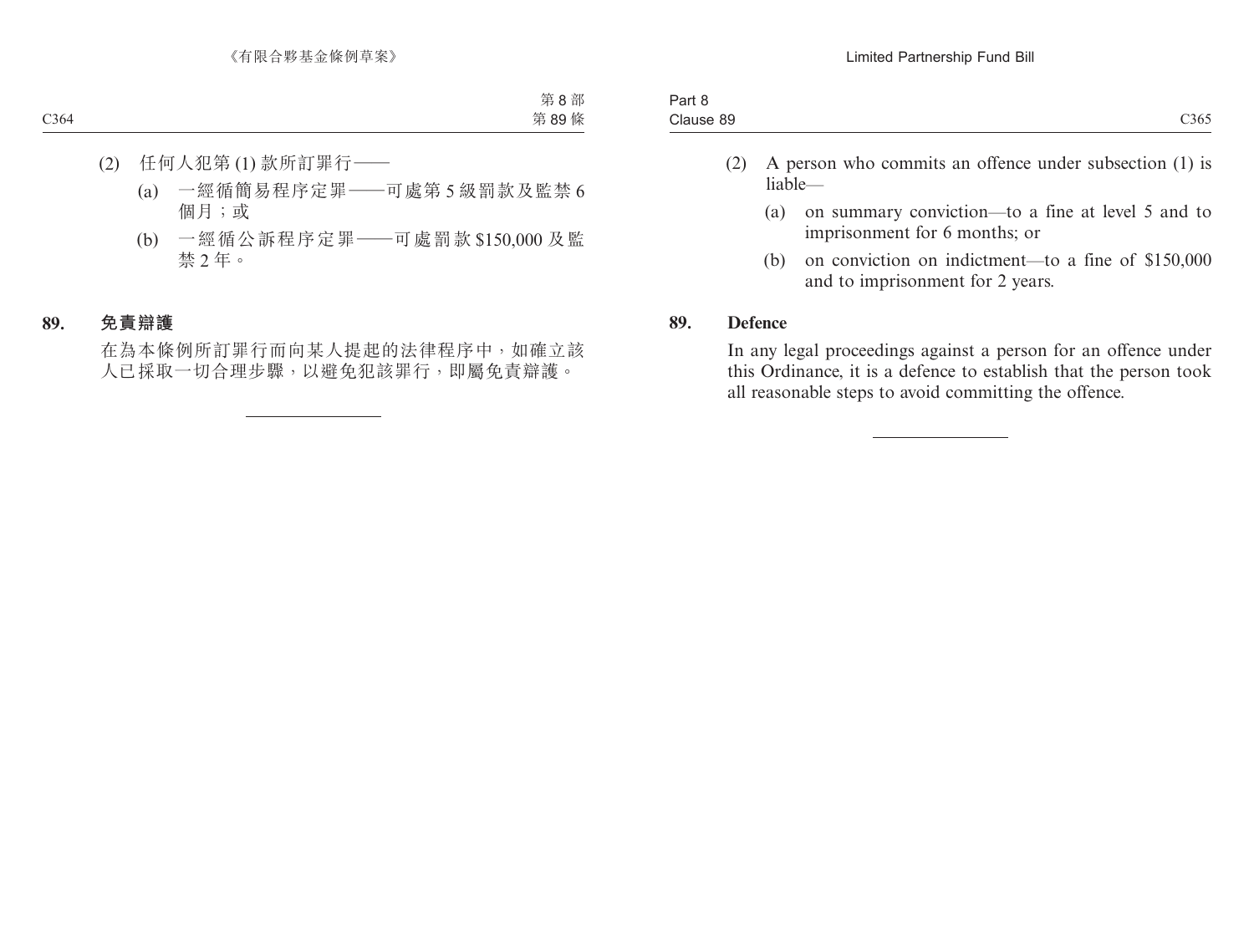| ⊃ort<br>ail o                         |      |
|---------------------------------------|------|
| $\overline{\phantom{0}}$<br>Clause 89 | C365 |
|                                       |      |

- (2) A person who commits an offence under subsection (1) is liable—
	- (a) on summary conviction—to a fine at level 5 and to imprisonment for 6 months; or
	- (b) on conviction on indictment—to a fine of \$150,000 and to imprisonment for 2 years.

#### **89. Defence**

In any legal proceedings against a person for an offence under this Ordinance, it is a defence to establish that the person took all reasonable steps to avoid committing the offence.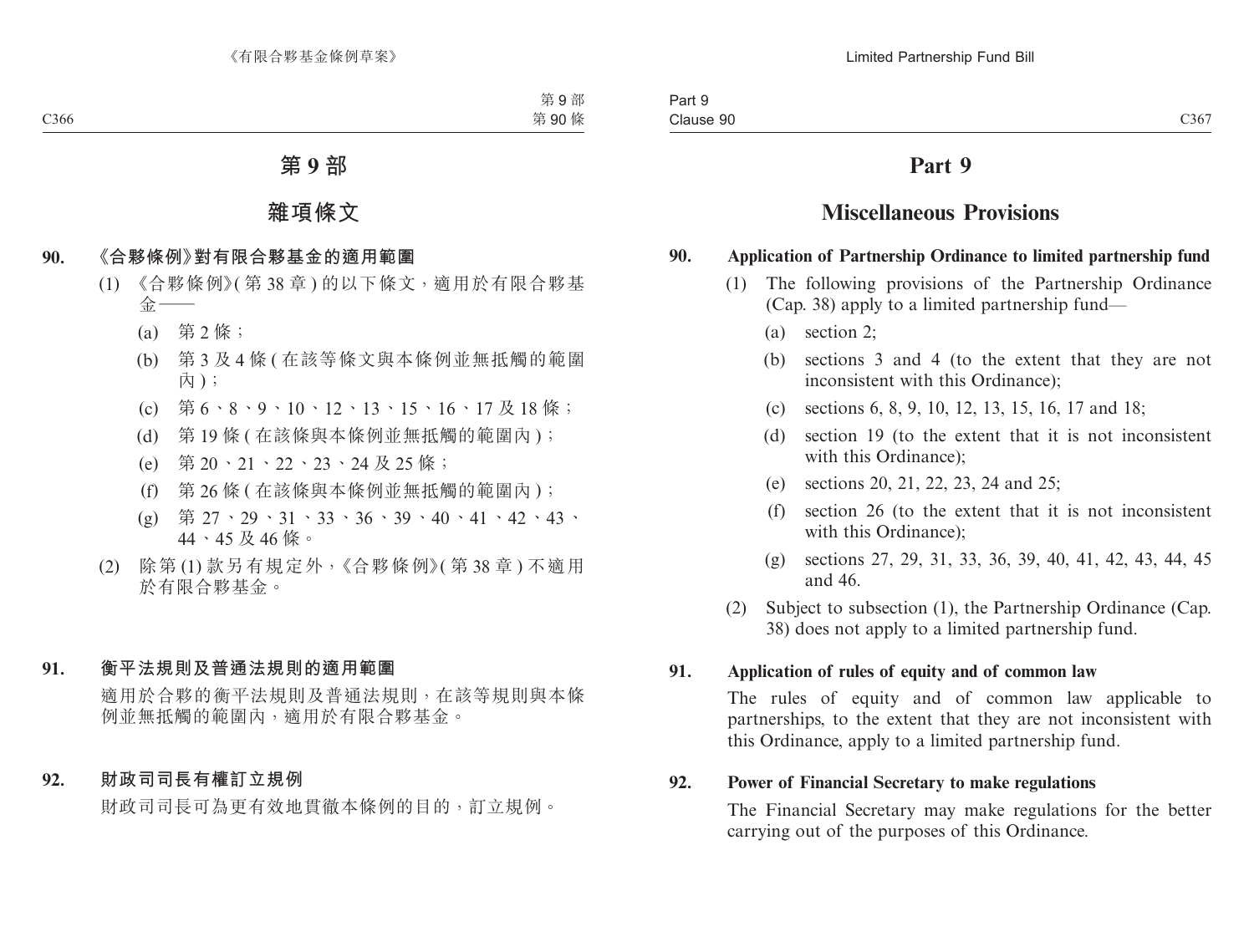# **Part 9**

# **Miscellaneous Provisions**

#### **90. Application of Partnership Ordinance to limited partnership fund**

- (1) The following provisions of the Partnership Ordinance (Cap. 38) apply to a limited partnership fund—
	- (a) section 2;
	- (b) sections 3 and 4 (to the extent that they are not inconsistent with this Ordinance);
	- (c) sections 6, 8, 9, 10, 12, 13, 15, 16, 17 and 18;
	- (d) section 19 (to the extent that it is not inconsistent with this Ordinance);
	- (e) sections 20, 21, 22, 23, 24 and 25;
	- (f) section 26 (to the extent that it is not inconsistent with this Ordinance);
	- (g) sections 27, 29, 31, 33, 36, 39, 40, 41, 42, 43, 44, 45 and 46.
- (2) Subject to subsection (1), the Partnership Ordinance (Cap. 38) does not apply to a limited partnership fund.

### **91. Application of rules of equity and of common law**

The rules of equity and of common law applicable to partnerships, to the extent that they are not inconsistent with this Ordinance, apply to a limited partnership fund.

### **92. Power of Financial Secretary to make regulations**

The Financial Secretary may make regulations for the better carrying out of the purposes of this Ordinance.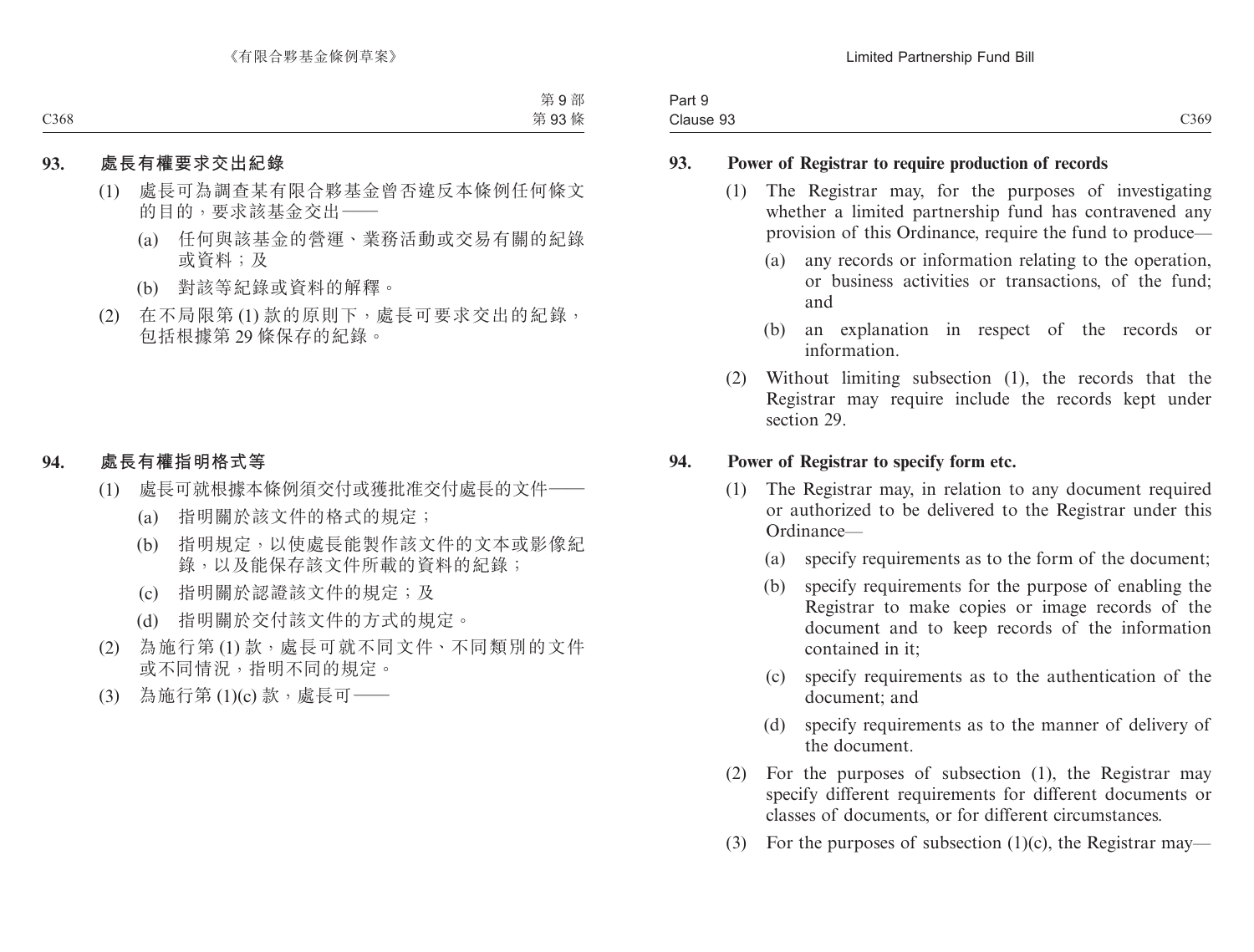| <b>STATES</b><br>$3 \cdot r +$<br>-αιι υ |                                |
|------------------------------------------|--------------------------------|
| $\sim$<br>10.110<br>Clause 93            | $\sim$ $\sim$<br>$\bigcup$ 369 |

#### **93. Power of Registrar to require production of records**

- (1) The Registrar may, for the purposes of investigating whether a limited partnership fund has contravened any provision of this Ordinance, require the fund to produce—
	- (a) any records or information relating to the operation, or business activities or transactions, of the fund; and
	- (b) an explanation in respect of the records or information.
- (2) Without limiting subsection (1), the records that the Registrar may require include the records kept under section 29.

#### **94. Power of Registrar to specify form etc.**

- (1) The Registrar may, in relation to any document required or authorized to be delivered to the Registrar under this Ordinance—
	- (a) specify requirements as to the form of the document;
	- (b) specify requirements for the purpose of enabling the Registrar to make copies or image records of the document and to keep records of the information contained in it;
	- (c) specify requirements as to the authentication of the document; and
	- (d) specify requirements as to the manner of delivery of the document.
- (2) For the purposes of subsection (1), the Registrar may specify different requirements for different documents or classes of documents, or for different circumstances.
- (3) For the purposes of subsection  $(1)(c)$ , the Registrar may—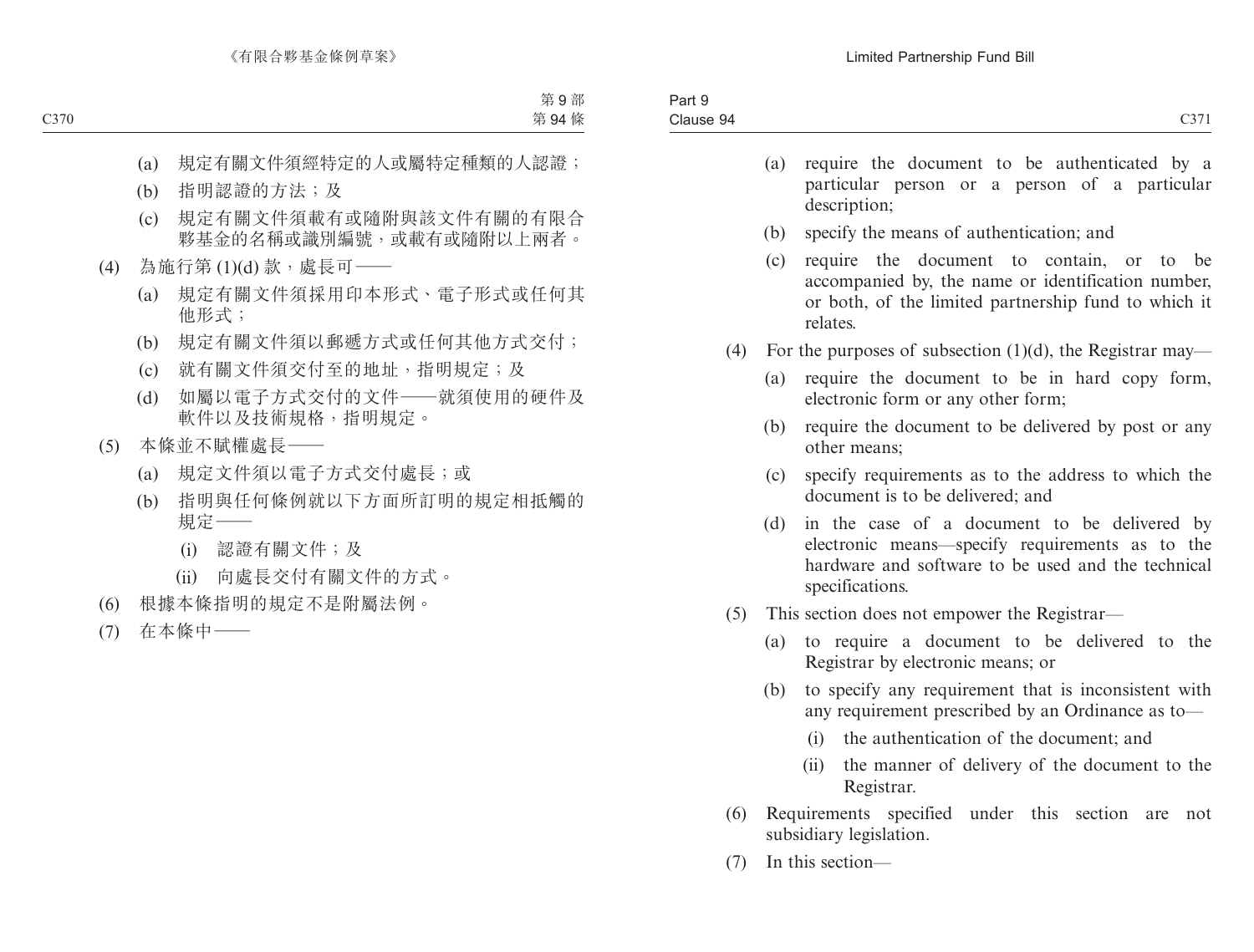| $\sim$<br>Part 9 |                   |
|------------------|-------------------|
| Clause 94        | $\bigcap$<br>U371 |

- (a) require the document to be authenticated by a particular person or a person of a particular description;
- (b) specify the means of authentication; and
- (c) require the document to contain, or to be accompanied by, the name or identification number, or both, of the limited partnership fund to which it relates.
- (4) For the purposes of subsection  $(1)(d)$ , the Registrar may—
	- (a) require the document to be in hard copy form, electronic form or any other form;
	- (b) require the document to be delivered by post or any other means;
	- (c) specify requirements as to the address to which the document is to be delivered; and
	- (d) in the case of a document to be delivered by electronic means—specify requirements as to the hardware and software to be used and the technical specifications.
- (5) This section does not empower the Registrar—
	- (a) to require a document to be delivered to the Registrar by electronic means; or
	- (b) to specify any requirement that is inconsistent with any requirement prescribed by an Ordinance as to—
		- (i) the authentication of the document; and
		- (ii) the manner of delivery of the document to the Registrar.
- (6) Requirements specified under this section are not subsidiary legislation.
- (7) In this section—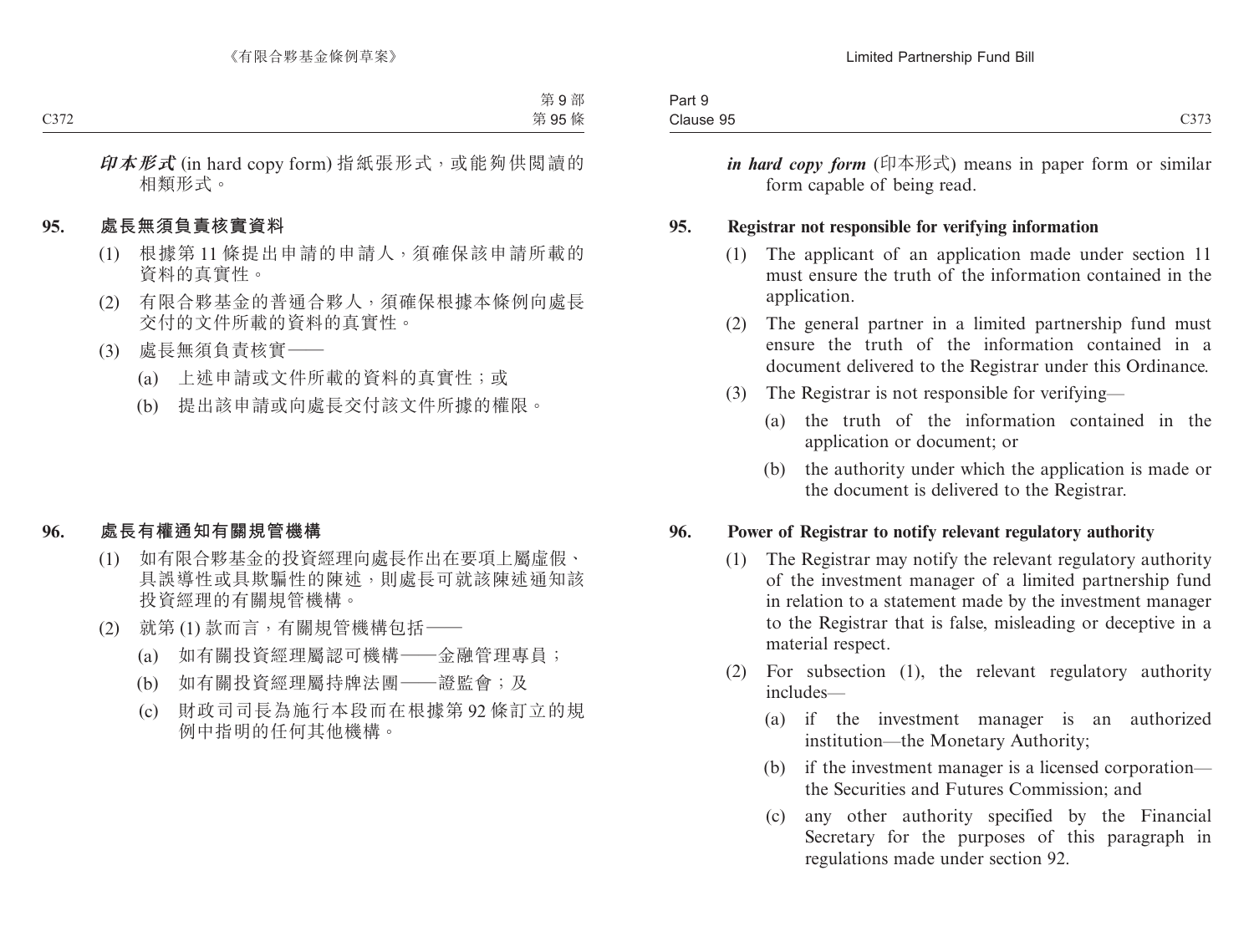| $3 - +$<br>-αιι υ     |                                |
|-----------------------|--------------------------------|
| $\Omega$<br>Clause 95 | $\sim$ $\sim$ $\sim$<br>$\cup$ |

*in hard copy form* (印本形式) means in paper form or similar form capable of being read.

#### **95. Registrar not responsible for verifying information**

- (1) The applicant of an application made under section 11 must ensure the truth of the information contained in the application.
- (2) The general partner in a limited partnership fund must ensure the truth of the information contained in a document delivered to the Registrar under this Ordinance.
- (3) The Registrar is not responsible for verifying—
	- (a) the truth of the information contained in the application or document; or
	- (b) the authority under which the application is made or the document is delivered to the Registrar.

#### **96. Power of Registrar to notify relevant regulatory authority**

- (1) The Registrar may notify the relevant regulatory authority of the investment manager of a limited partnership fund in relation to a statement made by the investment manager to the Registrar that is false, misleading or deceptive in a material respect.
- (2) For subsection (1), the relevant regulatory authority includes—
	- (a) if the investment manager is an authorized institution—the Monetary Authority;
	- (b) if the investment manager is a licensed corporation the Securities and Futures Commission; and
	- (c) any other authority specified by the Financial Secretary for the purposes of this paragraph in regulations made under section 92.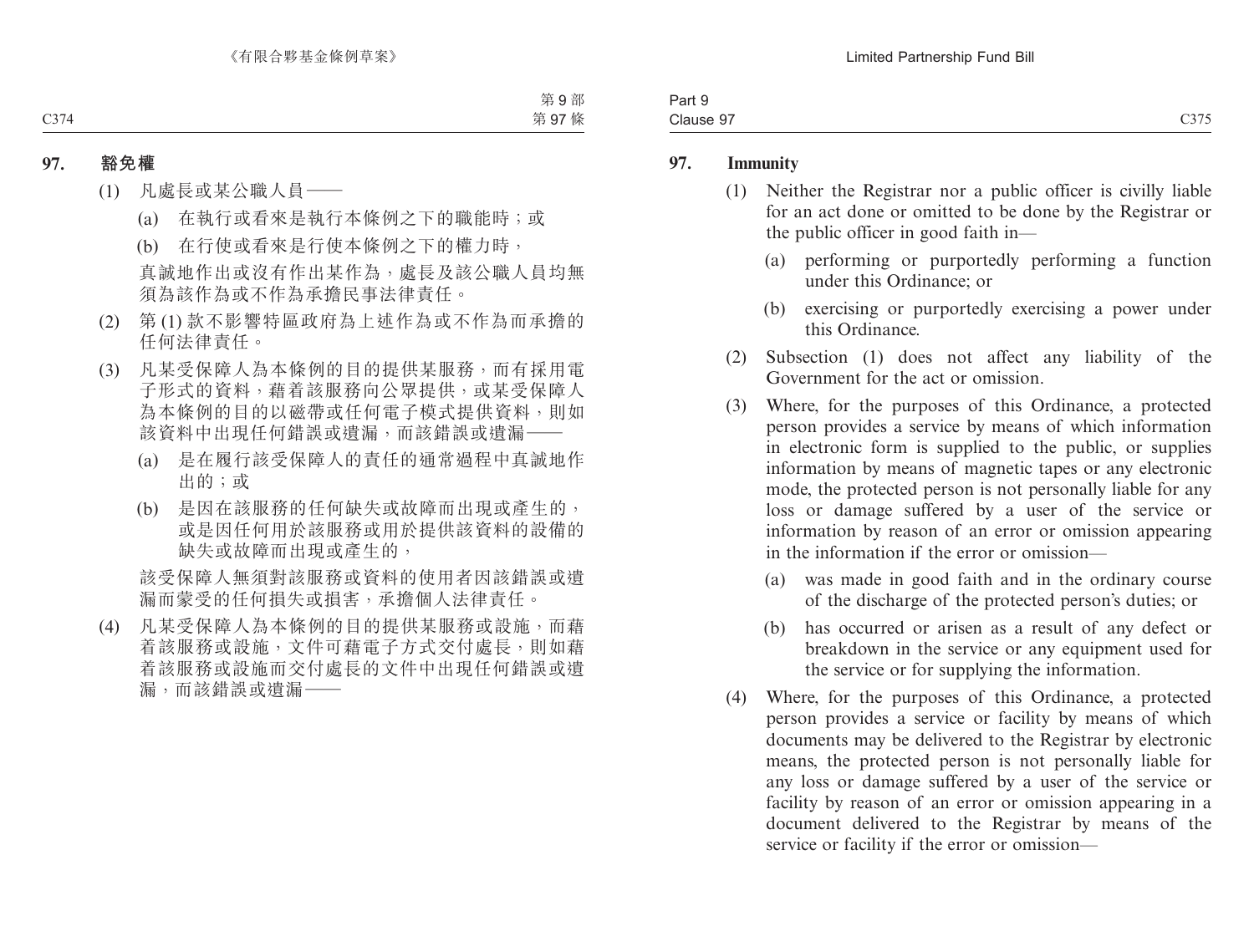| 3 <sub>cm</sub><br>. .<br>ταιι σ<br>. |                                             |
|---------------------------------------|---------------------------------------------|
| $\sim$<br>-<br>Clause 97              | $\sim$ $\sim$ $\sim$<br>-275<br>.<br>-- - - |

#### **97. Immunity**

- (1) Neither the Registrar nor a public officer is civilly liable for an act done or omitted to be done by the Registrar or the public officer in good faith in—
	- (a) performing or purportedly performing a function under this Ordinance; or
	- (b) exercising or purportedly exercising a power under this Ordinance.
- (2) Subsection (1) does not affect any liability of the Government for the act or omission.
- (3) Where, for the purposes of this Ordinance, a protected person provides a service by means of which information in electronic form is supplied to the public, or supplies information by means of magnetic tapes or any electronic mode, the protected person is not personally liable for any loss or damage suffered by a user of the service or information by reason of an error or omission appearing in the information if the error or omission—
	- (a) was made in good faith and in the ordinary course of the discharge of the protected person's duties; or
	- (b) has occurred or arisen as a result of any defect or breakdown in the service or any equipment used for the service or for supplying the information.
- (4) Where, for the purposes of this Ordinance, a protected person provides a service or facility by means of which documents may be delivered to the Registrar by electronic means, the protected person is not personally liable for any loss or damage suffered by a user of the service or facility by reason of an error or omission appearing in a document delivered to the Registrar by means of the service or facility if the error or omission—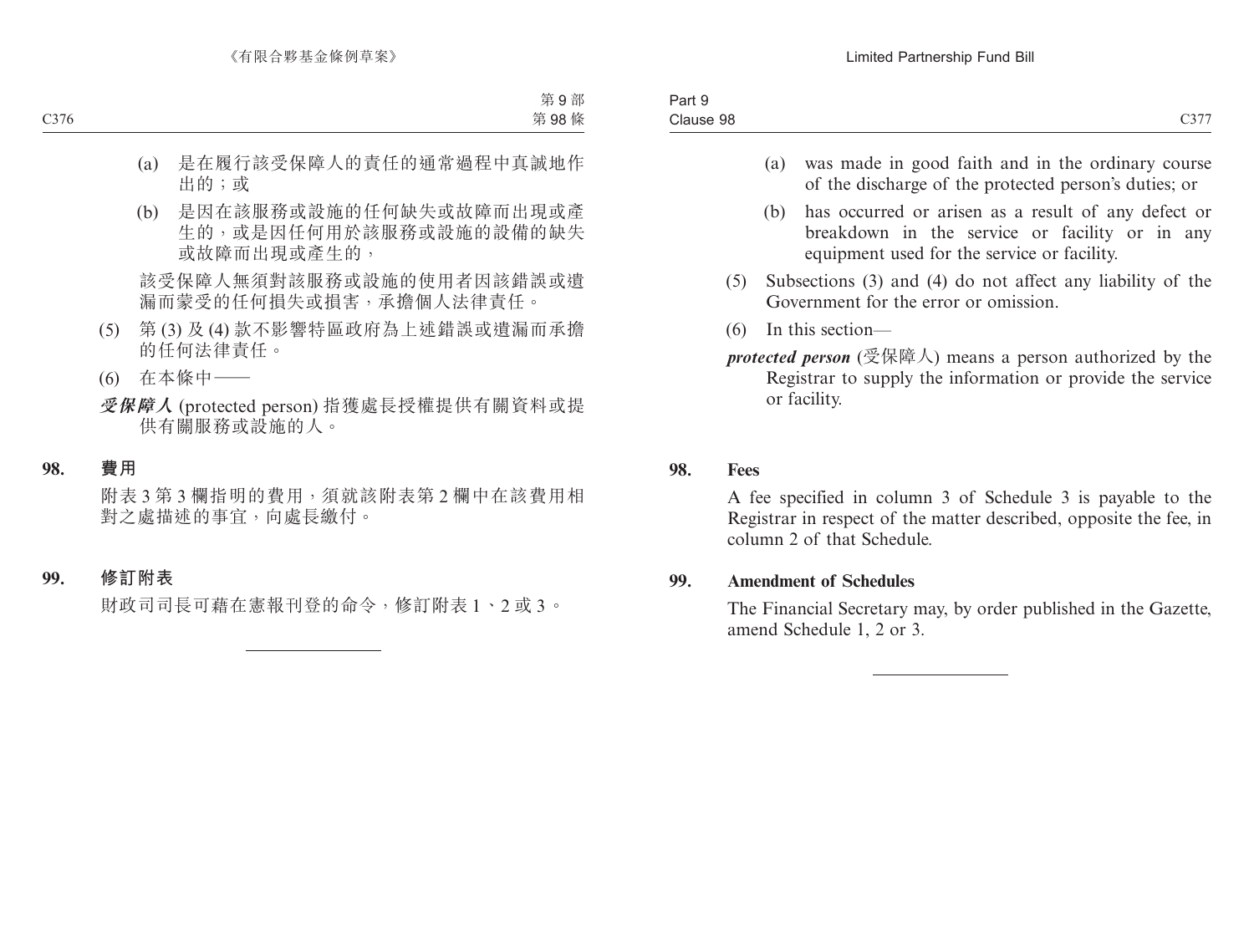- (a) was made in good faith and in the ordinary course of the discharge of the protected person's duties; or
- (b) has occurred or arisen as a result of any defect or breakdown in the service or facility or in any equipment used for the service or facility.
- (5) Subsections (3) and (4) do not affect any liability of the Government for the error or omission.
- (6) In this section—

*protected person* (受保障人) means a person authorized by the Registrar to supply the information or provide the service or facility.

#### **98. Fees**

A fee specified in column 3 of Schedule 3 is payable to the Registrar in respect of the matter described, opposite the fee, in column 2 of that Schedule.

### **99. Amendment of Schedules**

The Financial Secretary may, by order published in the Gazette, amend Schedule 1, 2 or 3.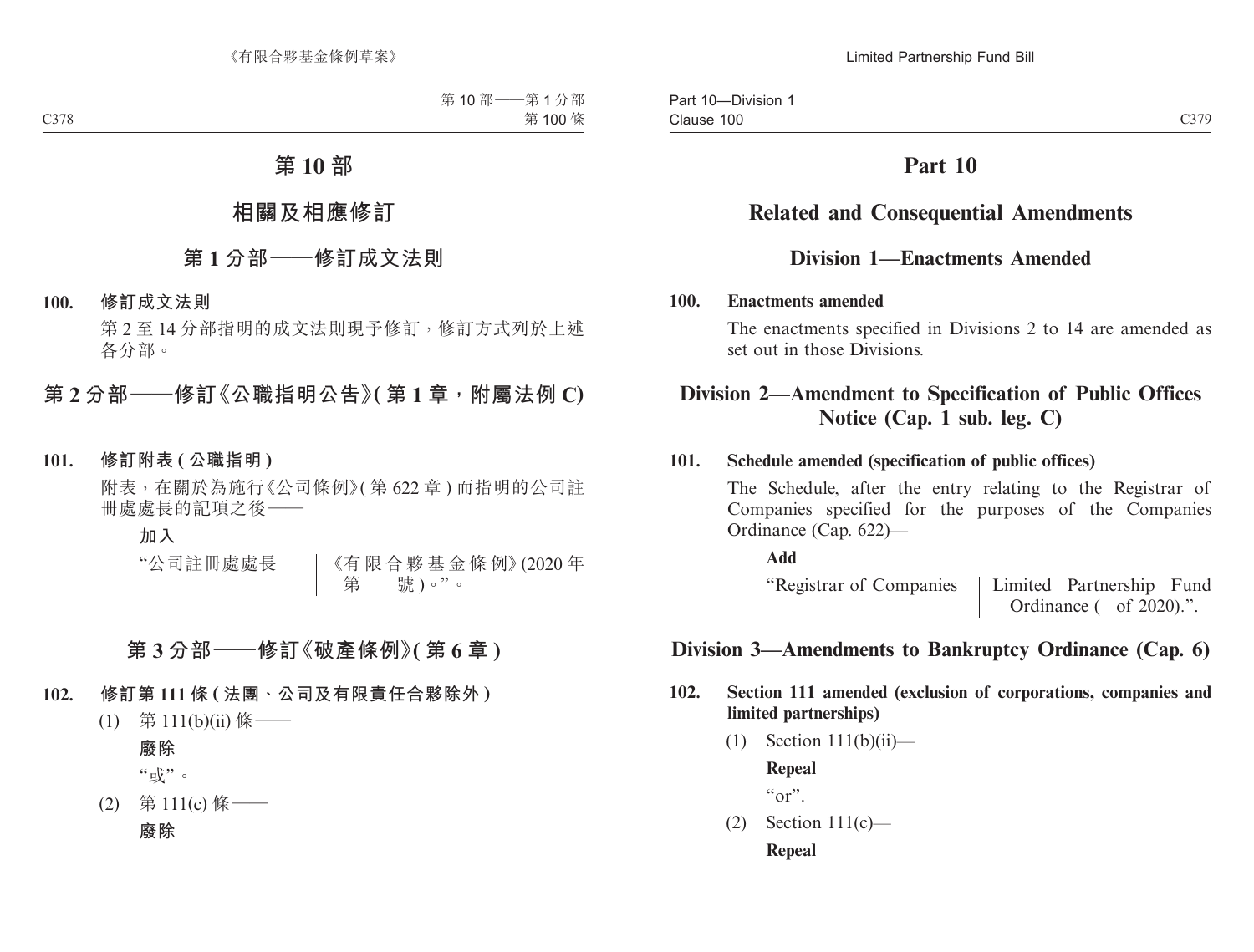# **Part 10**

# **Related and Consequential Amendments**

## **Division 1—Enactments Amended**

#### **100. Enactments amended**

The enactments specified in Divisions 2 to 14 are amended as set out in those Divisions.

## **Division 2—Amendment to Specification of Public Offices Notice (Cap. 1 sub. leg. C)**

#### **101. Schedule amended (specification of public offices)**

The Schedule, after the entry relating to the Registrar of Companies specified for the purposes of the Companies Ordinance (Cap. 622)—

**Add**

"Registrar of Companies Limited Partnership Fund Ordinance ( of 2020).".

## **Division 3—Amendments to Bankruptcy Ordinance (Cap. 6)**

- **102. Section 111 amended (exclusion of corporations, companies and limited partnerships)**
	- $(1)$  Section 111(b)(ii)—

**Repeal**

 $\alpha$ ".

 $(2)$  Section  $111(c)$ —

**Repeal**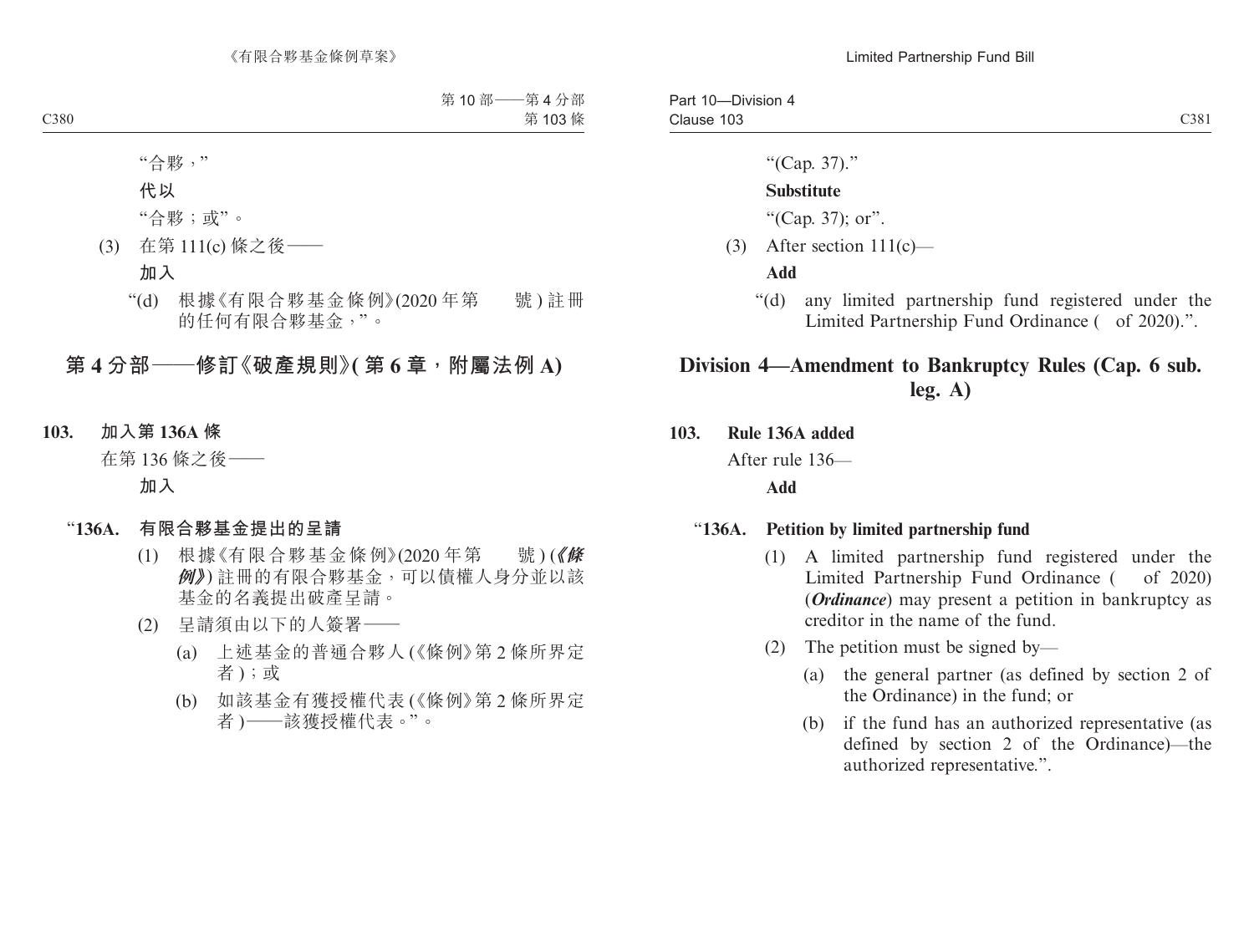"(Cap. 37)."

#### **Substitute**

"(Cap. 37); or".

(3) After section  $111(c)$ —

#### **Add**

"(d) any limited partnership fund registered under the Limited Partnership Fund Ordinance (of 2020).".

# **Division 4—Amendment to Bankruptcy Rules (Cap. 6 sub. leg. A)**

#### **103. Rule 136A added**

After rule 136—

#### **Add**

#### "**136A. Petition by limited partnership fund**

- (1) A limited partnership fund registered under the Limited Partnership Fund Ordinance (of 2020) (*Ordinance*) may present a petition in bankruptcy as creditor in the name of the fund.
- (2) The petition must be signed by—
	- (a) the general partner (as defined by section 2 of the Ordinance) in the fund; or
	- (b) if the fund has an authorized representative (as defined by section 2 of the Ordinance)—the authorized representative.".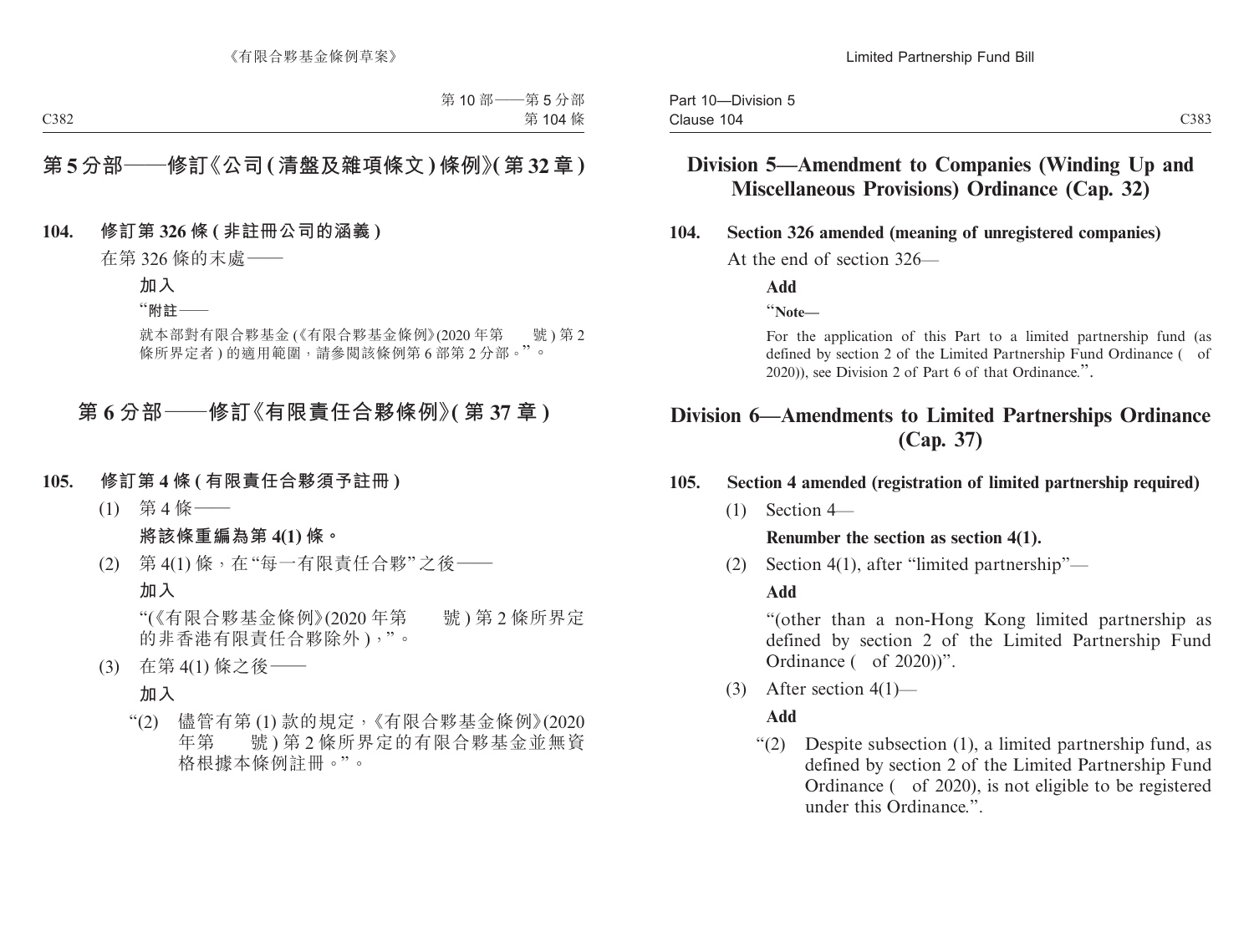## **Division 5—Amendment to Companies (Winding Up and Miscellaneous Provisions) Ordinance (Cap. 32)**

#### **104. Section 326 amended (meaning of unregistered companies)**

At the end of section 326—

**Add**

"**Note—**

For the application of this Part to a limited partnership fund (as defined by section 2 of the Limited Partnership Fund Ordinance ( of 2020)), see Division 2 of Part 6 of that Ordinance.".

# **Division 6—Amendments to Limited Partnerships Ordinance (Cap. 37)**

#### **105. Section 4 amended (registration of limited partnership required)**

 $(1)$  Section 4—

**Renumber the section as section 4(1).**

(2) Section 4(1), after "limited partnership"—

#### **Add**

"(other than a non-Hong Kong limited partnership as defined by section 2 of the Limited Partnership Fund Ordinance ( of 2020))".

(3) After section 4(1)—

**Add**

"(2) Despite subsection (1), a limited partnership fund, as defined by section 2 of the Limited Partnership Fund Ordinance ( of 2020), is not eligible to be registered under this Ordinance."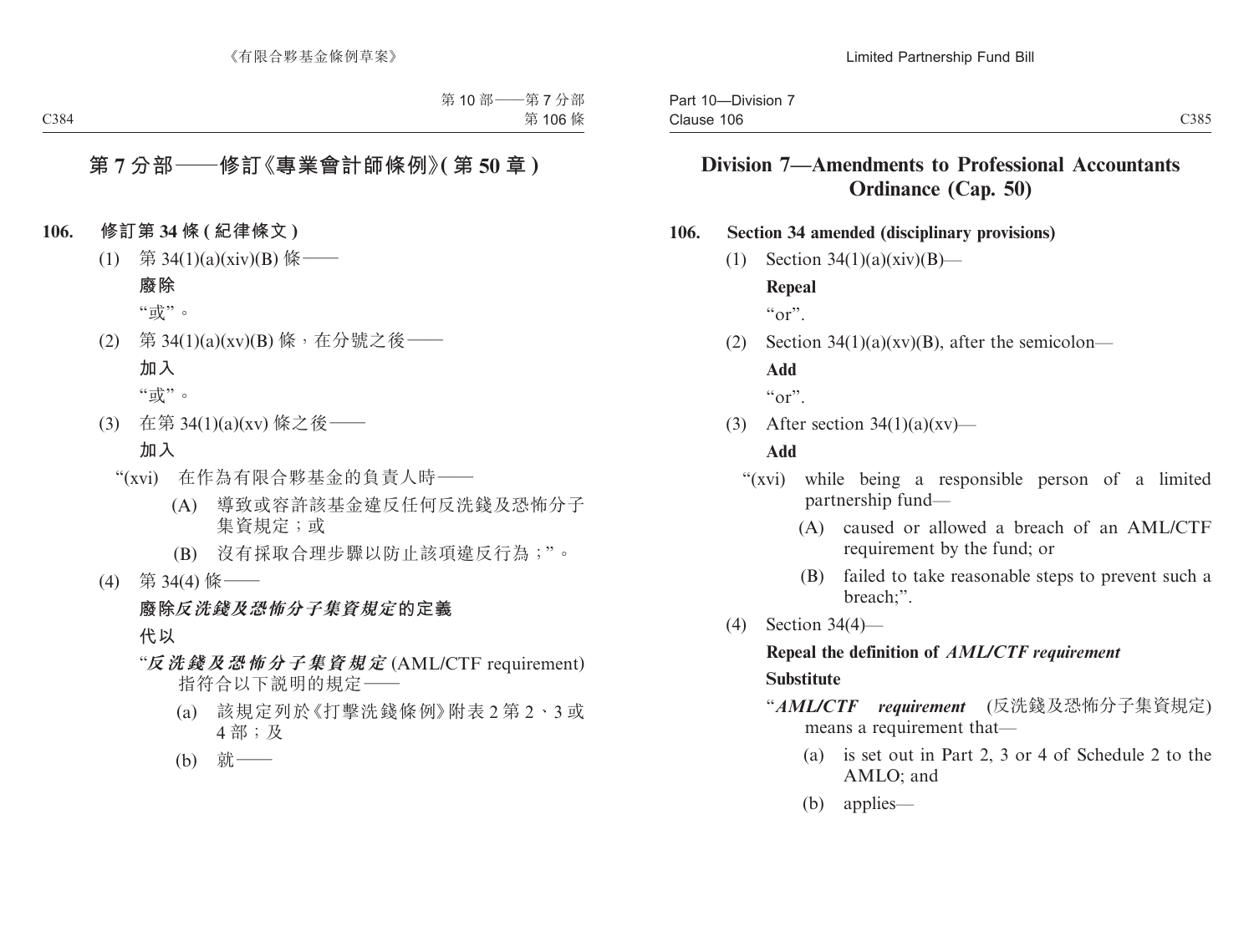# **Division 7—Amendments to Professional Accountants Ordinance (Cap. 50)**

#### **106. Section 34 amended (disciplinary provisions)**

(1) Section  $34(1)(a)(xiv)(B)$ —

**Repeal**

 $``\text{or}"$ 

(2) Section  $34(1)(a)(xy)(B)$ , after the semicolon— **Add**

 $``\alpha"$ 

(3) After section  $34(1)(a)(xy)$ —

#### **Add**

- "(xvi) while being a responsible person of a limited partnership fund—
	- (A) caused or allowed a breach of an AML/CTF requirement by the fund; or
	- (B) failed to take reasonable steps to prevent such a breach;".
- (4) Section 34(4)—

#### **Repeal the definition of** *AML/CTF requirement* **Substitute**

- "*AML/CTF requirement* (反洗錢及恐怖分子集資規定) means a requirement that—
	- (a) is set out in Part 2, 3 or 4 of Schedule 2 to the AMLO; and
	- (b) applies—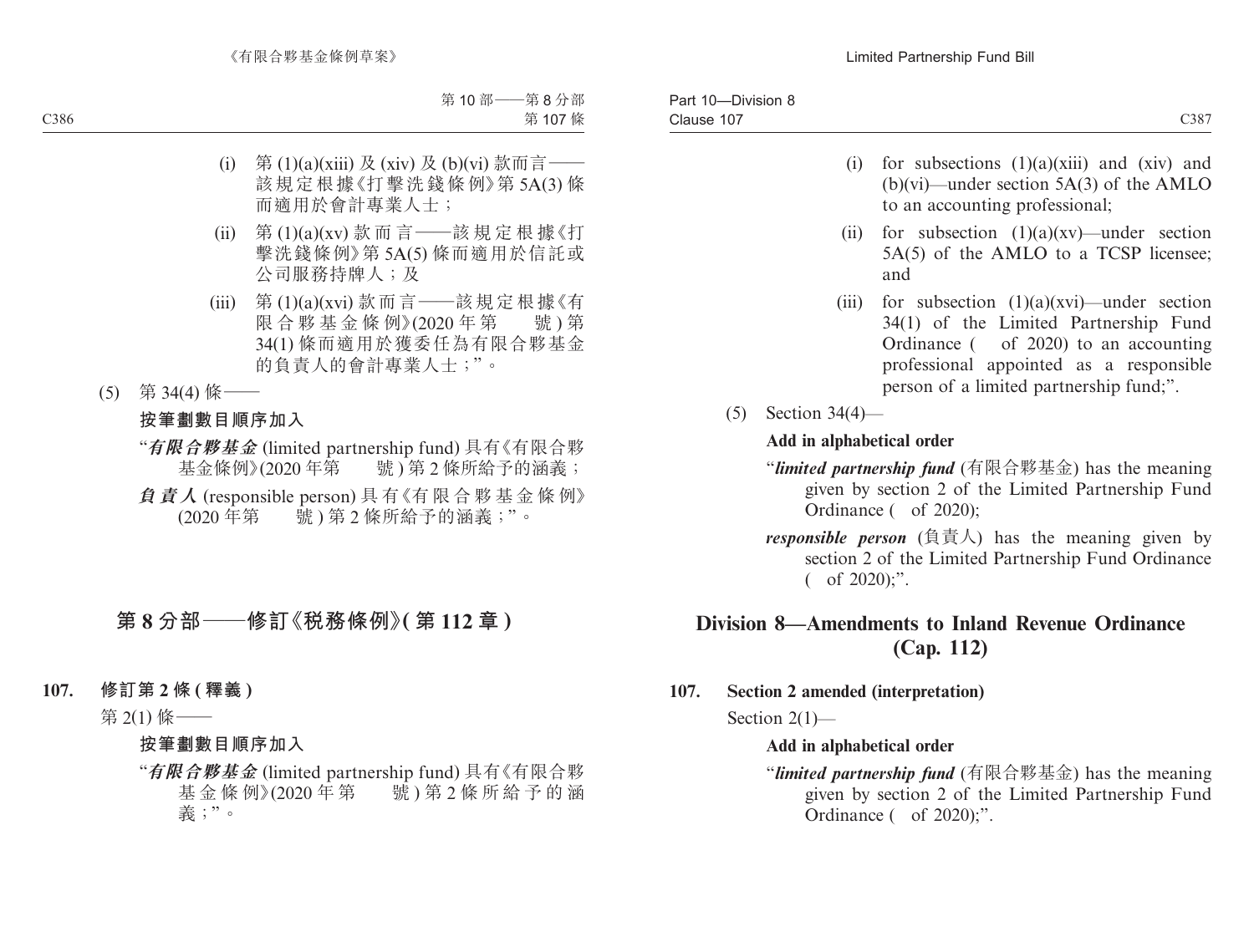- (i) for subsections  $(1)(a)(xiii)$  and  $(xiv)$  and (b)(vi)—under section 5A(3) of the AMLO to an accounting professional;
- (ii) for subsection  $(1)(a)(xy)$ —under section 5A(5) of the AMLO to a TCSP licensee; and
- (iii) for subsection  $(1)(a)(xvi)$ —under section 34(1) of the Limited Partnership Fund Ordinance ( of 2020) to an accounting professional appointed as a responsible person of a limited partnership fund;".
- (5) Section 34(4)—

#### **Add in alphabetical order**

- "*limited partnership fund* (有限合夥基金) has the meaning given by section 2 of the Limited Partnership Fund Ordinance ( of 2020);
- *responsible person* (負責人) has the meaning given by section 2 of the Limited Partnership Fund Ordinance  $($  of 2020);".

# **Division 8—Amendments to Inland Revenue Ordinance (Cap. 112)**

**107. Section 2 amended (interpretation)**

Section 2(1)—

#### **Add in alphabetical order**

"*limited partnership fund* (有限合夥基金) has the meaning given by section 2 of the Limited Partnership Fund Ordinance ( of 2020);".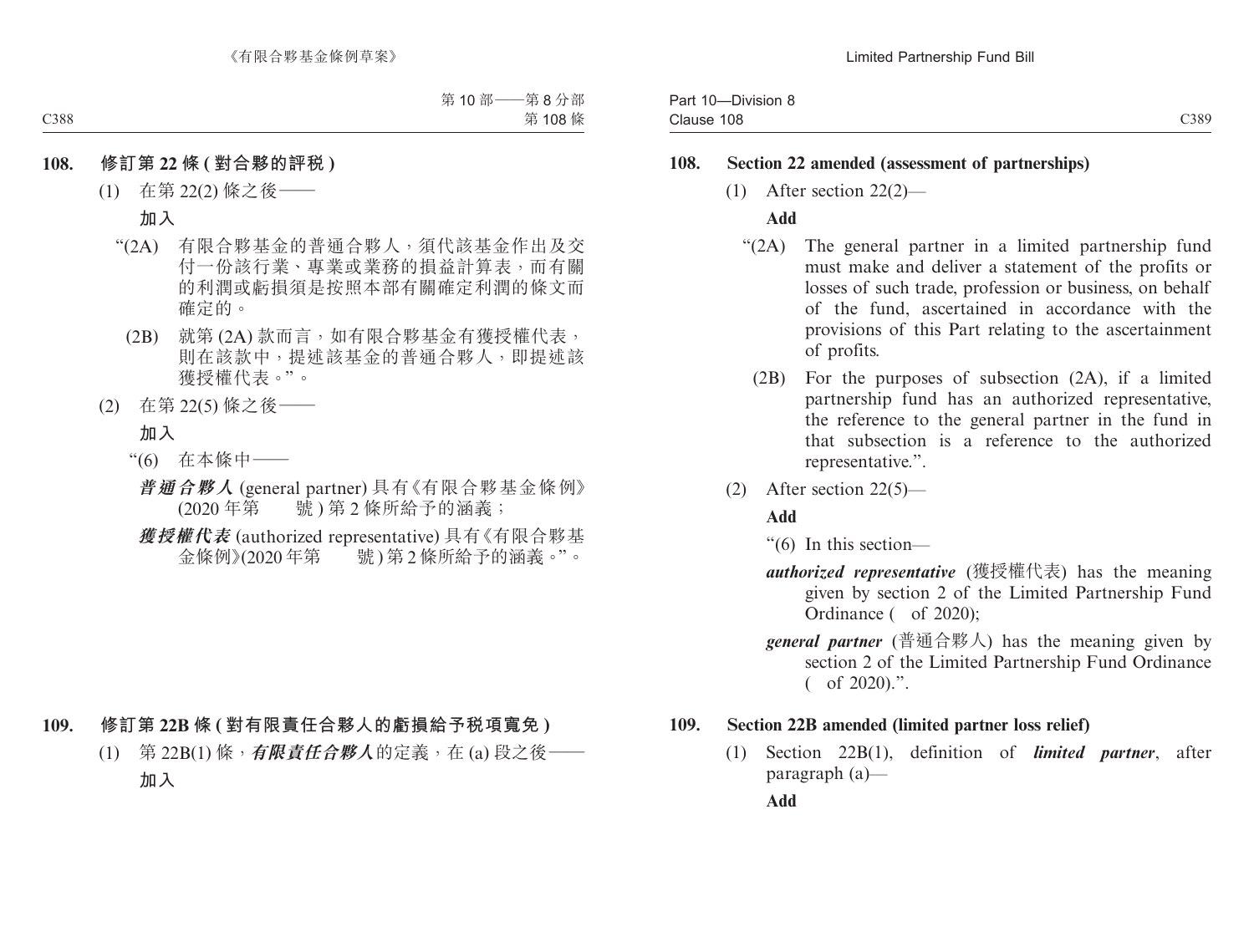#### **108. Section 22 amended (assessment of partnerships)**

(1) After section 22(2)—

#### **Add**

- "(2A) The general partner in a limited partnership fund must make and deliver a statement of the profits or losses of such trade, profession or business, on behalf of the fund, ascertained in accordance with the provisions of this Part relating to the ascertainment of profits.
	- (2B) For the purposes of subsection (2A), if a limited partnership fund has an authorized representative, the reference to the general partner in the fund in that subsection is a reference to the authorized representative.".
- (2) After section 22(5)—

#### **Add**

"(6) In this section—

- *authorized representative* (獲授權代表) has the meaning given by section 2 of the Limited Partnership Fund Ordinance ( of 2020);
- *general partner* (普通合夥人) has the meaning given by section 2 of the Limited Partnership Fund Ordinance ( of 2020).".

#### **109. Section 22B amended (limited partner loss relief)**

(1) Section 22B(1), definition of *limited partner*, after paragraph (a)—

**Add**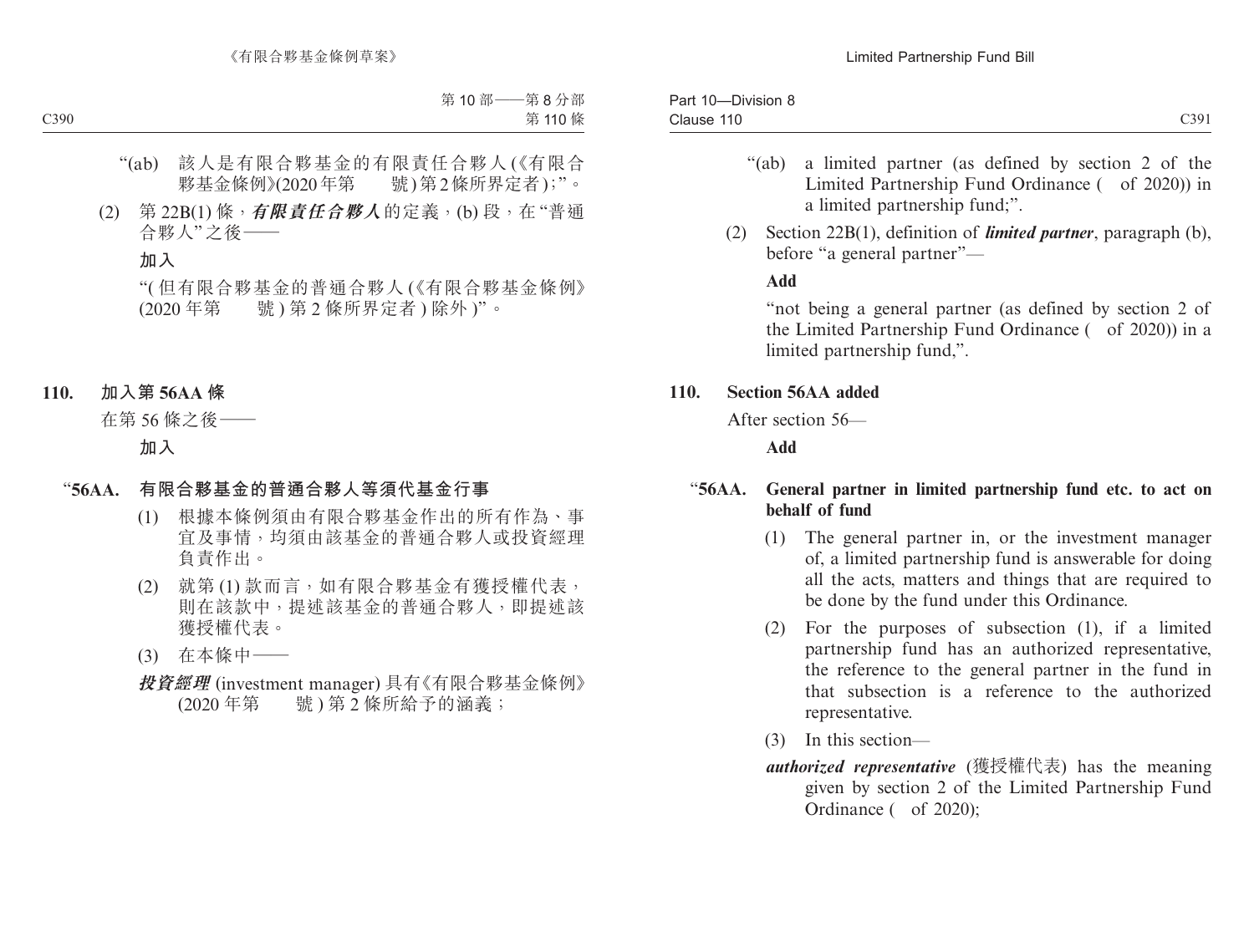| $10 -$<br>-Division 8<br>Part |      |
|-------------------------------|------|
| Clause 110                    | C391 |

- "(ab) a limited partner (as defined by section 2 of the Limited Partnership Fund Ordinance ( of 2020)) in a limited partnership fund;".
- (2) Section 22B(1), definition of *limited partner*, paragraph (b), before "a general partner"—

**Add**

"not being a general partner (as defined by section 2 of the Limited Partnership Fund Ordinance ( of 2020)) in a limited partnership fund,".

### **110. Section 56AA added**

After section 56—

**Add**

### "**56AA. General partner in limited partnership fund etc. to act on behalf of fund**

- (1) The general partner in, or the investment manager of, a limited partnership fund is answerable for doing all the acts, matters and things that are required to be done by the fund under this Ordinance.
- (2) For the purposes of subsection (1), if a limited partnership fund has an authorized representative, the reference to the general partner in the fund in that subsection is a reference to the authorized representative.
- (3) In this section—
- *authorized representative* (獲授權代表) has the meaning given by section 2 of the Limited Partnership Fund Ordinance ( of 2020);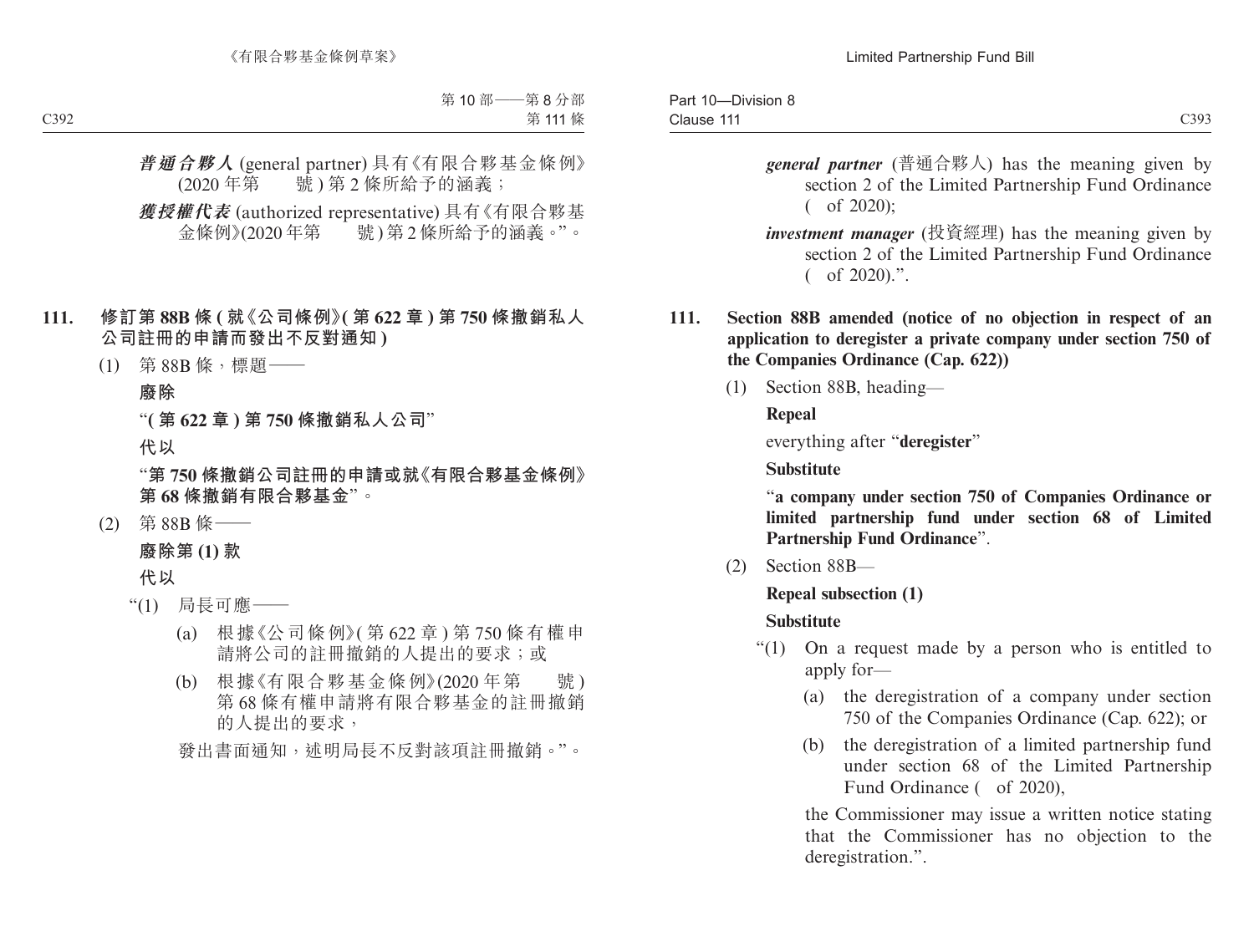| $10 -$<br>-Division 8<br>Part  |                     |
|--------------------------------|---------------------|
| <b>A 4 4 1</b><br>Clause<br>11 | C393<br><b>UJ/J</b> |

- *general partner* (普通合夥人) has the meaning given by section 2 of the Limited Partnership Fund Ordinance  $($  of 2020):
- *investment manager* (投資經理) has the meaning given by section 2 of the Limited Partnership Fund Ordinance ( of 2020).".
- **111. Section 88B amended (notice of no objection in respect of an application to deregister a private company under section 750 of the Companies Ordinance (Cap. 622))**
	- (1) Section 88B, heading—

**Repeal** 

everything after "**deregister**"

**Substitute**

"**a company under section 750 of Companies Ordinance or limited partnership fund under section 68 of Limited Partnership Fund Ordinance**".

(2) Section 88B—

**Repeal subsection (1)**

# **Substitute**

- "(1) On a request made by a person who is entitled to apply for—
	- (a) the deregistration of a company under section 750 of the Companies Ordinance (Cap. 622); or
	- (b) the deregistration of a limited partnership fund under section 68 of the Limited Partnership Fund Ordinance (of 2020),

the Commissioner may issue a written notice stating that the Commissioner has no objection to the deregistration.".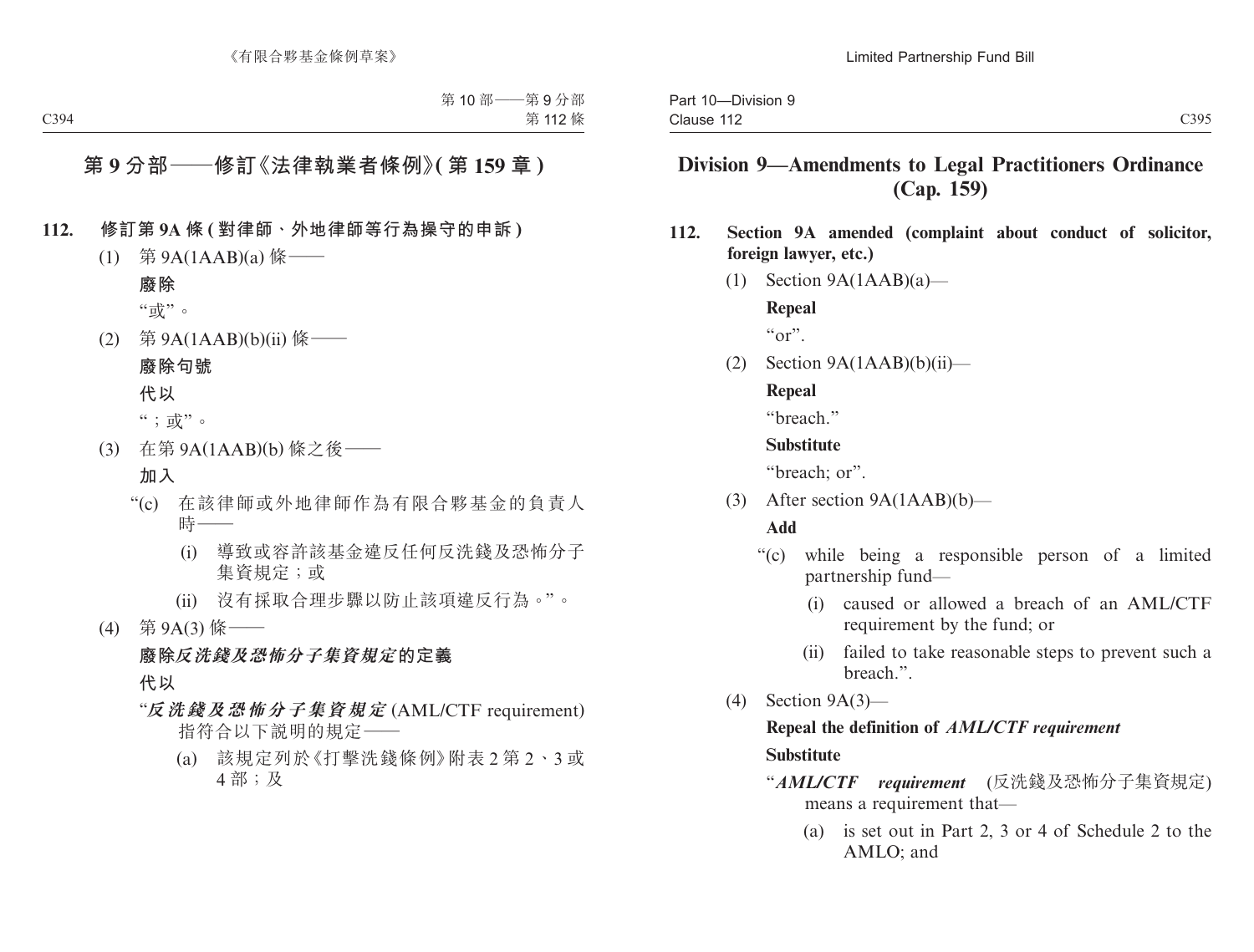# **Division 9—Amendments to Legal Practitioners Ordinance (Cap. 159)**

- **112. Section 9A amended (complaint about conduct of solicitor, foreign lawyer, etc.)**
	- (1) Section  $9A(1AAB)(a)$ —

**Repeal**

 $``\text{or}"$ 

 $(2)$  Section  $9A(1AAB)(b)(ii)$ —

#### **Repeal**

"breach."

### **Substitute**

"breach: or".

(3) After section 9A(1AAB)(b)—

#### **Add**

- "(c) while being a responsible person of a limited partnership fund—
	- (i) caused or allowed a breach of an AML/CTF requirement by the fund; or
	- (ii) failed to take reasonable steps to prevent such a breach.".
- (4) Section 9A(3)—

## **Repeal the definition of** *AML/CTF requirement* **Substitute**

- "*AML/CTF requirement* (反洗錢及恐怖分子集資規定) means a requirement that—
	- (a) is set out in Part 2, 3 or 4 of Schedule 2 to the AMLO; and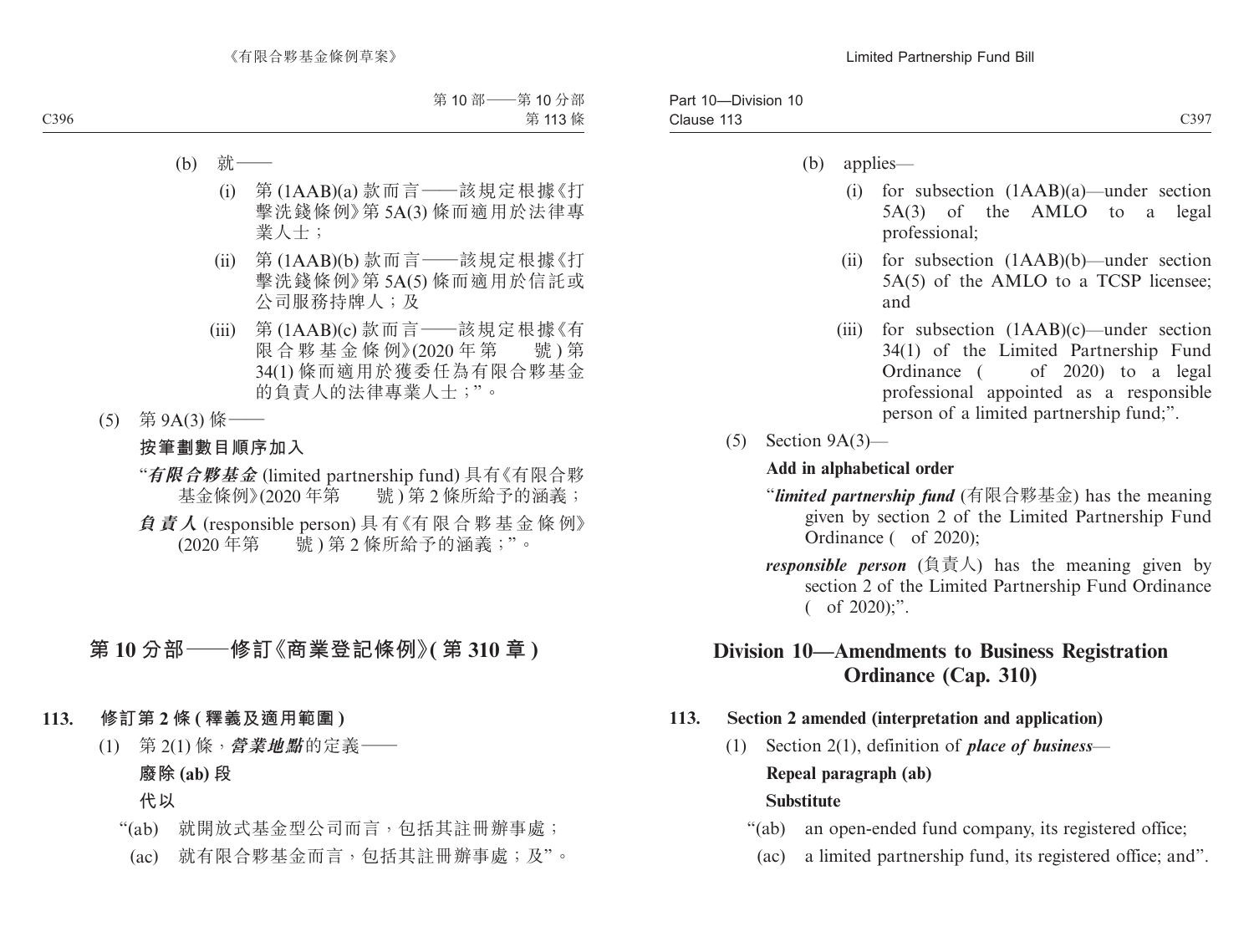- (b) applies—
	- (i) for subsection (1AAB)(a)—under section 5A(3) of the AMLO to a legal professional;
	- (ii) for subsection (1AAB)(b)—under section 5A(5) of the AMLO to a TCSP licensee; and
	- (iii) for subsection (1AAB)(c)—under section 34(1) of the Limited Partnership Fund Ordinance ( of 2020) to a legal professional appointed as a responsible person of a limited partnership fund;".
- (5) Section 9A(3)—

### **Add in alphabetical order**

- "*limited partnership fund* (有限合夥基金) has the meaning given by section 2 of the Limited Partnership Fund Ordinance ( of 2020);
- *responsible person* (負責人) has the meaning given by section 2 of the Limited Partnership Fund Ordinance ( of 2020);".

# **Division 10—Amendments to Business Registration Ordinance (Cap. 310)**

## **113. Section 2 amended (interpretation and application)**

(1) Section 2(1), definition of *place of business*—

### **Repeal paragraph (ab) Substitute**

- "(ab) an open-ended fund company, its registered office;
	- (ac) a limited partnership fund, its registered office; and".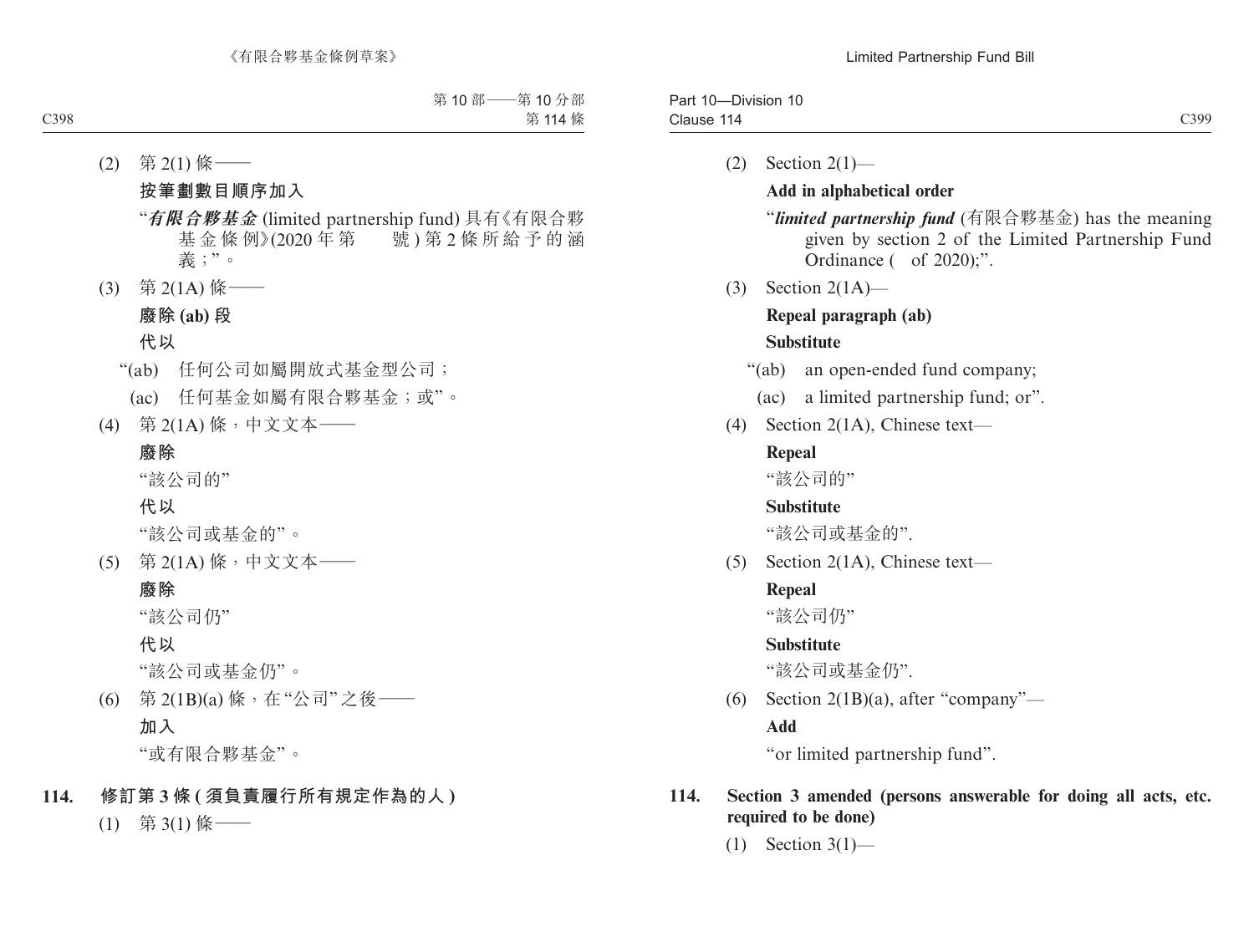| $\sim$<br>Clause<br>14<br>. | $^{\circ}399$<br>) |
|-----------------------------|--------------------|

 $(2)$  Section  $2(1)$ —

## **Add in alphabetical order**

"*limited partnership fund* (有限合夥基金) has the meaning given by section 2 of the Limited Partnership Fund Ordinance ( of 2020);".

(3) Section 2(1A)—

# **Repeal paragraph (ab)**

### **Substitute**

"(ab) an open-ended fund company;

(ac) a limited partnership fund; or".

(4) Section 2(1A), Chinese text—

## **Repeal**

"該公司的"

## **Substitute**

"該公司或基金的".

(5) Section 2(1A), Chinese text—

## **Repeal**

"該公司仍"

## **Substitute**

"該公司或基金仍".

(6) Section 2(1B)(a), after "company"—

## **Add**

"or limited partnership fund".

## **114. Section 3 amended (persons answerable for doing all acts, etc. required to be done)**

(1) Section 3(1)—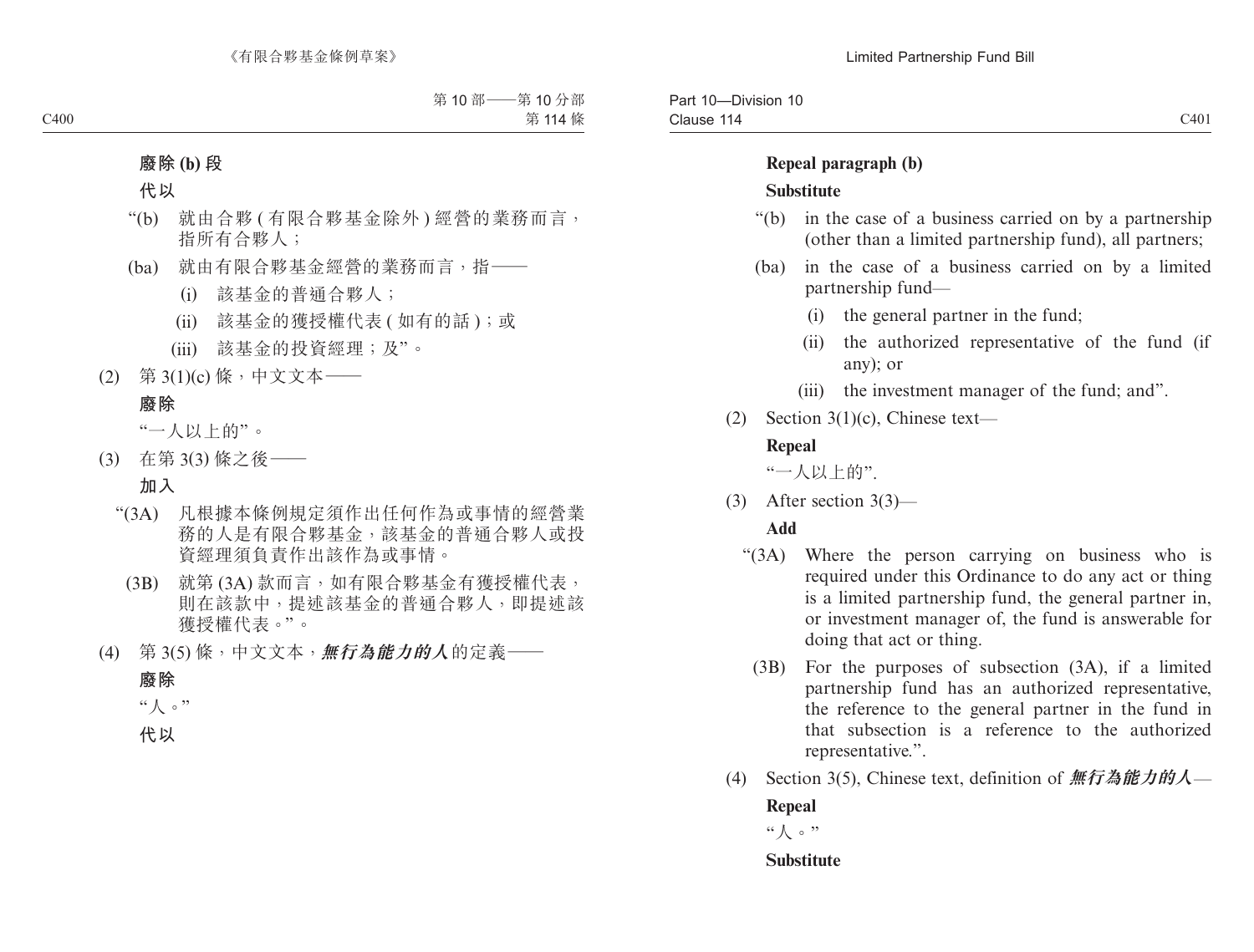### **Repeal paragraph (b) Substitute**

- "(b) in the case of a business carried on by a partnership (other than a limited partnership fund), all partners;
- (ba) in the case of a business carried on by a limited partnership fund—
	- (i) the general partner in the fund;
	- (ii) the authorized representative of the fund (if any); or
	- (iii) the investment manager of the fund; and".
- (2) Section 3(1)(c), Chinese text—

## **Repeal**

"一人以上的".

(3) After section 3(3)—

## **Add**

- "(3A) Where the person carrying on business who is required under this Ordinance to do any act or thing is a limited partnership fund, the general partner in, or investment manager of, the fund is answerable for doing that act or thing.
	- (3B) For the purposes of subsection (3A), if a limited partnership fund has an authorized representative, the reference to the general partner in the fund in that subsection is a reference to the authorized representative.".
- (4) Section 3(5), Chinese text, definition of **無行為能力的人 Repeal**

"人。"

## **Substitute**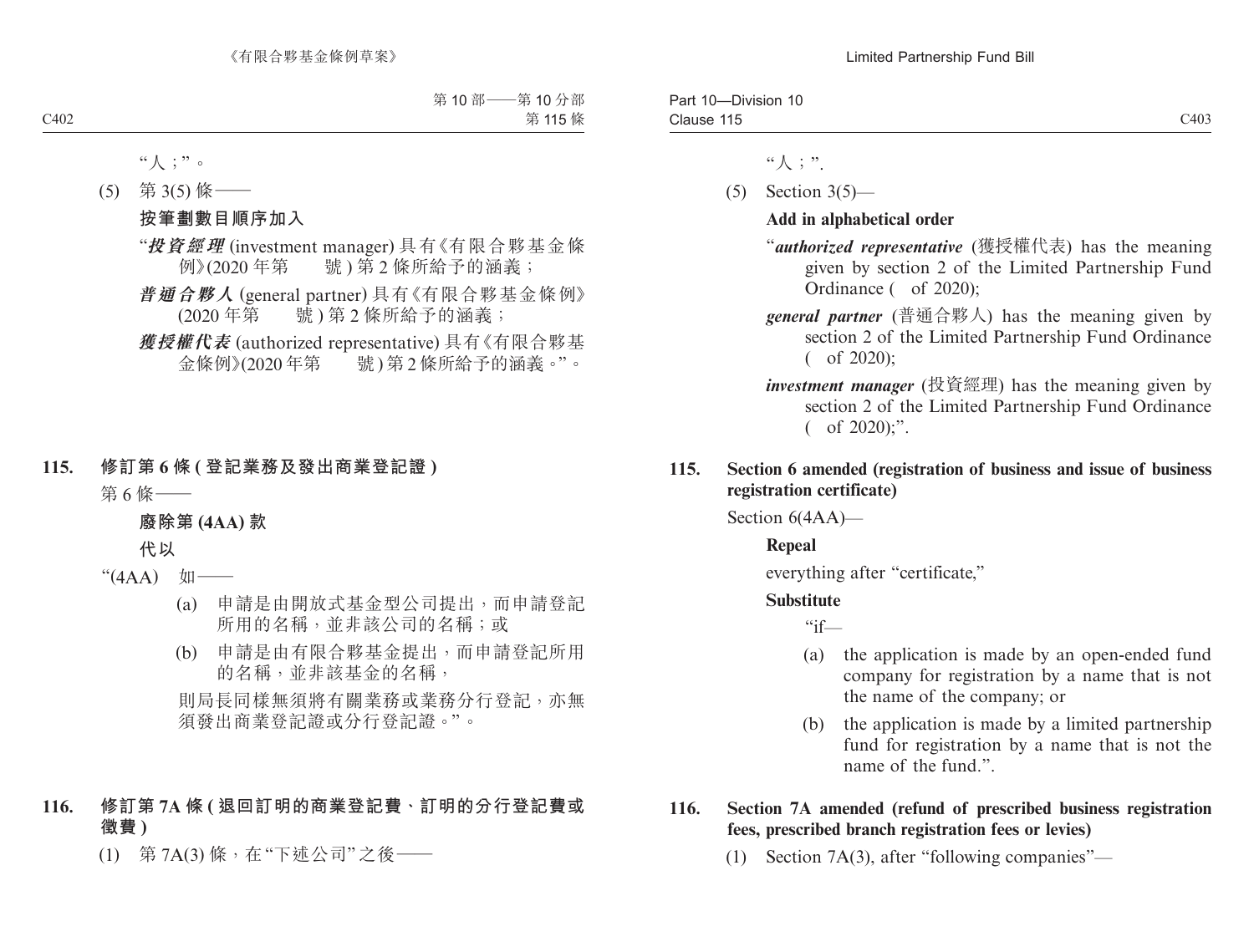| $- \cdot$<br>-<br>$\ddot{\phantom{1}}$<br>Division<br>Pan<br>$\sim$<br>-16<br>1 L J |      |
|-------------------------------------------------------------------------------------|------|
| Clause<br>.                                                                         | C403 |

- "人;".
- (5) Section 3(5)—

## **Add in alphabetical order**

- "*authorized representative* (獲授權代表) has the meaning given by section 2 of the Limited Partnership Fund Ordinance ( of 2020);
- *general partner* (普通合夥人) has the meaning given by section 2 of the Limited Partnership Fund Ordinance ( of 2020);
- *investment manager* (投資經理) has the meaning given by section 2 of the Limited Partnership Fund Ordinance  $($  of 2020);".

## **115. Section 6 amended (registration of business and issue of business registration certificate)**

Section 6(4AA)—

## **Repeal**

everything after "certificate,"

## **Substitute**

 $``if$ —

- (a) the application is made by an open-ended fund company for registration by a name that is not the name of the company; or
- (b) the application is made by a limited partnership fund for registration by a name that is not the name of the fund.".

## **116. Section 7A amended (refund of prescribed business registration fees, prescribed branch registration fees or levies)**

(1) Section 7A(3), after "following companies"—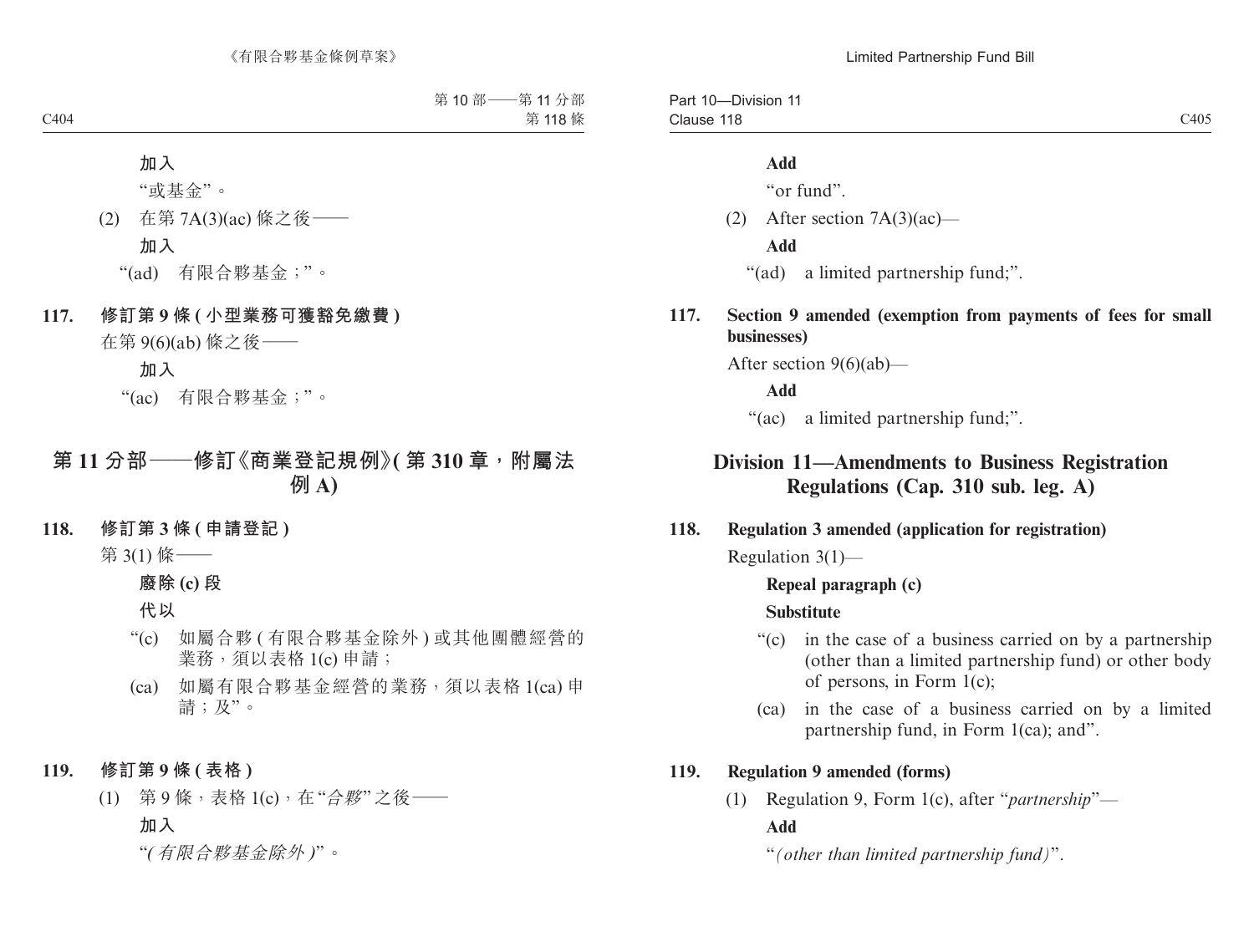#### **Add**

"or fund".

(2) After section 7A(3)(ac)—

#### **Add**

- "(ad) a limited partnership fund;".
- **117. Section 9 amended (exemption from payments of fees for small businesses)**

After section 9(6)(ab)—

**Add**

"(ac) a limited partnership fund;".

# **Division 11—Amendments to Business Registration Regulations (Cap. 310 sub. leg. A)**

#### **118. Regulation 3 amended (application for registration)**

Regulation 3(1)—

#### **Repeal paragraph (c)**

### **Substitute**

- "(c) in the case of a business carried on by a partnership (other than a limited partnership fund) or other body of persons, in Form 1(c);
- (ca) in the case of a business carried on by a limited partnership fund, in Form 1(ca); and".

### **119. Regulation 9 amended (forms)**

(1) Regulation 9, Form 1(c), after "*partnership*"— **Add**

"*(other than limited partnership fund)*".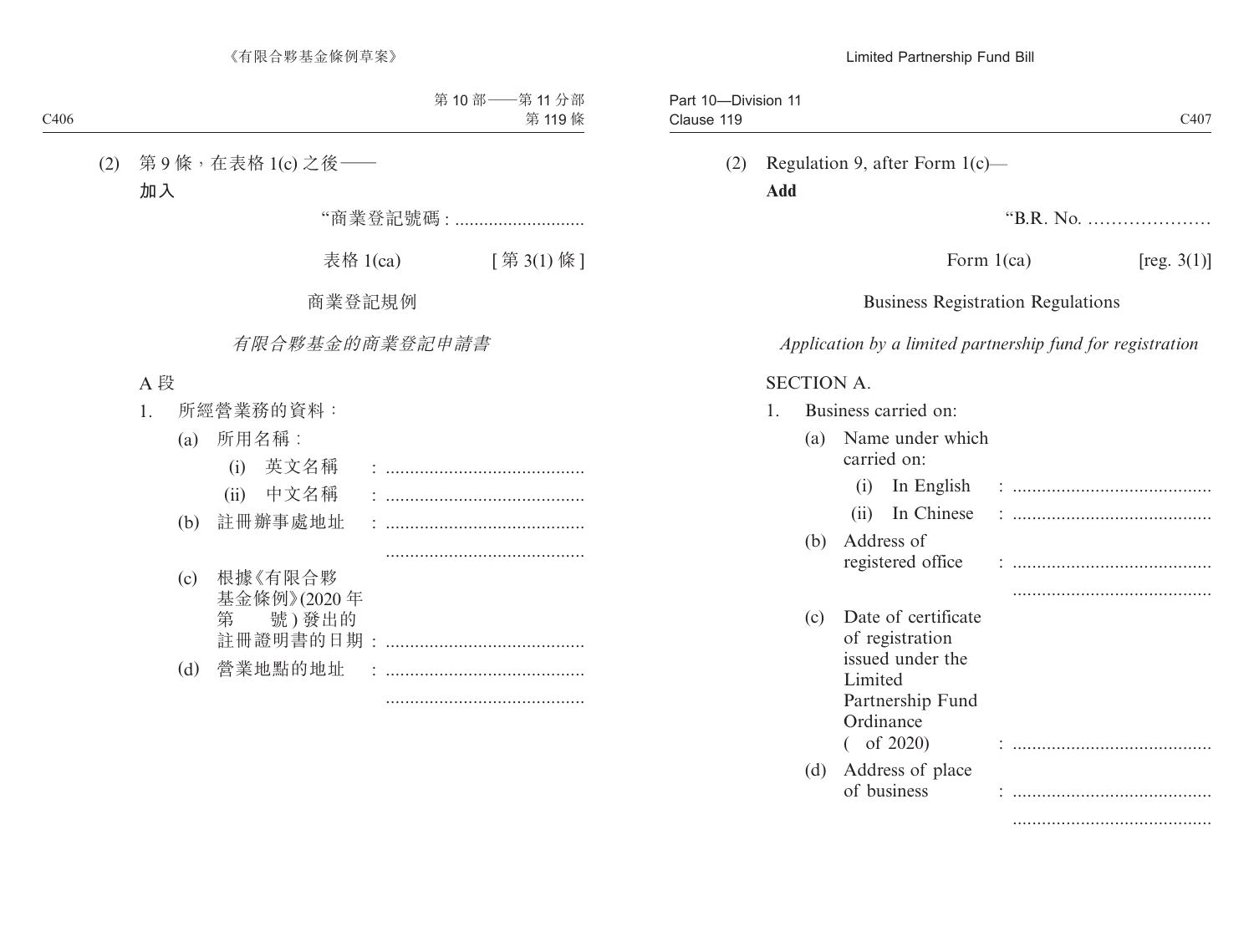# (2) Regulation 9, after Form 1(c)— **Add**

"B.R. No. …………………

Form  $1(ca)$  [reg.  $3(1)$ ]

## Business Registration Regulations

*Application by a limited partnership fund for registration*

### SECTION A.

|     | Business carried on:                                                                                                      |  |
|-----|---------------------------------------------------------------------------------------------------------------------------|--|
| (a) | Name under which<br>carried on:                                                                                           |  |
|     | In English<br>(1)                                                                                                         |  |
|     | In Chinese<br>(i)                                                                                                         |  |
| (b) | Address of                                                                                                                |  |
|     | registered office                                                                                                         |  |
|     |                                                                                                                           |  |
| (c) | Date of certificate<br>of registration<br>issued under the<br>Limited<br>Partnership Fund<br>Ordinance<br>$\int$ of 2020) |  |
| (d) | Address of place<br>of business                                                                                           |  |
|     |                                                                                                                           |  |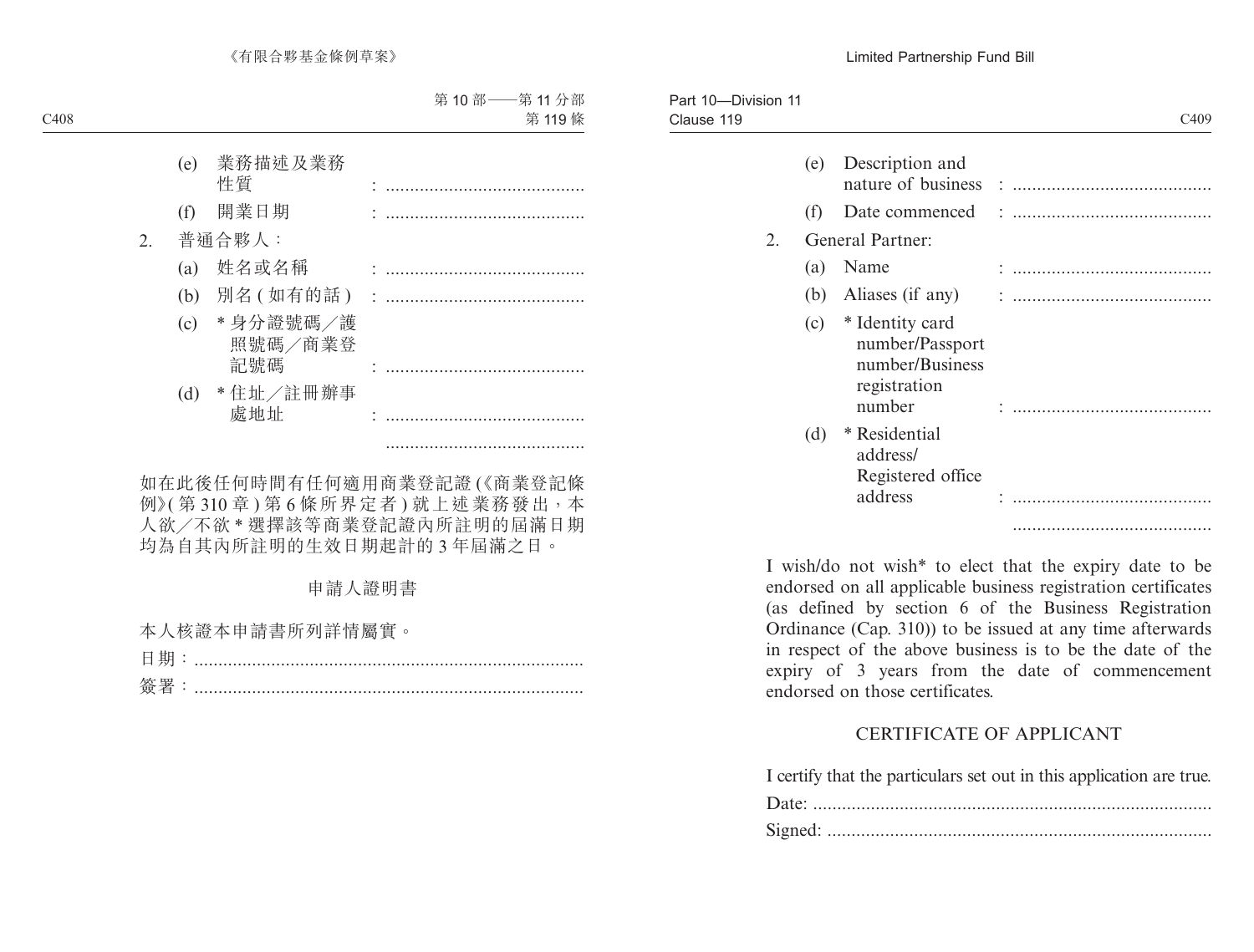| C <sub>409</sub> |                                                                                 |     | Part 10-Division 11 |
|------------------|---------------------------------------------------------------------------------|-----|---------------------|
|                  | Description and                                                                 | (e) |                     |
|                  | Date commenced                                                                  | (1) |                     |
|                  | General Partner:                                                                |     | 2.                  |
|                  | Name                                                                            | (a) |                     |
|                  | Aliases (if any)                                                                | (b) |                     |
|                  | * Identity card<br>number/Passport<br>number/Business<br>registration<br>number | (c) |                     |
|                  | * Residential<br>address/<br>Registered office                                  | (d) |                     |
|                  | address                                                                         |     |                     |
|                  |                                                                                 |     |                     |

I wish/do not wish\* to elect that the expiry date to be endorsed on all applicable business registration certificates (as defined by section 6 of the Business Registration Ordinance (Cap. 310)) to be issued at any time afterwards in respect of the above business is to be the date of the expiry of 3 years from the date of commencement endorsed on those certificates.

## CERTIFICATE OF APPLICANT

I certify that the particulars set out in this application are true.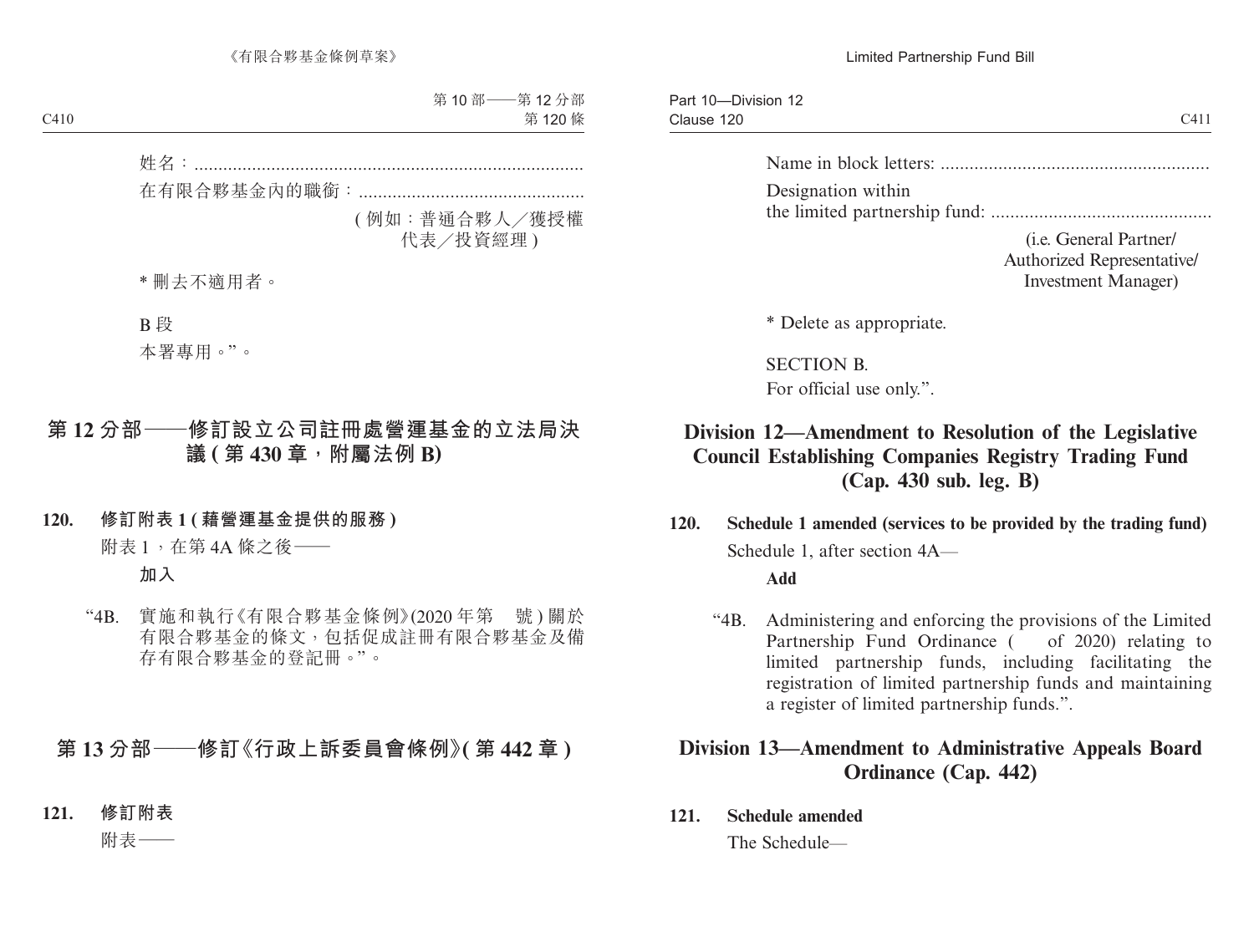Part 10—Division 12 Clause 120 Clause  $120$  C411

Name in block letters: ........................................................ Designation within

the limited partnership fund: ..............................................

(i.e. General Partner/ Authorized Representative/ Investment Manager)

\* Delete as appropriate.

SECTION B. For official use only.".

# **Division 12—Amendment to Resolution of the Legislative Council Establishing Companies Registry Trading Fund (Cap. 430 sub. leg. B)**

**120. Schedule 1 amended (services to be provided by the trading fund)** Schedule 1, after section 4A—

**Add**

"4B. Administering and enforcing the provisions of the Limited Partnership Fund Ordinance ( of 2020) relating to limited partnership funds, including facilitating the registration of limited partnership funds and maintaining a register of limited partnership funds.".

## **Division 13—Amendment to Administrative Appeals Board Ordinance (Cap. 442)**

**121. Schedule amended**

The Schedule—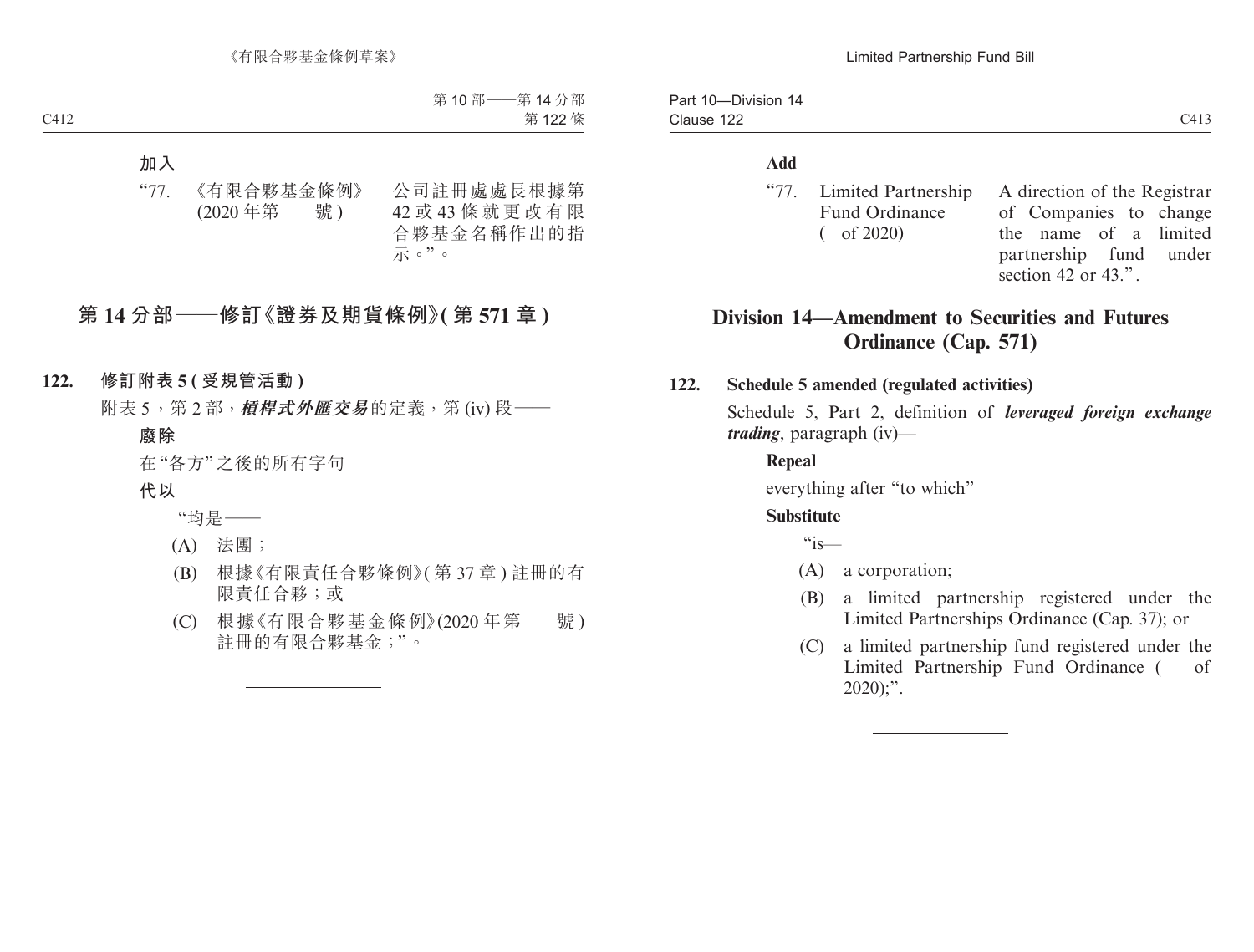| "77. Limited Partnership A dire |       |
|---------------------------------|-------|
| <b>Fund Ordinance</b>           | of Co |
| $($ of 2020)                    | the n |
|                                 |       |

ction of the Registrar ompanies to change name of a limited partnership fund under section 42 or 43.".

# **Division 14—Amendment to Securities and Futures Ordinance (Cap. 571)**

## **122. Schedule 5 amended (regulated activities)**

Schedule 5, Part 2, definition of *leveraged foreign exchange trading*, paragraph (iv)—

## **Repeal**

everything after "to which"

## **Substitute**

 $\mathfrak{g}_{i\mathsf{s}\_\_\}$ 

- (A) a corporation;
- (B) a limited partnership registered under the Limited Partnerships Ordinance (Cap. 37); or
- (C) a limited partnership fund registered under the Limited Partnership Fund Ordinance ( of  $2020$ ;".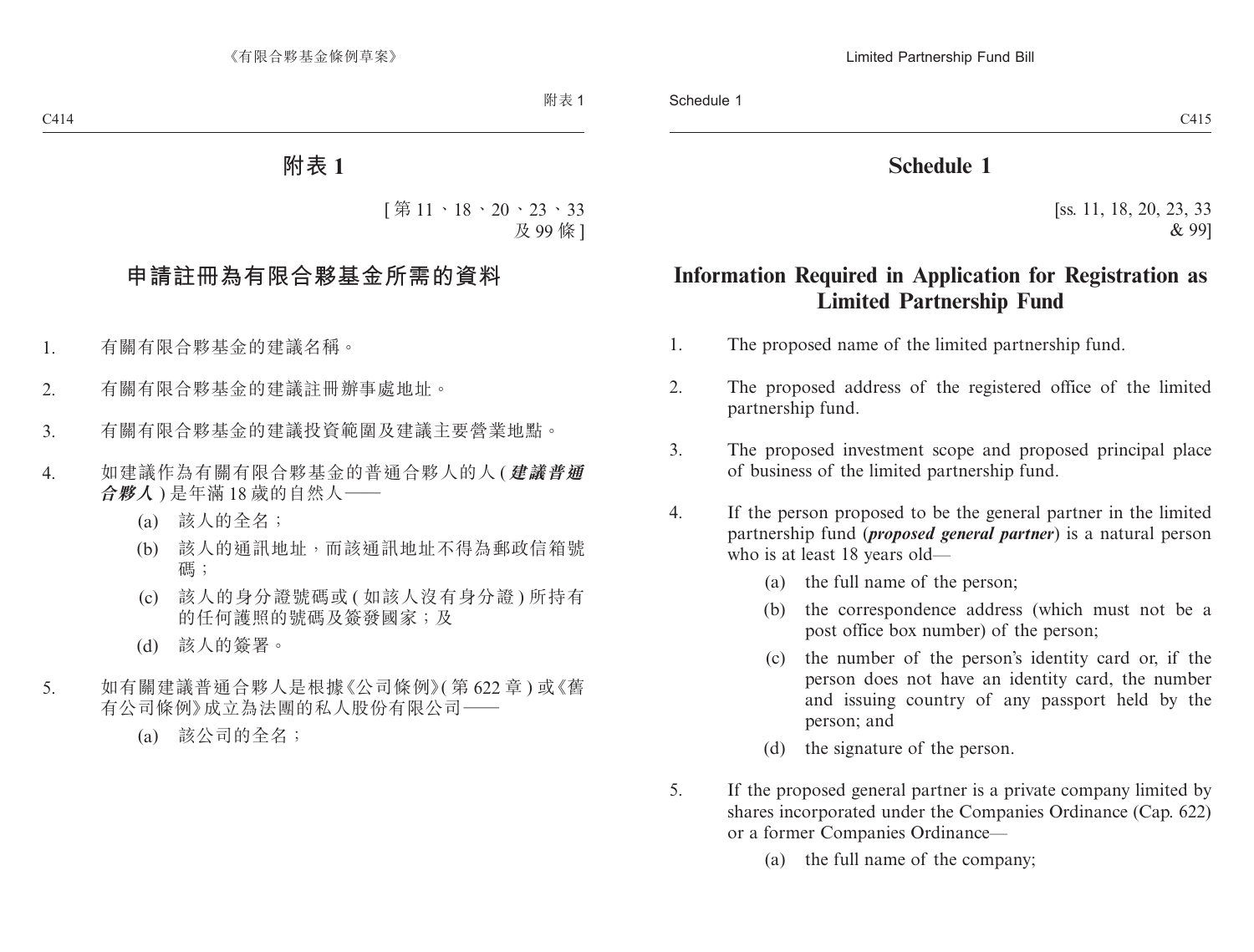# **Schedule 1**

[ss. 11, 18, 20, 23, 33 & 99]

# **Information Required in Application for Registration as Limited Partnership Fund**

- 1. The proposed name of the limited partnership fund.
- 2. The proposed address of the registered office of the limited partnership fund.
- 3. The proposed investment scope and proposed principal place of business of the limited partnership fund.
- 4. If the person proposed to be the general partner in the limited partnership fund (*proposed general partner*) is a natural person who is at least 18 years old—
	- (a) the full name of the person;
	- (b) the correspondence address (which must not be a post office box number) of the person;
	- (c) the number of the person's identity card or, if the person does not have an identity card, the number and issuing country of any passport held by the person; and
	- (d) the signature of the person.
- 5. If the proposed general partner is a private company limited by shares incorporated under the Companies Ordinance (Cap. 622) or a former Companies Ordinance—
	- (a) the full name of the company;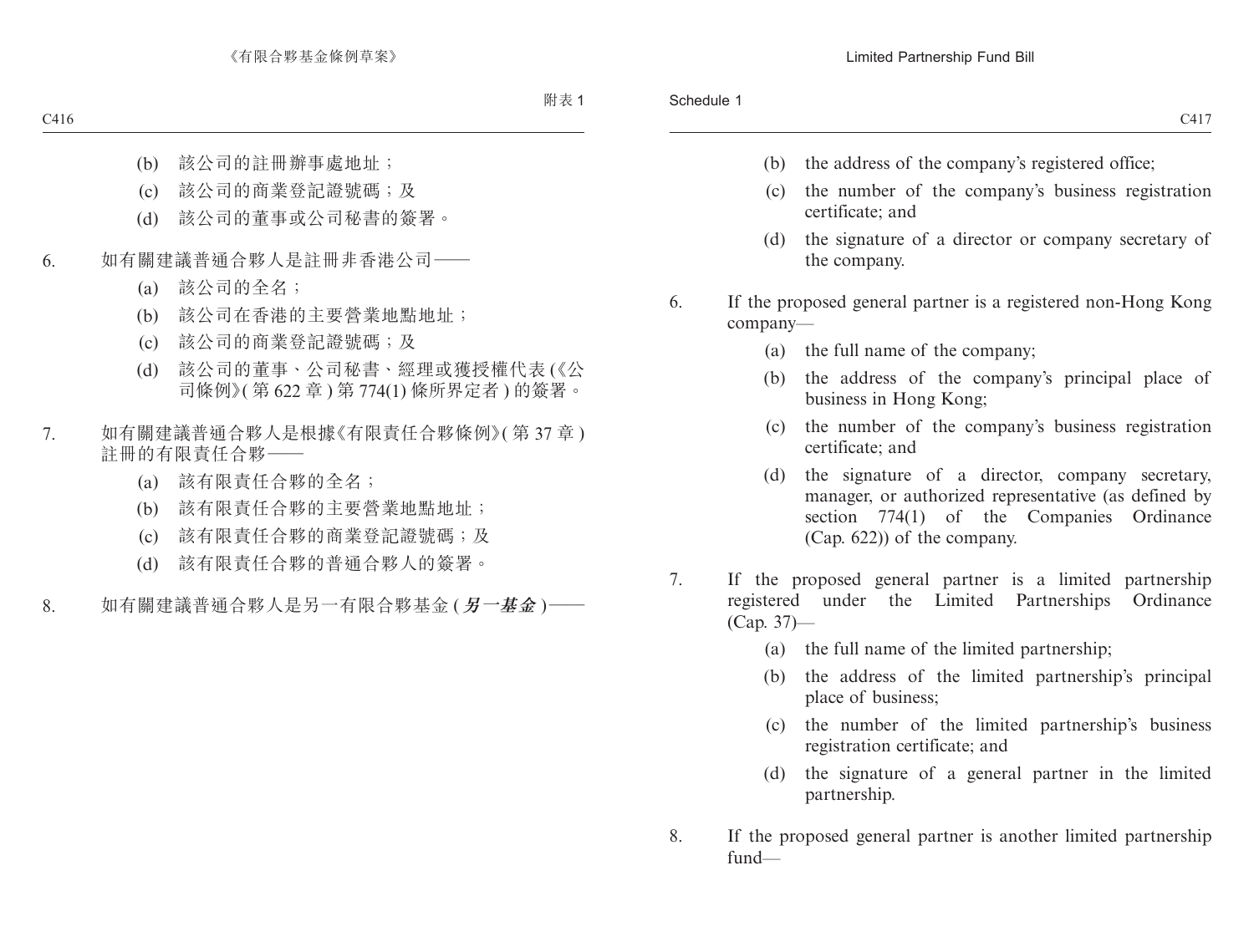- (b) the address of the company's registered office;
- (c) the number of the company's business registration certificate; and
- (d) the signature of a director or company secretary of the company.
- 6. If the proposed general partner is a registered non-Hong Kong company—
	- (a) the full name of the company;
	- (b) the address of the company's principal place of business in Hong Kong;
	- (c) the number of the company's business registration certificate; and
	- (d) the signature of a director, company secretary, manager, or authorized representative (as defined by section 774(1) of the Companies Ordinance (Cap. 622)) of the company.
- 7. If the proposed general partner is a limited partnership registered under the Limited Partnerships Ordinance (Cap. 37)—
	- (a) the full name of the limited partnership;
	- (b) the address of the limited partnership's principal place of business;
	- (c) the number of the limited partnership's business registration certificate; and
	- (d) the signature of a general partner in the limited partnership.
- 8. If the proposed general partner is another limited partnership fund—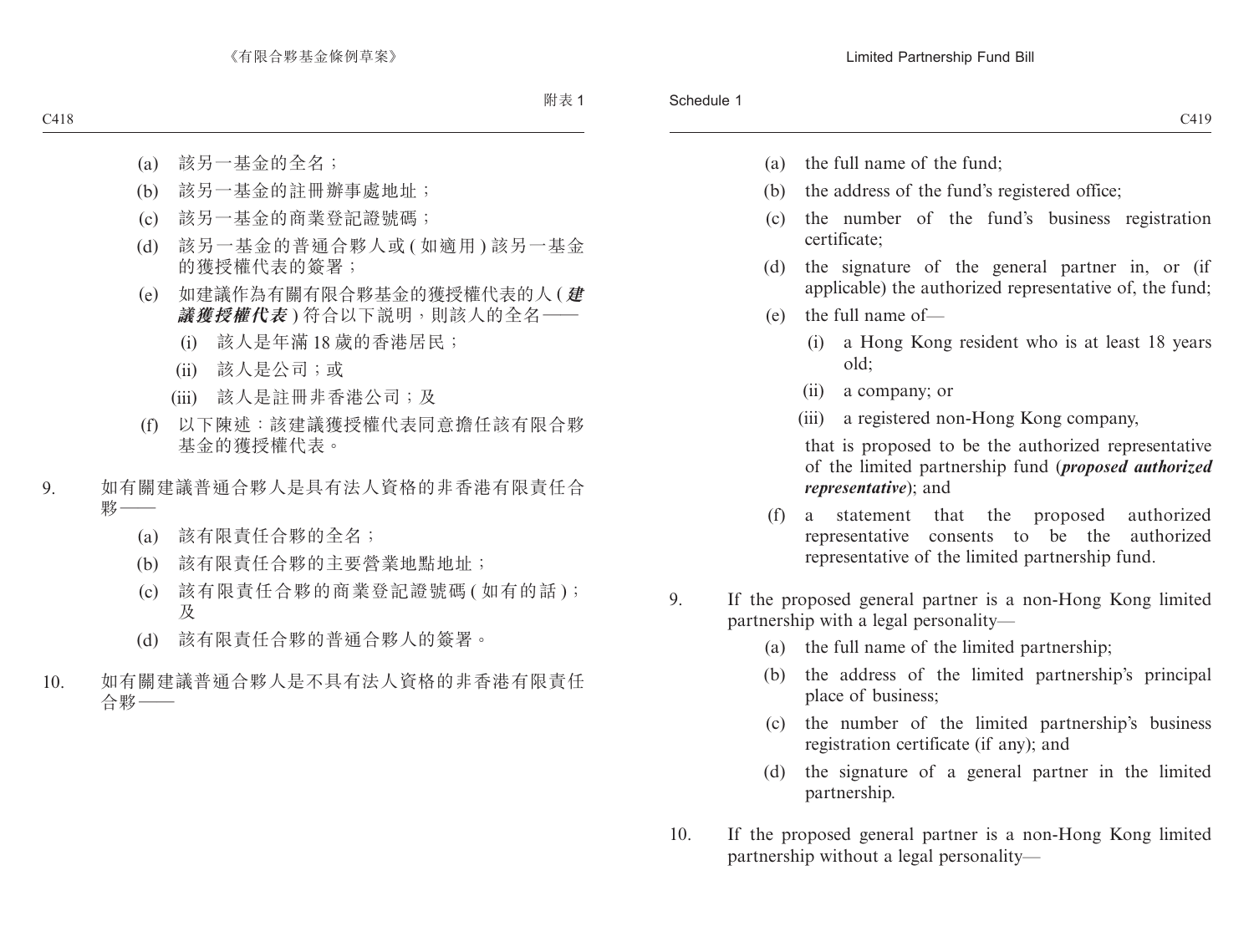- (a) the full name of the fund;
- (b) the address of the fund's registered office;
- (c) the number of the fund's business registration certificate;
- (d) the signature of the general partner in, or (if applicable) the authorized representative of, the fund;
- (e) the full name of—
	- (i) a Hong Kong resident who is at least 18 years old;
	- (ii) a company; or
	- (iii) a registered non-Hong Kong company,

that is proposed to be the authorized representative of the limited partnership fund (*proposed authorized representative*); and

- (f) a statement that the proposed authorized representative consents to be the authorized representative of the limited partnership fund.
- 9. If the proposed general partner is a non-Hong Kong limited partnership with a legal personality—
	- (a) the full name of the limited partnership;
	- (b) the address of the limited partnership's principal place of business;
	- (c) the number of the limited partnership's business registration certificate (if any); and
	- (d) the signature of a general partner in the limited partnership.
- 10. If the proposed general partner is a non-Hong Kong limited partnership without a legal personality—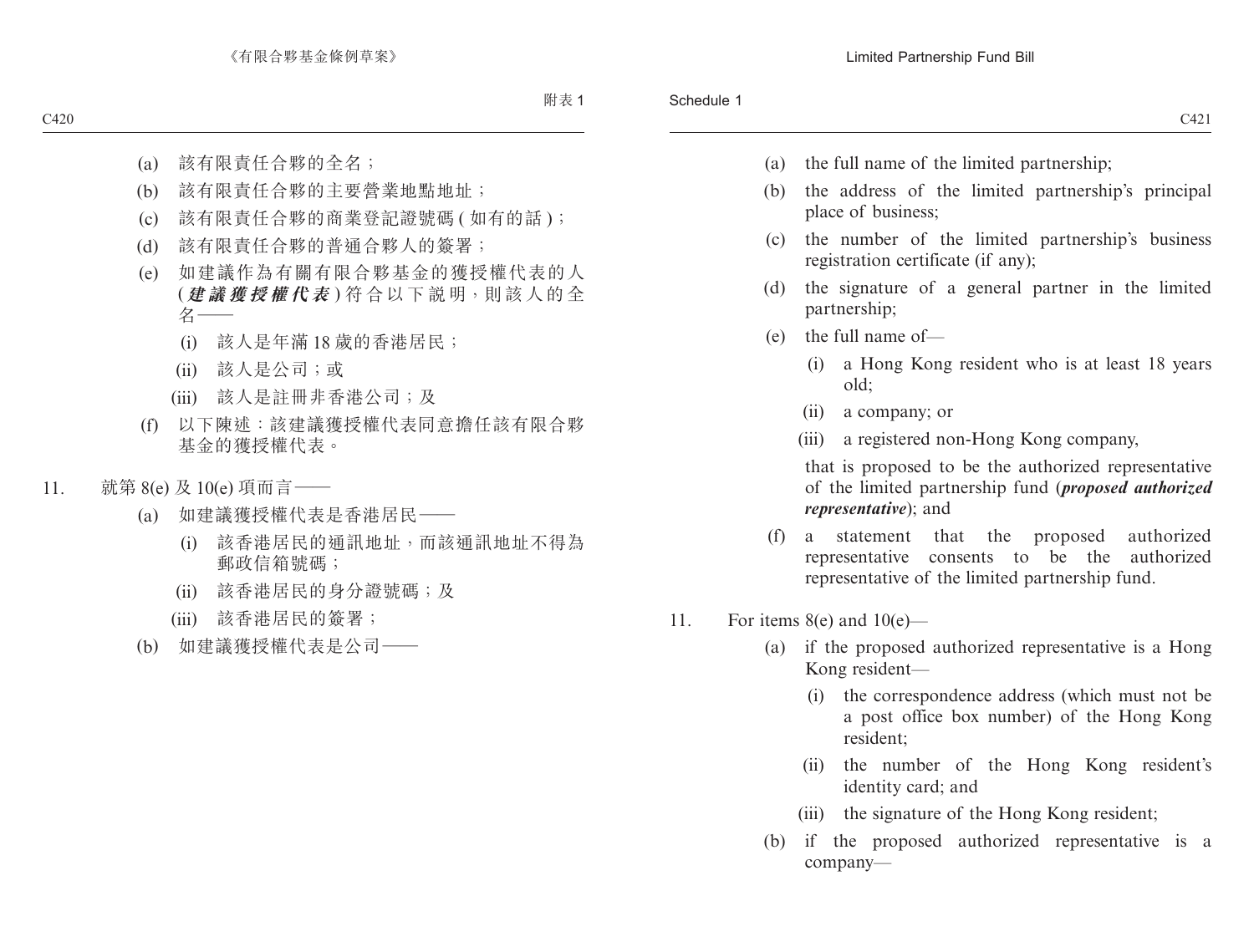- (a) the full name of the limited partnership;
- (b) the address of the limited partnership's principal place of business;
- (c) the number of the limited partnership's business registration certificate (if any);
- (d) the signature of a general partner in the limited partnership;
- (e) the full name of—
	- (i) a Hong Kong resident who is at least 18 years old;
	- (ii) a company; or
	- (iii) a registered non-Hong Kong company,

that is proposed to be the authorized representative of the limited partnership fund (*proposed authorized representative*); and

- (f) a statement that the proposed authorized representative consents to be the authorized representative of the limited partnership fund.
- 11. For items  $8(e)$  and  $10(e)$ 
	- (a) if the proposed authorized representative is a Hong Kong resident—
		- (i) the correspondence address (which must not be a post office box number) of the Hong Kong resident;
		- (ii) the number of the Hong Kong resident's identity card; and
		- (iii) the signature of the Hong Kong resident;
	- (b) if the proposed authorized representative is a company—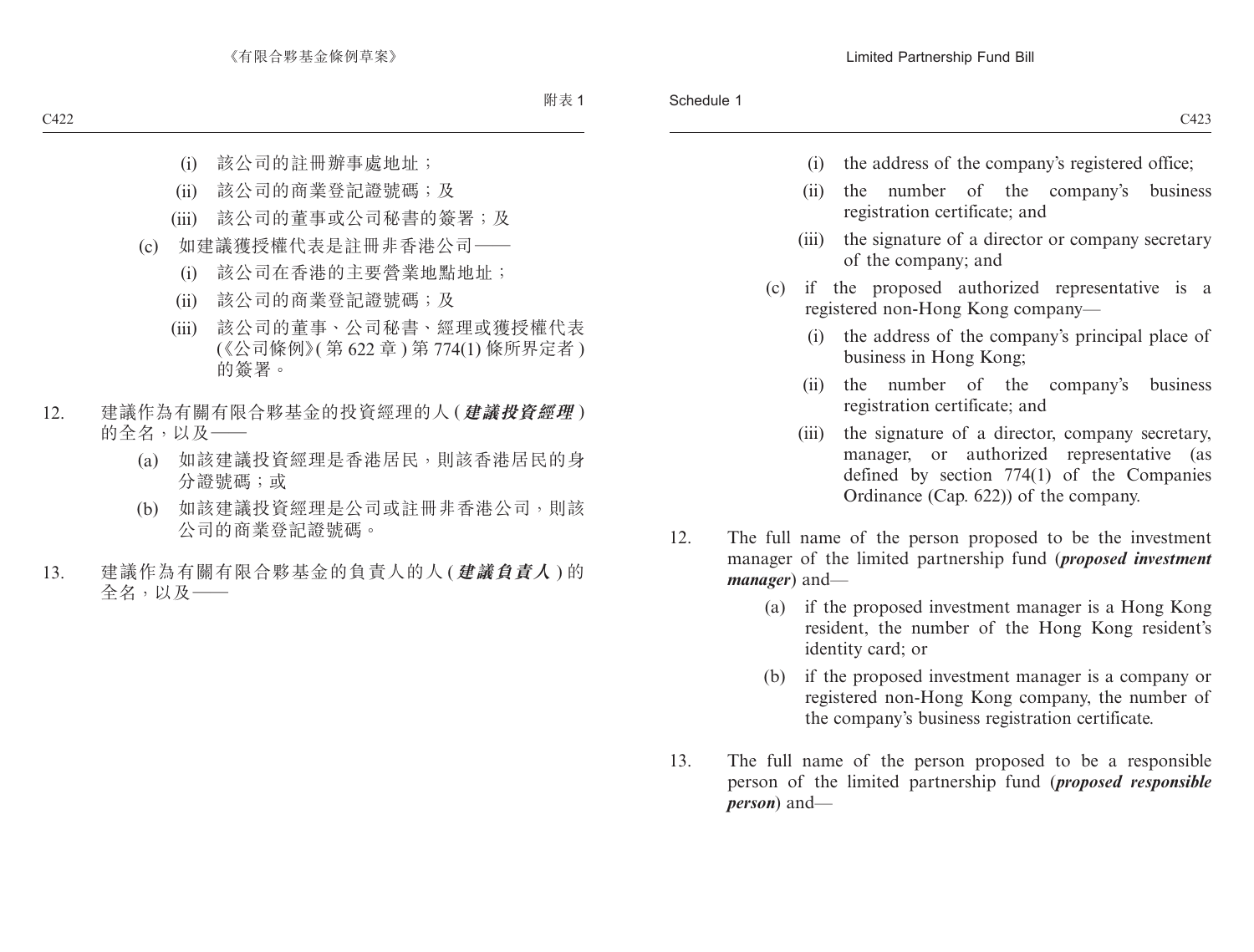- (i) the address of the company's registered office;
- (ii) the number of the company's business registration certificate; and
- (iii) the signature of a director or company secretary of the company; and
- (c) if the proposed authorized representative is a registered non-Hong Kong company—
	- (i) the address of the company's principal place of business in Hong Kong;
	- (ii) the number of the company's business registration certificate; and
	- (iii) the signature of a director, company secretary, manager, or authorized representative (as defined by section 774(1) of the Companies Ordinance (Cap. 622)) of the company.
- 12. The full name of the person proposed to be the investment manager of the limited partnership fund (*proposed investment manager*) and—
	- (a) if the proposed investment manager is a Hong Kong resident, the number of the Hong Kong resident's identity card; or
	- (b) if the proposed investment manager is a company or registered non-Hong Kong company, the number of the company's business registration certificate.
- 13. The full name of the person proposed to be a responsible person of the limited partnership fund (*proposed responsible person*) and—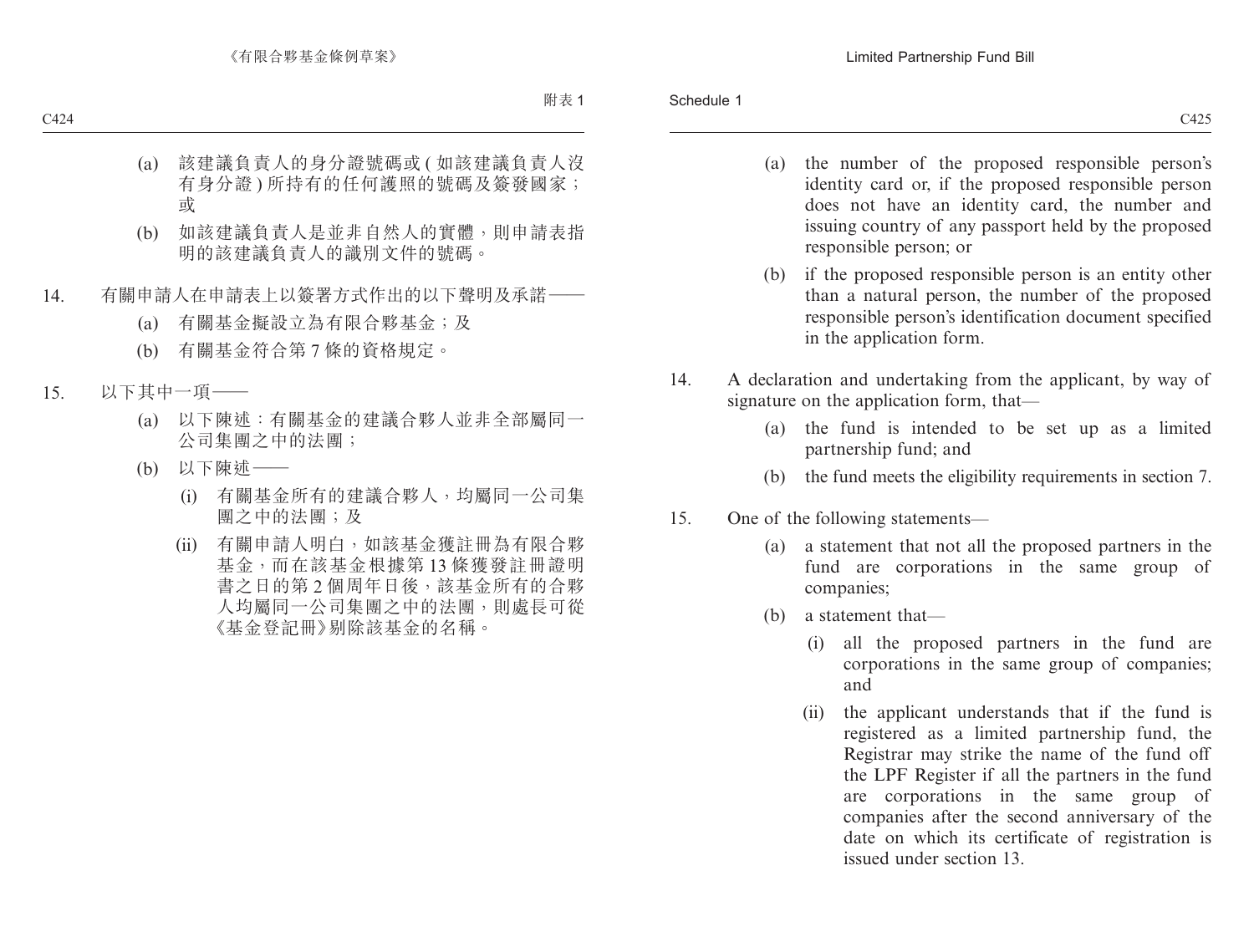- (a) the number of the proposed responsible person's identity card or, if the proposed responsible person does not have an identity card, the number and issuing country of any passport held by the proposed responsible person; or
- (b) if the proposed responsible person is an entity other than a natural person, the number of the proposed responsible person's identification document specified in the application form.
- 14. A declaration and undertaking from the applicant, by way of signature on the application form, that—
	- (a) the fund is intended to be set up as a limited partnership fund; and
	- (b) the fund meets the eligibility requirements in section 7.
- 15. One of the following statements—
	- (a) a statement that not all the proposed partners in the fund are corporations in the same group of companies;
	- (b) a statement that—
		- (i) all the proposed partners in the fund are corporations in the same group of companies; and
		- (ii) the applicant understands that if the fund is registered as a limited partnership fund, the Registrar may strike the name of the fund off the LPF Register if all the partners in the fund are corporations in the same group of companies after the second anniversary of the date on which its certificate of registration is issued under section 13.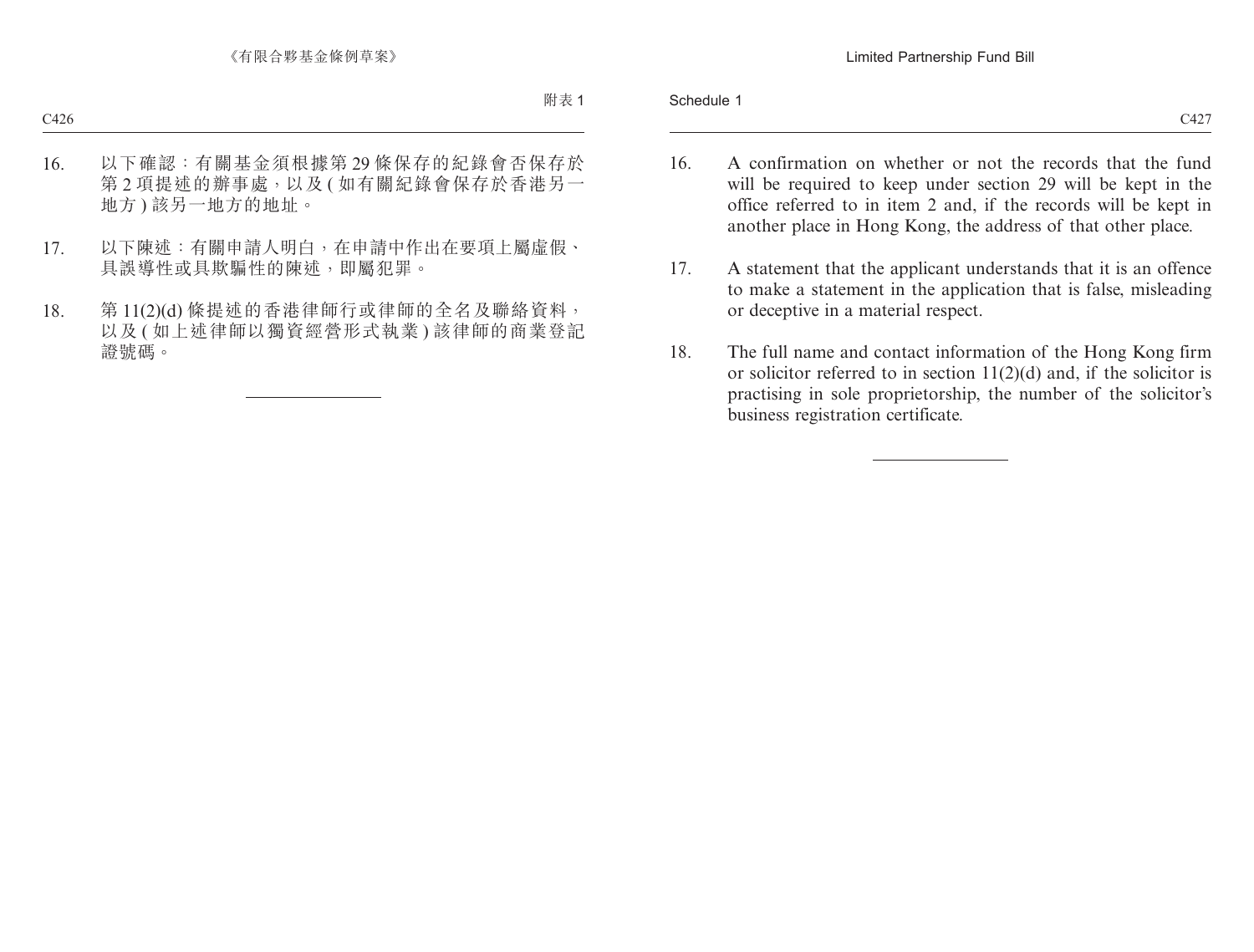#### Schedule 1

- 16. A confirmation on whether or not the records that the fund will be required to keep under section 29 will be kept in the office referred to in item 2 and, if the records will be kept in another place in Hong Kong, the address of that other place.
- 17. A statement that the applicant understands that it is an offence to make a statement in the application that is false, misleading or deceptive in a material respect.
- 18. The full name and contact information of the Hong Kong firm or solicitor referred to in section  $11(2)(d)$  and, if the solicitor is practising in sole proprietorship, the number of the solicitor's business registration certificate.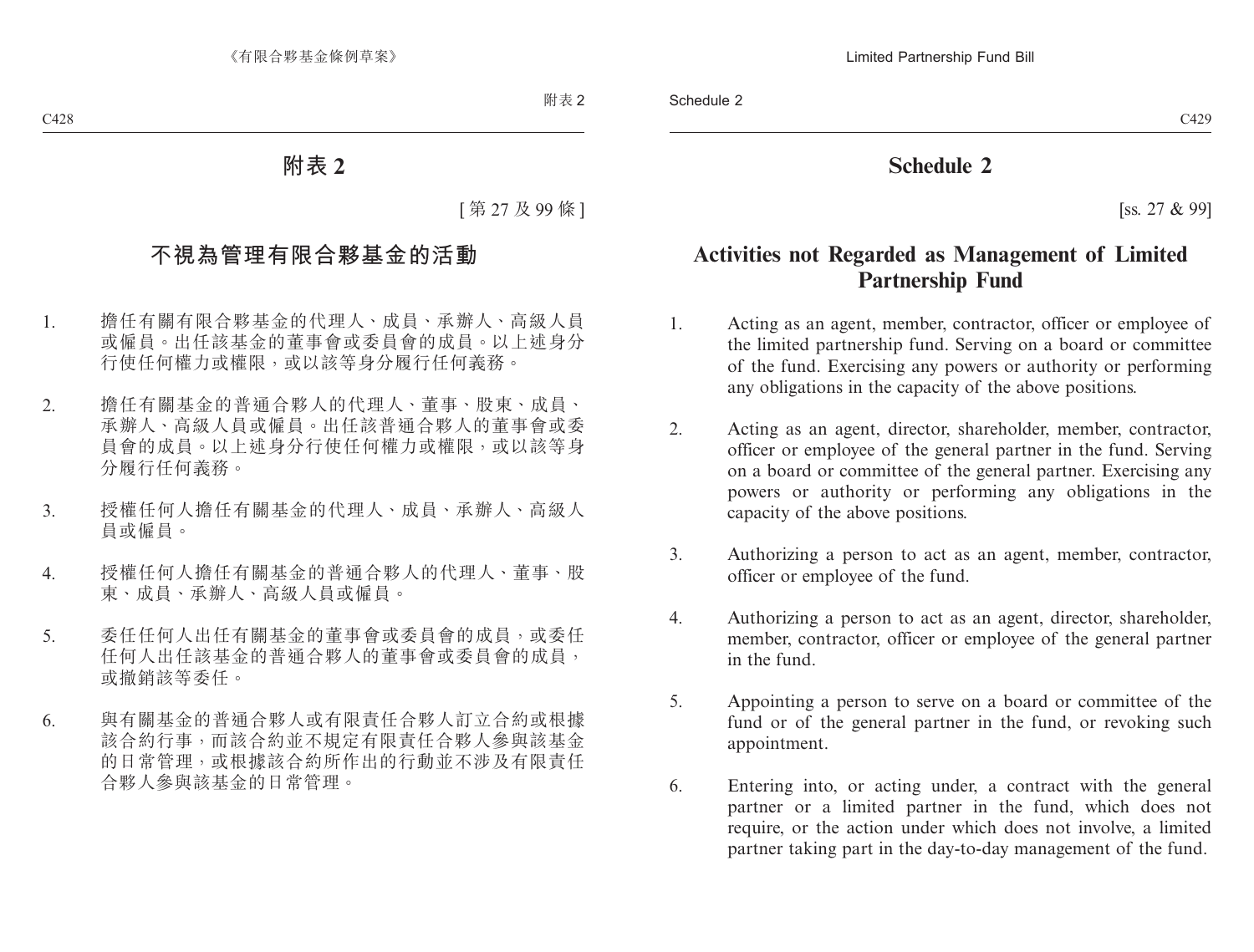# **Schedule 2**

[ss. 27 & 99]

# **Activities not Regarded as Management of Limited Partnership Fund**

- 1. Acting as an agent, member, contractor, officer or employee of the limited partnership fund. Serving on a board or committee of the fund. Exercising any powers or authority or performing any obligations in the capacity of the above positions.
- 2. Acting as an agent, director, shareholder, member, contractor, officer or employee of the general partner in the fund. Serving on a board or committee of the general partner. Exercising any powers or authority or performing any obligations in the capacity of the above positions.
- 3. Authorizing a person to act as an agent, member, contractor, officer or employee of the fund.
- 4. Authorizing a person to act as an agent, director, shareholder, member, contractor, officer or employee of the general partner in the fund.
- 5. Appointing a person to serve on a board or committee of the fund or of the general partner in the fund, or revoking such appointment.
- 6. Entering into, or acting under, a contract with the general partner or a limited partner in the fund, which does not require, or the action under which does not involve, a limited partner taking part in the day-to-day management of the fund.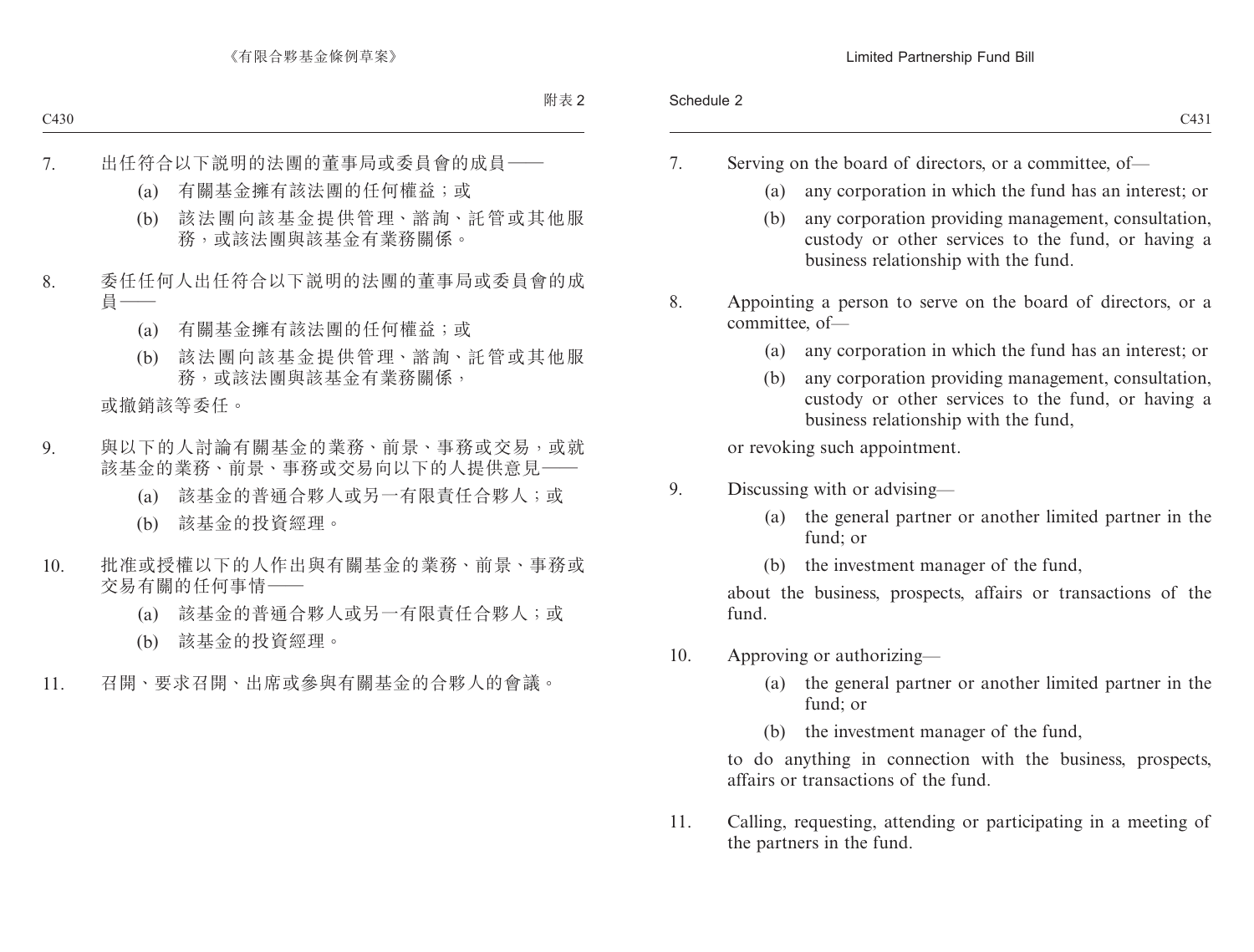- 7. Serving on the board of directors, or a committee, of—
	- (a) any corporation in which the fund has an interest; or
	- (b) any corporation providing management, consultation, custody or other services to the fund, or having a business relationship with the fund.
- 8. Appointing a person to serve on the board of directors, or a committee, of—
	- (a) any corporation in which the fund has an interest; or
	- (b) any corporation providing management, consultation, custody or other services to the fund, or having a business relationship with the fund,

or revoking such appointment.

- 9. Discussing with or advising—
	- (a) the general partner or another limited partner in the fund; or
	- (b) the investment manager of the fund,

about the business, prospects, affairs or transactions of the fund.

- 10. Approving or authorizing—
	- (a) the general partner or another limited partner in the fund; or
	- (b) the investment manager of the fund,

to do anything in connection with the business, prospects, affairs or transactions of the fund.

11. Calling, requesting, attending or participating in a meeting of the partners in the fund.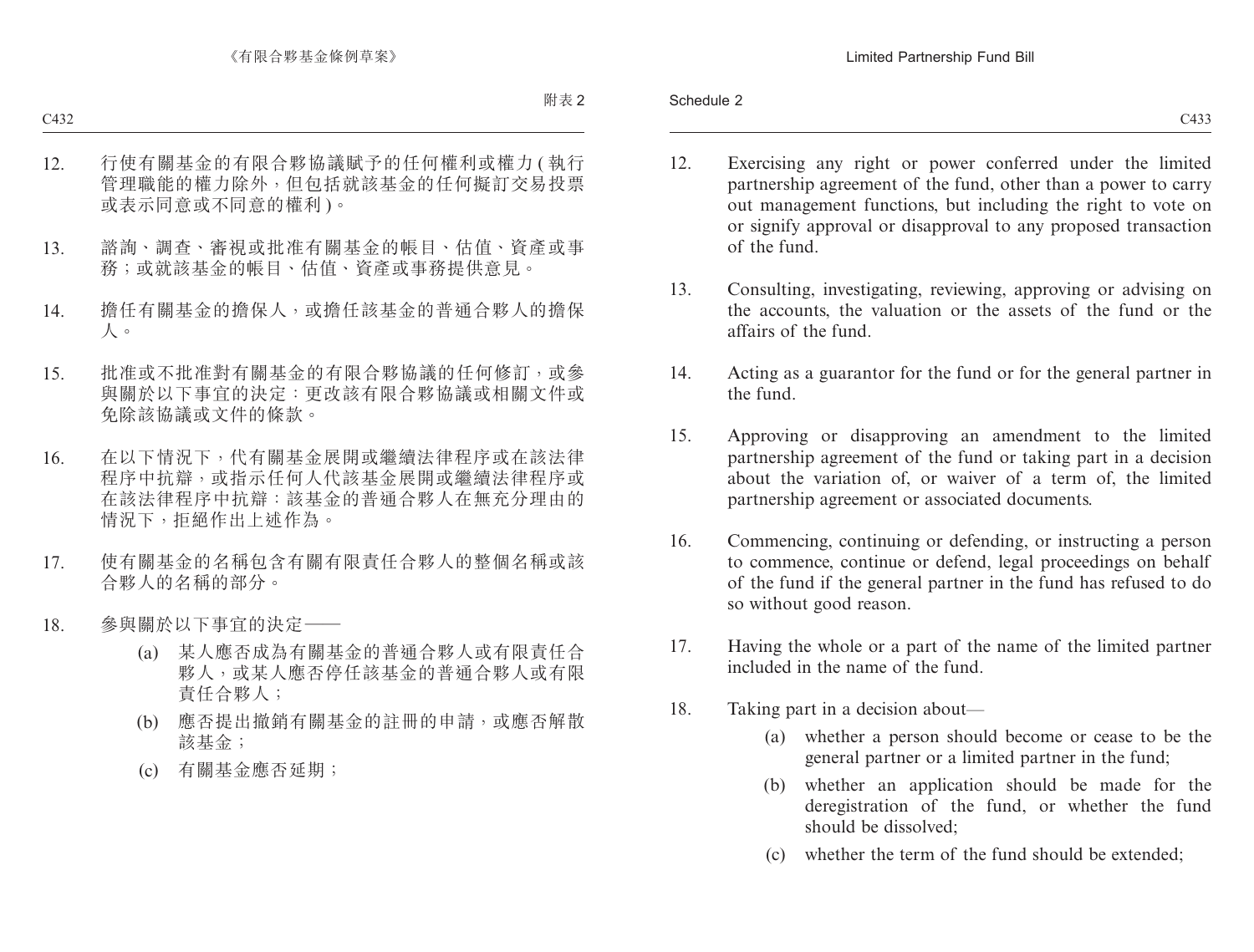- 12. Exercising any right or power conferred under the limited partnership agreement of the fund, other than a power to carry out management functions, but including the right to vote on or signify approval or disapproval to any proposed transaction of the fund.
- 13. Consulting, investigating, reviewing, approving or advising on the accounts, the valuation or the assets of the fund or the affairs of the fund.
- 14. Acting as a guarantor for the fund or for the general partner in the fund.
- 15. Approving or disapproving an amendment to the limited partnership agreement of the fund or taking part in a decision about the variation of, or waiver of a term of, the limited partnership agreement or associated documents.
- 16. Commencing, continuing or defending, or instructing a person to commence, continue or defend, legal proceedings on behalf of the fund if the general partner in the fund has refused to do so without good reason.
- 17. Having the whole or a part of the name of the limited partner included in the name of the fund.
- 18. Taking part in a decision about—
	- (a) whether a person should become or cease to be the general partner or a limited partner in the fund;
	- (b) whether an application should be made for the deregistration of the fund, or whether the fund should be dissolved;
	- (c) whether the term of the fund should be extended;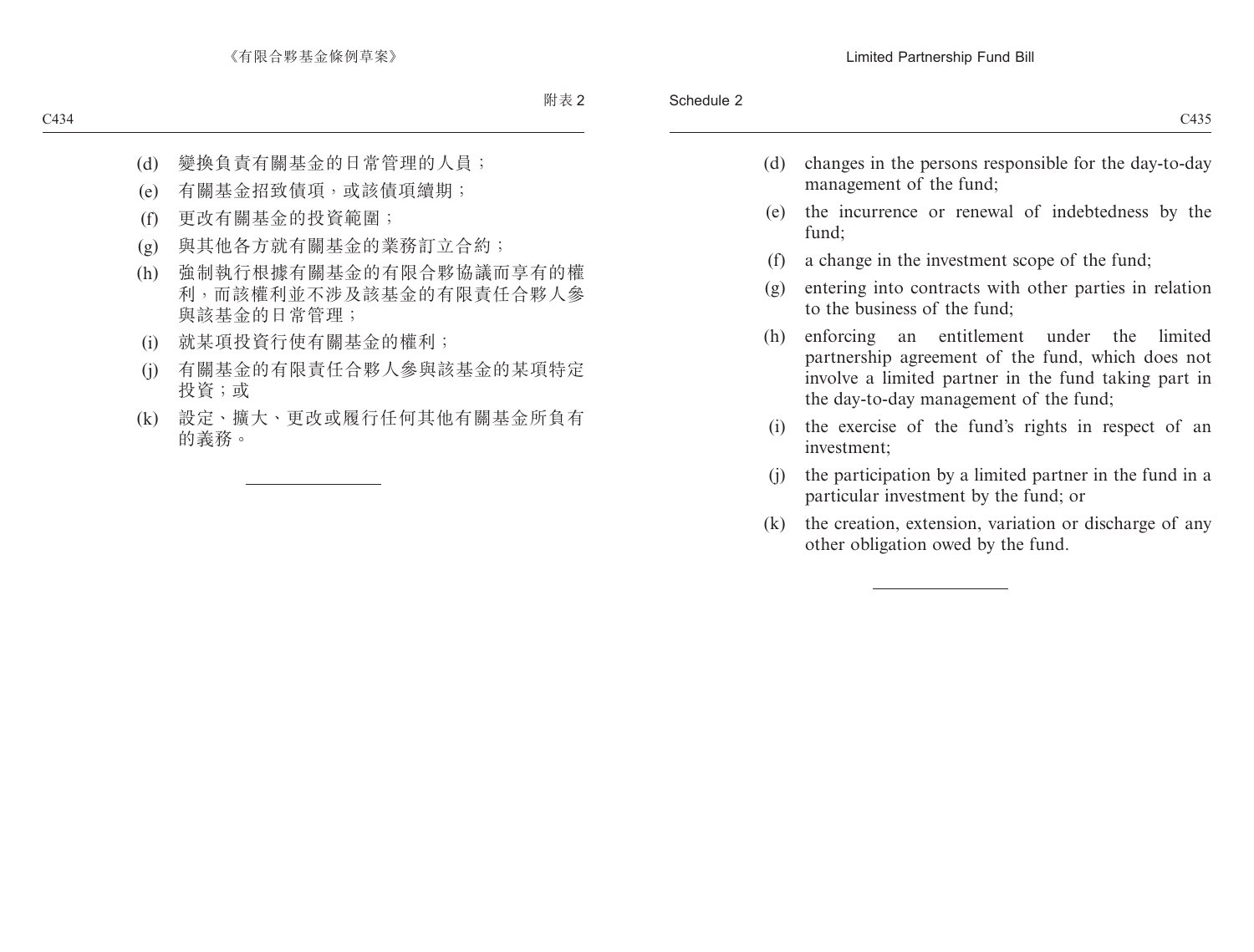- (d) changes in the persons responsible for the day-to-day management of the fund;
- (e) the incurrence or renewal of indebtedness by the fund;
- (f) a change in the investment scope of the fund;
- (g) entering into contracts with other parties in relation to the business of the fund;
- (h) enforcing an entitlement under the limited partnership agreement of the fund, which does not involve a limited partner in the fund taking part in the day-to-day management of the fund;
- (i) the exercise of the fund's rights in respect of an investment;
- (j) the participation by a limited partner in the fund in a particular investment by the fund; or
- (k) the creation, extension, variation or discharge of any other obligation owed by the fund.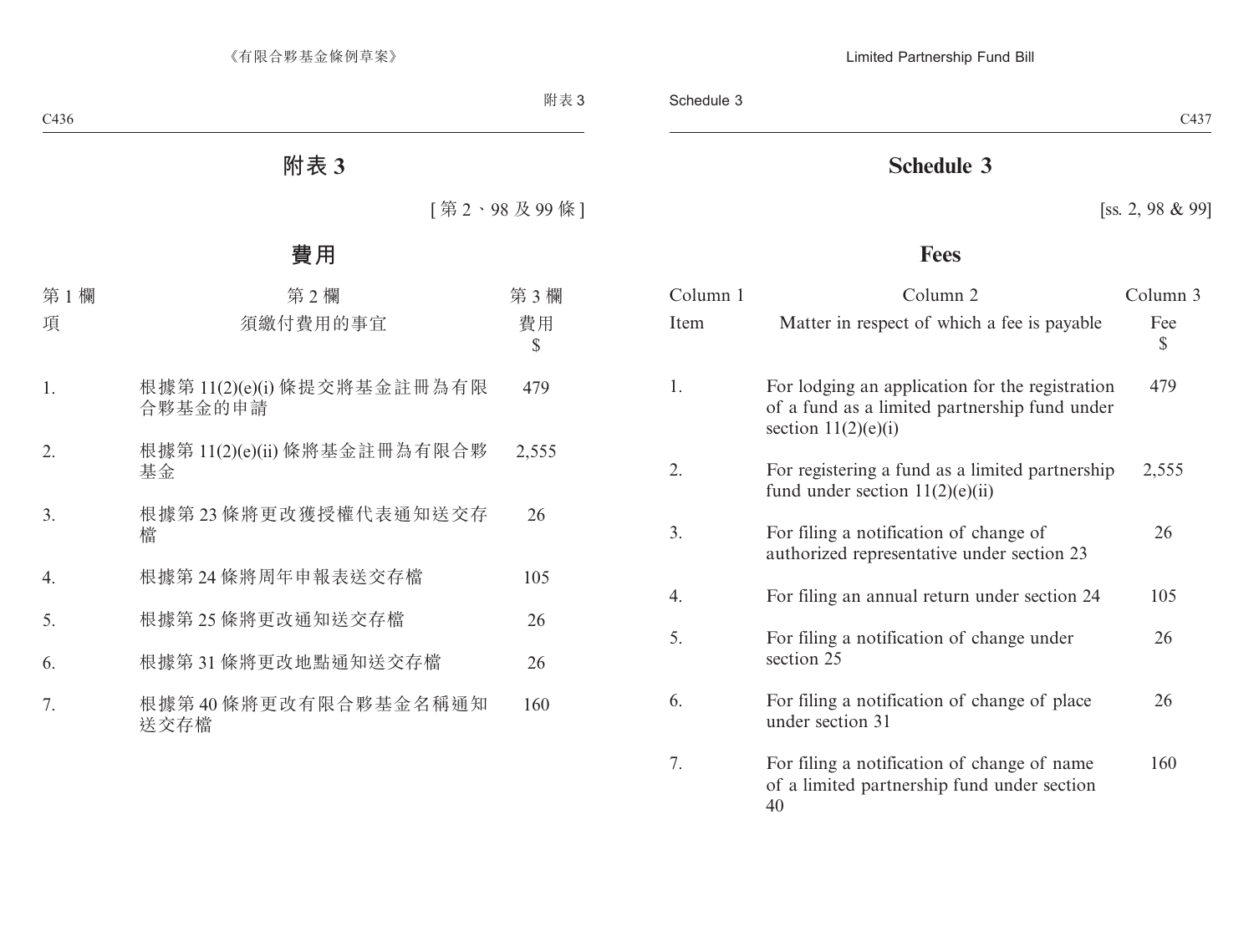# **Schedule 3**

[ss. 2, 98 & 99]

# **Fees**

| Column 1 | Column <sub>2</sub>                                                                                                       | Column 3  |
|----------|---------------------------------------------------------------------------------------------------------------------------|-----------|
| Item     | Matter in respect of which a fee is payable                                                                               | Fee<br>\$ |
| 1.       | For lodging an application for the registration<br>of a fund as a limited partnership fund under<br>section $11(2)(e)(i)$ | 479       |
| 2.       | For registering a fund as a limited partnership<br>fund under section $11(2)(e)(ii)$                                      | 2,555     |
| 3.       | For filing a notification of change of<br>authorized representative under section 23                                      | 26        |
| 4.       | For filing an annual return under section 24                                                                              | 105       |
| 5.       | For filing a notification of change under<br>section 25                                                                   | 26        |
| 6.       | For filing a notification of change of place<br>under section 31                                                          | 26        |
| 7.       | For filing a notification of change of name<br>of a limited partnership fund under section<br>40                          | 160       |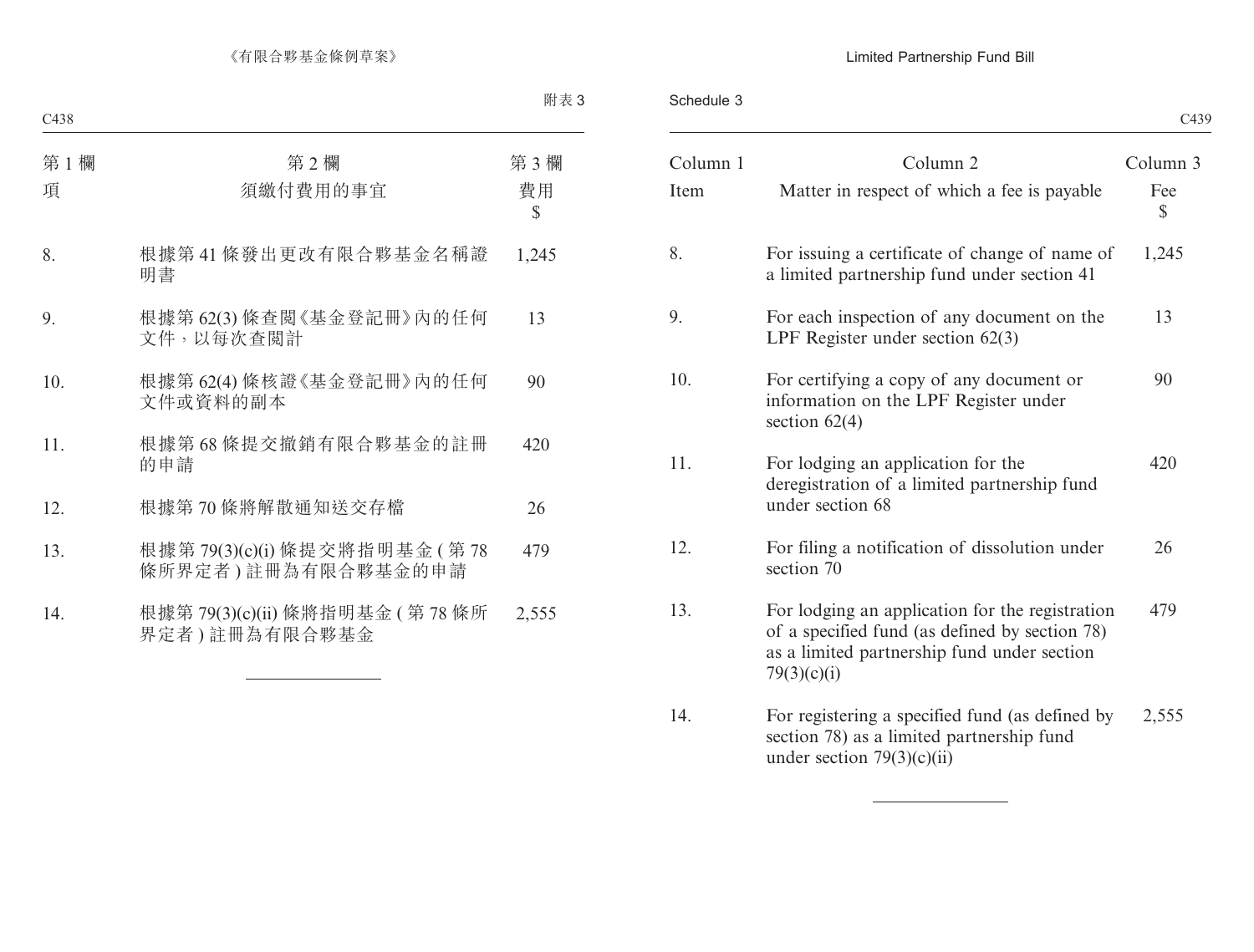### Limited Partnership Fund Bill

Schedule 3

|                                                                                                                                                                 |          |  |          |  | C439                |
|-----------------------------------------------------------------------------------------------------------------------------------------------------------------|----------|--|----------|--|---------------------|
|                                                                                                                                                                 | Column 1 |  | Column 2 |  | Column 3            |
| Matter in respect of which a fee is payable                                                                                                                     |          |  |          |  | Fee<br>$\mathbb{S}$ |
| For issuing a certificate of change of name of<br>a limited partnership fund under section 41                                                                   |          |  |          |  | 1,245               |
| For each inspection of any document on the<br>LPF Register under section $62(3)$                                                                                |          |  |          |  | 13                  |
| For certifying a copy of any document or<br>information on the LPF Register under<br>section $62(4)$                                                            |          |  |          |  | 90                  |
| For lodging an application for the<br>deregistration of a limited partnership fund<br>under section 68                                                          |          |  |          |  | 420                 |
| For filing a notification of dissolution under<br>section 70                                                                                                    |          |  |          |  | 26                  |
| For lodging an application for the registration<br>of a specified fund (as defined by section 78)<br>as a limited partnership fund under section<br>79(3)(c)(i) |          |  |          |  | 479                 |
| For registering a specified fund (as defined by<br>section 78) as a limited partnership fund<br>under section $79(3)(c)(ii)$                                    |          |  |          |  | 2,555               |
|                                                                                                                                                                 |          |  |          |  |                     |

 $\overline{\phantom{a}}$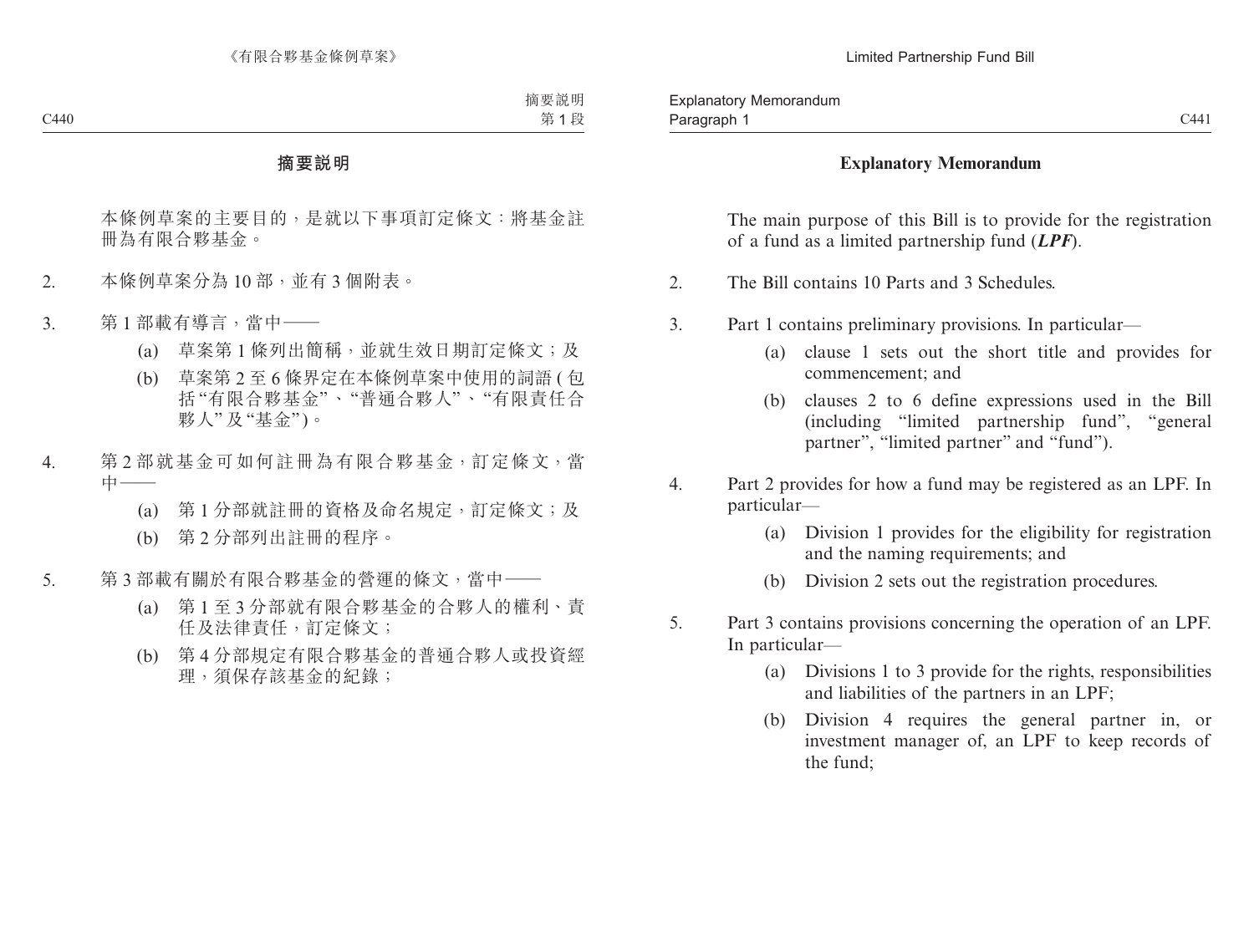#### **Explanatory Memorandum**

The main purpose of this Bill is to provide for the registration of a fund as a limited partnership fund (*LPF*).

- 2. The Bill contains 10 Parts and 3 Schedules.
- 3. Part 1 contains preliminary provisions. In particular—
	- (a) clause 1 sets out the short title and provides for commencement; and
	- (b) clauses 2 to 6 define expressions used in the Bill (including "limited partnership fund", "general partner", "limited partner" and "fund").
- 4. Part 2 provides for how a fund may be registered as an LPF. In particular—
	- (a) Division 1 provides for the eligibility for registration and the naming requirements; and
	- (b) Division 2 sets out the registration procedures.
- 5. Part 3 contains provisions concerning the operation of an LPF. In particular—
	- (a) Divisions 1 to 3 provide for the rights, responsibilities and liabilities of the partners in an LPF;
	- (b) Division 4 requires the general partner in, or investment manager of, an LPF to keep records of the fund;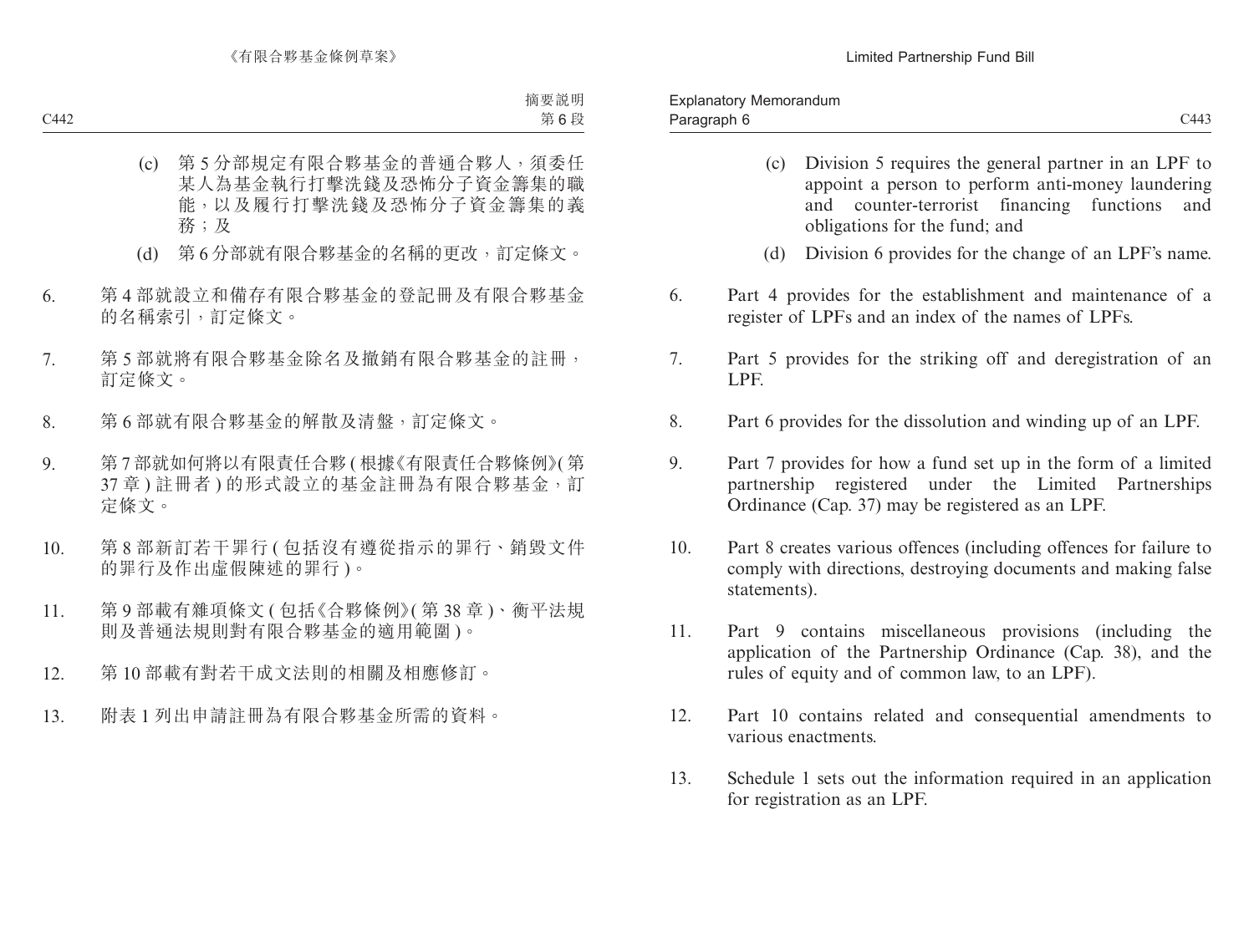- (c) Division 5 requires the general partner in an LPF to appoint a person to perform anti-money laundering and counter-terrorist financing functions and obligations for the fund; and
- (d) Division 6 provides for the change of an LPF's name.
- 6. Part 4 provides for the establishment and maintenance of a register of LPFs and an index of the names of LPFs.
- 7. Part 5 provides for the striking off and deregistration of an LPF.
- 8. Part 6 provides for the dissolution and winding up of an LPF.
- 9. Part 7 provides for how a fund set up in the form of a limited partnership registered under the Limited Partnerships Ordinance (Cap. 37) may be registered as an LPF.
- 10. Part 8 creates various offences (including offences for failure to comply with directions, destroying documents and making false statements).
- 11. Part 9 contains miscellaneous provisions (including the application of the Partnership Ordinance (Cap. 38), and the rules of equity and of common law, to an LPF).
- 12. Part 10 contains related and consequential amendments to various enactments.
- 13. Schedule 1 sets out the information required in an application for registration as an LPF.